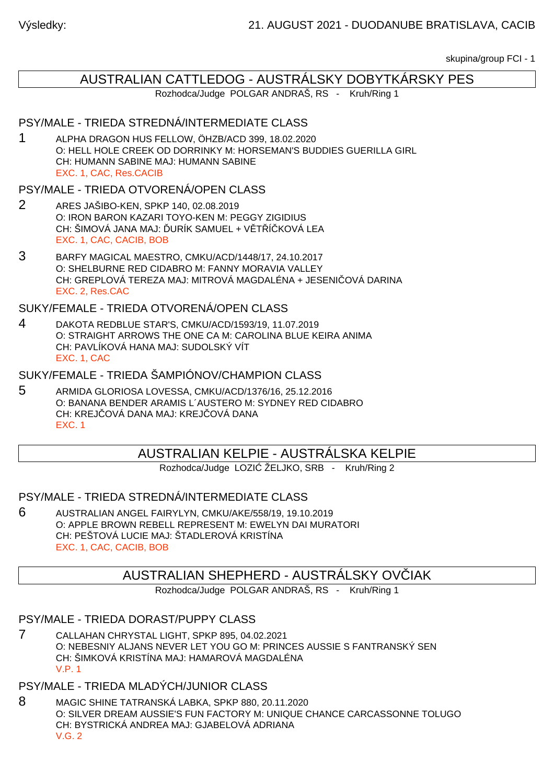skupina/group FCI - 1

# AUSTRALIAN CATTLEDOG - AUSTRÁLSKY DOBYTKÁRSKY PES

Rozhodca/Judge POLGAR ANDRAŠ, RS - Kruh/Ring 1

### PSY/MALE - TRIEDA STREDNÁ/INTERMEDIATE CLASS

1 ALPHA DRAGON HUS FELLOW, ÖHZB/ACD 399, 18.02.2020 O: HELL HOLE CREEK OD DORRINKY M: HORSEMAN'S BUDDIES GUERILLA GIRL CH: HUMANN SABINE MAJ: HUMANN SABINE EXC. 1, CAC, Res.CACIB

# PSY/MALE - TRIEDA OTVORENÁ/OPEN CLASS

- 2 ARES JAŠIBO-KEN, SPKP 140, 02.08.2019 O: IRON BARON KAZARI TOYO-KEN M: PEGGY ZIGIDIUS CH: ŠIMOVÁ JANA MAJ: URÍK SAMUEL + V T Í KOVÁ LEA EXC. 1, CAC, CACIB, BOB
- 3 BARFY MAGICAL MAESTRO, CMKU/ACD/1448/17, 24.10.2017 O: SHELBURNE RED CIDABRO M: FANNY MORAVIA VALLEY CH: GREPLOVÁ TEREZA MAJ: MITROVÁ MAGDALÉNA + JESENIČOVÁ DARINA EXC. 2, Res.CAC

### SUKY/FEMALE - TRIEDA OTVORENÁ/OPEN CLASS

4 DAKOTA REDBLUE STAR'S, CMKU/ACD/1593/19, 11.07.2019 O: STRAIGHT ARROWS THE ONE CA M: CAROLINA BLUE KEIRA ANIMA CH: PAVLÍKOVÁ HANA MAJ: SUDOLSKÝ VÍT EXC. 1, CAC

### SUKY/FEMALE - TRIEDA ŠAMPIÓNOV/CHAMPION CLASS

5 ARMIDA GLORIOSA LOVESSA, CMKU/ACD/1376/16, 25.12.2016 O: BANANA BENDER ARAMIS L´AUSTERO M: SYDNEY RED CIDABRO CH: KREJ, QVÁ DANA MAJ: KREJ, QVÁ DANA EXC. 1

# AUSTRALIAN KELPIE - AUSTRÁLSKA KELPIE

Rozhodca/Judge LOZI ŽELJKO, SRB - Kruh/Ring 2

#### PSY/MALE - TRIEDA STREDNÁ/INTERMEDIATE CLASS

6 AUSTRALIAN ANGEL FAIRYLYN, CMKU/AKE/558/19, 19.10.2019 O: APPLE BROWN REBELL REPRESENT M: EWELYN DAI MURATORI CH: PEŠTOVÁ LUCIE MAJ: ŠTADLEROVÁ KRISTÍNA EXC. 1, CAC, CACIB, BOB

# AUSTRALIAN SHEPHERD - AUSTRÁLSKY OVČIAK

Rozhodca/Judge POLGAR ANDRAŠ, RS - Kruh/Ring 1

### PSY/MALE - TRIEDA DORAST/PUPPY CLASS

7 CALLAHAN CHRYSTAL LIGHT, SPKP 895, 04.02.2021 O: NEBESNIY ALJANS NEVER LET YOU GO M: PRINCES AUSSIE S FANTRANSKÝ SEN CH: ŠIMKOVÁ KRISTÍNA MAJ: HAMAROVÁ MAGDALÉNA V.P. 1

#### PSY/MALE - TRIEDA MLADÝCH/JUNIOR CLASS

8 MAGIC SHINE TATRANSKÁ LABKA, SPKP 880, 20.11.2020 O: SILVER DREAM AUSSIE'S FUN FACTORY M: UNIQUE CHANCE CARCASSONNE TOLUGO CH: BYSTRICKÁ ANDREA MAJ: GJABELOVÁ ADRIANA V.G. 2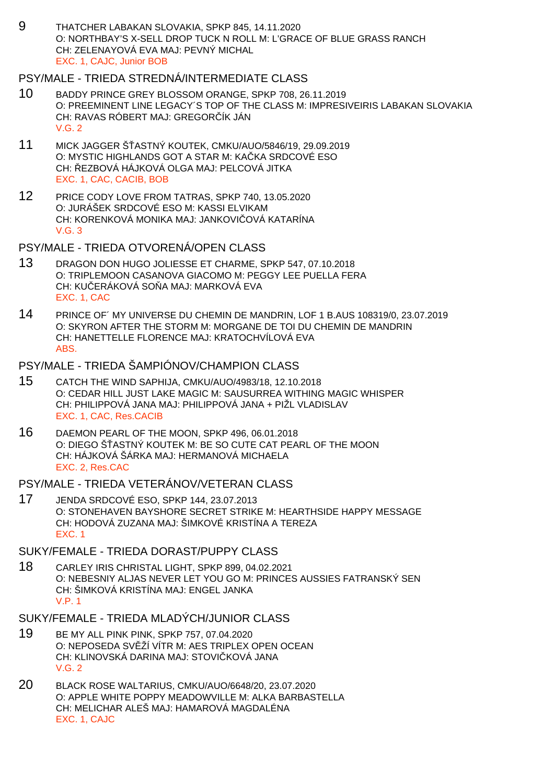9 THATCHER LABAKAN SLOVAKIA, SPKP 845, 14.11.2020 O: NORTHBAY'S X-SELL DROP TUCK N ROLL M: L'GRACE OF BLUE GRASS RANCH CH: ZELENAYOVÁ EVA MAJ: PEVNÝ MICHAL EXC. 1, CAJC, Junior BOB

### PSY/MALE - TRIEDA STREDNÁ/INTERMEDIATE CLASS

- 10 BADDY PRINCE GREY BLOSSOM ORANGE, SPKP 708, 26.11.2019 O: PREEMINENT LINE LEGACY´S TOP OF THE CLASS M: IMPRESIVEIRIS LABAKAN SLOVAKIA CH: RAVAS RÓBERT MAJ: GREGOR ÍK JÁN V.G. 2
- 11 MICK JAGGER ŠASTNÝ KOUTEK, CMKU/AUO/5846/19, 29.09.2019 O: MYSTIC HIGHLANDS GOT A STAR M: KA KA SRDCOVÉ ESO CH: EZBOVÁ HÁJKOVÁ OLGA MAJ: PELCOVÁ JITKA EXC. 1, CAC, CACIB, BOB
- 12 PRICE CODY LOVE FROM TATRAS, SPKP 740, 13.05.2020 O: JURÁŠEK SRDCOVÉ ESO M: KASSI ELVIKAM CH: KORENKOVÁ MONIKA MAJ: JANKOVI OVÁ KATARÍNA V.G. 3

#### PSY/MALE - TRIEDA OTVORENÁ/OPEN CLASS

- 13 DRAGON DON HUGO JOLIESSE ET CHARME, SPKP 547, 07.10.2018 O: TRIPLEMOON CASANOVA GIACOMO M: PEGGY LEE PUELLA FERA CH: KU ERÁKOVÁ SO A MAJ: MARKOVÁ EVA EXC. 1, CAC
- 14 PRINCE OF´ MY UNIVERSE DU CHEMIN DE MANDRIN, LOF 1 B.AUS 108319/0, 23.07.2019 O: SKYRON AFTER THE STORM M: MORGANE DE TOI DU CHEMIN DE MANDRIN CH: HANETTELLE FLORENCE MAJ: KRATOCHVÍLOVÁ EVA ABS.

# PSY/MALE - TRIEDA ŠAMPIÓNOV/CHAMPION CLASS

- 15 CATCH THE WIND SAPHIJA, CMKU/AUO/4983/18, 12.10.2018 O: CEDAR HILL JUST LAKE MAGIC M: SAUSURREA WITHING MAGIC WHISPER CH: PHILIPPOVÁ JANA MAJ: PHILIPPOVÁ JANA + PIŽL VLADISLAV EXC. 1, CAC, Res.CACIB
- 16 DAEMON PEARL OF THE MOON, SPKP 496, 06.01.2018 O: DIEGO Š ASTNÝ KOUTEK M: BE SO CUTE CAT PEARL OF THE MOON CH: HÁJKOVÁ ŠÁRKA MAJ: HERMANOVÁ MICHAELA EXC. 2, Res.CAC

## PSY/MALE - TRIEDA VETERÁNOV/VETERAN CLASS

17 JENDA SRDCOVÉ ESO, SPKP 144, 23.07.2013 O: STONEHAVEN BAYSHORE SECRET STRIKE M: HEARTHSIDE HAPPY MESSAGE CH: HODOVÁ ZUZANA MAJ: ŠIMKOVÉ KRISTÍNA A TEREZA EXC. 1

#### SUKY/FEMALE - TRIEDA DORAST/PUPPY CLASS

18 CARLEY IRIS CHRISTAL LIGHT, SPKP 899, 04.02.2021 O: NEBESNIY ALJAS NEVER LET YOU GO M: PRINCES AUSSIES FATRANSKÝ SEN CH: ŠIMKOVÁ KRISTÍNA MAJ: ENGEL JANKA V.P. 1

### SUKY/FEMALE - TRIEDA MLADÝCH/JUNIOR CLASS

- 19 BE MY ALL PINK PINK, SPKP 757, 07.04.2020 O: NEPOSEDA SVIŽÍ VÍTR M: AES TRIPLEX OPEN OCEAN CH: KLINOVSKÁ DARINA MAJ: STOVI KOVÁ JANA V.G. 2
- 20 BLACK ROSE WALTARIUS, CMKU/AUO/6648/20, 23.07.2020 O: APPLE WHITE POPPY MEADOWVILLE M: ALKA BARBASTELLA CH: MELICHAR ALEŠ MAJ: HAMAROVÁ MAGDALÉNA EXC. 1, CAJC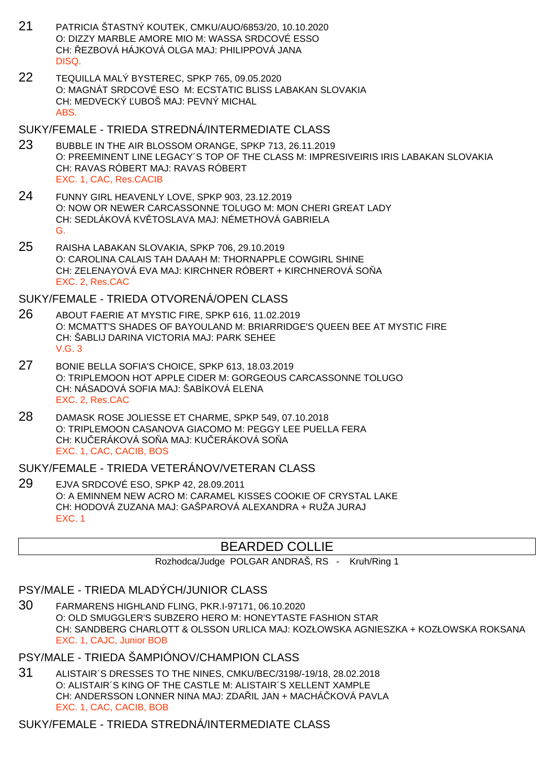- 21 PATRICIA ŠTASTNÝ KOUTEK, CMKU/AUO/6853/20, 10.10.2020 O: DIZZY MARBLE AMORE MIO M: WASSA SRDCOVÉ ESSO CH: ŘEZBOVÁ HÁJKOVÁ OLGA MAJ: PHILIPPOVÁ JANA DISQ.
- 22 TEQUILLA MALÝ BYSTEREC, SPKP 765, 09.05.2020 O: MAGNÁT SRDCOVÉ ESO M: ECSTATIC BLISS LABAKAN SLOVAKIA CH: MEDVECKÝ UBOŠ MAJ: PEVNÝ MICHAL ABS.

# SUKY/FEMALE - TRIEDA STREDNÁ/INTERMEDIATE CLASS

- 23 BUBBLE IN THE AIR BLOSSOM ORANGE, SPKP 713, 26.11.2019 O: PREEMINENT LINE LEGACY´S TOP OF THE CLASS M: IMPRESIVEIRIS IRIS LABAKAN SLOVAKIA CH: RAVAS RÓBERT MAJ: RAVAS RÓBERT EXC. 1, CAC, Res.CACIB
- 24 FUNNY GIRL HEAVENLY LOVE, SPKP 903, 23.12.2019 O: NOW OR NEWER CARCASSONNE TOLUGO M: MON CHERI GREAT LADY CH: SEDLÁKOVÁ KV TOSLAVA MAJ: NÉMETHOVÁ GABRIELA G.
- 25 RAISHA LABAKAN SLOVAKIA, SPKP 706, 29.10.2019 O: CAROLINA CALAIS TAH DAAAH M: THORNAPPLE COWGIRL SHINE CH: ZELENAYOVÁ EVA MAJ: KIRCHNER RÓBERT + KIRCHNEROVÁ SO A EXC. 2, Res.CAC

# SUKY/FEMALE - TRIEDA OTVORENÁ/OPEN CLASS

- 26 ABOUT FAERIE AT MYSTIC FIRE, SPKP 616, 11.02.2019 O: MCMATT'S SHADES OF BAYOULAND M: BRIARRIDGE'S QUEEN BEE AT MYSTIC FIRE CH: ŠABLIJ DARINA VICTORIA MAJ: PARK SEHEE V.G. 3
- 27 BONIE BELLA SOFIA'S CHOICE, SPKP 613, 18.03.2019 O: TRIPLEMOON HOT APPLE CIDER M: GORGEOUS CARCASSONNE TOLUGO CH: NÁSADOVÁ SOFIA MAJ: ŠABÍKOVÁ ELENA EXC. 2, Res.CAC
- 28 DAMASK ROSE JOLIESSE ET CHARME, SPKP 549, 07.10.2018 O: TRIPLEMOON CASANOVA GIACOMO M: PEGGY LEE PUELLA FERA CH: KU ERÁKOVÁ SO A MAJ: KU ERÁKOVÁ SO A EXC. 1, CAC, CACIB, BOS

# SUKY/FEMALE - TRIEDA VETERÁNOV/VETERAN CI ASS

29 EJVA SRDCOVÉ ESO, SPKP 42, 28.09.2011 O: A EMINNEM NEW ACRO M: CARAMEL KISSES COOKIE OF CRYSTAL LAKE CH: HODOVÁ ZUZANA MAJ: GAŠPAROVÁ ALEXANDRA + RUŽA JURAJ EXC. 1

# BEARDED COLLIE

Rozhodca/Judge POLGAR ANDRAŠ, RS - Kruh/Ring 1

# PSY/MALE - TRIEDA MLADÝCH/JUNIOR CLASS

30 FARMARENS HIGHLAND FLING, PKR.I-97171, 06.10.2020 O: OLD SMUGGLER'S SUBZERO HERO M: HONEYTASTE FASHION STAR CH: SANDBERG CHARLOTT & OLSSON URLICA MAJ: KOZŁOWSKA AGNIESZKA + KOZŁOWSKA ROKSANA EXC. 1, CAJC, Junior BOB

# PSY/MALE - TRIEDA ŠAMPIÓNOV/CHAMPION CLASS

31 ALISTAIR´S DRESSES TO THE NINES, CMKU/BEC/3198/-19/18, 28.02.2018 O: ALISTAIR´S KING OF THE CASTLE M: ALISTAIR´S XELLENT XAMPLE CH: ANDERSSON LONNER NINA MAJ: ZDA IL JAN + MACHÁ KOVÁ PAVLA EXC. 1, CAC, CACIB, BOB

# SUKY/FEMALE - TRIEDA STREDNÁ/INTERMEDIATE CLASS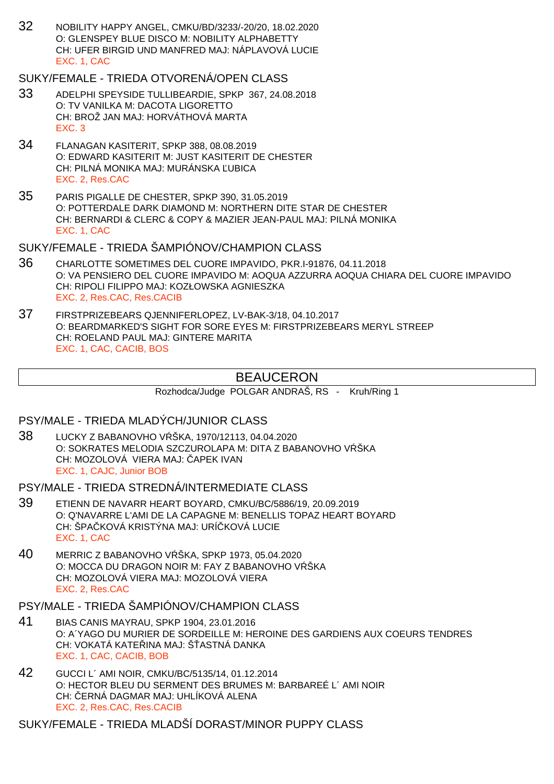32 NOBILITY HAPPY ANGEL, CMKU/BD/3233/-20/20, 18.02.2020 O: GLENSPEY BLUE DISCO M: NOBILITY ALPHABETTY CH: UFER BIRGID UND MANFRED MAJ: NÁPLAVOVÁ LUCIE EXC. 1, CAC

SUKY/FEMALE - TRIEDA OTVORENÁ/OPEN CLASS

- 33 ADELPHI SPEYSIDE TULLIBEARDIE, SPKP 367, 24.08.2018 O: TV VANILKA M: DACOTA LIGORETTO CH: BROŽ JAN MAJ: HORVÁTHOVÁ MARTA EXC. 3
- 34 FLANAGAN KASITERIT, SPKP 388, 08.08.2019 O: EDWARD KASITERIT M: JUST KASITERIT DE CHESTER CH: PILNÁ MONIKA MAJ: MURÁNSKA UBICA EXC. 2, Res.CAC
- 35 PARIS PIGALLE DE CHESTER, SPKP 390, 31.05.2019 O: POTTERDALE DARK DIAMOND M: NORTHERN DITE STAR DE CHESTER CH: BERNARDI & CLERC & COPY & MAZIER JEAN-PAUL MAJ: PILNÁ MONIKA EXC. 1, CAC

SUKY/FEMALE - TRIEDA ŠAMPIÓNOV/CHAMPION CLASS

- 36 CHARLOTTE SOMETIMES DEL CUORE IMPAVIDO, PKR.I-91876, 04.11.2018 O: VA PENSIERO DEL CUORE IMPAVIDO M: AOQUA AZZURRA AOQUA CHIARA DEL CUORE IMPAVIDO CH: RIPOLI FILIPPO MAJ: KOZŁOWSKA AGNIESZKA EXC. 2, Res.CAC, Res.CACIB
- 37 FIRSTPRIZEBEARS QJENNIFERLOPEZ, LV-BAK-3/18, 04.10.2017 O: BEARDMARKED'S SIGHT FOR SORE EYES M: FIRSTPRIZEBEARS MERYL STREEP CH: ROELAND PAUL MAJ: GINTERE MARITA EXC. 1, CAC, CACIB, BOS

# BEAUCERON

Rozhodca/Judge POLGAR ANDRAŠ, RS - Kruh/Ring 1

PSY/MALE - TRIEDA MLADÝCH/JUNIOR CLASS

38 LUCKY Z BABANOVHO V ŠKA, 1970/12113, 04.04.2020 O: SOKRATES MELODIA SZCZUROLAPA M: DITA Z BABANOVHO V ŠKA CH: MOZOLOVÁ VIERA MAJ: APEK IVAN EXC. 1, CAJC, Junior BOB

PSY/MALE - TRIEDA STREDNÁ/INTERMEDIATE CLASS

- 39 ETIENN DE NAVARR HEART BOYARD, CMKU/BC/5886/19, 20.09.2019 O: Q'NAVARRE L'AMI DE LA CAPAGNE M: BENELLIS TOPAZ HEART BOYARD CH: ŠPA KOVÁ KRISTÝNA MAJ: URÍ KOVÁ LUCIE EXC. 1, CAC
- 40 MERRIC Z BABANOVHO V ŠKA, SPKP 1973, 05.04.2020 O: MOCCA DU DRAGON NOIR M: FAY Z BABANOVHO V ŠKA CH: MOZOLOVÁ VIERA MAJ: MOZOLOVÁ VIERA EXC. 2, Res.CAC

PSY/MALE - TRIEDA ŠAMPIÓNOV/CHAMPION CLASS

- 41 BIAS CANIS MAYRAU, SPKP 1904, 23.01.2016 O: A´YAGO DU MURIER DE SORDEILLE M: HEROINE DES GARDIENS AUX COEURS TENDRES CH: VOKATÁ KATE INA MAJ: Š ASTNÁ DANKA EXC. 1, CAC, CACIB, BOB
- 42 GUCCI L´ AMI NOIR, CMKU/BC/5135/14, 01.12.2014 O: HECTOR BLEU DU SERMENT DES BRUMES M: BARBAREÉ L´ AMI NOIR CH: ERNÁ DAGMAR MAJ: UHLÍKOVÁ ALENA EXC. 2, Res.CAC, Res.CACIB

SUKY/FEMALE - TRIEDA MLADŠÍ DORAST/MINOR PUPPY CLASS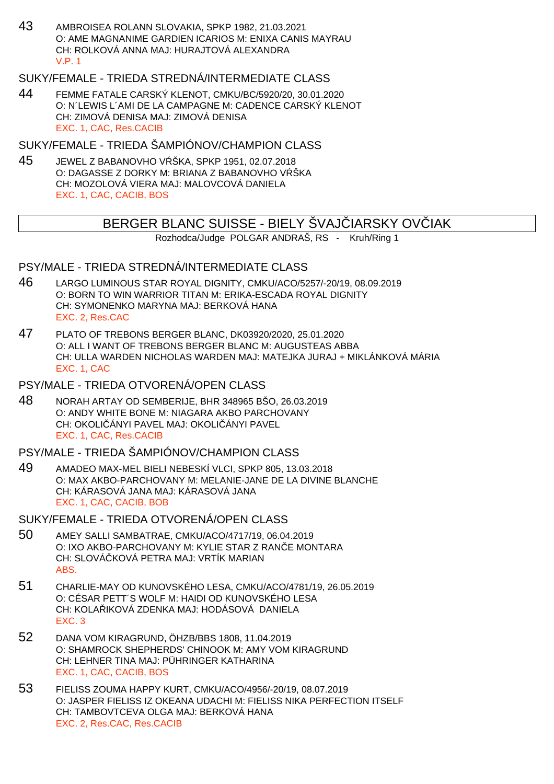43 AMBROISEA ROLANN SLOVAKIA, SPKP 1982, 21.03.2021 O: AME MAGNANIME GARDIEN ICARIOS M: ENIXA CANIS MAYRAU CH: ROLKOVÁ ANNA MAJ: HURAJTOVÁ ALEXANDRA V.P. 1

# SUKY/FEMALE - TRIEDA STREDNÁ/INTERMEDIATE CLASS

44 FEMME FATALE CARSKÝ KLENOT, CMKU/BC/5920/20, 30.01.2020 O: N´LEWIS L´AMI DE LA CAMPAGNE M: CADENCE CARSKÝ KLENOT CH: ZIMOVÁ DENISA MAJ: ZIMOVÁ DENISA EXC. 1, CAC, Res.CACIB

SUKY/FEMALE - TRIEDA ŠAMPIÓNOV/CHAMPION CLASS

45 JEWEL Z BABANOVHO V ŠKA, SPKP 1951, 02.07.2018  $O:$  DAGASSE Z DORKY M: BRIANA Z BABANOVHO V  $\hat{S}$ KA CH: MOZOLOVÁ VIERA MAJ: MALOVCOVÁ DANIELA EXC. 1, CAC, CACIB, BOS

# BERGER BLANC SUISSE - BIELY ŠVAJ IARSKY OV IAK

Rozhodca/Judge POLGAR ANDRAŠ, RS - Kruh/Ring 1

# PSY/MALE - TRIEDA STREDNÁ/INTERMEDIATE CLASS

- 46 LARGO LUMINOUS STAR ROYAL DIGNITY, CMKU/ACO/5257/-20/19, 08.09.2019 O: BORN TO WIN WARRIOR TITAN M: ERIKA-ESCADA ROYAL DIGNITY CH: SYMONENKO MARYNA MAJ: BERKOVÁ HANA EXC. 2, Res.CAC
- 47 PLATO OF TREBONS BERGER BLANC, DK03920/2020, 25.01.2020 O: ALL I WANT OF TREBONS BERGER BLANC M: AUGUSTEAS ABBA CH: ULLA WARDEN NICHOLAS WARDEN MAJ: MATEJKA JURAJ + MIKLÁNKOVÁ MÁRIA EXC. 1, CAC

# PSY/MALE - TRIEDA OTVORENÁ/OPEN CLASS

48 NORAH ARTAY OD SEMBERIJE, BHR 348965 BŠO, 26.03.2019 O: ANDY WHITE BONE M: NIAGARA AKBO PARCHOVANY CH: OKOLI ÁNYI PAVEL MAJ: OKOLI ÁNYI PAVEL EXC. 1, CAC, Res.CACIB

# PSY/MALE - TRIEDA ŠAMPIÓNOV/CHAMPION CLASS

- 49 AMADEO MAX-MEL BIELI NEBESKÍ VLCI, SPKP 805, 13.03.2018 O: MAX AKBO-PARCHOVANY M: MELANIE-JANE DE LA DIVINE BLANCHE CH: KÁRASOVÁ JANA MAJ: KÁRASOVÁ JANA EXC. 1, CAC, CACIB, BOB
- SUKY/FEMALE TRIEDA OTVORENÁ/OPEN CLASS
- 50 AMEY SALLI SAMBATRAE, CMKU/ACO/4717/19, 06.04.2019 O: IXO AKBO-PARCHOVANY M: KYLIE STAR Z RAN E MONTARA CH: SLOVÁ KOVÁ PETRA MAJ: VRTÍK MARIAN ABS.
- 51 CHARLIE-MAY OD KUNOVSKÉHO LESA, CMKU/ACO/4781/19, 26.05.2019 O: CÉSAR PETT´S WOLF M: HAIDI OD KUNOVSKÉHO LESA CH: KOLA IKOVÁ ZDENKA MAJ: HODÁSOVÁ DANIELA EXC. 3
- 52 DANA VOM KIRAGRUND, ÖHZB/BBS 1808, 11.04.2019 O: SHAMROCK SHEPHERDS' CHINOOK M: AMY VOM KIRAGRUND CH: LEHNER TINA MAJ: PÜHRINGER KATHARINA EXC. 1, CAC, CACIB, BOS
- 53 FIELISS ZOUMA HAPPY KURT, CMKU/ACO/4956/-20/19, 08.07.2019 O: JASPER FIELISS IZ OKEANA UDACHI M: FIELISS NIKA PERFECTION ITSELF CH: TAMBOVTCEVA OLGA MAJ: BERKOVÁ HANA EXC. 2, Res.CAC, Res.CACIB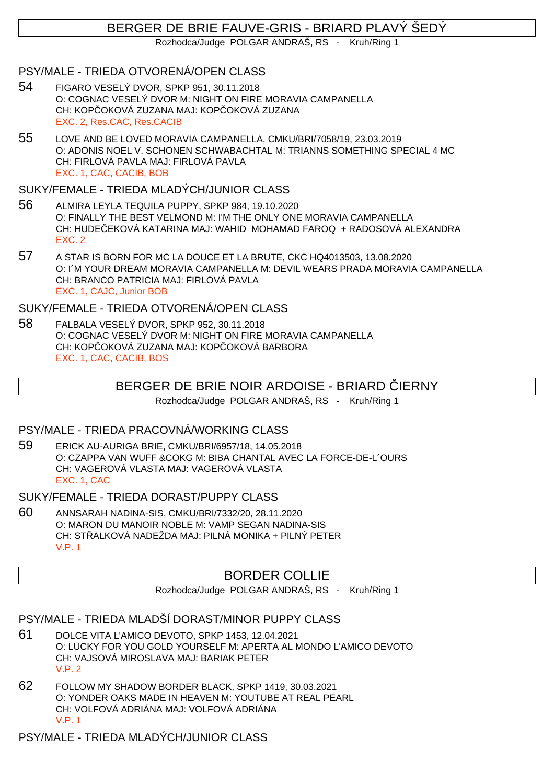# BERGER DE BRIE FAUVE-GRIS - BRIARD PLAVÝ ŠEDÝ

Rozhodca/Judge POLGAR ANDRAŠ, RS - Kruh/Ring 1

### PSY/MALE - TRIEDA OTVORENÁ/OPEN CLASS

- 54 FIGARO VESELÝ DVOR, SPKP 951, 30.11.2018 O: COGNAC VESELÝ DVOR M: NIGHT ON FIRE MORAVIA CAMPANELLA CH: KOPÓCKOVÁ ZUZANA MAJ: KOPÓCKOVÁ ZUZANA EXC. 2, Res.CAC, Res.CACIB
- 55 LOVE AND BE LOVED MORAVIA CAMPANELLA, CMKU/BRI/7058/19, 23.03.2019 O: ADONIS NOEL V. SCHONEN SCHWABACHTAL M: TRIANNS SOMETHING SPECIAL 4 MC CH: FIRLOVÁ PAVLA MAJ: FIRLOVÁ PAVLA EXC. 1, CAC, CACIB, BOB

### SUKY/FEMALE - TRIEDA MLADÝCH/JUNIOR CLASS

- 56 ALMIRA LEYLA TEQUILA PUPPY, SPKP 984, 19.10.2020 O: FINALLY THE BEST VELMOND M: I'M THE ONLY ONE MORAVIA CAMPANELLA CH: HUDE EKOVÁ KATARINA MAJ: WAHID MOHAMAD FAROQ + RADOSOVÁ ALEXANDRA EXC. 2
- 57 A STAR IS BORN FOR MC LA DOUCE ET LA BRUTE, CKC HQ4013503, 13.08.2020 O: I´M YOUR DREAM MORAVIA CAMPANELLA M: DEVIL WEARS PRADA MORAVIA CAMPANELLA CH: BRANCO PATRICIA MAJ: FIRLOVÁ PAVLA EXC. 1, CAJC, Junior BOB

### SUKY/FEMALE - TRIEDA OTVORENÁ/OPEN CLASS

58 FALBALA VESELÝ DVOR, SPKP 952, 30.11.2018 O: COGNAC VESELÝ DVOR M: NIGHT ON FIRE MORAVIA CAMPANELLA CH: KOPÓCKOVÁ ZUZANA MAJ: KOPÓCKOVÁ BARBORA EXC. 1, CAC, CACIB, BOS

# BERGER DE BRIE NOIR ARDOISE - BRIARD LERNY

Rozhodca/Judge POLGAR ANDRAŠ, RS - Kruh/Ring 1

### PSY/MALE - TRIEDA PRACOVNÁ/WORKING CLASS

59 ERICK AU-AURIGA BRIE, CMKU/BRI/6957/18, 14.05.2018 O: CZAPPA VAN WUFF &COKG M: BIBA CHANTAL AVEC LA FORCE-DE-L´OURS CH: VAGEROVÁ VLASTA MAJ: VAGEROVÁ VLASTA EXC. 1, CAC

#### SUKY/FEMALE - TRIEDA DORAST/PUPPY CLASS

60 ANNSARAH NADINA-SIS, CMKU/BRI/7332/20, 28.11.2020 O: MARON DU MANOIR NOBLE M: VAMP SEGAN NADINA-SIS CH: STŘALKOVÁ NADEŽDA MAJ: PILNÁ MONIKA + PILNÝ PETER V.P. 1

# BORDER COLLIE

Rozhodca/Judge POLGAR ANDRAŠ, RS - Kruh/Ring 1

# PSY/MALE - TRIEDA MLADŠÍ DORAST/MINOR PUPPY CLASS

- 61 DOLCE VITA L'AMICO DEVOTO, SPKP 1453, 12.04.2021 O: LUCKY FOR YOU GOLD YOURSELF M: APERTA AL MONDO L'AMICO DEVOTO CH: VAJSOVÁ MIROSLAVA MAJ: BARIAK PETER V.P. 2
- 62 FOLLOW MY SHADOW BORDER BLACK, SPKP 1419, 30.03.2021 O: YONDER OAKS MADE IN HEAVEN M: YOUTUBE AT REAL PEARL CH: VOLFOVÁ ADRIÁNA MAJ: VOLFOVÁ ADRIÁNA V.P. 1

PSY/MALE - TRIEDA MLADÝCH/JUNIOR CLASS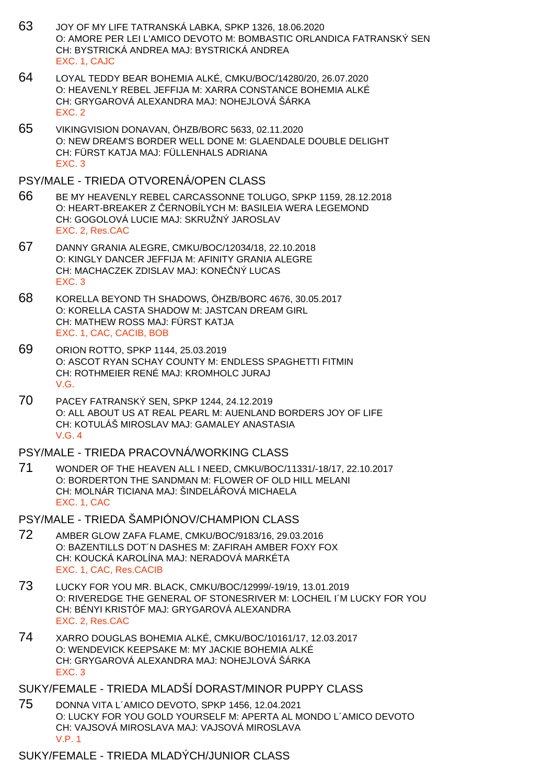- 63 JOY OF MY LIFE TATRANSKÁ LABKA, SPKP 1326, 18.06.2020 O: AMORE PER LEI L'AMICO DEVOTO M: BOMBASTIC ORLANDICA FATRANSKÝ SEN CH: BYSTRICKÁ ANDREA MAJ: BYSTRICKÁ ANDREA EXC. 1, CAJC
- 64 LOYAL TEDDY BEAR BOHEMIA ALKÉ, CMKU/BOC/14280/20, 26.07.2020 O: HEAVENLY REBEL JEFFIJA M: XARRA CONSTANCE BOHEMIA ALKÉ CH: GRYGAROVÁ ALEXANDRA MAJ: NOHEJLOVÁ ŠÁRKA EXC. 2
- 65 VIKINGVISION DONAVAN, ÖHZB/BORC 5633, 02.11.2020 O: NEW DREAM'S BORDER WELL DONE M: GLAENDALE DOUBLE DELIGHT CH: FÜRST KATJA MAJ: FÜLLENHALS ADRIANA EXC. 3

#### PSY/MALE - TRIEDA OTVORENÁ/OPEN CLASS

- 66 BE MY HEAVENLY REBEL CARCASSONNE TOLUGO, SPKP 1159, 28.12.2018 O: HEART-BREAKER Z ERNOBÍLYCH M: BASILEIA WERA LEGEMOND CH: GOGOLOVÁ LUCIE MAJ: SKRUŽNÝ JAROSLAV EXC. 2, Res.CAC
- 67 DANNY GRANIA ALEGRE, CMKU/BOC/12034/18, 22.10.2018 O: KINGLY DANCER JEFFIJA M: AFINITY GRANIA ALEGRE CH: MACHACZEK ZDISLAV MAJ: KONE NÝ LUCAS EXC. 3
- 68 KORELLA BEYOND TH SHADOWS, ÖHZB/BORC 4676, 30.05.2017 O: KORELLA CASTA SHADOW M: JASTCAN DREAM GIRL CH: MATHEW ROSS MAJ: FÜRST KATJA EXC. 1, CAC, CACIB, BOB
- 69 ORION ROTTO, SPKP 1144, 25.03.2019 O: ASCOT RYAN SCHAY COUNTY M: ENDLESS SPAGHETTI FITMIN CH: ROTHMEIER RENÉ MAJ: KROMHOLC JURAJ V.G.
- 70 PACEY FATRANSKÝ SEN, SPKP 1244, 24.12.2019 O: ALL ABOUT US AT REAL PEARL M: AUENLAND BORDERS JOY OF LIFE CH: KOTULÁŠ MIROSLAV MAJ: GAMALEY ANASTASIA V.G. 4

### PSY/MALE - TRIEDA PRACOVNÁ/WORKING CLASS

71 WONDER OF THE HEAVEN ALL I NEED, CMKU/BOC/11331/-18/17, 22.10.2017 O: BORDERTON THE SANDMAN M: FLOWER OF OLD HILL MELANI CH: MOLNÁR TICIANA MAJ: ŠINDELÁ OVÁ MICHAELA EXC. 1, CAC

PSY/MALE - TRIEDA ŠAMPIÓNOV/CHAMPION CLASS

- 72 AMBER GLOW ZAFA FLAME, CMKU/BOC/9183/16, 29.03.2016 O: BAZENTILLS DOT´N DASHES M: ZAFIRAH AMBER FOXY FOX CH: KOUCKÁ KAROLÍNA MAJ: NERADOVÁ MARKÉTA EXC. 1, CAC, Res.CACIB
- 73 LUCKY FOR YOU MR. BLACK, CMKU/BOC/12999/-19/19, 13.01.2019 O: RIVEREDGE THE GENERAL OF STONESRIVER M: LOCHEIL I´M LUCKY FOR YOU CH: BÉNYI KRISTÓF MAJ: GRYGAROVÁ ALEXANDRA EXC. 2, Res.CAC
- 74 XARRO DOUGLAS BOHEMIA ALKÉ, CMKU/BOC/10161/17, 12.03.2017 O: WENDEVICK KEEPSAKE M: MY JACKIE BOHEMIA ALKÉ CH: GRYGAROVÁ ALEXANDRA MAJ: NOHEJLOVÁ ŠÁRKA EXC. 3

## SUKY/FEMALE - TRIEDA MLADŠÍ DORAST/MINOR PUPPY CLASS

75 DONNA VITA L´AMICO DEVOTO, SPKP 1456, 12.04.2021 O: LUCKY FOR YOU GOLD YOURSELF M: APERTA AL MONDO L´AMICO DEVOTO CH: VAJSOVÁ MIROSLAVA MAJ: VAJSOVÁ MIROSLAVA V.P. 1

# SUKY/FEMALE - TRIEDA MLADÝCH/JUNIOR CLASS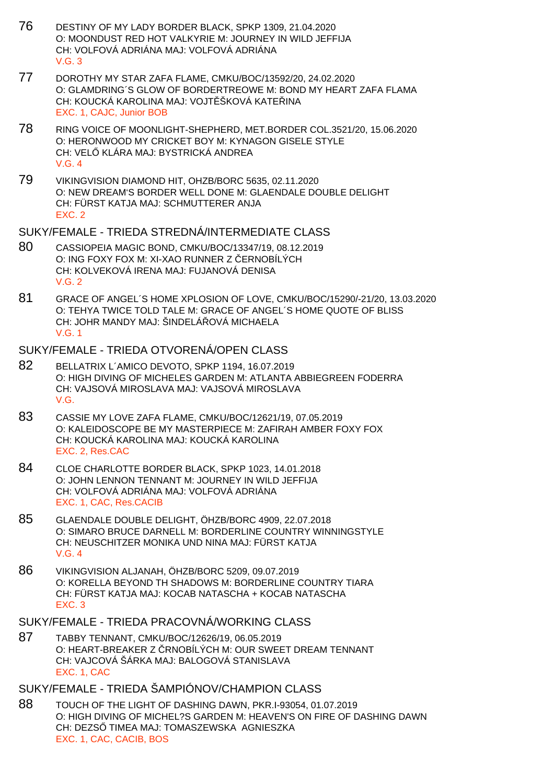- 76 DESTINY OF MY LADY BORDER BLACK, SPKP 1309, 21.04.2020 O: MOONDUST RED HOT VALKYRIE M: JOURNEY IN WILD JEFFIJA CH: VOLFOVÁ ADRIÁNA MAJ: VOLFOVÁ ADRIÁNA  $V$  G  $3$
- 77 DOROTHY MY STAR ZAFA FLAME, CMKU/BOC/13592/20, 24.02.2020 O: GLAMDRING´S GLOW OF BORDERTREOWE M: BOND MY HEART ZAFA FLAMA CH: KOUCKÁ KAROLINA MAJ: VOJT ŠKOVÁ KATE INA EXC. 1, CAJC, Junior BOB
- 78 RING VOICE OF MOONLIGHT-SHEPHERD, MET.BORDER COL.3521/20, 15.06.2020 O: HERONWOOD MY CRICKET BOY M: KYNAGON GISELE STYLE CH: VEL KLÁRA MAJ: BYSTRICKÁ ANDREA V.G. 4
- 79 VIKINGVISION DIAMOND HIT, OHZB/BORC 5635, 02.11.2020 O: NEW DREAM'S BORDER WELL DONE M: GLAENDALE DOUBLE DELIGHT CH: FÜRST KATJA MAJ: SCHMUTTERER ANJA EXC. 2

### SUKY/FEMALE - TRIEDA STREDNÁ/INTERMEDIATE CLASS

- 80 CASSIOPEIA MAGIC BOND, CMKU/BOC/13347/19, 08.12.2019 O: ING FOXY FOX M: XI-XAO RUNNER Z ERNOBÍLÝCH CH: KOLVEKOVÁ IRENA MAJ: FUJANOVÁ DENISA V.G. 2
- 81 GRACE OF ANGEL´S HOME XPLOSION OF LOVE, CMKU/BOC/15290/-21/20, 13.03.2020 O: TEHYA TWICE TOLD TALE M: GRACE OF ANGEL´S HOME QUOTE OF BLISS CH: JOHR MANDY MAJ: ŠINDELÁ OVÁ MICHAELA V.G. 1

### SUKY/FEMALE - TRIEDA OTVORENÁ/OPEN CLASS

- 82 BELLATRIX L´AMICO DEVOTO, SPKP 1194, 16.07.2019 O: HIGH DIVING OF MICHELES GARDEN M: ATLANTA ABBIEGREEN FODERRA CH: VAJSOVÁ MIROSLAVA MAJ: VAJSOVÁ MIROSLAVA V.G.
- 83 CASSIE MY LOVE ZAFA FLAME, CMKU/BOC/12621/19, 07.05.2019 O: KALEIDOSCOPE BE MY MASTERPIECE M: ZAFIRAH AMBER FOXY FOX CH: KOUCKÁ KAROLINA MAJ: KOUCKÁ KAROLINA EXC. 2, Res.CAC
- 84 CLOE CHARLOTTE BORDER BLACK, SPKP 1023, 14.01.2018 O: JOHN LENNON TENNANT M: JOURNEY IN WILD JEFFIJA CH: VOLFOVÁ ADRIÁNA MAJ: VOLFOVÁ ADRIÁNA EXC. 1, CAC, Res.CACIB
- 85 GLAENDALE DOUBLE DELIGHT, ÖHZB/BORC 4909, 22.07.2018 O: SIMARO BRUCE DARNELL M: BORDERLINE COUNTRY WINNINGSTYLE CH: NEUSCHITZER MONIKA UND NINA MAJ: FÜRST KATJA V.G. 4
- 86 VIKINGVISION ALJANAH, ÖHZB/BORC 5209, 09.07.2019 O: KORELLA BEYOND TH SHADOWS M: BORDERLINE COUNTRY TIARA CH: FÜRST KATJA MAJ: KOCAB NATASCHA + KOCAB NATASCHA EXC. 3

### SUKY/FEMALE - TRIEDA PRACOVNÁ/WORKING CLASS

87 TABBY TENNANT, CMKU/BOC/12626/19, 06.05.2019 O: HEART-BREAKER Z RNOBÍLÝCH M: OUR SWEET DREAM TENNANT CH: VAJCOVÁ ŠÁRKA MAJ: BALOGOVÁ STANISLAVA EXC. 1, CAC

### SUKY/FEMALE - TRIEDA ŠAMPIÓNOV/CHAMPION CLASS

88 TOUCH OF THE LIGHT OF DASHING DAWN, PKR.I-93054, 01.07.2019 O: HIGH DIVING OF MICHEL?S GARDEN M: HEAVEN'S ON FIRE OF DASHING DAWN CH: DEZS TIMEA MAJ: TOMASZEWSKA AGNIESZKA EXC. 1, CAC, CACIB, BOS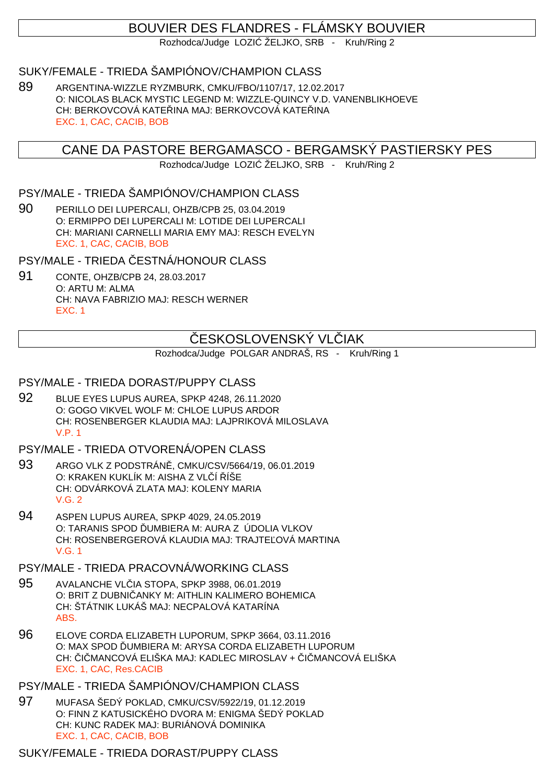# BOUVIER DES FLANDRES - FLÁMSKY BOUVIER

Rozhodca/Judge LOZI ŽELJKO, SRB - Kruh/Ring 2

## SUKY/FEMALE - TRIEDA ŠAMPIÓNOV/CHAMPION CLASS

89 ARGENTINA-WIZZLE RYZMBURK, CMKU/FBO/1107/17, 12.02.2017 O: NICOLAS BLACK MYSTIC LEGEND M: WIZZLE-QUINCY V.D. VANENBLIKHOEVE CH: BERKOVCOVÁ KATEŘINA MAJ: BERKOVCOVÁ KATEŘINA EXC. 1, CAC, CACIB, BOB

# CANE DA PASTORE BERGAMASCO - BERGAMSKÝ PASTIERSKY PES

Rozhodca/Judge LOZI ŽELJKO, SRB - Kruh/Ring 2

PSY/MALE - TRIEDA ŠAMPIÓNOV/CHAMPION CLASS

90 PERILLO DEI LUPERCALI, OHZB/CPB 25, 03.04.2019 O: ERMIPPO DEI LUPERCALI M: LOTIDE DEI LUPERCALI CH: MARIANI CARNELLI MARIA EMY MAJ: RESCH EVELYN EXC. 1, CAC, CACIB, BOB

PSY/MALE - TRIEDA ESTNÁ/HONOUR CLASS

91 CONTE, OHZB/CPB 24, 28.03.2017 O: ARTU M: ALMA CH: NAVA FABRIZIO MAJ: RESCH WERNER EXC. 1

# ESKOSLOVENSKÝ VL JAK

Rozhodca/Judge POLGAR ANDRAŠ, RS - Kruh/Ring 1

### PSY/MALE - TRIEDA DORAST/PUPPY CLASS

92 BLUE EYES LUPUS AUREA, SPKP 4248, 26.11.2020 O: GOGO VIKVEL WOLF M: CHLOE LUPUS ARDOR CH: ROSENBERGER KLAUDIA MAJ: LAJPRIKOVÁ MILOSLAVA V.P. 1

### PSY/MALE - TRIEDA OTVORENÁ/OPEN CLASS

- 93 ARGO VLK Z PODSTRÁN, CMKU/CSV/5664/19, 06.01.2019 O: KRAKEN KUKLÍK M: AISHA Z VL Í ÍŠE CH: ODVÁRKOVÁ ZLATA MAJ: KOLENY MARIA V.G. 2
- 94 ASPEN LUPUS AUREA, SPKP 4029, 24.05.2019 O: TARANIS SPOD UMBIERA M: AURA Z ÚDOLIA VLKOV CH: ROSENBERGEROVÁ KLAUDIA MAJ: TRAJTE OVÁ MARTINA V.G. 1

### PSY/MALE - TRIEDA PRACOVNÁ/WORKING CLASS

- 95 AVALANCHE VL IA STOPA, SPKP 3988, 06.01.2019 O: BRIT Z DUBNI ANKY M: AITHLIN KALIMERO BOHEMICA CH: ŠTÁTNIK LUKÁŠ MAJ: NECPALOVÁ KATARÍNA ABS.
- 96 ELOVE CORDA ELIZABETH LUPORUM, SPKP 3664, 03.11.2016 O: MAX SPOD UMBIERA M: ARYSA CORDA ELIZABETH LUPORUM CH: I MANCOVÁ ELIŠKA MAJ: KADLEC MIROSLAV + I MANCOVÁ ELIŠKA EXC. 1, CAC, Res.CACIB

PSY/MALE - TRIEDA ŠAMPIÓNOV/CHAMPION CLASS

97 MUFASA ŠEDÝ POKLAD, CMKU/CSV/5922/19, 01.12.2019 O: FINN Z KATUSICKÉHO DVORA M: ENIGMA ŠEDÝ POKLAD CH: KUNC RADEK MAJ: BURIÁNOVÁ DOMINIKA EXC. 1, CAC, CACIB, BOB

#### SUKY/FEMALE - TRIEDA DORAST/PUPPY CLASS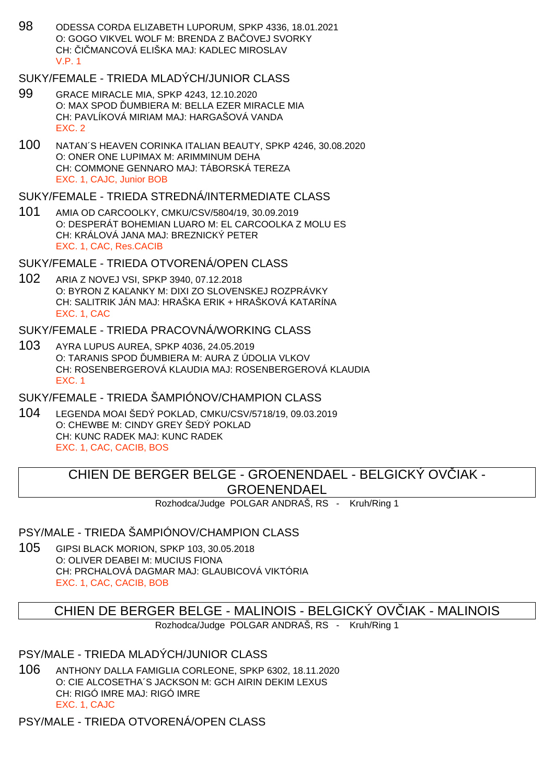98 ODESSA CORDA ELIZABETH LUPORUM, SPKP 4336, 18.01.2021 O: GOGO VIKVEL WOLF M: BRENDA Z BA OVEJ SVORKY CH: I MANCOVÁ ELIŠKA MAJ: KADLEC MIROSLAV V.P. 1

# SUKY/FEMALE - TRIEDA MLADÝCH/JUNIOR CLASS

- 99 GRACE MIRACLE MIA, SPKP 4243, 12.10.2020 O: MAX SPOD UMBIERA M: BELLA EZER MIRACLE MIA CH: PAVLÍKOVÁ MIRIAM MAJ: HARGAŠOVÁ VANDA EXC. 2
- 100 NATAN´S HEAVEN CORINKA ITALIAN BEAUTY, SPKP 4246, 30.08.2020 O: ONER ONE LUPIMAX M: ARIMMINUM DEHA CH: COMMONE GENNARO MAJ: TÁBORSKÁ TEREZA EXC. 1, CAJC, Junior BOB

SUKY/FEMALE - TRIEDA STREDNÁ/INTERMEDIATE CLASS

101 AMIA OD CARCOOLKY, CMKU/CSV/5804/19, 30.09.2019 O: DESPERÁT BOHEMIAN LUARO M: EL CARCOOLKA Z MOLU ES CH: KRÁLOVÁ JANA MAJ: BREZNICKÝ PETER EXC. 1, CAC, Res.CACIB

# SUKY/FEMALE - TRIEDA OTVORENÁ/OPEN CLASS

102 ARIA Z NOVEJ VSI, SPKP 3940, 07.12.2018 O: BYRON Z KALANKY M: DIXI ZO SLOVENSKEJ ROZPRÁVKY CH: SALITRIK JÁN MAJ: HRAŠKA ERIK + HRAŠKOVÁ KATARÍNA EXC. 1, CAC

# SUKY/FEMALE - TRIEDA PRACOVNÁ/WORKING CLASS

103 AYRA LUPUS AUREA, SPKP 4036, 24.05.2019 O: TARANIS SPOD UMBIERA M: AURA Z ÚDOLIA VLKOV CH: ROSENBERGEROVÁ KLAUDIA MAJ: ROSENBERGEROVÁ KLAUDIA EXC. 1

# SUKY/FEMALE - TRIEDA ŠAMPIÓNOV/CHAMPION CLASS

104 LEGENDA MOAI ŠEDÝ POKLAD, CMKU/CSV/5718/19, 09.03.2019 O: CHEWBE M: CINDY GREY ŠEDÝ POKLAD CH: KUNC RADEK MAJ: KUNC RADEK EXC. 1, CAC, CACIB, BOS

# CHIEN DE BERGER BELGE - GROENENDAEL - BELGICKÝ OVÍJAK -GROENENDAEL

Rozhodca/Judge POLGAR ANDRAŠ, RS - Kruh/Ring 1

# PSY/MALE - TRIEDA ŠAMPIÓNOV/CHAMPION CLASS

105 GIPSI BLACK MORION, SPKP 103, 30.05.2018 O: OLIVER DEABEI M: MUCIUS FIONA CH: PRCHALOVÁ DAGMAR MAJ: GLAUBICOVÁ VIKTÓRIA EXC. 1, CAC, CACIB, BOB

# CHIEN DE BERGER BELGE - MALINOIS - BELGICKÝ OVČIAK - MALINOIS

Rozhodca/Judge POLGAR ANDRAŠ, RS - Kruh/Ring 1

# PSY/MALE - TRIEDA MLADÝCH/JUNIOR CLASS

106 ANTHONY DALLA FAMIGLIA CORLEONE, SPKP 6302, 18.11.2020 O: CIE ALCOSETHA´S JACKSON M: GCH AIRIN DEKIM LEXUS CH: RIGÓ IMRE MAJ: RIGÓ IMRE EXC. 1, CAJC

PSY/MALE - TRIEDA OTVORENÁ/OPEN CLASS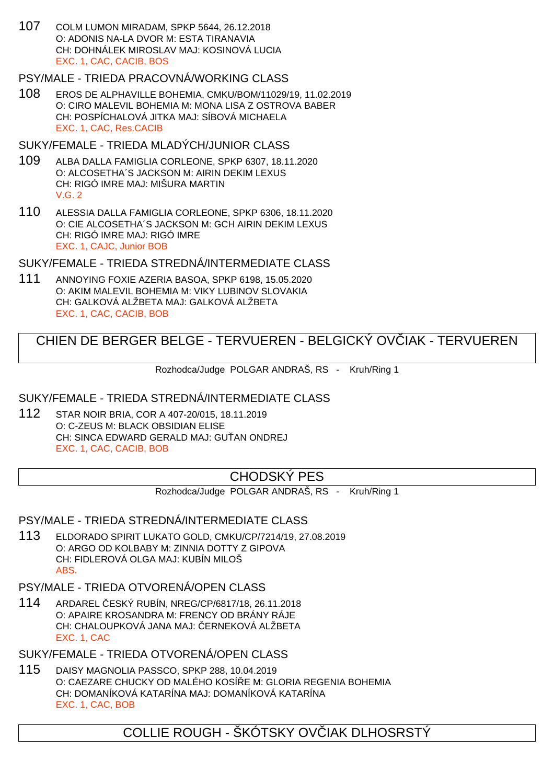107 COLM LUMON MIRADAM, SPKP 5644, 26.12.2018 O: ADONIS NA-LA DVOR M: ESTA TIRANAVIA CH: DOHNÁLEK MIROSLAV MAJ: KOSINOVÁ LUCIA EXC. 1, CAC, CACIB, BOS

### PSY/MALE - TRIEDA PRACOVNÁ/WORKING CLASS

108 EROS DE ALPHAVILLE BOHEMIA, CMKU/BOM/11029/19, 11.02.2019 O: CIRO MALEVIL BOHEMIA M: MONA LISA Z OSTROVA BABER CH: POSPÍCHALOVÁ JITKA MAJ: SÍBOVÁ MICHAELA EXC. 1, CAC, Res.CACIB

#### SUKY/FEMALE - TRIEDA MLADÝCH/JUNIOR CLASS

- 109 ALBA DALLA FAMIGLIA CORLEONE, SPKP 6307, 18.11.2020 O: ALCOSETHA´S JACKSON M: AIRIN DEKIM LEXUS CH: RIGÓ IMRE MAJ: MIŠURA MARTIN V.G. 2
- 110 ALESSIA DALLA FAMIGLIA CORLEONE, SPKP 6306, 18.11.2020 O: CIE ALCOSETHA´S JACKSON M: GCH AIRIN DEKIM LEXUS CH: RIGÓ IMRE MAJ: RIGÓ IMRE EXC. 1, CAJC, Junior BOB

SUKY/FEMALE - TRIEDA STREDNÁ/INTERMEDIATE CLASS

111 ANNOYING FOXIE AZERIA BASOA, SPKP 6198, 15.05.2020 O: AKIM MALEVIL BOHEMIA M: VIKY LUBINOV SLOVAKIA CH: GALKOVÁ ALŽBETA MAJ: GALKOVÁ ALŽBETA EXC. 1, CAC, CACIB, BOB

# CHIEN DE BERGER BELGE - TERVUEREN - BELGICKÝ OV IAK - TERVUEREN

Rozhodca/Judge POLGAR ANDRAŠ, RS - Kruh/Ring 1

### SUKY/FEMALE - TRIEDA STREDNÁ/INTERMEDIATE CLASS

112 STAR NOIR BRIA, COR A 407-20/015, 18.11.2019 O: C-ZEUS M: BLACK OBSIDIAN ELISE CH: SINCA EDWARD GERALD MAJ: GUŤAN ONDREJ EXC. 1, CAC, CACIB, BOB

# CHODSKÝ PES

Rozhodca/Judge POLGAR ANDRAŠ, RS - Kruh/Ring 1

### PSY/MALE - TRIEDA STREDNÁ/INTERMEDIATE CLASS

113 ELDORADO SPIRIT LUKATO GOLD, CMKU/CP/7214/19, 27.08.2019 O: ARGO OD KOLBABY M: ZINNIA DOTTY Z GIPOVA CH: FIDLEROVÁ OLGA MAJ: KUBÍN MILOŠ ABS.

### PSY/MALE - TRIEDA OTVORENÁ/OPEN CLASS

114 ARDAREL ČESKÝ RUBÍN, NREG/CP/6817/18, 26.11.2018 O: APAIRE KROSANDRA M: FRENCY OD BRÁNY RÁJE CH: CHALOUPKOVÁ JANA MAJ: ERNEKOVÁ ALŽBETA EXC. 1, CAC

SUKY/FEMALE - TRIEDA OTVORENÁ/OPEN CLASS

115 DAISY MAGNOLIA PASSCO, SPKP 288, 10.04.2019 O: CAEZARE CHUCKY OD MALÉHO KOSÍŘE M: GLORIA REGENIA BOHEMIA CH: DOMANÍKOVÁ KATARÍNA MAJ: DOMANÍKOVÁ KATARÍNA EXC. 1, CAC, BOB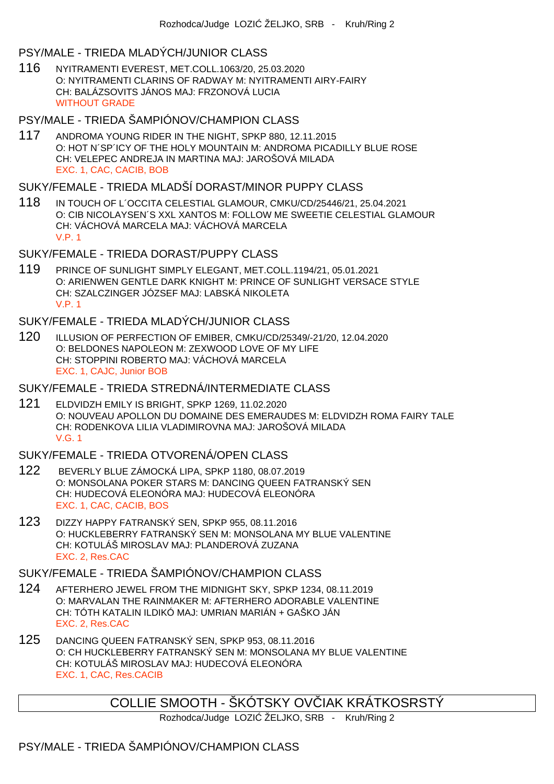# PSY/MALE - TRIEDA MLADÝCH/JUNIOR CLASS

116 NYITRAMENTI EVEREST, MET.COLL.1063/20, 25.03.2020 O: NYITRAMENTI CLARINS OF RADWAY M: NYITRAMENTI AIRY-FAIRY CH: BALÁZSOVITS JÁNOS MAJ: FRZONOVÁ LUCIA WITHOUT GRADE

# PSY/MALE - TRIEDA ŠAMPIÓNOV/CHAMPION CLASS

117 ANDROMA YOUNG RIDER IN THE NIGHT, SPKP 880, 12.11.2015 O: HOT N´SP´ICY OF THE HOLY MOUNTAIN M: ANDROMA PICADILLY BLUE ROSE CH: VELEPEC ANDREJA IN MARTINA MAJ: JAROŠOVÁ MILADA EXC. 1, CAC, CACIB, BOB

# SUKY/FEMALE - TRIEDA MLADŠÍ DORAST/MINOR PUPPY CLASS

118 IN TOUCH OF L´OCCITA CELESTIAL GLAMOUR, CMKU/CD/25446/21, 25.04.2021 O: CIB NICOLAYSEN´S XXL XANTOS M: FOLLOW ME SWEETIE CELESTIAL GLAMOUR CH: VÁCHOVÁ MARCELA MAJ: VÁCHOVÁ MARCELA V.P. 1

# SUKY/FEMALE - TRIEDA DORAST/PUPPY CLASS

119 PRINCE OF SUNLIGHT SIMPLY ELEGANT, MET.COLL.1194/21, 05.01.2021 O: ARIENWEN GENTLE DARK KNIGHT M: PRINCE OF SUNLIGHT VERSACE STYLE CH: SZALCZINGER JÓZSEF MAJ: LABSKÁ NIKOLETA V.P. 1

# SUKY/FEMALE - TRIEDA MLADÝCH/JUNIOR CLASS

120 ILLUSION OF PERFECTION OF EMIBER, CMKU/CD/25349/-21/20, 12.04.2020 O: BELDONES NAPOLEON M: ZEXWOOD LOVE OF MY LIFE CH: STOPPINI ROBERTO MAJ: VÁCHOVÁ MARCELA EXC. 1, CAJC, Junior BOB

# SUKY/FEMALE - TRIEDA STREDNÁ/INTERMEDIATE CLASS

121 ELDVIDZH EMILY IS BRIGHT, SPKP 1269, 11.02.2020 O: NOUVEAU APOLLON DU DOMAINE DES EMERAUDES M: ELDVIDZH ROMA FAIRY TALE CH: RODENKOVA LILIA VLADIMIROVNA MAJ: JAROŠOVÁ MILADA V.G. 1

# SUKY/FEMALE - TRIEDA OTVORENÁ/OPEN CLASS

- 122 BEVERLY BLUE ZÁMOCKÁ LIPA, SPKP 1180, 08.07.2019 O: MONSOLANA POKER STARS M: DANCING QUEEN FATRANSKÝ SEN CH: HUDECOVÁ ELEONÓRA MAJ: HUDECOVÁ ELEONÓRA EXC. 1, CAC, CACIB, BOS
- 123 DIZZY HAPPY FATRANSKÝ SEN, SPKP 955, 08.11.2016 O: HUCKLEBERRY FATRANSKÝ SEN M: MONSOLANA MY BLUE VALENTINE CH: KOTULÁŠ MIROSLAV MAJ: PLANDEROVÁ ZUZANA EXC. 2, Res.CAC

# SUKY/FEMALE - TRIEDA ŠAMPIÓNOV/CHAMPION CLASS

- 124 AFTERHERO JEWEL FROM THE MIDNIGHT SKY, SPKP 1234, 08.11.2019 O: MARVALAN THE RAINMAKER M: AFTERHERO ADORABLE VALENTINE CH: TÓTH KATALIN ILDIKÓ MAJ: UMRIAN MARIÁN + GAŠKO JÁN EXC. 2, Res.CAC
- 125 DANCING QUEEN FATRANSKÝ SEN, SPKP 953, 08.11.2016 O: CH HUCKLEBERRY FATRANSKÝ SEN M: MONSOLANA MY BLUE VALENTINE CH: KOTULÁŠ MIROSLAV MAJ: HUDECOVÁ ELEONÓRA EXC. 1, CAC, Res.CACIB

# COLLIE SMOOTH - ŠKÓTSKY OV<sub>L</sub>IAK KRÁTKOSRSTÝ

Rozhodca/Judge LOZI ŽELJKO, SRB - Kruh/Ring 2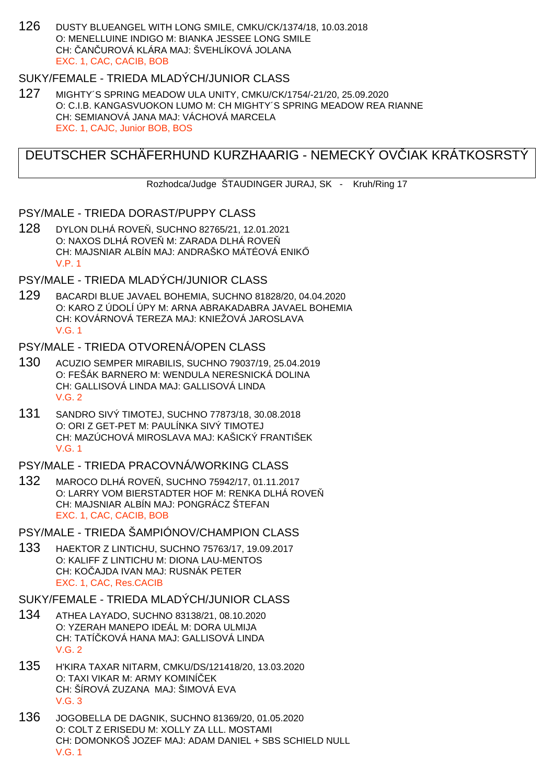126 DUSTY BLUEANGEL WITH LONG SMILE, CMKU/CK/1374/18, 10.03.2018 O: MENELLUINE INDIGO M: BIANKA JESSEE LONG SMILE CH: AN UROVÁ KLÁRA MAJ: ŠVEHLÍKOVÁ JOLANA EXC. 1, CAC, CACIB, BOB

# SUKY/FEMALE - TRIEDA MLADÝCH/JUNIOR CLASS

127 MIGHTY´S SPRING MEADOW ULA UNITY, CMKU/CK/1754/-21/20, 25.09.2020 O: C.I.B. KANGASVUOKON LUMO M: CH MIGHTY´S SPRING MEADOW REA RIANNE CH: SEMIANOVÁ JANA MAJ: VÁCHOVÁ MARCELA EXC. 1, CAJC, Junior BOB, BOS

# DEUTSCHER SCHÄFERHUND KURZHAARIG - NEMECKÝ OV<sub>L</sub>IAK KRÁTKOSRSTÝ

Rozhodca/Judge ŠTAUDINGER JURAJ, SK - Kruh/Ring 17

#### PSY/MALE - TRIEDA DORAST/PUPPY CLASS

128 DYLON DLHÁ ROVE, SUCHNO 82765/21, 12.01.2021 O: NAXOS DLHÁ ROVE M: ZARADA DLHÁ ROVE CH: MAJSNIAR ALBÍN MAJ: ANDRAŠKO MÁTÉOVÁ ENIK V.P. 1

### PSY/MALE - TRIEDA MLADÝCH/JUNIOR CLASS

129 BACARDI BLUE JAVAEL BOHEMIA, SUCHNO 81828/20, 04.04.2020 O: KARO Z ÚDOLÍ ÚPY M: ARNA ABRAKADABRA JAVAEL BOHEMIA CH: KOVÁRNOVÁ TEREZA MAJ: KNIEŽOVÁ JAROSLAVA V.G. 1

### PSY/MALE - TRIEDA OTVORENÁ/OPEN CLASS

- 130 ACUZIO SEMPER MIRABILIS, SUCHNO 79037/19, 25.04.2019 O: FEŠÁK BARNERO M: WENDULA NERESNICKÁ DOLINA CH: GALLISOVÁ LINDA MAJ: GALLISOVÁ LINDA V.G. 2
- 131 SANDRO SIVÝ TIMOTEJ, SUCHNO 77873/18, 30.08.2018 O: ORI Z GET-PET M: PAULÍNKA SIVÝ TIMOTEJ CH: MAZÚCHOVÁ MIROSLAVA MAJ: KAŠICKÝ FRANTIŠEK V.G. 1

## PSY/MALE - TRIEDA PRACOVNÁ/WORKING CLASS

132 MAROCO DLHÁ ROVE, SUCHNO 75942/17, 01.11.2017 O: LARRY VOM BIERSTADTER HOF M: RENKA DLHÁ ROVE CH: MAJSNIAR ALBÍN MAJ: PONGRÁCZ ŠTEFAN EXC. 1, CAC, CACIB, BOB

#### PSY/MALE - TRIEDA ŠAMPIÓNOV/CHAMPION CLASS

133 HAEKTOR Z LINTICHU, SUCHNO 75763/17, 19.09.2017 O: KALIFF Z LINTICHU M: DIONA LAU-MENTOS CH: KOČAJDA IVAN MAJ: RUSNÁK PETER EXC. 1, CAC, Res.CACIB

#### SUKY/FEMALE - TRIEDA MLADÝCH/JUNIOR CLASS

- 134 ATHEA LAYADO, SUCHNO 83138/21, 08.10.2020 O: YZERAH MANEPO IDEÁL M: DORA ULMIJA CH: TATÍČKOVÁ HANA MAJ: GALLISOVÁ LINDA  $V$  G  $2$
- 135 H'KIRA TAXAR NITARM, CMKU/DS/121418/20, 13.03.2020 O: TAXI VIKAR M: ARMY KOMINÍ EK CH: ŠÍROVÁ ZUZANA MAJ: ŠIMOVÁ EVA V.G. 3
- 136 JOGOBELLA DE DAGNIK, SUCHNO 81369/20, 01.05.2020 O: COLT Z ERISEDU M: XOLLY ZA LLL. MOSTAMI CH: DOMONKOŠ JOZEF MAJ: ADAM DANIEL + SBS SCHIELD NULL V.G. 1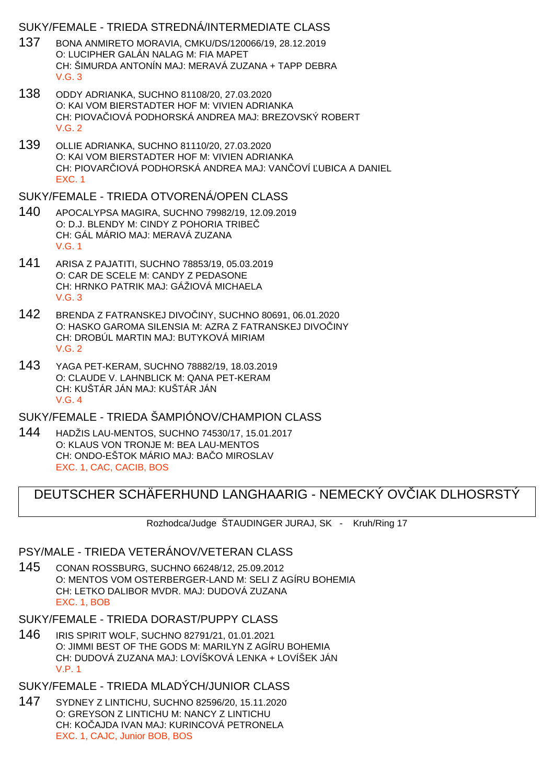### SUKY/FEMALE - TRIEDA STREDNÁ/INTERMEDIATE CLASS

- 137 BONA ANMIRETO MORAVIA, CMKU/DS/120066/19, 28.12.2019 O: LUCIPHER GALÁN NALAG M: FIA MAPET CH: ŠIMURDA ANTONÍN MAJ: MERAVÁ ZUZANA + TAPP DEBRA V.G. 3
- 138 ODDY ADRIANKA, SUCHNO 81108/20, 27.03.2020 O: KAI VOM BIERSTADTER HOF M: VIVIEN ADRIANKA CH: PIOVA IOVÁ PODHORSKÁ ANDREA MAJ: BREZOVSKÝ ROBERT V.G. 2
- 139 OLLIE ADRIANKA, SUCHNO 81110/20, 27.03.2020 O: KAI VOM BIERSTADTER HOF M: VIVIEN ADRIANKA CH: PIOVAR IOVÁ PODHORSKÁ ANDREA MAJ: VAN OVÍ UBICA A DANIEL EXC. 1

#### SUKY/FEMALE - TRIEDA OTVORENÁ/OPEN CLASS

- 140 APOCALYPSA MAGIRA, SUCHNO 79982/19, 12.09.2019 O: D.J. BLENDY M: CINDY Z POHORIA TRIBE CH: GÁL MÁRIO MAJ: MERAVÁ ZUZANA V.G. 1
- 141 ARISA Z PAJATITI, SUCHNO 78853/19, 05.03.2019 O: CAR DE SCELE M: CANDY Z PEDASONE CH: HRNKO PATRIK MAJ: GÁŽIOVÁ MICHAELA V.G. 3
- 142 BRENDA Z FATRANSKEJ DIVOČINY, SUCHNO 80691, 06.01.2020 O: HASKO GAROMA SILENSIA M: AZRA Z FATRANSKEJ DIVOČINY CH: DROBÚL MARTIN MAJ: BUTYKOVÁ MIRIAM V.G. 2
- 143 YAGA PET-KERAM, SUCHNO 78882/19, 18.03.2019 O: CLAUDE V. LAHNBLICK M: QANA PET-KERAM CH: KUŠTÁR JÁN MAJ: KUŠTÁR JÁN V.G. 4

SUKY/FEMALE - TRIEDA ŠAMPIÓNOV/CHAMPION CLASS

144 HADŽIS LAU-MENTOS, SUCHNO 74530/17, 15.01.2017 O: KLAUS VON TRONJE M: BEA LAU-MENTOS CH: ONDO-EŠTOK MÁRIO MAJ: BA O MIROSLAV EXC. 1, CAC, CACIB, BOS

# DEUTSCHER SCHÄFERHUND LANGHAARIG - NEMECKÝ OVČIAK DLHOSRSTÝ

Rozhodca/Judge ŠTAUDINGER JURAJ, SK - Kruh/Ring 17

### PSY/MALE - TRIEDA VETERÁNOV/VETERAN CLASS

- 145 CONAN ROSSBURG, SUCHNO 66248/12, 25.09.2012 O: MENTOS VOM OSTERBERGER-LAND M: SELI Z AGÍRU BOHEMIA CH: LETKO DALIBOR MVDR. MAJ: DUDOVÁ ZUZANA EXC. 1, BOB
- SUKY/FEMALE TRIEDA DORAST/PUPPY CLASS
- 146 IRIS SPIRIT WOLF, SUCHNO 82791/21, 01.01.2021 O: JIMMI BEST OF THE GODS M: MARILYN Z AGÍRU BOHEMIA CH: DUDOVÁ ZUZANA MAJ: LOVÍŠKOVÁ LENKA + LOVÍŠEK JÁN V.P. 1

SUKY/FEMALE - TRIEDA MLADÝCH/JUNIOR CLASS

147 SYDNEY Z LINTICHU, SUCHNO 82596/20, 15.11.2020 O: GREYSON Z LINTICHU M: NANCY Z LINTICHU CH: KOČAJDA IVAN MAJ: KURINCOVÁ PETRONELA EXC. 1, CAJC, Junior BOB, BOS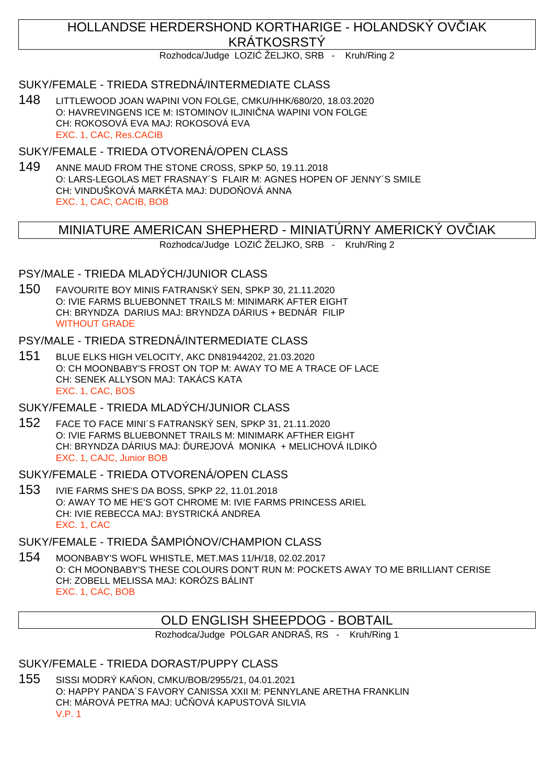# HOLLANDSE HERDERSHOND KORTHARIGE - HOLANDSKÝ OVČIAK KRÁTKOSRSTÝ

Rozhodca/Judge LOZI ŽELJKO, SRB - Kruh/Ring 2

### SUKY/FEMALE - TRIEDA STREDNÁ/INTERMEDIATE CLASS

148 LITTLEWOOD JOAN WAPINI VON FOLGE, CMKU/HHK/680/20, 18.03.2020 O: HAVREVINGENS ICE M: ISTOMINOV ILJINI NA WAPINI VON FOLGE CH: ROKOSOVÁ EVA MAJ: ROKOSOVÁ EVA EXC. 1, CAC, Res.CACIB

# SUKY/FEMALE - TRIEDA OTVORENÁ/OPEN CLASS

149 ANNE MAUD FROM THE STONE CROSS, SPKP 50, 19.11.2018 O: LARS-LEGOLAS MET FRASNAY´S FLAIR M: AGNES HOPEN OF JENNY´S SMILE CH: VINDUŠKOVÁ MARKÉTA MAJ: DUDO OVÁ ANNA EXC. 1, CAC, CACIB, BOB

# MINIATURE AMERICAN SHEPHERD - MINIATÚRNY AMERICKÝ OVČIAK

Rozhodca/Judge LOZI ŽELJKO, SRB - Kruh/Ring 2

## PSY/MALE - TRIEDA MLADÝCH/JUNIOR CLASS

150 FAVOURITE BOY MINIS FATRANSKÝ SEN, SPKP 30, 21.11.2020 O: IVIE FARMS BLUEBONNET TRAILS M: MINIMARK AFTER EIGHT CH: BRYNDZA DARIUS MAJ: BRYNDZA DÁRIUS + BEDNÁR FILIP WITHOUT GRADE

### PSY/MALE - TRIEDA STREDNÁ/INTERMEDIATE CLASS

151 BLUE ELKS HIGH VELOCITY, AKC DN81944202, 21.03.2020 O: CH MOONBABY'S FROST ON TOP M: AWAY TO ME A TRACE OF LACE CH: SENEK ALLYSON MAJ: TAKÁCS KATA EXC. 1, CAC, BOS

# SUKY/FEMALE - TRIEDA MLADÝCH/JUNIOR CLASS

152 FACE TO FACE MINI´S FATRANSKÝ SEN, SPKP 31, 21.11.2020 O: IVIE FARMS BLUEBONNET TRAILS M: MINIMARK AFTHER EIGHT CH: BRYNDZA DÁRIUS MAJ: UREJOVÁ MONIKA + MELICHOVÁ ILDIKÓ EXC. 1, CAJC, Junior BOB

### SUKY/FEMALE - TRIEDA OTVORENÁ/OPEN CLASS

153 IVIE FARMS SHE'S DA BOSS, SPKP 22, 11.01.2018 O: AWAY TO ME HE'S GOT CHROME M: IVIE FARMS PRINCESS ARIEL CH: IVIE REBECCA MAJ: BYSTRICKÁ ANDREA EXC. 1, CAC

### SUKY/FEMALE - TRIEDA ŠAMPIÓNOV/CHAMPION CLASS

154 MOONBABY'S WOFL WHISTLE, MET.MAS 11/H/18, 02.02.2017 O: CH MOONBABY'S THESE COLOURS DON'T RUN M: POCKETS AWAY TO ME BRILLIANT CERISE CH: ZOBELL MELISSA MAJ: KORÓZS BÁLINT EXC. 1, CAC, BOB

# OLD ENGLISH SHEEPDOG - BOBTAIL

Rozhodca/Judge POLGAR ANDRAŠ, RS - Kruh/Ring 1

### SUKY/FEMALE - TRIEDA DORAST/PUPPY CLASS

155 SISSI MODRÝ KAON, CMKU/BOB/2955/21, 04.01.2021 O: HAPPY PANDA´S FAVORY CANISSA XXII M: PENNYLANE ARETHA FRANKLIN CH: MÁROVÁ PETRA MAJ: U OVÁ KAPUSTOVÁ SILVIA V.P. 1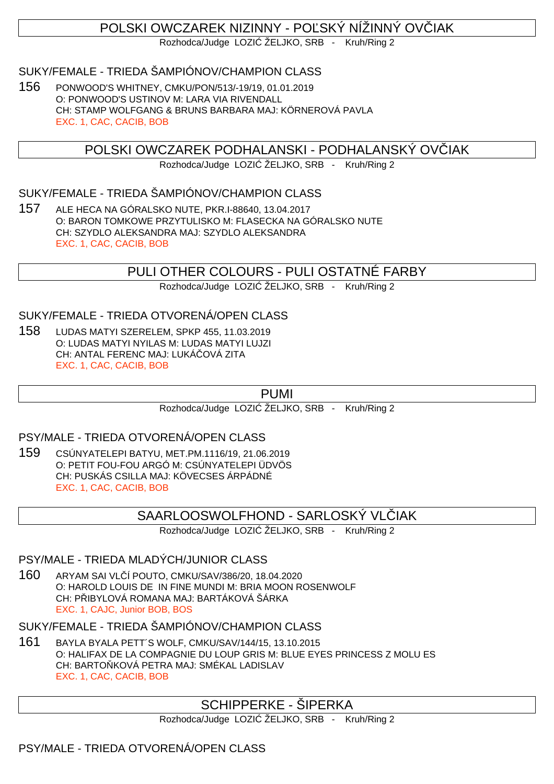# POLSKI OWCZAREK NIZINNY - POĽSKÝ NÍŽINNÝ OVLIAK

Rozhodca/Judge LOZI ŽELJKO, SRB - Kruh/Ring 2

## SUKY/FEMALE - TRIEDA ŠAMPIÓNOV/CHAMPION CLASS

156 PONWOOD'S WHITNEY, CMKU/PON/513/-19/19, 01.01.2019 O: PONWOOD'S USTINOV M: LARA VIA RIVENDALL CH: STAMP WOLFGANG & BRUNS BARBARA MAJ: KÖRNEROVÁ PAVLA EXC. 1, CAC, CACIB, BOB

# POLSKI OWCZAREK PODHALANSKI - PODHALANSKÝ OVČIAK

Rozhodca/Judge LOZI ŽELJKO, SRB - Kruh/Ring 2

# SUKY/FEMALE - TRIEDA ŠAMPIÓNOV/CHAMPION CLASS

157 ALE HECA NA GÓRALSKO NUTE, PKR.I-88640, 13.04.2017 O: BARON TOMKOWE PRZYTULISKO M: FLASECKA NA GÓRALSKO NUTE CH: SZYDLO ALEKSANDRA MAJ: SZYDLO ALEKSANDRA EXC. 1, CAC, CACIB, BOB

# PULI OTHER COLOURS - PULI OSTATNÉ FARBY

Rozhodca/Judge LOZI ŽELJKO, SRB - Kruh/Ring 2

### SUKY/FEMALE - TRIEDA OTVORENÁ/OPEN CLASS

158 LUDAS MATYI SZERELEM, SPKP 455, 11.03.2019 O: LUDAS MATYI NYILAS M: LUDAS MATYI LUJZI CH: ANTAL FERENC MAJ: LUKÁ OVÁ ZITA EXC. 1, CAC, CACIB, BOB

PUMI

Rozhodca/Judge LOZI ŽELJKO, SRB - Kruh/Ring 2

### PSY/MALE - TRIEDA OTVORENÁ/OPEN CLASS

159 CSÚNYATELEPI BATYU, MET.PM.1116/19, 21.06.2019 O: PETIT FOU-FOU ARGÓ M: CSÚNYATELEPI ÜDVÖS CH: PUSKÁS CSILLA MAJ: KÖVECSES ÁRPÁDNÉ EXC. 1, CAC, CACIB, BOB

# SAARLOOSWOLFHOND - SARLOSKÝ VL JAK

Rozhodca/Judge LOZI ŽELJKO, SRB - Kruh/Ring 2

# PSY/MALE - TRIEDA MLADÝCH/JUNIOR CLASS

160 ARYAM SAI VLČÍ POUTO, CMKU/SAV/386/20, 18.04.2020 O: HAROLD LOUIS DE IN FINE MUNDI M: BRIA MOON ROSENWOLF CH: P IBYLOVÁ ROMANA MAJ: BARTÁKOVÁ ŠÁRKA EXC. 1, CAJC, Junior BOB, BOS

# SUKY/FEMALE - TRIEDA ŠAMPIÓNOV/CHAMPION CLASS

161 BAYLA BYALA PETT´S WOLF, CMKU/SAV/144/15, 13.10.2015 O: HALIFAX DE LA COMPAGNIE DU LOUP GRIS M: BLUE EYES PRINCESS Z MOLU ES CH: BARTO KOVÁ PETRA MAJ: SMÉKAL LADISLAV EXC. 1, CAC, CACIB, BOB

# SCHIPPERKE - ŠIPERKA

Rozhodca/Judge LOZI ŽELJKO, SRB - Kruh/Ring 2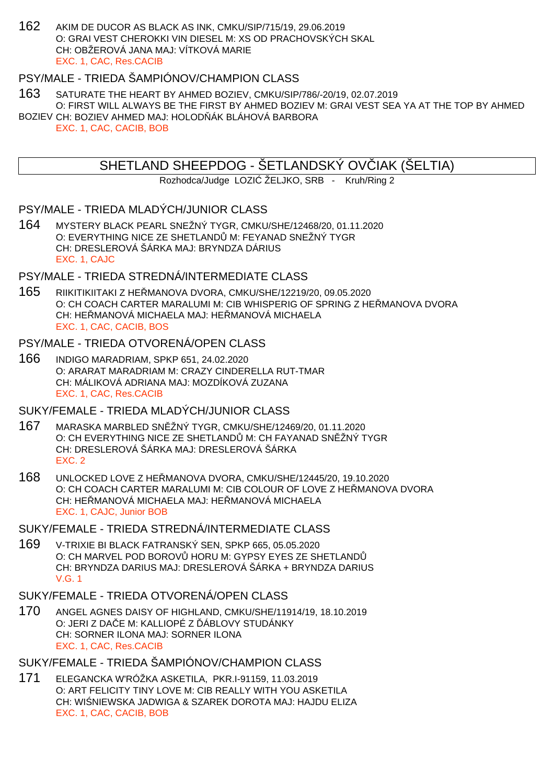162 AKIM DE DUCOR AS BLACK AS INK, CMKU/SIP/715/19, 29.06.2019 O: GRAI VEST CHEROKKI VIN DIESEL M: XS OD PRACHOVSKÝCH SKAL CH: OBŽEROVÁ JANA MAJ: VÍTKOVÁ MARIE EXC. 1, CAC, Res.CACIB

## PSY/MALE - TRIEDA ŠAMPIÓNOV/CHAMPION CLASS

- 163 SATURATE THE HEART BY AHMED BOZIEV, CMKU/SIP/786/-20/19, 02.07.2019 O: FIRST WILL ALWAYS BE THE FIRST BY AHMED BOZIEV M: GRAI VEST SEA YA AT THE TOP BY AHMED
- BOZIEV CH: BOZIEV AHMED MAJ: HOLOD ÁK BLÁHOVÁ BARBORA EXC. 1, CAC, CACIB, BOB

# SHETLAND SHEEPDOG - ŠETLANDSKÝ OV IAK (ŠELTIA)

Rozhodca/Judge LOZI ŽELJKO, SRB - Kruh/Ring 2

### PSY/MALE - TRIEDA MLADÝCH/JUNIOR CLASS

164 MYSTERY BLACK PEARL SNEŽNÝ TYGR, CMKU/SHE/12468/20, 01.11.2020 O: EVERYTHING NICE ZE SHETLAND M: FEYANAD SNEŽNÝ TYGR CH: DRESLEROVÁ ŠÁRKA MAJ: BRYNDZA DÁRIUS EXC. 1, CAJC

### PSY/MALE - TRIEDA STREDNÁ/INTERMEDIATE CLASS

165 RIIKITIKIITAKI Z HEŘMANOVA DVORA, CMKU/SHE/12219/20, 09.05.2020 O: CH COACH CARTER MARALUMI M: CIB WHISPERIG OF SPRING Z HE MANOVA DVORA CH: HEŘMANOVÁ MICHAELA MAJ: HEŘMANOVÁ MICHAELA EXC. 1, CAC, CACIB, BOS

### PSY/MALE - TRIEDA OTVORENÁ/OPEN CLASS

166 INDIGO MARADRIAM, SPKP 651, 24.02.2020 O: ARARAT MARADRIAM M: CRAZY CINDERELLA RUT-TMAR CH: MÁLIKOVÁ ADRIANA MAJ: MOZDÍKOVÁ ZUZANA EXC. 1, CAC, Res.CACIB

### SUKY/FEMALE - TRIEDA MLADÝCH/JUNIOR CLASS

- 167 MARASKA MARBLED SNĚŽNÝ TYGR, CMKU/SHE/12469/20, 01.11.2020 O: CH EVERYTHING NICE ZE SHETLAND M: CH FAYANAD SN ŽNÝ TYGR CH: DRESLEROVÁ ŠÁRKA MAJ: DRESLEROVÁ ŠÁRKA EXC. 2
- 168 UNLOCKED LOVE Z HEŘMANOVA DVORA, CMKU/SHE/12445/20, 19.10.2020 O: CH COACH CARTER MARALUMI M: CIB COLOUR OF LOVE Z HE MANOVA DVORA CH: HEŘMANOVÁ MICHAELA MAJ: HEŘMANOVÁ MICHAELA EXC. 1, CAJC, Junior BOB

#### SUKY/FEMALE - TRIEDA STREDNÁ/INTERMEDIATE CLASS

169 V-TRIXIE BI BLACK FATRANSKÝ SEN, SPKP 665, 05.05.2020 O: CH MARVEL POD BOROV HORU M: GYPSY EYES ZE SHETLAND CH: BRYNDZA DARIUS MAJ: DRESLEROVÁ ŠÁRKA + BRYNDZA DARIUS V.G. 1

### SUKY/FEMALE - TRIEDA OTVORENÁ/OPEN CLASS

170 ANGEL AGNES DAISY OF HIGHLAND, CMKU/SHE/11914/19, 18.10.2019 O: JERI Z DAČE M: KALLIOPÉ Z ÁBLOVY STUDÁNKY CH: SORNER ILONA MAJ: SORNER ILONA EXC. 1, CAC, Res.CACIB

# SUKY/FEMALE - TRIEDA ŠAMPIÓNOV/CHAMPION CLASS

171 ELEGANCKA W'RÓŽKA ASKETILA, PKR.I-91159, 11.03.2019 O: ART FELICITY TINY LOVE M: CIB REALLY WITH YOU ASKETILA CH: WI NIEWSKA JADWIGA & SZAREK DOROTA MAJ: HAJDU ELIZA EXC. 1, CAC, CACIB, BOB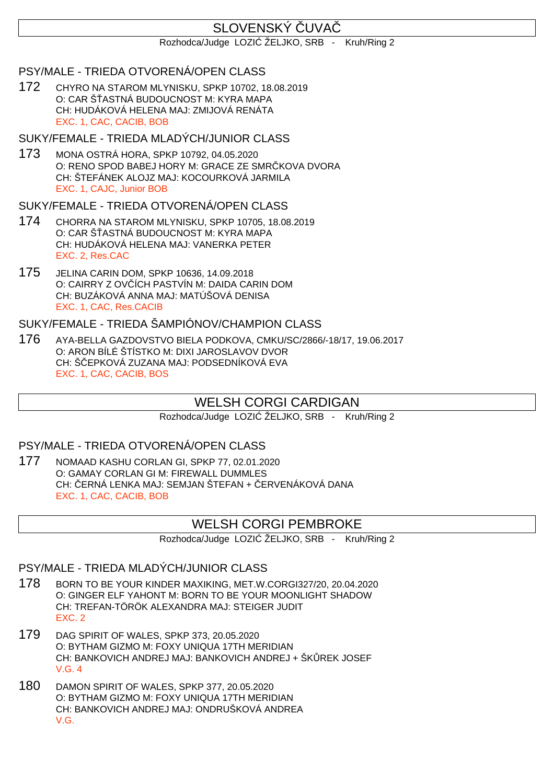# SLOVENSKÝ UVA

Rozhodca/Judge LOZI ŽELJKO, SRB - Kruh/Ring 2

### PSY/MALE - TRIEDA OTVORENÁ/OPEN CLASS

172 CHYRO NA STAROM MLYNISKU, SPKP 10702, 18.08.2019 O: CAR Š ASTNÁ BUDOUCNOST M: KYRA MAPA CH: HUDÁKOVÁ HELENA MAJ: ZMIJOVÁ RENÁTA EXC. 1, CAC, CACIB, BOB

#### SUKY/FEMALE - TRIEDA MLADÝCH/JUNIOR CLASS

173 MONA OSTRÁ HORA, SPKP 10792, 04.05.2020 O: RENO SPOD BABEJ HORY M: GRACE ZE SMR KOVA DVORA CH: ŠTEFÁNEK ALOJZ MAJ: KOCOURKOVÁ JARMILA EXC. 1, CAJC, Junior BOB

### SUKY/FEMALE - TRIEDA OTVORENÁ/OPEN CLASS

- 174 CHORRA NA STAROM MLYNISKU, SPKP 10705, 18.08.2019 O: CAR Š ASTNÁ BUDOUCNOST M: KYRA MAPA CH: HUDÁKOVÁ HELENA MAJ: VANERKA PETER EXC. 2, Res.CAC
- 175 JELINA CARIN DOM, SPKP 10636, 14.09.2018 O: CAIRRY Z OV ÍCH PASTVÍN M: DAIDA CARIN DOM CH: BUZÁKOVÁ ANNA MAJ: MATÚŠOVÁ DENISA EXC. 1, CAC, Res.CACIB

### SUKY/FEMALE - TRIEDA ŠAMPIÓNOV/CHAMPION CLASS

176 AYA-BELLA GAZDOVSTVO BIELA PODKOVA, CMKU/SC/2866/-18/17, 19.06.2017 O: ARON BÍLÉ ŠTÍSTKO M: DIXI JAROSLAVOV DVOR CH: ŠEPKOVÁ ZUZANA MAJ: PODSEDNÍKOVÁ EVA EXC. 1, CAC, CACIB, BOS

# WELSH CORGI CARDIGAN

Rozhodca/Judge LOZI ŽELJKO, SRB - Kruh/Ring 2

### PSY/MALE - TRIEDA OTVORENÁ/OPEN CLASS

177 NOMAAD KASHU CORLAN GI, SPKP 77, 02.01.2020 O: GAMAY CORLAN GI M: FIREWALL DUMMLES CH: ERNÁ LENKA MAJ: SEMJAN ŠTEFAN + ERVENÁKOVÁ DANA EXC. 1, CAC, CACIB, BOB

# WELSH CORGI PEMBROKE

Rozhodca/Judge LOZI ŽELJKO, SRB - Kruh/Ring 2

## PSY/MALE - TRIEDA MLADÝCH/JUNIOR CLASS

- 178 BORN TO BE YOUR KINDER MAXIKING, MET.W.CORGI327/20, 20.04.2020 O: GINGER ELF YAHONT M: BORN TO BE YOUR MOONLIGHT SHADOW CH: TREFAN-TÖRÖK ALEXANDRA MAJ: STEIGER JUDIT EXC. 2
- 179 DAG SPIRIT OF WALES, SPKP 373, 20.05.2020 O: BYTHAM GIZMO M: FOXY UNIQUA 17TH MERIDIAN CH: BANKOVICH ANDREJ MAJ: BANKOVICH ANDREJ + ŠK REK JOSEF V.G. 4
- 180 DAMON SPIRIT OF WALES, SPKP 377, 20.05.2020 O: BYTHAM GIZMO M: FOXY UNIQUA 17TH MERIDIAN CH: BANKOVICH ANDREJ MAJ: ONDRUŠKOVÁ ANDREA V.G.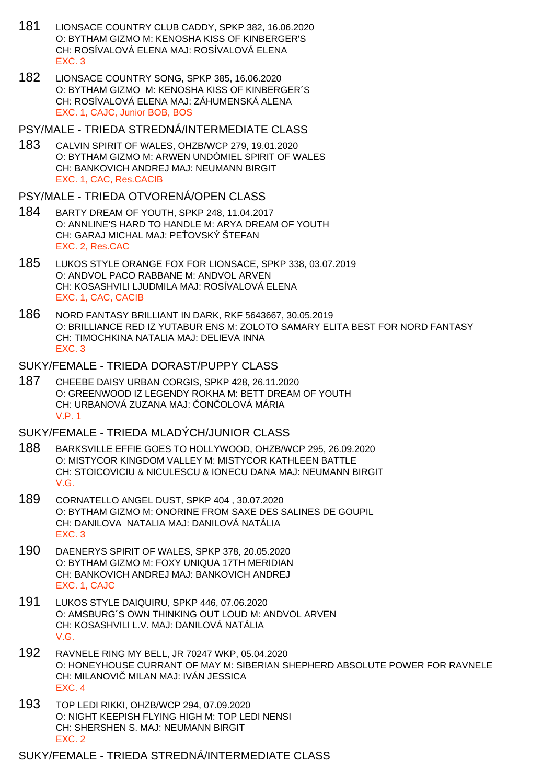- 181 LIONSACE COUNTRY CLUB CADDY, SPKP 382, 16.06.2020 O: BYTHAM GIZMO M: KENOSHA KISS OF KINBERGER'S CH: ROSÍVALOVÁ ELENA MAJ: ROSÍVALOVÁ ELENA EXC. 3
- 182 LIONSACE COUNTRY SONG, SPKP 385, 16.06.2020 O: BYTHAM GIZMO M: KENOSHA KISS OF KINBERGER´S CH: ROSÍVALOVÁ ELENA MAJ: ZÁHUMENSKÁ ALENA EXC. 1, CAJC, Junior BOB, BOS

#### PSY/MALE - TRIEDA STREDNÁ/INTERMEDIATE CLASS

183 CALVIN SPIRIT OF WALES, OHZB/WCP 279, 19.01.2020 O: BYTHAM GIZMO M: ARWEN UNDÓMIEL SPIRIT OF WALES CH: BANKOVICH ANDREJ MAJ: NEUMANN BIRGIT EXC. 1, CAC, Res.CACIB

### PSY/MALE - TRIEDA OTVORENÁ/OPEN CLASS

- 184 BARTY DREAM OF YOUTH, SPKP 248, 11.04.2017 O: ANNLINE'S HARD TO HANDLE M: ARYA DREAM OF YOUTH CH: GARAJ MICHAL MAJ: PE OVSKÝ ŠTEFAN EXC. 2, Res.CAC
- 185 LUKOS STYLE ORANGE FOX FOR LIONSACE, SPKP 338, 03.07.2019 O: ANDVOL PACO RABBANE M: ANDVOL ARVEN CH: KOSASHVILI LJUDMILA MAJ: ROSÍVALOVÁ ELENA EXC. 1, CAC, CACIB
- 186 NORD FANTASY BRILLIANT IN DARK, RKF 5643667, 30.05.2019 O: BRILLIANCE RED IZ YUTABUR ENS M: ZOLOTO SAMARY ELITA BEST FOR NORD FANTASY CH: TIMOCHKINA NATALIA MAJ: DELIEVA INNA EXC. 3

#### SUKY/FEMALE - TRIEDA DORAST/PUPPY CLASS

187 CHEEBE DAISY URBAN CORGIS, SPKP 428, 26.11.2020 O: GREENWOOD IZ LEGENDY ROKHA M: BETT DREAM OF YOUTH CH: URBANOVÁ ZUZANA MAJ: ON OLOVÁ MÁRIA V.P. 1

## SUKY/FEMALE - TRIEDA MLADÝCH/JUNIOR CLASS

- 188 BARKSVILLE EFFIE GOES TO HOLLYWOOD, OHZB/WCP 295, 26.09.2020 O: MISTYCOR KINGDOM VALLEY M: MISTYCOR KATHLEEN BATTLE CH: STOICOVICIU & NICULESCU & IONECU DANA MAJ: NEUMANN BIRGIT V.G.
- 189 CORNATELLO ANGEL DUST, SPKP 404 , 30.07.2020 O: BYTHAM GIZMO M: ONORINE FROM SAXE DES SALINES DE GOUPIL CH: DANILOVA NATALIA MAJ: DANILOVÁ NATÁLIA EXC. 3
- 190 DAENERYS SPIRIT OF WALES, SPKP 378, 20.05.2020 O: BYTHAM GIZMO M: FOXY UNIQUA 17TH MERIDIAN CH: BANKOVICH ANDREJ MAJ: BANKOVICH ANDREJ EXC. 1, CAJC
- 191 LUKOS STYLE DAIQUIRU, SPKP 446, 07.06.2020 O: AMSBURG´S OWN THINKING OUT LOUD M: ANDVOL ARVEN CH: KOSASHVILI L.V. MAJ: DANILOVÁ NATÁLIA V.G.
- 192 RAVNELE RING MY BELL, JR 70247 WKP, 05.04.2020 O: HONEYHOUSE CURRANT OF MAY M: SIBERIAN SHEPHERD ABSOLUTE POWER FOR RAVNELE CH: MILANOVI MILAN MAJ: IVÁN JESSICA EXC. 4
- 193 TOP LEDI RIKKI, OHZB/WCP 294, 07.09.2020 O: NIGHT KEEPISH FLYING HIGH M: TOP LEDI NENSI CH: SHERSHEN S. MAJ: NEUMANN BIRGIT EXC. 2

SUKY/FEMALE - TRIEDA STREDNÁ/INTERMEDIATE CLASS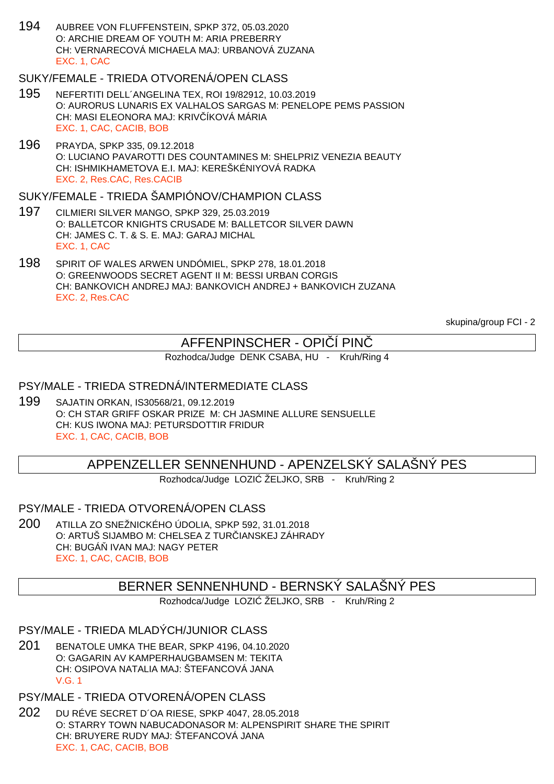194 AUBREE VON FLUFFENSTEIN, SPKP 372, 05.03.2020 O: ARCHIE DREAM OF YOUTH M: ARIA PREBERRY CH: VERNARECOVÁ MICHAELA MAJ: URBANOVÁ ZUZANA EXC. 1, CAC

# SUKY/FEMALE - TRIEDA OTVORENÁ/OPEN CLASS

- 195 NEFERTITI DELL´ANGELINA TEX, ROI 19/82912, 10.03.2019 O: AURORUS LUNARIS EX VALHALOS SARGAS M: PENELOPE PEMS PASSION CH: MASI ELEONORA MAJ: KRIV ÍKOVÁ MÁRIA EXC. 1, CAC, CACIB, BOB
- 196 PRAYDA, SPKP 335, 09.12.2018 O: LUCIANO PAVAROTTI DES COUNTAMINES M: SHELPRIZ VENEZIA BEAUTY CH: ISHMIKHAMETOVA E.I. MAJ: KEREŠKÉNIYOVÁ RADKA EXC. 2, Res.CAC, Res.CACIB

# SUKY/FEMALE - TRIEDA ŠAMPIÓNOV/CHAMPION CLASS

- 197 CILMIERI SILVER MANGO, SPKP 329, 25.03.2019 O: BALLETCOR KNIGHTS CRUSADE M: BALLETCOR SILVER DAWN CH: JAMES C. T. & S. E. MAJ: GARAJ MICHAL EXC. 1, CAC
- 198 SPIRIT OF WALES ARWEN UNDÓMIEL, SPKP 278, 18.01.2018 O: GREENWOODS SECRET AGENT II M: BESSI URBAN CORGIS CH: BANKOVICH ANDREJ MAJ: BANKOVICH ANDREJ + BANKOVICH ZUZANA EXC. 2, Res.CAC

skupina/group FCI - 2

# AFFENPINSCHER - OPI Í PIN

Rozhodca/Judge DENK CSABA, HU - Kruh/Ring 4

### PSY/MALE - TRIEDA STREDNÁ/INTERMEDIATE CLASS

199 SAJATIN ORKAN, IS30568/21, 09.12.2019 O: CH STAR GRIFF OSKAR PRIZE M: CH JASMINE ALLURE SENSUELLE CH: KUS IWONA MAJ: PETURSDOTTIR FRIDUR EXC. 1, CAC, CACIB, BOB

# APPENZELLER SENNENHUND - APENZELSKÝ SALAŠNÝ PES

Rozhodca/Judge LOZI ŽELJKO, SRB - Kruh/Ring 2

PSY/MALE - TRIEDA OTVORENÁ/OPEN CLASS

200 ATILLA ZO SNEŽNICKÉHO ÚDOLIA, SPKP 592, 31.01.2018 O: ARTUŠ SIJAMBO M: CHELSEA Z TUR IANSKEJ ZÁHRADY CH: BUGÁ IVAN MAJ: NAGY PETER EXC. 1, CAC, CACIB, BOB

# BERNER SENNENHUND - BERNSKÝ SALAŠNÝ PES

Rozhodca/Judge LOZI ŽELJKO, SRB - Kruh/Ring 2

### PSY/MALE - TRIEDA MLADÝCH/JUNIOR CLASS

201 BENATOLE UMKA THE BEAR, SPKP 4196, 04.10.2020 O: GAGARIN AV KAMPERHAUGBAMSEN M: TEKITA CH: OSIPOVA NATALIA MAJ: ŠTEFANCOVÁ JANA V.G. 1

# PSY/MALE - TRIEDA OTVORENÁ/OPEN CLASS

202 DU RÉVE SECRET D´OA RIESE, SPKP 4047, 28.05.2018 O: STARRY TOWN NABUCADONASOR M: ALPENSPIRIT SHARE THE SPIRIT CH: BRUYERE RUDY MAJ: ŠTEFANCOVÁ JANA EXC. 1, CAC, CACIB, BOB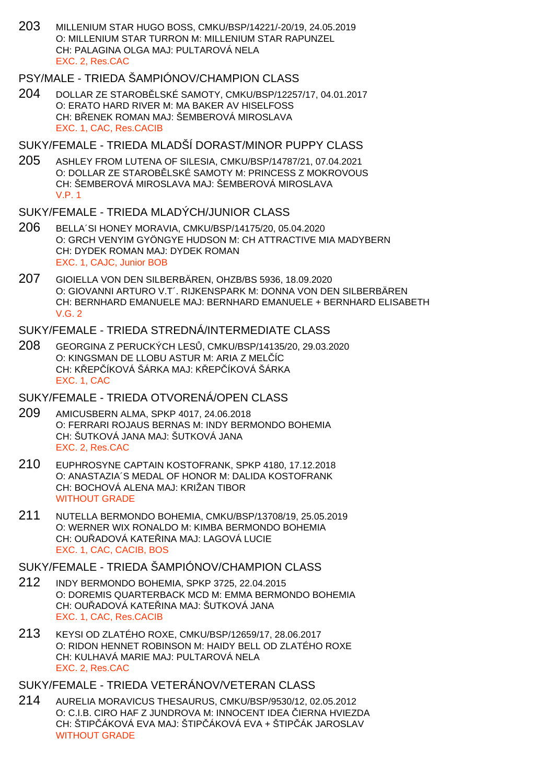203 MILLENIUM STAR HUGO BOSS, CMKU/BSP/14221/-20/19, 24.05.2019 O: MILLENIUM STAR TURRON M: MILLENIUM STAR RAPUNZEL CH: PALAGINA OLGA MAJ: PULTAROVÁ NELA EXC. 2, Res.CAC

### PSY/MALE - TRIEDA ŠAMPIÓNOV/CHAMPION CLASS

204 DOLLAR ZE STAROBĚLSKÉ SAMOTY, CMKU/BSP/12257/17, 04.01.2017 O: ERATO HARD RIVER M: MA BAKER AV HISELFOSS CH: B ENEK ROMAN MAJ: ŠEMBEROVÁ MIROSLAVA EXC. 1, CAC, Res.CACIB

### SUKY/FEMALE - TRIEDA MLADŠÍ DORAST/MINOR PUPPY CLASS

205 ASHLEY FROM LUTENA OF SILESIA, CMKU/BSP/14787/21, 07.04.2021 O: DOLLAR ZE STAROBLISKÉ SAMOTY M: PRINCESS Z MOKROVOUS CH: ŠEMBEROVÁ MIROSLAVA MAJ: ŠEMBEROVÁ MIROSLAVA V.P. 1

### SUKY/FEMALE - TRIEDA MLADÝCH/JUNIOR CLASS

- 206 BELLA´SI HONEY MORAVIA, CMKU/BSP/14175/20, 05.04.2020 O: GRCH VENYIM GYÖNGYE HUDSON M: CH ATTRACTIVE MIA MADYBERN CH: DYDEK ROMAN MAJ: DYDEK ROMAN EXC. 1, CAJC, Junior BOB
- 207 GIOIELLA VON DEN SILBERBÄREN, OHZB/BS 5936, 18.09.2020 O: GIOVANNI ARTURO V.T´. RIJKENSPARK M: DONNA VON DEN SILBERBÄREN CH: BERNHARD EMANUELE MAJ: BERNHARD EMANUELE + BERNHARD ELISABETH  $V$  G  $2$

#### SUKY/FEMALE - TRIEDA STREDNÁ/INTERMEDIATE CLASS

208 GEORGINA Z PERUCKÝCH LESŮ, CMKU/BSP/14135/20, 29.03.2020 O: KINGSMAN DE LLOBU ASTUR M: ARIA Z MELÍC CH: KŘEPŤÍKOVÁ ŠÁRKA MAJ: KŘEPŤÍKOVÁ ŠÁRKA EXC. 1, CAC

## SUKY/FEMALE - TRIEDA OTVORENÁ/OPEN CLASS

- 209 AMICUSBERN ALMA, SPKP 4017, 24.06.2018 O: FERRARI ROJAUS BERNAS M: INDY BERMONDO BOHEMIA CH: ŠUTKOVÁ JANA MAJ: ŠUTKOVÁ JANA EXC. 2, Res.CAC
- 210 EUPHROSYNE CAPTAIN KOSTOFRANK, SPKP 4180, 17.12.2018 O: ANASTAZIA´S MEDAL OF HONOR M: DALIDA KOSTOFRANK CH: BOCHOVÁ ALENA MAJ: KRIŽAN TIBOR WITHOUT GRADE
- 211 NUTELLA BERMONDO BOHEMIA, CMKU/BSP/13708/19, 25.05.2019 O: WERNER WIX RONALDO M: KIMBA BERMONDO BOHEMIA CH: OU ADOVÁ KATE INA MAJ: LAGOVÁ LUCIE EXC. 1, CAC, CACIB, BOS

### SUKY/FEMALE - TRIEDA ŠAMPIÓNOV/CHAMPION CLASS

- 212 INDY BERMONDO BOHEMIA, SPKP 3725, 22.04.2015 O: DOREMIS QUARTERBACK MCD M: EMMA BERMONDO BOHEMIA CH: OU ADOVÁ KATE INA MAJ: ŠUTKOVÁ JANA EXC. 1, CAC, Res.CACIB
- 213 KEYSI OD ZLATÉHO ROXE, CMKU/BSP/12659/17, 28.06.2017 O: RIDON HENNET ROBINSON M: HAIDY BELL OD ZLATÉHO ROXE CH: KULHAVÁ MARIE MAJ: PULTAROVÁ NELA EXC. 2, Res.CAC

# SUKY/FEMALE - TRIEDA VETERÁNOV/VETERAN CLASS

214 AURELIA MORAVICUS THESAURUS, CMKU/BSP/9530/12, 02.05.2012 O: C.I.B. CIRO HAF Z JUNDROVA M: INNOCENT IDEA IERNA HVIEZDA CH: ŠTIP ÁKOVÁ EVA MAJ: ŠTIP ÁKOVÁ EVA + ŠTIP ÁK JAROSLAV WITHOUT GRADE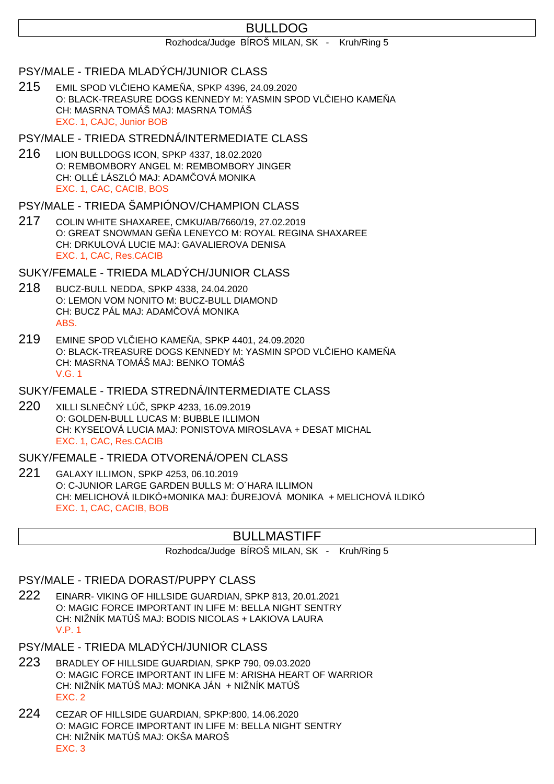# BULLDOG

#### Rozhodca/Judge BÍROŠ MILAN, SK - Kruh/Ring 5

### PSY/MALE - TRIEDA MLADÝCH/JUNIOR CLASS

215 EMIL SPOD VL IEHO KAME A, SPKP 4396, 24.09.2020 O: BLACK-TREASURE DOGS KENNEDY M: YASMIN SPOD VL IEHO KAME Å CH: MASRNA TOMÁŠ MAJ: MASRNA TOMÁŠ EXC. 1, CAJC, Junior BOB

#### PSY/MALE - TRIEDA STREDNÁ/INTERMEDIATE CLASS

216 LION BULLDOGS ICON, SPKP 4337, 18.02.2020 O: REMBOMBORY ANGEL M: REMBOMBORY JINGER CH: OLLÉ LÁSZLÓ MAJ: ADAM OVÁ MONIKA EXC. 1, CAC, CACIB, BOS

# PSY/MALE - TRIEDA ŠAMPIÓNOV/CHAMPION CLASS

217 COLIN WHITE SHAXAREE, CMKU/AB/7660/19, 27.02.2019 O: GREAT SNOWMAN GE A LENEYCO M: ROYAL REGINA SHAXAREE CH: DRKULOVÁ LUCIE MAJ: GAVALIEROVA DENISA EXC. 1, CAC, Res.CACIB

#### SUKY/FEMALE - TRIEDA MLADÝCH/JUNIOR CLASS

- 218 BUCZ-BULL NEDDA, SPKP 4338, 24.04.2020 O: LEMON VOM NONITO M: BUCZ-BULL DIAMOND CH: BUCZ PÁL MAJ: ADAM OVÁ MONIKA ABS.
- 219 EMINE SPOD VL IEHO KAME A, SPKP 4401, 24.09.2020 O: BLACK-TREASURE DOGS KENNEDY M: YASMIN SPOD VL IEHO KAME Å CH: MASRNA TOMÁŠ MAJ: BENKO TOMÁŠ V.G. 1

#### SUKY/FEMALE - TRIEDA STREDNÁ/INTERMEDIATE CLASS

220 XILLI SLNE NÝ LÚ, SPKP 4233, 16.09.2019 O: GOLDEN-BULL LUCAS M: BUBBLE ILLIMON CH: KYSE OVÁ LUCIA MAJ: PONISTOVA MIROSLAVA + DESAT MICHAL EXC. 1, CAC, Res.CACIB

#### SUKY/FEMALE - TRIEDA OTVORENÁ/OPEN CLASS

221 GALAXY ILLIMON, SPKP 4253, 06.10.2019 O: C-JUNIOR LARGE GARDEN BULLS M: O´HARA ILLIMON CH: MELICHOVÁ ILDIKÓ+MONIKA MAJ: UREJOVÁ MONIKA + MELICHOVÁ ILDIKÓ EXC. 1, CAC, CACIB, BOB

# BULLMASTIFF

Rozhodca/Judge BÍROŠ MILAN, SK - Kruh/Ring 5

#### PSY/MALE - TRIEDA DORAST/PUPPY CLASS

222 EINARR- VIKING OF HILLSIDE GUARDIAN, SPKP 813, 20.01.2021 O: MAGIC FORCE IMPORTANT IN LIFE M: BELLA NIGHT SENTRY CH: NIŽNÍK MATÚŠ MAJ: BODIS NICOLAS + LAKIOVA LAURA V.P. 1

### PSY/MALE - TRIEDA MLADÝCH/JUNIOR CLASS

- 223 BRADLEY OF HILLSIDE GUARDIAN, SPKP 790, 09.03.2020 O: MAGIC FORCE IMPORTANT IN LIFE M: ARISHA HEART OF WARRIOR CH: NIŽNÍK MATÚŠ MAJ: MONKA JÁN + NIŽNÍK MATÚŠ EXC. 2
- 224 CEZAR OF HILLSIDE GUARDIAN, SPKP:800, 14.06.2020 O: MAGIC FORCE IMPORTANT IN LIFE M: BELLA NIGHT SENTRY CH: NIŽNÍK MATÚŠ MAJ: OKŠA MAROŠ EXC. 3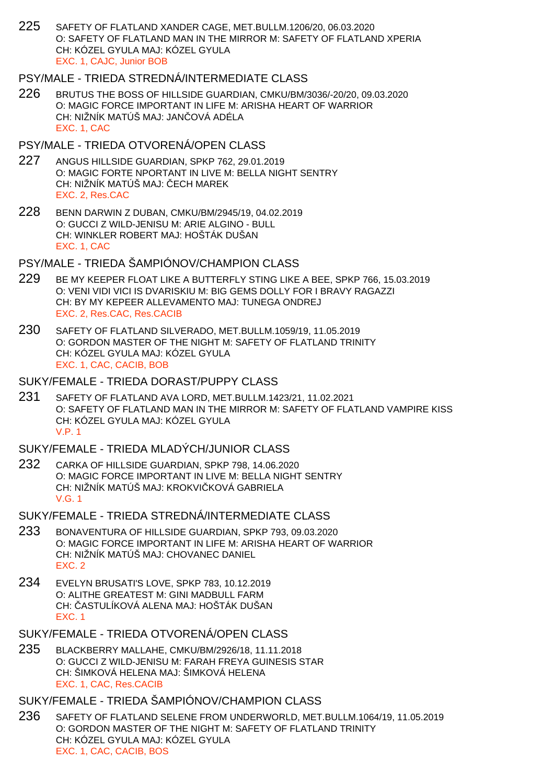225 SAFETY OF FLATLAND XANDER CAGE, MET.BULLM.1206/20, 06.03.2020 O: SAFETY OF FLATLAND MAN IN THE MIRROR M: SAFETY OF FLATLAND XPERIA CH: KÓZEL GYULA MAJ: KÓZEL GYULA EXC. 1, CAJC, Junior BOB

### PSY/MALE - TRIEDA STREDNÁ/INTERMEDIATE CLASS

226 BRUTUS THE BOSS OF HILLSIDE GUARDIAN, CMKU/BM/3036/-20/20, 09.03.2020 O: MAGIC FORCE IMPORTANT IN LIFE M: ARISHA HEART OF WARRIOR CH: NIŽNÍK MATÚŠ MAJ: JAN OVÁ ADÉLA EXC. 1, CAC

### PSY/MALE - TRIEDA OTVORENÁ/OPEN CLASS

- 227 ANGUS HILLSIDE GUARDIAN, SPKP 762, 29.01.2019 O: MAGIC FORTE NPORTANT IN LIVE M: BELLA NIGHT SENTRY CH: NIŽNÍK MATÚŠ MAJ: ECH MAREK EXC. 2, Res.CAC
- 228 BENN DARWIN Z DUBAN, CMKU/BM/2945/19, 04.02.2019 O: GUCCI Z WILD-JENISU M: ARIE ALGINO - BULL CH: WINKLER ROBERT MAJ: HOŠTÁK DUŠAN EXC. 1, CAC

### PSY/MALE - TRIEDA ŠAMPIÓNOV/CHAMPION CLASS

- 229 BE MY KEEPER FLOAT LIKE A BUTTERFLY STING LIKE A BEE, SPKP 766, 15.03.2019 O: VENI VIDI VICI IS DVARISKIU M: BIG GEMS DOLLY FOR I BRAVY RAGAZZI CH: BY MY KEPEER ALLEVAMENTO MAJ: TUNEGA ONDREJ EXC. 2, Res.CAC, Res.CACIB
- 230 SAFETY OF FLATLAND SILVERADO, MET.BULLM.1059/19, 11.05.2019 O: GORDON MASTER OF THE NIGHT M: SAFETY OF FLATLAND TRINITY CH: KÓZEL GYULA MAJ: KÓZEL GYULA EXC. 1, CAC, CACIB, BOB

#### SUKY/FEMALE - TRIEDA DORAST/PUPPY CLASS

231 SAFETY OF FLATLAND AVA LORD, MET.BULLM.1423/21, 11.02.2021 O: SAFETY OF FLATLAND MAN IN THE MIRROR M: SAFETY OF FLATLAND VAMPIRE KISS CH: KÓZEL GYULA MAJ: KÓZEL GYULA V.P. 1

### SUKY/FEMALE - TRIEDA MLADÝCH/JUNIOR CLASS

232 CARKA OF HILLSIDE GUARDIAN, SPKP 798, 14.06.2020 O: MAGIC FORCE IMPORTANT IN LIVE M: BELLA NIGHT SENTRY CH: NIŽNÍK MATÚŠ MAJ: KROKVI KOVÁ GABRIELA V.G. 1

SUKY/FEMALE - TRIEDA STREDNÁ/INTERMEDIATE CLASS

- 233 BONAVENTURA OF HILLSIDE GUARDIAN, SPKP 793, 09.03.2020 O: MAGIC FORCE IMPORTANT IN LIFE M: ARISHA HEART OF WARRIOR CH: NIŽNÍK MATÚŠ MAJ: CHOVANEC DANIEL EXC. 2
- 234 EVELYN BRUSATI'S LOVE, SPKP 783, 10.12.2019 O: ALITHE GREATEST M: GINI MADBULL FARM CH: ASTULÍKOVÁ ALENA MAJ: HOŠTÁK DUŠAN EXC. 1

# SUKY/FEMALE - TRIEDA OTVORENÁ/OPEN CLASS

235 BLACKBERRY MALLAHE, CMKU/BM/2926/18, 11.11.2018 O: GUCCI Z WILD-JENISU M: FARAH FREYA GUINESIS STAR CH: ŠIMKOVÁ HELENA MAJ: ŠIMKOVÁ HELENA EXC. 1, CAC, Res.CACIB

# SUKY/FEMALE - TRIEDA ŠAMPIÓNOV/CHAMPION CLASS

236 SAFETY OF FLATLAND SELENE FROM UNDERWORLD, MET.BULLM.1064/19, 11.05.2019 O: GORDON MASTER OF THE NIGHT M: SAFETY OF FLATLAND TRINITY CH: KÓZEL GYULA MAJ: KÓZEL GYULA EXC. 1, CAC, CACIB, BOS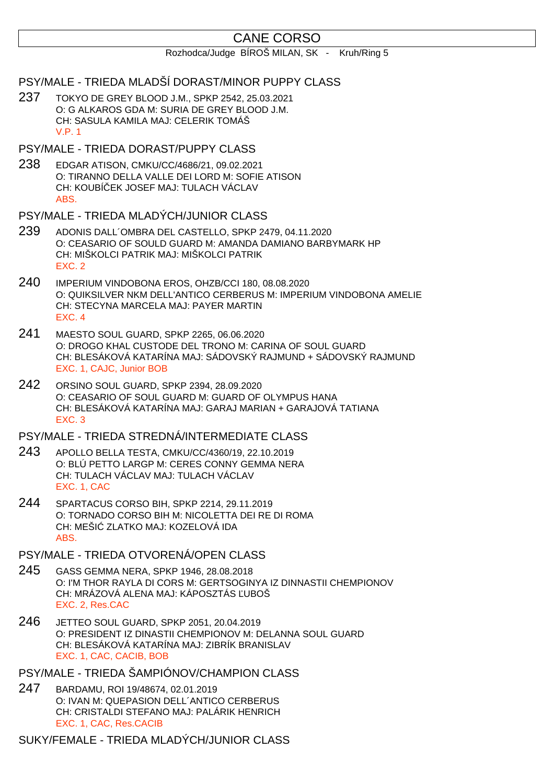# CANE CORSO

Rozhodca/Judge BÍROŠ MILAN, SK - Kruh/Ring 5

### PSY/MALE - TRIEDA MLADŠÍ DORAST/MINOR PUPPY CLASS

237 TOKYO DE GREY BLOOD J.M., SPKP 2542, 25.03.2021 O: G ALKAROS GDA M: SURIA DE GREY BLOOD J.M. CH: SASULA KAMILA MAJ: CELERIK TOMÁŠ V.P. 1

PSY/MALE - TRIEDA DORAST/PUPPY CLASS

238 EDGAR ATISON, CMKU/CC/4686/21, 09.02.2021 O: TIRANNO DELLA VALLE DEI LORD M: SOFIE ATISON CH: KOUBÍ EK JOSEF MAJ: TULACH VÁCLAV ABS.

PSY/MALE - TRIEDA MLADÝCH/JUNIOR CLASS

- 239 ADONIS DALL´OMBRA DEL CASTELLO, SPKP 2479, 04.11.2020 O: CEASARIO OF SOULD GUARD M: AMANDA DAMIANO BARBYMARK HP CH: MIŠKOLCI PATRIK MAJ: MIŠKOLCI PATRIK EXC. 2
- 240 IMPERIUM VINDOBONA EROS, OHZB/CCI 180, 08.08.2020 O: QUIKSILVER NKM DELL'ANTICO CERBERUS M: IMPERIUM VINDOBONA AMELIE CH: STECYNA MARCELA MAJ: PAYER MARTIN EXC. 4
- 241 MAESTO SOUL GUARD, SPKP 2265, 06.06.2020 O: DROGO KHAL CUSTODE DEL TRONO M: CARINA OF SOUL GUARD CH: BLESÁKOVÁ KATARÍNA MAJ: SÁDOVSKÝ RAJMUND + SÁDOVSKÝ RAJMUND EXC. 1, CAJC, Junior BOB
- 242 ORSINO SOUL GUARD, SPKP 2394, 28.09.2020 O: CEASARIO OF SOUL GUARD M: GUARD OF OLYMPUS HANA CH: BLESÁKOVÁ KATARÍNA MAJ: GARAJ MARIAN + GARAJOVÁ TATIANA EXC. 3

### PSY/MALE - TRIEDA STREDNÁ/INTERMEDIATE CLASS

- 243 APOLLO BELLA TESTA, CMKU/CC/4360/19, 22.10.2019 O: BLÚ PETTO LARGP M: CERES CONNY GEMMA NERA CH: TULACH VÁCLAV MAJ: TULACH VÁCLAV EXC. 1, CAC
- 244 SPARTACUS CORSO BIH, SPKP 2214, 29.11.2019 O: TORNADO CORSO BIH M: NICOLETTA DEI RE DI ROMA CH: MEŠI ZLATKO MAJ: KOZELOVÁ IDA ABS.
- PSY/MALE TRIEDA OTVORENÁ/OPEN CLASS
- 245 GASS GEMMA NERA, SPKP 1946, 28.08.2018 O: I'M THOR RAYLA DI CORS M: GERTSOGINYA IZ DINNASTII CHEMPIONOV CH: MRÁZOVÁ ALENA MAJ: KÁPOSZTÁS UBOŠ EXC. 2, Res.CAC
- 246 JETTEO SOUL GUARD, SPKP 2051, 20.04.2019 O: PRESIDENT IZ DINASTII CHEMPIONOV M: DELANNA SOUL GUARD CH: BLESÁKOVÁ KATARÍNA MAJ: ZIBRÍK BRANISLAV EXC. 1, CAC, CACIB, BOB

PSY/MALE - TRIEDA ŠAMPIÓNOV/CHAMPION CLASS

247 BARDAMU, ROI 19/48674, 02.01.2019 O: IVAN M: QUEPASION DELL´ANTICO CERBERUS CH: CRISTALDI STEFANO MAJ: PALÁRIK HENRICH EXC. 1, CAC, Res.CACIB

SUKY/FEMALE - TRIEDA MLADÝCH/JUNIOR CLASS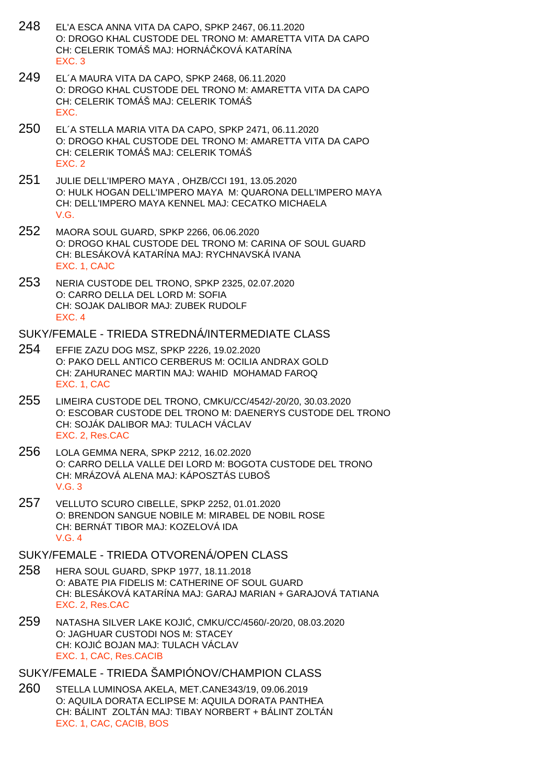- 248 EL'A ESCA ANNA VITA DA CAPO, SPKP 2467, 06.11.2020 O: DROGO KHAL CUSTODE DEL TRONO M: AMARETTA VITA DA CAPO CH: CELERIK TOMÁŠ MAJ: HORNÁ KOVÁ KATARÍNA EXC. 3
- 249 EL´A MAURA VITA DA CAPO, SPKP 2468, 06.11.2020 O: DROGO KHAL CUSTODE DEL TRONO M: AMARETTA VITA DA CAPO CH: CELERIK TOMÁŠ MAJ: CELERIK TOMÁŠ EXC.
- 250 EL´A STELLA MARIA VITA DA CAPO, SPKP 2471, 06.11.2020 O: DROGO KHAL CUSTODE DEL TRONO M: AMARETTA VITA DA CAPO CH: CELERIK TOMÁŠ MAJ: CELERIK TOMÁŠ EXC. 2
- 251 JULIE DELL'IMPERO MAYA , OHZB/CCI 191, 13.05.2020 O: HULK HOGAN DELL'IMPERO MAYA M: QUARONA DELL'IMPERO MAYA CH: DELL'IMPERO MAYA KENNEL MAJ: CECATKO MICHAELA V.G.
- 252 MAORA SOUL GUARD, SPKP 2266, 06.06.2020 O: DROGO KHAL CUSTODE DEL TRONO M: CARINA OF SOUL GUARD CH: BLESÁKOVÁ KATARÍNA MAJ: RYCHNAVSKÁ IVANA EXC. 1, CAJC
- 253 NERIA CUSTODE DEL TRONO, SPKP 2325, 02.07.2020 O: CARRO DELLA DEL LORD M: SOFIA CH: SOJAK DALIBOR MAJ: ZUBEK RUDOLF EXC. 4

#### SUKY/FEMALE - TRIEDA STREDNÁ/INTERMEDIATE CLASS

- 254 EFFIE ZAZU DOG MSZ, SPKP 2226, 19.02.2020 O: PAKO DELL ANTICO CERBERUS M: OCILIA ANDRAX GOLD CH: ZAHURANEC MARTIN MAJ: WAHID MOHAMAD FAROQ EXC. 1, CAC
- 255 LIMEIRA CUSTODE DEL TRONO, CMKU/CC/4542/-20/20, 30.03.2020 O: ESCOBAR CUSTODE DEL TRONO M: DAENERYS CUSTODE DEL TRONO CH: SOJÁK DALIBOR MAJ: TULACH VÁCLAV EXC. 2, Res.CAC
- 256 LOLA GEMMA NERA, SPKP 2212, 16.02.2020 O: CARRO DELLA VALLE DEI LORD M: BOGOTA CUSTODE DEL TRONO CH: MRÁZOVÁ ALENA MAJ: KÁPOSZTÁS LUBOŠ V.G. 3
- 257 VELLUTO SCURO CIBELLE, SPKP 2252, 01.01.2020 O: BRENDON SANGUE NOBILE M: MIRABEL DE NOBIL ROSE CH: BERNÁT TIBOR MAJ: KOZELOVÁ IDA V.G. 4
- SUKY/FEMALE TRIEDA OTVORENÁ/OPEN CLASS
- 258 HERA SOUL GUARD, SPKP 1977, 18.11.2018 O: ABATE PIA FIDELIS M: CATHERINE OF SOUL GUARD CH: BLESÁKOVÁ KATARÍNA MAJ: GARAJ MARIAN + GARAJOVÁ TATIANA EXC. 2, Res.CAC
- 259 NATASHA SILVER LAKE KOJIĆ, CMKU/CC/4560/-20/20, 08.03.2020 O: JAGHUAR CUSTODI NOS M: STACEY CH: KOJI BOJAN MAJ: TULACH VÁCLAV EXC. 1, CAC, Res.CACIB
- SUKY/FEMALE TRIEDA ŠAMPIÓNOV/CHAMPION CLASS
- 260 STELLA LUMINOSA AKELA, MET.CANE343/19, 09.06.2019 O: AQUILA DORATA ECLIPSE M: AQUILA DORATA PANTHEA CH: BÁLINT ZOLTÁN MAJ: TIBAY NORBERT + BÁLINT ZOLTÁN EXC. 1, CAC, CACIB, BOS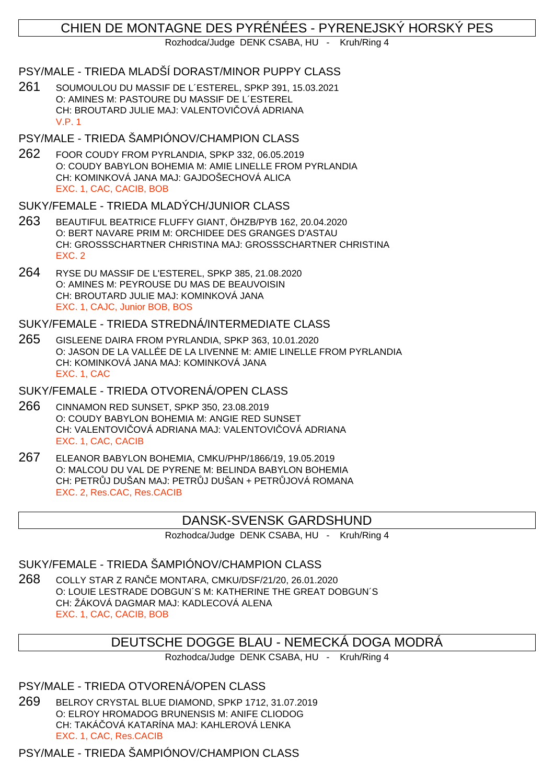# CHIEN DE MONTAGNE DES PYRÉNÉES - PYRENEJSKÝ HORSKÝ PES

Rozhodca/Judge DENK CSABA, HU - Kruh/Ring 4

# PSY/MALE - TRIEDA MLADŠÍ DORAST/MINOR PUPPY CLASS

261 SOUMOULOU DU MASSIF DE L´ESTEREL, SPKP 391, 15.03.2021 O: AMINES M: PASTOURE DU MASSIF DE L´ESTEREL CH: BROUTARD JULIE MAJ: VALENTOVI OVÁ ADRIANA V.P. 1

# PSY/MALE - TRIEDA ŠAMPIÓNOV/CHAMPION CLASS

262 FOOR COUDY FROM PYRLANDIA, SPKP 332, 06.05.2019 O: COUDY BABYLON BOHEMIA M: AMIE LINELLE FROM PYRLANDIA CH: KOMINKOVÁ JANA MAJ: GAJDOŠECHOVÁ ALICA EXC. 1, CAC, CACIB, BOB

### SUKY/FEMALE - TRIEDA MLADÝCH/JUNIOR CLASS

- 263 BEAUTIFUL BEATRICE FLUFFY GIANT, ÖHZB/PYB 162, 20.04.2020 O: BERT NAVARE PRIM M: ORCHIDEE DES GRANGES D'ASTAU CH: GROSSSCHARTNER CHRISTINA MAJ: GROSSSCHARTNER CHRISTINA EXC. 2
- 264 RYSE DU MASSIF DE L'ESTEREL, SPKP 385, 21.08.2020 O: AMINES M: PEYROUSE DU MAS DE BEAUVOISIN CH: BROUTARD JULIE MAJ: KOMINKOVÁ JANA EXC. 1, CAJC, Junior BOB, BOS

#### SUKY/FEMALE - TRIEDA STREDNÁ/INTERMEDIATE CLASS

265 GISLEENE DAIRA FROM PYRLANDIA, SPKP 363, 10.01.2020 O: JASON DE LA VALLÉE DE LA LIVENNE M: AMIE LINELLE FROM PYRLANDIA CH: KOMINKOVÁ JANA MAJ: KOMINKOVÁ JANA EXC. 1, CAC

#### SUKY/FEMALE - TRIEDA OTVORENÁ/OPEN CLASS

- 266 CINNAMON RED SUNSET, SPKP 350, 23.08.2019 O: COUDY BABYLON BOHEMIA M: ANGIE RED SUNSET CH: VALENTOVI OVÁ ADRIANA MAJ: VALENTOVI OVÁ ADRIANA EXC. 1, CAC, CACIB
- 267 ELEANOR BABYLON BOHEMIA, CMKU/PHP/1866/19, 19.05.2019 O: MALCOU DU VAL DE PYRENE M: BELINDA BABYLON BOHEMIA CH: PETR J DUŠAN MAJ: PETR J DUŠAN + PETR JOVÁ ROMANA EXC. 2, Res.CAC, Res.CACIB

# DANSK-SVENSK GARDSHUND

Rozhodca/Judge DENK CSABA, HU - Kruh/Ring 4

### SUKY/FEMALE - TRIEDA ŠAMPIÓNOV/CHAMPION CLASS

268 COLLY STAR Z RANČE MONTARA, CMKU/DSF/21/20, 26.01.2020 O: LOUIE LESTRADE DOBGUN´S M: KATHERINE THE GREAT DOBGUN´S CH: ŽÁKOVÁ DAGMAR MAJ: KADLECOVÁ ALENA EXC. 1, CAC, CACIB, BOB

# DEUTSCHE DOGGE BLAU - NEMECKÁ DOGA MODRÁ

Rozhodca/Judge DENK CSABA, HU - Kruh/Ring 4

PSY/MALE - TRIEDA OTVORENÁ/OPEN CLASS

269 BELROY CRYSTAL BLUE DIAMOND, SPKP 1712, 31.07.2019 O: ELROY HROMADOG BRUNENSIS M: ANIFE CLIODOG CH: TAKÁ OVÁ KATARÍNA MAJ: KAHLEROVÁ LENKA EXC. 1, CAC, Res.CACIB

# PSY/MALE - TRIEDA ŠAMPIÓNOV/CHAMPION CLASS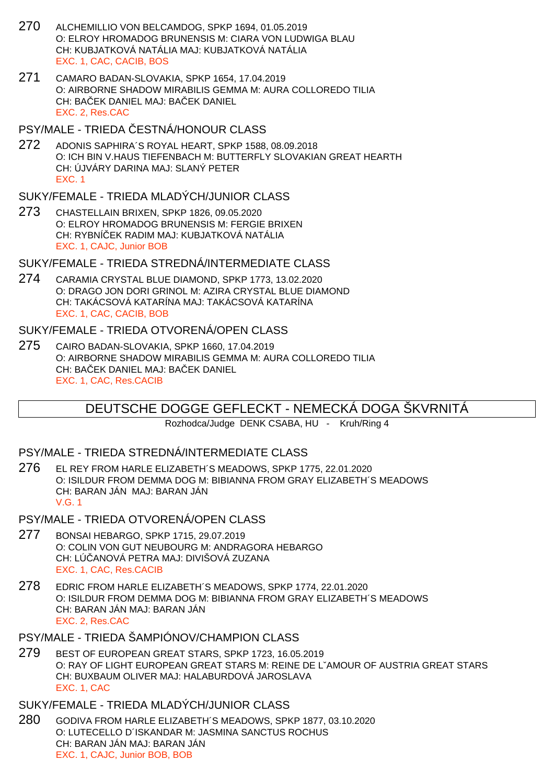- 270 ALCHEMILLIO VON BELCAMDOG, SPKP 1694, 01.05.2019 O: ELROY HROMADOG BRUNENSIS M: CIARA VON LUDWIGA BLAU CH: KUBJATKOVÁ NATÁLIA MAJ: KUBJATKOVÁ NATÁLIA EXC. 1, CAC, CACIB, BOS
- 271 CAMARO BADAN-SLOVAKIA, SPKP 1654, 17.04.2019 O: AIRBORNE SHADOW MIRABILIS GEMMA M: AURA COLLOREDO TILIA CH: BAEK DANIEL MAJ: BAEK DANIEL EXC. 2, Res.CAC

#### PSY/MALE - TRIEDA ESTNÁ/HONOUR CLASS

272 ADONIS SAPHIRA´S ROYAL HEART, SPKP 1588, 08.09.2018 O: ICH BIN V.HAUS TIEFENBACH M: BUTTERFLY SLOVAKIAN GREAT HEARTH CH: ÚJVÁRY DARINA MAJ: SLANÝ PETER EXC. 1

### SUKY/FEMALE - TRIEDA MLADÝCH/JUNIOR CLASS

273 CHASTELLAIN BRIXEN, SPKP 1826, 09.05.2020 O: ELROY HROMADOG BRUNENSIS M: FERGIE BRIXEN CH: RYBNÍ EK RADIM MAJ: KUBJATKOVÁ NATÁLIA EXC. 1, CAJC, Junior BOB

#### SUKY/FEMALE - TRIEDA STREDNÁ/INTERMEDIATE CLASS

274 CARAMIA CRYSTAL BLUE DIAMOND, SPKP 1773, 13.02.2020 O: DRAGO JON DORI GRINOL M: AZIRA CRYSTAL BLUE DIAMOND CH: TAKÁCSOVÁ KATARÍNA MAJ: TAKÁCSOVÁ KATARÍNA EXC. 1, CAC, CACIB, BOB

#### SUKY/FEMALE - TRIEDA OTVORENÁ/OPEN CLASS

275 CAIRO BADAN-SLOVAKIA, SPKP 1660, 17.04.2019 O: AIRBORNE SHADOW MIRABILIS GEMMA M: AURA COLLOREDO TILIA CH: BA EK DANIEL MAJ: BA EK DANIEL EXC. 1, CAC, Res.CACIB

# DEUTSCHE DOGGE GEFLECKT - NEMECKÁ DOGA ŠKVRNITÁ

Rozhodca/Judge DENK CSABA, HU - Kruh/Ring 4

### PSY/MALE - TRIEDA STREDNÁ/INTERMEDIATE CLASS

276 EL REY FROM HARLE ELIZABETH´S MEADOWS, SPKP 1775, 22.01.2020 O: ISILDUR FROM DEMMA DOG M: BIBIANNA FROM GRAY ELIZABETH´S MEADOWS CH: BARAN JÁN MAJ: BARAN JÁN V.G. 1

### PSY/MALE - TRIEDA OTVORENÁ/OPEN CLASS

- 277 BONSAI HEBARGO, SPKP 1715, 29.07.2019 O: COLIN VON GUT NEUBOURG M: ANDRAGORA HEBARGO CH: LÚČANOVÁ PETRA MAJ: DIVIŠOVÁ ZUZANA EXC. 1, CAC, Res.CACIB
- 278 EDRIC FROM HARLE ELIZABETH´S MEADOWS, SPKP 1774, 22.01.2020 O: ISILDUR FROM DEMMA DOG M: BIBIANNA FROM GRAY ELIZABETH´S MEADOWS CH: BARAN JÁN MAJ: BARAN JÁN EXC. 2, Res.CAC
- PSY/MALE TRIEDA ŠAMPIÓNOV/CHAMPION CLASS
- 279 BEST OF EUROPEAN GREAT STARS, SPKP 1723, 16.05.2019 O: RAY OF LIGHT EUROPEAN GREAT STARS M: REINE DE LˇAMOUR OF AUSTRIA GREAT STARS CH: BUXBAUM OLIVER MAJ: HALABURDOVÁ JAROSLAVA EXC. 1, CAC

### SUKY/FEMALE - TRIEDA MLADÝCH/JUNIOR CLASS

280 GODIVA FROM HARLE ELIZABETH´S MEADOWS, SPKP 1877, 03.10.2020 O: LUTECELLO D´ISKANDAR M: JASMINA SANCTUS ROCHUS CH: BARAN JÁN MAJ: BARAN JÁN EXC. 1, CAJC, Junior BOB, BOB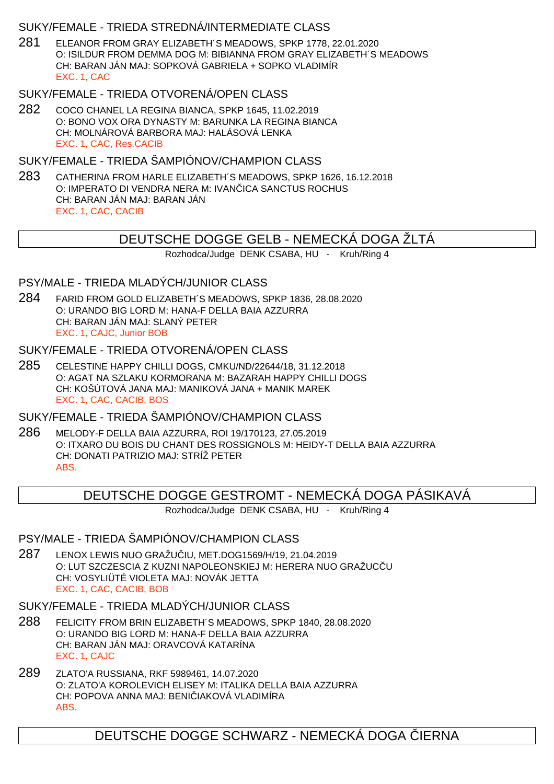### SUKY/FEMALE - TRIEDA STREDNÁ/INTERMEDIATE CLASS

281 ELEANOR FROM GRAY ELIZABETH´S MEADOWS, SPKP 1778, 22.01.2020 O: ISILDUR FROM DEMMA DOG M: BIBIANNA FROM GRAY ELIZABETH´S MEADOWS CH: BARAN JÁN MAJ: SOPKOVÁ GABRIELA + SOPKO VLADIMÍR EXC. 1, CAC

### SUKY/FEMALE - TRIEDA OTVORENÁ/OPEN CLASS

282 COCO CHANEL LA REGINA BIANCA, SPKP 1645, 11.02.2019 O: BONO VOX ORA DYNASTY M: BARUNKA LA REGINA BIANCA CH: MOLNÁROVÁ BARBORA MAJ: HALÁSOVÁ LENKA EXC. 1, CAC, Res.CACIB

# SUKY/FEMALE - TRIEDA ŠAMPIÓNOV/CHAMPION CLASS

283 CATHERINA FROM HARLE ELIZABETH´S MEADOWS, SPKP 1626, 16.12.2018 O: IMPERATO DI VENDRA NERA M: IVAN ICA SANCTUS ROCHUS CH: BARAN JÁN MAJ: BARAN JÁN EXC. 1, CAC, CACIB

# DEUTSCHE DOGGE GELB - NEMECKÁ DOGA ŽLTÁ

Rozhodca/Judge DENK CSABA, HU - Kruh/Ring 4

### PSY/MALE - TRIEDA MLADÝCH/JUNIOR CLASS

284 FARID FROM GOLD ELIZABETH´S MEADOWS, SPKP 1836, 28.08.2020 O: URANDO BIG LORD M: HANA-F DELLA BAIA AZZURRA CH: BARAN JÁN MAJ: SLANÝ PETER EXC. 1, CAJC, Junior BOB

### SUKY/FEMALE - TRIEDA OTVORENÁ/OPEN CLASS

285 CELESTINE HAPPY CHILLI DOGS, CMKU/ND/22644/18, 31.12.2018 O: AGAT NA SZLAKU KORMORANA M: BAZARAH HAPPY CHILLI DOGS CH: KOŠÚTOVÁ JANA MAJ: MANIKOVÁ JANA + MANIK MAREK EXC. 1, CAC, CACIB, BOS

# SUKY/FEMALE - TRIEDA ŠAMPIÓNOV/CHAMPION CLASS

286 MELODY-F DELLA BAIA AZZURRA, ROI 19/170123, 27.05.2019 O: ITXARO DU BOIS DU CHANT DES ROSSIGNOLS M: HEIDY-T DELLA BAIA AZZURRA CH: DONATI PATRIZIO MAJ: STRÍŽ PETER ABS.

# DEUTSCHE DOGGE GESTROMT - NEMECKÁ DOGA PÁSIKAVÁ

Rozhodca/Judge DENK CSABA, HU - Kruh/Ring 4

### PSY/MALE - TRIEDA ŠAMPIÓNOV/CHAMPION CLASS

287 LENOX LEWIS NUO GRAŽUČIU, MET.DOG1569/H/19, 21.04.2019 O: LUT SZCZESCIA Z KUZNI NAPOLEONSKIEJ M: HERERA NUO GRAŽUCČU CH: VOSYLIÜTÉ VIOLETA MAJ: NOVÁK JETTA EXC. 1, CAC, CACIB, BOB

### SUKY/FEMALE - TRIEDA MLADÝCH/JUNIOR CLASS

- 288 FELICITY FROM BRIN ELIZABETH´S MEADOWS, SPKP 1840, 28.08.2020 O: URANDO BIG LORD M: HANA-F DELLA BAIA AZZURRA CH: BARAN JÁN MAJ: ORAVCOVÁ KATARÍNA EXC. 1, CAJC
- 289 ZLATO'A RUSSIANA, RKF 5989461, 14.07.2020 O: ZLATO'A KOROLEVICH ELISEY M: ITALIKA DELLA BAIA AZZURRA CH: POPOVA ANNA MAJ: BENI IAKOVÁ VLADIMÍRA ABS.

# DEUTSCHE DOGGE SCHWARZ - NEMECKÁ DOGA LIERNA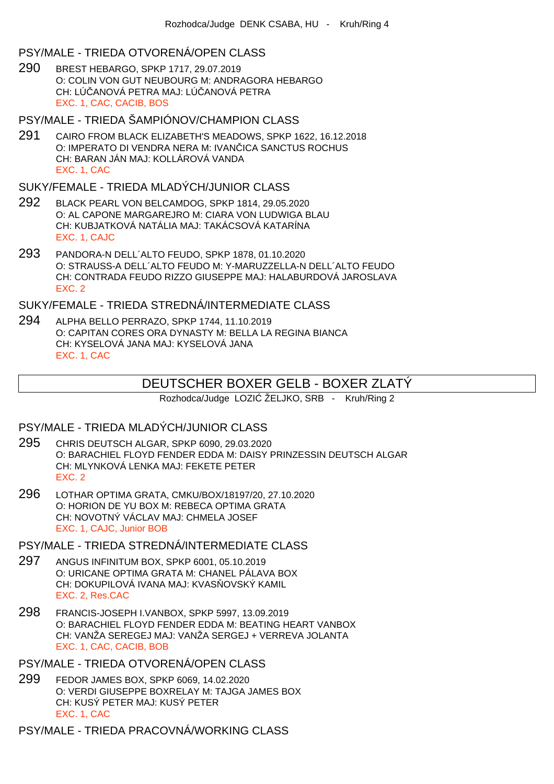#### PSY/MALE - TRIEDA OTVORENÁ/OPEN CLASS

290 BREST HEBARGO, SPKP 1717, 29.07.2019 O: COLIN VON GUT NEUBOURG M: ANDRAGORA HEBARGO CH: LÚČANOVÁ PETRA MAJ: LÚČANOVÁ PETRA EXC. 1, CAC, CACIB, BOS

PSY/MALE - TRIEDA ŠAMPIÓNOV/CHAMPION CLASS

291 CAIRO FROM BLACK ELIZABETH'S MEADOWS, SPKP 1622, 16.12.2018 O: IMPERATO DI VENDRA NERA M: IVAN ICA SANCTUS ROCHUS CH: BARAN JÁN MAJ: KOLLÁROVÁ VANDA EXC. 1, CAC

#### SUKY/FEMALE - TRIEDA MLADÝCH/JUNIOR CLASS

- 292 BLACK PEARL VON BELCAMDOG, SPKP 1814, 29.05.2020 O: AL CAPONE MARGAREJRO M: CIARA VON LUDWIGA BLAU CH: KUBJATKOVÁ NATÁLIA MAJ: TAKÁCSOVÁ KATARÍNA EXC. 1, CAJC
- 293 PANDORA-N DELL´ALTO FEUDO, SPKP 1878, 01.10.2020 O: STRAUSS-A DELL´ALTO FEUDO M: Y-MARUZZELLA-N DELL´ALTO FEUDO CH: CONTRADA FEUDO RIZZO GIUSEPPE MAJ: HALABURDOVÁ JAROSLAVA EXC. 2

SUKY/FEMALE - TRIEDA STREDNÁ/INTERMEDIATE CLASS

294 ALPHA BELLO PERRAZO, SPKP 1744, 11.10.2019 O: CAPITAN CORES ORA DYNASTY M: BELLA LA REGINA BIANCA CH: KYSELOVÁ JANA MAJ: KYSELOVÁ JANA EXC. 1, CAC

# DEUTSCHER BOXER GELB - BOXER ZLATÝ

Rozhodca/Judge LOZI ŽELJKO, SRB - Kruh/Ring 2

### PSY/MALE - TRIEDA MLADÝCH/JUNIOR CLASS

- 295 CHRIS DEUTSCH ALGAR, SPKP 6090, 29.03.2020 O: BARACHIEL FLOYD FENDER EDDA M: DAISY PRINZESSIN DEUTSCH ALGAR CH: MLYNKOVÁ LENKA MAJ: FEKETE PETER EXC. 2
- 296 LOTHAR OPTIMA GRATA, CMKU/BOX/18197/20, 27.10.2020 O: HORION DE YU BOX M: REBECA OPTIMA GRATA CH: NOVOTNÝ VÁCLAV MAJ: CHMELA JOSEF EXC. 1, CAJC, Junior BOB

PSY/MALE - TRIEDA STREDNÁ/INTERMEDIATE CLASS

- 297 ANGUS INFINITUM BOX, SPKP 6001, 05.10.2019 O: URICANE OPTIMA GRATA M: CHANEL PÁLAVA BOX CH: DOKUPILOVÁ IVANA MAJ: KVAS OVSKÝ KAMIL EXC. 2, Res.CAC
- 298 FRANCIS-JOSEPH I.VANBOX, SPKP 5997, 13.09.2019 O: BARACHIEL FLOYD FENDER EDDA M: BEATING HEART VANBOX CH: VANŽA SEREGEJ MAJ: VANŽA SERGEJ + VERREVA JOLANTA EXC. 1, CAC, CACIB, BOB

PSY/MALE - TRIEDA OTVORENÁ/OPEN CLASS

299 FEDOR JAMES BOX, SPKP 6069, 14.02.2020 O: VERDI GIUSEPPE BOXRELAY M: TAJGA JAMES BOX CH: KUSÝ PETER MAJ: KUSÝ PETER EXC. 1, CAC

PSY/MALE - TRIEDA PRACOVNÁ/WORKING CLASS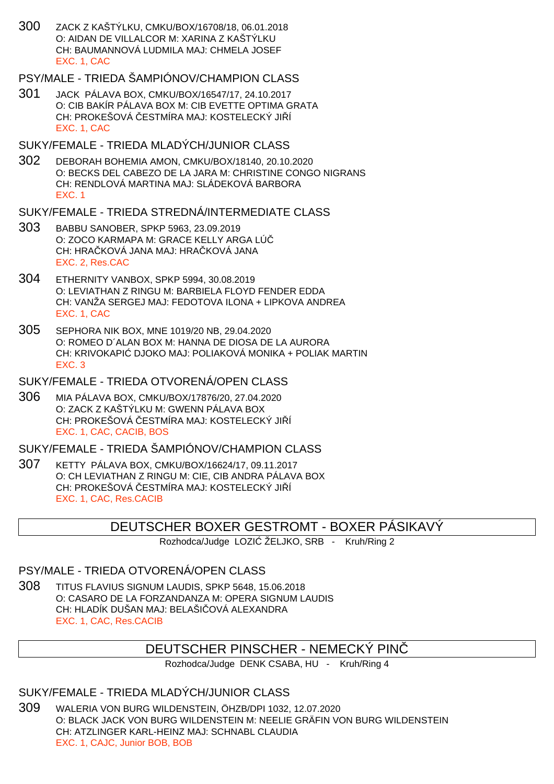- 300 ZACK Z KAŠTÝLKU, CMKU/BOX/16708/18, 06.01.2018 O: AIDAN DE VILLALCOR M: XARINA Z KAŠTÝLKU CH: BAUMANNOVÁ LUDMILA MAJ: CHMELA JOSEF EXC. 1, CAC
- PSY/MALE TRIEDA ŠAMPIÓNOV/CHAMPION CLASS
- 301 JACK PÁLAVA BOX, CMKU/BOX/16547/17, 24.10.2017 O: CIB BAKÍR PÁLAVA BOX M: CIB EVETTE OPTIMA GRATA CH: PROKEŠOVÁ ESTMÍRA MAJ: KOSTELECKÝ JI Í EXC. 1, CAC
- SUKY/FEMALE TRIEDA MLADÝCH/JUNIOR CLASS
- 302 DEBORAH BOHEMIA AMON, CMKU/BOX/18140, 20.10.2020 O: BECKS DEL CABEZO DE LA JARA M: CHRISTINE CONGO NIGRANS CH: RENDLOVÁ MARTINA MAJ: SLÁDEKOVÁ BARBORA EXC. 1
- SUKY/FEMALE TRIEDA STREDNÁ/INTERMEDIATE CLASS
- 303 BABBU SANOBER, SPKP 5963, 23.09.2019 O: ZOCO KARMAPA M: GRACE KELLY ARGA LÚČ CH: HRAČKOVÁ JANA MAJ: HRAČKOVÁ JANA EXC. 2, Res.CAC
- 304 ETHERNITY VANBOX, SPKP 5994, 30.08.2019 O: LEVIATHAN Z RINGU M: BARBIELA FLOYD FENDER EDDA CH: VANŽA SERGEJ MAJ: FEDOTOVA ILONA + LIPKOVA ANDREA EXC. 1, CAC
- 305 SEPHORA NIK BOX, MNE 1019/20 NB, 29.04.2020 O: ROMEO D´ALAN BOX M: HANNA DE DIOSA DE LA AURORA CH: KRIVOKAPIĆ DJOKO MAJ: POLIAKOVÁ MONIKA + POLIAK MARTIN EXC. 3

SUKY/FEMALE - TRIEDA OTVORENÁ/OPEN CLASS

306 MIA PÁLAVA BOX, CMKU/BOX/17876/20, 27.04.2020 O: ZACK Z KAŠTÝLKU M: GWENN PÁLAVA BOX CH: PROKEŠOVÁ ESTMÍRA MAJ: KOSTELECKÝ JI Í EXC. 1, CAC, CACIB, BOS

SUKY/FEMALE - TRIEDA ŠAMPIÓNOV/CHAMPION CLASS

307 KETTY PÁLAVA BOX, CMKU/BOX/16624/17, 09.11.2017 O: CH LEVIATHAN Z RINGU M: CIE, CIB ANDRA PÁLAVA BOX CH: PROKEŠOVÁ ESTMÍRA MAJ: KOSTELECKÝ JI Í EXC. 1, CAC, Res.CACIB

# DEUTSCHER BOXER GESTROMT - BOXER PÁSIKAVÝ

Rozhodca/Judge LOZI ŽELJKO, SRB - Kruh/Ring 2

### PSY/MALE - TRIEDA OTVORENÁ/OPEN CLASS

308 TITUS FLAVIUS SIGNUM LAUDIS, SPKP 5648, 15.06.2018 O: CASARO DE LA FORZANDANZA M: OPERA SIGNUM LAUDIS CH: HLADÍK DUŠAN MAJ: BELAŠI OVÁ ALEXANDRA EXC. 1, CAC, Res.CACIB

# DEUTSCHER PINSCHER - NEMECKÝ PINČ

Rozhodca/Judge DENK CSABA, HU - Kruh/Ring 4

### SUKY/FEMALE - TRIEDA MLADÝCH/JUNIOR CLASS

309 WALERIA VON BURG WILDENSTEIN, ÖHZB/DPI 1032, 12.07.2020 O: BLACK JACK VON BURG WILDENSTEIN M: NEELIE GRÄFIN VON BURG WILDENSTEIN CH: ATZLINGER KARL-HEINZ MAJ: SCHNABL CLAUDIA EXC. 1, CAJC, Junior BOB, BOB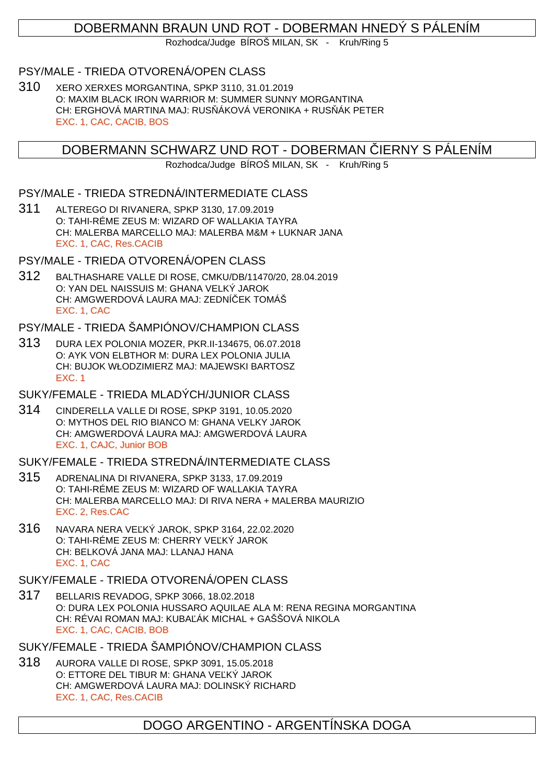# DOBERMANN BRAUN UND ROT - DOBERMAN HNEDÝ S PÁLENÍM

Rozhodca/Judge BÍROŠ MILAN, SK - Kruh/Ring 5

### PSY/MALE - TRIEDA OTVORENÁ/OPEN CLASS

310 XERO XERXES MORGANTINA, SPKP 3110, 31.01.2019 O: MAXIM BLACK IRON WARRIOR M: SUMMER SUNNY MORGANTINA CH: ERGHOVÁ MARTINA MAJ: RUS ÁKOVÁ VERONIKA + RUS ÁK PETER EXC. 1, CAC, CACIB, BOS

## DOBERMANN SCHWARZ UND ROT - DOBERMAN IERNY S PÁLENÍM

Rozhodca/Judge BÍROŠ MILAN, SK - Kruh/Ring 5

#### PSY/MALE - TRIEDA STREDNÁ/INTERMEDIATE CLASS

311 ALTEREGO DI RIVANERA, SPKP 3130, 17.09.2019 O: TAHI-RÉME ZEUS M: WIZARD OF WALLAKIA TAYRA CH: MALERBA MARCELLO MAJ: MALERBA M&M + LUKNAR JANA EXC. 1, CAC, Res.CACIB

#### PSY/MALE - TRIEDA OTVORENÁ/OPEN CLASS

312 BALTHASHARE VALLE DI ROSE, CMKU/DB/11470/20, 28.04.2019 O: YAN DEL NAISSUIS M: GHANA VELKÝ JAROK CH: AMGWERDOVÁ LAURA MAJ: ZEDNÍ EK TOMÁŠ EXC. 1, CAC

### PSY/MALE - TRIEDA ŠAMPIÓNOV/CHAMPION CLASS

313 DURA LEX POLONIA MOZER, PKR.II-134675, 06.07.2018 O: AYK VON ELBTHOR M: DURA LEX POLONIA JULIA CH: BUJOK WŁODZIMIERZ MAJ: MAJEWSKI BARTOSZ EXC. 1

### SUKY/FEMALE - TRIEDA MLADÝCH/JUNIOR CLASS

314 CINDERELLA VALLE DI ROSE, SPKP 3191, 10.05.2020 O: MYTHOS DEL RIO BIANCO M: GHANA VELKY JAROK CH: AMGWERDOVÁ LAURA MAJ: AMGWERDOVÁ LAURA EXC. 1, CAJC, Junior BOB

#### SUKY/FEMALE - TRIEDA STREDNÁ/INTERMEDIATE CLASS

- 315 ADRENALINA DI RIVANERA, SPKP 3133, 17.09.2019 O: TAHI-RÉME ZEUS M: WIZARD OF WALLAKIA TAYRA CH: MALERBA MARCELLO MAJ: DI RIVA NERA + MALERBA MAURIZIO EXC. 2, Res.CAC
- 316 NAVARA NERA VE KÝ JAROK, SPKP 3164, 22.02.2020 O: TAHI-RÉME ZEUS M: CHERRY VE KÝ JAROK CH: BELKOVÁ JANA MAJ: LLANAJ HANA EXC. 1, CAC

# SUKY/FEMALE - TRIEDA OTVORENÁ/OPEN CLASS

317 BELLARIS REVADOG, SPKP 3066, 18.02.2018 O: DURA LEX POLONIA HUSSARO AQUILAE ALA M: RENA REGINA MORGANTINA CH: RÉVAI ROMAN MAJ: KUBA ÁK MICHAL + GAŠŠOVÁ NIKOLA EXC. 1, CAC, CACIB, BOB

SUKY/FEMALE - TRIEDA ŠAMPIÓNOV/CHAMPION CLASS

318 AURORA VALLE DI ROSE, SPKP 3091, 15.05.2018 O: ETTORE DEL TIBUR M: GHANA VE KÝ JAROK CH: AMGWERDOVÁ LAURA MAJ: DOLINSKÝ RICHARD EXC. 1, CAC, Res.CACIB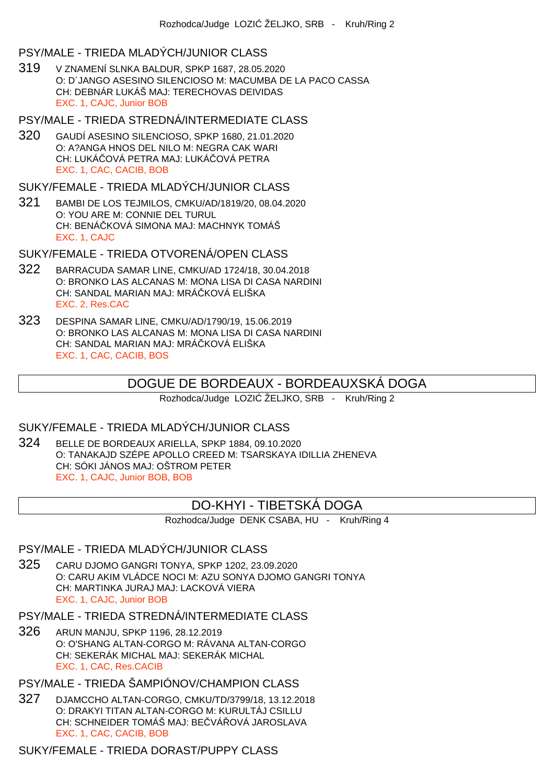#### PSY/MALE - TRIEDA MLADÝCH/JUNIOR CLASS

319 V ZNAMENÍ SLNKA BALDUR, SPKP 1687, 28.05.2020 O: D´JANGO ASESINO SILENCIOSO M: MACUMBA DE LA PACO CASSA CH: DEBNÁR LUKÁŠ MAJ: TERECHOVAS DEIVIDAS EXC. 1, CAJC, Junior BOB

PSY/MALE - TRIEDA STREDNÁ/INTERMEDIATE CLASS

320 GAUDÍ ASESINO SILENCIOSO, SPKP 1680, 21.01.2020 O: A?ANGA HNOS DEL NILO M: NEGRA CAK WARI CH: LUKÁ OVÁ PETRA MAJ: LUKÁ OVÁ PETRA EXC. 1, CAC, CACIB, BOB

SUKY/FEMALE - TRIEDA MLADÝCH/JUNIOR CLASS

321 BAMBI DE LOS TEJMILOS, CMKU/AD/1819/20, 08.04.2020 O: YOU ARE M: CONNIE DEL TURUL CH: BENÁ KOVÁ SIMONA MAJ: MACHNYK TOMÁŠ EXC. 1, CAJC

SUKY/FEMALE - TRIEDA OTVORENÁ/OPEN CLASS

- 322 BARRACUDA SAMAR LINE, CMKU/AD 1724/18, 30.04.2018 O: BRONKO LAS ALCANAS M: MONA LISA DI CASA NARDINI CH: SANDAL MARIAN MAJ: MRÁ $\,$ KOVÁ ELIŠKA EXC. 2, Res.CAC
- 323 DESPINA SAMAR LINE, CMKU/AD/1790/19, 15.06.2019 O: BRONKO LAS ALCANAS M: MONA LISA DI CASA NARDINI CH: SANDAL MARIAN MAJ: MRÁ KOVÁ ELIŠKA EXC. 1, CAC, CACIB, BOS

### DOGUE DE BORDEAUX - BORDEAUXSKÁ DOGA

Rozhodca/Judge LOZI ŽELJKO, SRB - Kruh/Ring 2

# SUKY/FEMALE - TRIEDA MLADÝCH/JUNIOR CLASS

324 BELLE DE BORDEAUX ARIELLA, SPKP 1884, 09.10.2020 O: TANAKAJD SZÉPE APOLLO CREED M: TSARSKAYA IDILLIA ZHENEVA CH: SÓKI JÁNOS MAJ: OŠTROM PETER EXC. 1, CAJC, Junior BOB, BOB

# DO-KHYI - TIBETSKÁ DOGA

Rozhodca/Judge DENK CSABA, HU - Kruh/Ring 4

### PSY/MALE - TRIEDA MLADÝCH/JUNIOR CLASS

325 CARU DJOMO GANGRI TONYA, SPKP 1202, 23.09.2020 O: CARU AKIM VLÁDCE NOCI M: AZU SONYA DJOMO GANGRI TONYA CH: MARTINKA JURAJ MAJ: LACKOVÁ VIERA EXC. 1, CAJC, Junior BOB

PSY/MALE - TRIEDA STREDNÁ/INTERMEDIATE CLASS

326 ARUN MANJU, SPKP 1196, 28.12.2019 O: O'SHANG ALTAN-CORGO M: RÁVANA ALTAN-CORGO CH: SEKERÁK MICHAL MAJ: SEKERÁK MICHAL EXC. 1, CAC, Res.CACIB

PSY/MALE - TRIEDA ŠAMPIÓNOV/CHAMPION CLASS

327 DJAMCCHO ALTAN-CORGO, CMKU/TD/3799/18, 13.12.2018 O: DRAKYI TITAN ALTAN-CORGO M: KURULTÁJ CSILLU CH: SCHNEIDER TOMÁŠ MAJ: BE VÁ OVÁ JAROSLAVA EXC. 1, CAC, CACIB, BOB

#### SUKY/FEMALE - TRIEDA DORAST/PUPPY CLASS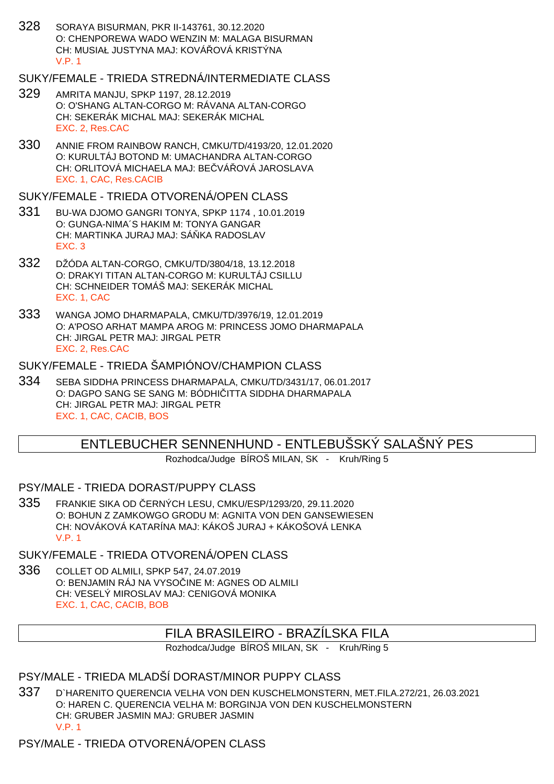328 SORAYA BISURMAN, PKR II-143761, 30.12.2020 O: CHENPOREWA WADO WENZIN M: MALAGA BISURMAN CH: MUSIAŁ JUSTYNA MAJ: KOVÁ OVÁ KRISTÝNA V.P. 1

### SUKY/FEMALE - TRIEDA STREDNÁ/INTERMEDIATE CLASS

- 329 AMRITA MANJU, SPKP 1197, 28.12.2019 O: O'SHANG ALTAN-CORGO M: RÁVANA ALTAN-CORGO CH: SEKERÁK MICHAL MAJ: SEKERÁK MICHAL EXC. 2, Res.CAC
- 330 ANNIE FROM RAINBOW RANCH, CMKU/TD/4193/20, 12.01.2020 O: KURULTÁJ BOTOND M: UMACHANDRA ALTAN-CORGO CH: ORLITOVÁ MICHAELA MAJ: BE VÁ OVÁ JAROSLAVA EXC. 1, CAC, Res.CACIB

#### SUKY/FEMALE - TRIEDA OTVORENÁ/OPEN CLASS

- 331 BU-WA DJOMO GANGRI TONYA, SPKP 1174 , 10.01.2019 O: GUNGA-NIMA´S HAKIM M: TONYA GANGAR CH: MARTINKA JURAJ MAJ: SÁ KA RADOSLAV EXC. 3
- 332 DŽÓDA ALTAN-CORGO, CMKU/TD/3804/18, 13.12.2018 O: DRAKYI TITAN ALTAN-CORGO M: KURULTÁJ CSILLU CH: SCHNEIDER TOMÁŠ MAJ: SEKERÁK MICHAL EXC. 1, CAC
- 333 WANGA JOMO DHARMAPALA, CMKU/TD/3976/19, 12.01.2019 O: A'POSO ARHAT MAMPA AROG M: PRINCESS JOMO DHARMAPALA CH: JIRGAL PETR MAJ: JIRGAL PETR EXC. 2, Res.CAC

# SUKY/FEMALE - TRIEDA ŠAMPIÓNOV/CHAMPION CLASS

334 SEBA SIDDHA PRINCESS DHARMAPALA, CMKU/TD/3431/17, 06.01.2017 O: DAGPO SANG SE SANG M: BÓDHI ITTA SIDDHA DHARMAPALA CH: JIRGAL PETR MAJ: JIRGAL PETR EXC. 1, CAC, CACIB, BOS

# ENTLEBUCHER SENNENHUND - ENTLEBUŠSKÝ SALAŠNÝ PES

Rozhodca/Judge BÍROŠ MILAN, SK - Kruh/Ring 5

# PSY/MALE - TRIEDA DORAST/PUPPY CLASS

335 FRANKIE SIKA OD ČERNÝCH LESU, CMKU/ESP/1293/20, 29.11.2020 O: BOHUN Z ZAMKOWGO GRODU M: AGNITA VON DEN GANSEWIESEN CH: NOVÁKOVÁ KATARÍNA MAJ: KÁKOŠ JURAJ + KÁKOŠOVÁ LENKA V.P. 1

# SUKY/FEMALE - TRIEDA OTVORENÁ/OPEN CLASS

336 COLLET OD ALMILI, SPKP 547, 24.07.2019 O: BENJAMIN RÁJ NA VYSO INE M: AGNES OD ALMILI CH: VESELÝ MIROSLAV MAJ: CENIGOVÁ MONIKA EXC. 1, CAC, CACIB, BOB

# FILA BRASILEIRO - BRAZÍLSKA FILA

Rozhodca/Judge BÍROŠ MILAN, SK - Kruh/Ring 5

# PSY/MALE - TRIEDA MLADŠÍ DORAST/MINOR PUPPY CLASS

337 D`HARENITO QUERENCIA VELHA VON DEN KUSCHELMONSTERN, MET.FILA.272/21, 26.03.2021 O: HAREN C. QUERENCIA VELHA M: BORGINJA VON DEN KUSCHELMONSTERN CH: GRUBER JASMIN MAJ: GRUBER JASMIN V.P. 1

PSY/MALE - TRIEDA OTVORENÁ/OPEN CLASS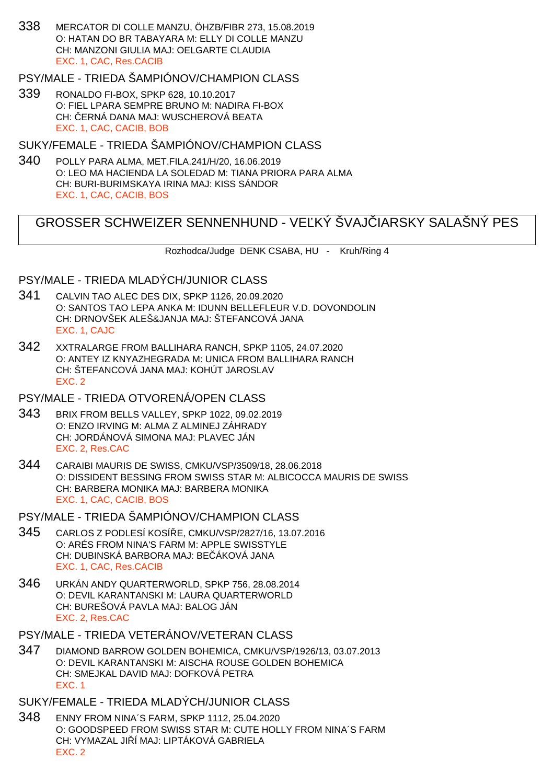338 MERCATOR DI COLLE MANZU, ÖHZB/FIBR 273, 15.08.2019 O: HATAN DO BR TABAYARA M: ELLY DI COLLE MANZU CH: MANZONI GIULIA MAJ: OELGARTE CLAUDIA EXC. 1, CAC, Res.CACIB

### PSY/MALE - TRIEDA ŠAMPIÓNOV/CHAMPION CLASS

339 RONALDO FI-BOX, SPKP 628, 10.10.2017 O: FIEL LPARA SEMPRE BRUNO M: NADIRA FI-BOX CH: ERNÁ DANA MAJ: WUSCHEROVÁ BEATA EXC. 1, CAC, CACIB, BOB

SUKY/FEMALE - TRIEDA ŠAMPIÓNOV/CHAMPION CLASS

340 POLLY PARA ALMA, MET.FILA.241/H/20, 16.06.2019 O: LEO MA HACIENDA LA SOLEDAD M: TIANA PRIORA PARA ALMA CH: BURI-BURIMSKAYA IRINA MAJ: KISS SÁNDOR EXC. 1, CAC, CACIB, BOS

# GROSSER SCHWEIZER SENNENHUND - VEĽKÝ ŠVAJ JARSKY SALAŠNÝ PES

Rozhodca/Judge DENK CSABA, HU - Kruh/Ring 4

### PSY/MALE - TRIEDA MLADÝCH/JUNIOR CLASS

- 341 CALVIN TAO ALEC DES DIX, SPKP 1126, 20.09.2020 O: SANTOS TAO LEPA ANKA M: IDUNN BELLEFLEUR V.D. DOVONDOLIN CH: DRNOVŠEK ALEŠ&JANJA MAJ: ŠTEFANCOVÁ JANA EXC. 1, CAJC
- 342 XXTRALARGE FROM BALLIHARA RANCH, SPKP 1105, 24.07.2020 O: ANTEY IZ KNYAZHEGRADA M: UNICA FROM BALLIHARA RANCH CH: ŠTEFANCOVÁ JANA MAJ: KOHÚT JAROSLAV EXC. 2
- PSY/MALE TRIEDA OTVORENÁ/OPEN CLASS
- 343 BRIX FROM BELLS VALLEY, SPKP 1022, 09.02.2019 O: ENZO IRVING M: ALMA Z ALMINEJ ZÁHRADY CH: JORDÁNOVÁ SIMONA MAJ: PLAVEC JÁN EXC. 2, Res.CAC
- 344 CARAIBI MAURIS DE SWISS, CMKU/VSP/3509/18, 28.06.2018 O: DISSIDENT BESSING FROM SWISS STAR M: ALBICOCCA MAURIS DE SWISS CH: BARBERA MONIKA MAJ: BARBERA MONIKA EXC. 1, CAC, CACIB, BOS

PSY/MALE - TRIEDA ŠAMPIÓNOV/CHAMPION CLASS

- 345 CARLOS Z PODLESÍ KOSÍ E, CMKU/VSP/2827/16, 13.07.2016 O: ARÉS FROM NINA'S FARM M: APPLE SWISSTYLE CH: DUBINSKÁ BARBORA MAJ: BE ÁKOVÁ JANA EXC. 1, CAC, Res.CACIB
- 346 URKÁN ANDY QUARTERWORLD, SPKP 756, 28.08.2014 O: DEVIL KARANTANSKI M: LAURA QUARTERWORLD CH: BUREŠOVÁ PAVLA MAJ: BALOG JÁN EXC. 2, Res.CAC

PSY/MALE - TRIEDA VETERÁNOV/VETERAN CLASS

347 DIAMOND BARROW GOLDEN BOHEMICA, CMKU/VSP/1926/13, 03.07.2013 O: DEVIL KARANTANSKI M: AISCHA ROUSE GOLDEN BOHEMICA CH: SMEJKAL DAVID MAJ: DOFKOVÁ PETRA EXC. 1

SUKY/FEMALE - TRIEDA MLADÝCH/JUNIOR CLASS

348 ENNY FROM NINA´S FARM, SPKP 1112, 25.04.2020 O: GOODSPEED FROM SWISS STAR M: CUTE HOLLY FROM NINA´S FARM CH: VYMAZAL JI Í MAJ: LIPTÁKOVÁ GABRIELA EXC. 2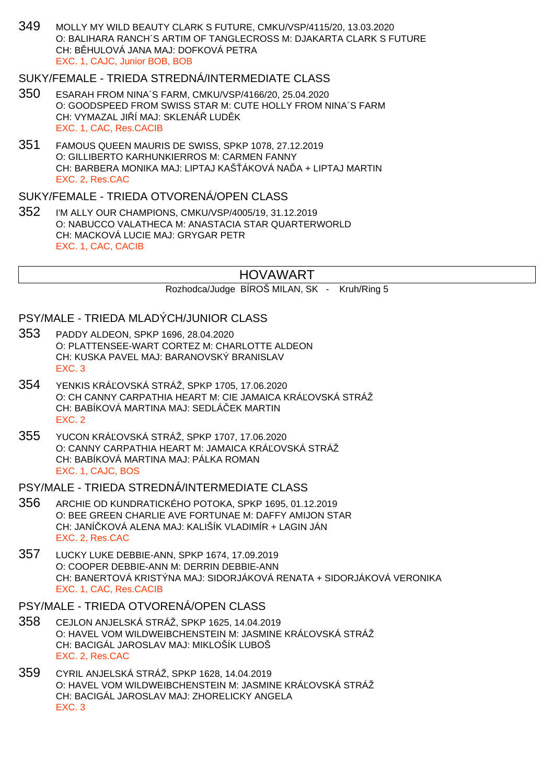349 MOLLY MY WILD BEAUTY CLARK S FUTURE, CMKU/VSP/4115/20, 13.03.2020 O: BALIHARA RANCH´S ARTIM OF TANGLECROSS M: DJAKARTA CLARK S FUTURE CH: B. HULOVÁ JANA MAJ: DOFKOVÁ PETRA EXC. 1, CAJC, Junior BOB, BOB

### SUKY/FEMALE - TRIEDA STREDNÁ/INTERMEDIATE CLASS

- 350 ESARAH FROM NINA´S FARM, CMKU/VSP/4166/20, 25.04.2020 O: GOODSPEED FROM SWISS STAR M: CUTE HOLLY FROM NINA´S FARM CH: VYMAZAL JI Í MAJ: SKLENÁ LUDK EXC. 1, CAC, Res.CACIB
- 351 FAMOUS QUEEN MAURIS DE SWISS, SPKP 1078, 27.12.2019 O: GILLIBERTO KARHUNKIERROS M: CARMEN FANNY CH: BARBERA MONIKA MAJ: LIPTAJ KAŠ ÁKOVÁ NA A + LIPTAJ MARTIN EXC. 2, Res.CAC

### SUKY/FEMALE - TRIEDA OTVORENÁ/OPEN CLASS

352 I'M ALLY OUR CHAMPIONS, CMKU/VSP/4005/19, 31.12.2019 O: NABUCCO VALATHECA M: ANASTACIA STAR QUARTERWORLD CH: MACKOVÁ LUCIE MAJ: GRYGAR PETR EXC. 1, CAC, CACIB

# HOVAWART

Rozhodca/Judge BÍROŠ MILAN, SK - Kruh/Ring 5

### PSY/MALE - TRIEDA MLADÝCH/JUNIOR CLASS

- 353 PADDY ALDEON, SPKP 1696, 28.04.2020 O: PLATTENSEE-WART CORTEZ M: CHARLOTTE ALDEON CH: KUSKA PAVEL MAJ: BARANOVSKÝ BRANISLAV EXC. 3
- 354 YENKIS KRÁĽOVSKÁ STRÁŽ, SPKP 1705, 17.06.2020 O: CH CANNY CARPATHIA HEART M: CIE JAMAICA KRÁ OVSKÁ STRÁŽ CH: BABÍKOVÁ MARTINA MAJ: SEDLÁ EK MARTIN EXC. 2
- 355 YUCON KRÁ OVSKÁ STRÁŽ, SPKP 1707, 17.06.2020 O: CANNY CARPATHIA HEART M: JAMAICA KRÁ OVSKÁ STRÁŽ CH: BABÍKOVÁ MARTINA MAJ: PÁLKA ROMAN EXC. 1, CAJC, BOS

## PSY/MALE - TRIEDA STREDNÁ/INTERMEDIATE CLASS

- 356 ARCHIE OD KUNDRATICKÉHO POTOKA, SPKP 1695, 01.12.2019 O: BEE GREEN CHARLIE AVE FORTUNAE M: DAFFY AMIJON STAR CH: JANÍČKOVÁ ALENA MAJ: KALIŠÍK VLADIMÍR + LAGIN JÁN EXC. 2, Res.CAC
- 357 LUCKY LUKE DEBBIE-ANN, SPKP 1674, 17.09.2019 O: COOPER DEBBIE-ANN M: DERRIN DEBBIE-ANN CH: BANERTOVÁ KRISTÝNA MAJ: SIDORJÁKOVÁ RENATA + SIDORJÁKOVÁ VERONIKA EXC. 1, CAC, Res.CACIB

### PSY/MALE - TRIEDA OTVORENÁ/OPEN CLASS

- 358 CEJLON ANJELSKÁ STRÁŽ, SPKP 1625, 14.04.2019 O: HAVEL VOM WILDWEIBCHENSTEIN M: JASMINE KRÁ OVSKÁ STRÁŽ CH: BACIGÁL JAROSLAV MAJ: MIKLOŠÍK LUBOŠ EXC. 2, Res.CAC
- 359 CYRIL ANJELSKÁ STRÁŽ, SPKP 1628, 14.04.2019 O: HAVEL VOM WILDWEIBCHENSTEIN M: JASMINE KRÁ OVSKÁ STRÁŽ CH: BACIGÁL JAROSLAV MAJ: ZHORELICKY ANGELA EXC. 3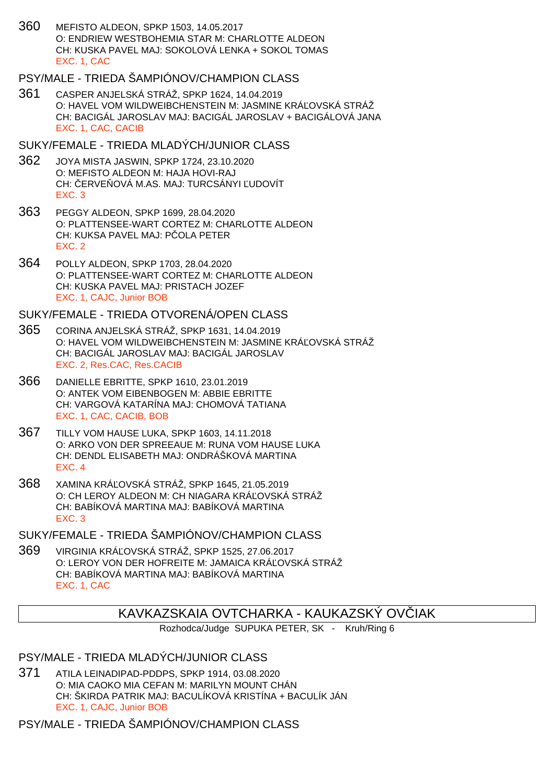360 MEFISTO ALDEON, SPKP 1503, 14.05.2017 O: ENDRIEW WESTBOHEMIA STAR M: CHARLOTTE ALDEON CH: KUSKA PAVEL MAJ: SOKOLOVÁ LENKA + SOKOL TOMAS EXC. 1, CAC

### PSY/MALE - TRIEDA ŠAMPIÓNOV/CHAMPION CLASS

361 CASPER ANJELSKÁ STRÁŽ, SPKP 1624, 14.04.2019 O: HAVEL VOM WILDWEIBCHENSTEIN M: JASMINE KRÁ OVSKÁ STRÁŽ CH: BACIGÁL JAROSLAV MAJ: BACIGÁL JAROSLAV + BACIGÁLOVÁ JANA EXC. 1, CAC, CACIB

### SUKY/FEMALE - TRIEDA MLADÝCH/JUNIOR CLASS

- 362 JOYA MISTA JASWIN, SPKP 1724, 23.10.2020 O: MEFISTO ALDEON M: HAJA HOVI-RAJ CH: ERVE OVÁ M.AS. MAJ: TURCSÁNYI UDOVÍT EXC. 3
- 363 PEGGY ALDEON, SPKP 1699, 28.04.2020 O: PLATTENSEE-WART CORTEZ M: CHARLOTTE ALDEON CH: KUKSA PAVEL MAJ: P OLA PETER EXC. 2
- 364 POLLY ALDEON, SPKP 1703, 28.04.2020 O: PLATTENSEE-WART CORTEZ M: CHARLOTTE ALDEON CH: KUSKA PAVEL MAJ: PRISTACH JOZEF EXC. 1, CAJC, Junior BOB

### SUKY/FEMALE - TRIEDA OTVORENÁ/OPEN CLASS

- 365 CORINA ANJELSKÁ STRÁŽ, SPKP 1631, 14.04.2019 O: HAVEL VOM WILDWEIBCHENSTEIN M: JASMINE KRÁ OVSKÁ STRÁŽ CH: BACIGÁL JAROSLAV MAJ: BACIGÁL JAROSLAV EXC. 2, Res.CAC, Res.CACIB
- 366 DANIELLE EBRITTE, SPKP 1610, 23.01.2019 O: ANTEK VOM EIBENBOGEN M: ABBIE EBRITTE CH: VARGOVÁ KATARÍNA MAJ: CHOMOVÁ TATIANA EXC. 1, CAC, CACIB, BOB
- 367 TILLY VOM HAUSE LUKA, SPKP 1603, 14.11.2018 O: ARKO VON DER SPREEAUE M: RUNA VOM HAUSE LUKA CH: DENDL ELISABETH MAJ: ONDRÁŠKOVÁ MARTINA EXC. 4
- 368 XAMINA KRÁ OVSKÁ STRÁŽ, SPKP 1645, 21.05.2019 O: CH LEROY ALDEON M: CH NIAGARA KRÁ OVSKÁ STRÁŽ CH: BABÍKOVÁ MARTINA MAJ: BABÍKOVÁ MARTINA EXC. 3

SUKY/FEMALE - TRIEDA ŠAMPIÓNOV/CHAMPION CLASS

369 VIRGINIA KRÁ OVSKÁ STRÁŽ, SPKP 1525, 27.06.2017 O: LEROY VON DER HOFREITE M: JAMAICA KRÁ OVSKÁ STRÁŽ CH: BABÍKOVÁ MARTINA MAJ: BABÍKOVÁ MARTINA EXC. 1, CAC

# KAVKAZSKAIA OVTCHARKA - KAUKAZSKÝ OVČIAK

Rozhodca/Judge SUPUKA PETER, SK - Kruh/Ring 6

# PSY/MALE - TRIEDA MLADÝCH/JUNIOR CLASS

371 ATILA LEINADIPAD-PDDPS, SPKP 1914, 03.08.2020 O: MIA CAOKO MIA CEFAN M: MARILYN MOUNT CHÁN CH: ŠKIRDA PATRIK MAJ: BACULÍKOVÁ KRISTÍNA + BACULÍK JÁN EXC. 1, CAJC, Junior BOB

PSY/MALE - TRIEDA ŠAMPIÓNOV/CHAMPION CLASS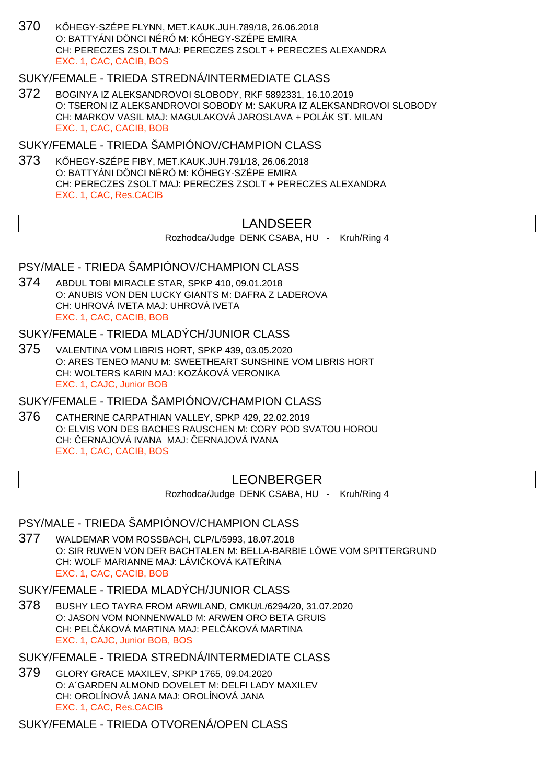370 K HEGY-SZÉPE FLYNN, MET.KAUK.JUH.789/18, 26.06.2018 O: BATTYÁNI DÖNCI NÉRÓ M: K HEGY-SZÉPE EMIRA CH: PERECZES ZSOLT MAJ: PERECZES ZSOLT + PERECZES ALEXANDRA EXC. 1, CAC, CACIB, BOS

#### SUKY/FEMALE - TRIEDA STREDNÁ/INTERMEDIATE CLASS

372 BOGINYA IZ ALEKSANDROVOI SLOBODY, RKF 5892331, 16.10.2019 O: TSERON IZ ALEKSANDROVOI SOBODY M: SAKURA IZ ALEKSANDROVOI SLOBODY CH: MARKOV VASIL MAJ: MAGULAKOVÁ JAROSLAVA + POLÁK ST. MILAN EXC. 1, CAC, CACIB, BOB

### SUKY/FEMALE - TRIEDA ŠAMPIÓNOV/CHAMPION CLASS

373 K HEGY-SZÉPE FIBY, MET.KAUK.JUH.791/18, 26.06.2018 O: BATTYÁNI DÖNCI NÉRÓ M: K HEGY-SZÉPE EMIRA CH: PERECZES ZSOLT MAJ: PERECZES ZSOLT + PERECZES ALEXANDRA EXC. 1, CAC, Res.CACIB

## LANDSEER

Rozhodca/Judge DENK CSABA, HU - Kruh/Ring 4

## PSY/MALE - TRIEDA ŠAMPIÓNOV/CHAMPION CLASS

374 ABDUL TOBI MIRACLE STAR, SPKP 410, 09.01.2018 O: ANUBIS VON DEN LUCKY GIANTS M: DAFRA Z LADEROVA CH: UHROVÁ IVETA MAJ: UHROVÁ IVETA EXC. 1, CAC, CACIB, BOB

## SUKY/FEMALE - TRIEDA MLADÝCH/JUNIOR CLASS

375 VALENTINA VOM LIBRIS HORT, SPKP 439, 03.05.2020 O: ARES TENEO MANU M: SWEETHEART SUNSHINE VOM LIBRIS HORT CH: WOLTERS KARIN MAJ: KOZÁKOVÁ VERONIKA EXC. 1, CAJC, Junior BOB

## SUKY/FEMALE - TRIEDA ŠAMPIÓNOV/CHAMPION CI ASS

376 CATHERINE CARPATHIAN VALLEY, SPKP 429, 22.02.2019 O: ELVIS VON DES BACHES RAUSCHEN M: CORY POD SVATOU HOROU CH: ERNAJOVÁ IVANA MAJ: ERNAJOVÁ IVANA EXC. 1, CAC, CACIB, BOS

## LEONBERGER

Rozhodca/Judge DENK CSABA, HU - Kruh/Ring 4

#### PSY/MALE - TRIEDA ŠAMPIÓNOV/CHAMPION CLASS

377 WALDEMAR VOM ROSSBACH, CLP/L/5993, 18.07.2018 O: SIR RUWEN VON DER BACHTALEN M: BELLA-BARBIE LÖWE VOM SPITTERGRUND CH: WOLF MARIANNE MAJ: LÁVI KOVÁ KATEJINA EXC. 1, CAC, CACIB, BOB

## SUKY/FEMALE - TRIEDA MLADÝCH/JUNIOR CLASS

378 BUSHY LEO TAYRA FROM ARWILAND, CMKU/L/6294/20, 31.07.2020 O: JASON VOM NONNENWALD M: ARWEN ORO BETA GRUIS CH: PEL ÁKOVÁ MARTINA MAJ: PEL ÁKOVÁ MARTINA EXC. 1, CAJC, Junior BOB, BOS

SUKY/FEMALE - TRIEDA STREDNÁ/INTERMEDIATE CLASS

379 GLORY GRACE MAXILEV, SPKP 1765, 09.04.2020 O: A´GARDEN ALMOND DOVELET M: DELFI LADY MAXILEV CH: OROLÍNOVÁ JANA MAJ: OROLÍNOVÁ JANA EXC. 1, CAC, Res.CACIB

SUKY/FEMALE - TRIEDA OTVORENÁ/OPEN CLASS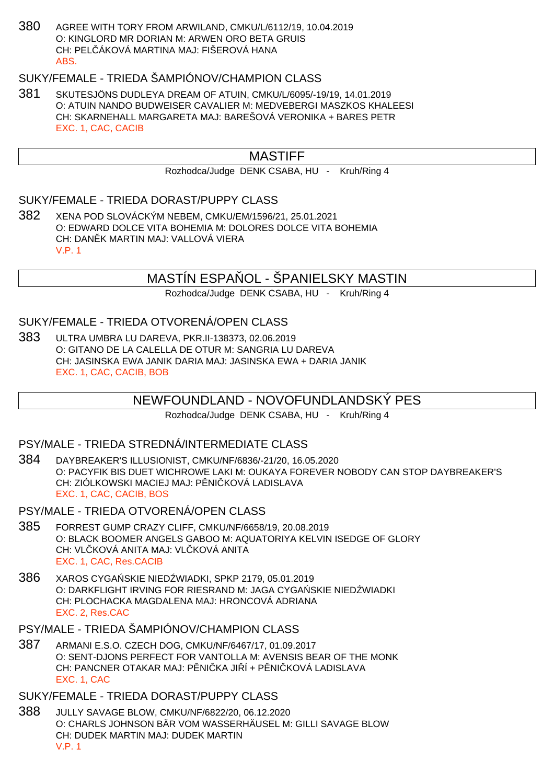380 AGREE WITH TORY FROM ARWILAND, CMKU/L/6112/19, 10.04.2019 O: KINGLORD MR DORIAN M: ARWEN ORO BETA GRUIS CH: PELČÁKOVÁ MARTINA MAJ: FIŠEROVÁ HANA ABS.

## SUKY/FEMALE - TRIEDA ŠAMPIÓNOV/CHAMPION CLASS

381 SKUTESJÖNS DUDLEYA DREAM OF ATUIN, CMKU/L/6095/-19/19, 14.01.2019 O: ATUIN NANDO BUDWEISER CAVALIER M: MEDVEBERGI MASZKOS KHALEESI CH: SKARNEHALL MARGARETA MAJ: BAREŠOVÁ VERONIKA + BARES PETR EXC. 1, CAC, CACIB

## MASTIFF

Rozhodca/Judge DENK CSABA, HU - Kruh/Ring 4

#### SUKY/FEMALE - TRIEDA DORAST/PUPPY CLASS

382 XENA POD SLOVÁCKÝM NEBEM, CMKU/EM/1596/21, 25.01.2021 O: EDWARD DOLCE VITA BOHEMIA M: DOLORES DOLCE VITA BOHEMIA CH: DAN K MARTIN MAJ: VALLOVÁ VIERA V.P. 1

## MASTÍN ESPA OL - ŠPANIELSKY MASTIN

Rozhodca/Judge DENK CSABA, HU - Kruh/Ring 4

#### SUKY/FEMALE - TRIEDA OTVORENÁ/OPEN CLASS

383 ULTRA UMBRA LU DAREVA, PKR.II-138373, 02.06.2019 O: GITANO DE LA CALELLA DE OTUR M: SANGRIA LU DAREVA CH: JASINSKA EWA JANIK DARIA MAJ: JASINSKA EWA + DARIA JANIK EXC. 1, CAC, CACIB, BOB

#### NEWFOUNDLAND - NOVOFUNDLANDSKÝ PES

Rozhodca/Judge DENK CSABA, HU - Kruh/Ring 4

### PSY/MALE - TRIEDA STREDNÁ/INTERMEDIATE CLASS

- 384 DAYBREAKER'S ILLUSIONIST, CMKU/NF/6836/-21/20, 16.05.2020 O: PACYFIK BIS DUET WICHROWE LAKI M: OUKAYA FOREVER NOBODY CAN STOP DAYBREAKER'S CH: ZIÓLKOWSKI MACIEJ MAJ: P NI KOVÁ LADISLAVA EXC. 1, CAC, CACIB, BOS
- PSY/MALE TRIEDA OTVORENÁ/OPEN CLASS
- 385 FORREST GUMP CRAZY CLIFF, CMKU/NF/6658/19, 20.08.2019 O: BLACK BOOMER ANGELS GABOO M: AQUATORIYA KELVIN ISEDGE OF GLORY CH: VLČKOVÁ ANITA MAJ: VLČKOVÁ ANITA EXC. 1, CAC, Res.CACIB
- 386 XAROS CYGA SKIE NIED WIADKI, SPKP 2179, 05.01.2019 O: DARKFLIGHT IRVING FOR RIESRAND M: JAGA CYGA SKIE NIED WIADKI CH: PLOCHACKA MAGDALENA MAJ: HRONCOVÁ ADRIANA EXC. 2, Res.CAC
- PSY/MALE TRIEDA ŠAMPIÓNOV/CHAMPION CLASS
- 387 ARMANI E.S.O. CZECH DOG, CMKU/NF/6467/17, 01.09.2017 O: SENT-DJONS PERFECT FOR VANTOLLA M: AVENSIS BEAR OF THE MONK CH: PANCNER OTAKAR MAJ: PŘNIČKA JIŘÍ + PŘNIČKOVÁ LADISLAVA EXC. 1, CAC
- SUKY/FEMALE TRIEDA DORAST/PUPPY CLASS
- 388 JULLY SAVAGE BLOW, CMKU/NF/6822/20, 06.12.2020 O: CHARLS JOHNSON BÄR VOM WASSERHÄUSEL M: GILLI SAVAGE BLOW CH: DUDEK MARTIN MAJ: DUDEK MARTIN V.P. 1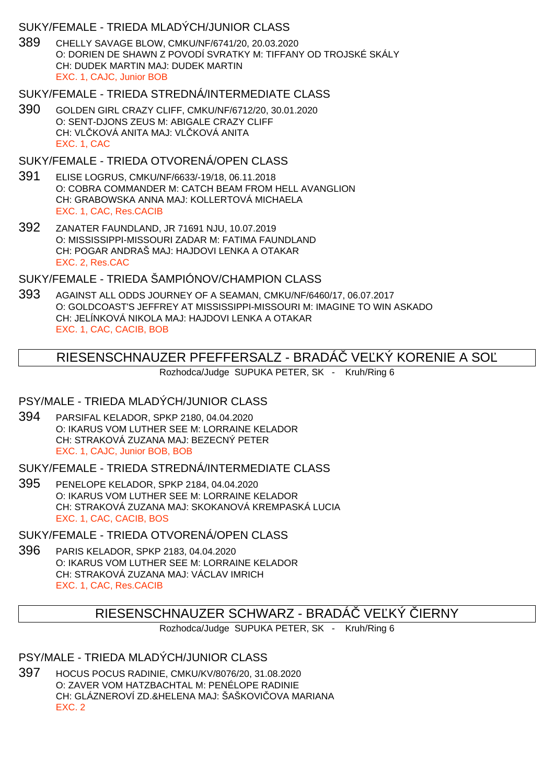## SUKY/FEMALE - TRIEDA MLADÝCH/JUNIOR CLASS

389 CHELLY SAVAGE BLOW, CMKU/NF/6741/20, 20.03.2020 O: DORIEN DE SHAWN Z POVODÍ SVRATKY M: TIFFANY OD TROJSKÉ SKÁLY CH: DUDEK MARTIN MAJ: DUDEK MARTIN EXC. 1, CAJC, Junior BOB

### SUKY/FEMALE - TRIEDA STREDNÁ/INTERMEDIATE CLASS

390 GOLDEN GIRL CRAZY CLIFF, CMKU/NF/6712/20, 30.01.2020 O: SENT-DJONS ZEUS M: ABIGALE CRAZY CLIFF CH: VL KOVÁ ANITA MAJ: VL KOVÁ ANITA EXC. 1, CAC

## SUKY/FEMALE - TRIEDA OTVORENÁ/OPEN CLASS

- 391 ELISE LOGRUS, CMKU/NF/6633/-19/18, 06.11.2018 O: COBRA COMMANDER M: CATCH BEAM FROM HELL AVANGLION CH: GRABOWSKA ANNA MAJ: KOLLERTOVÁ MICHAELA EXC. 1, CAC, Res.CACIB
- 392 ZANATER FAUNDLAND, JR 71691 NJU, 10.07.2019 O: MISSISSIPPI-MISSOURI ZADAR M: FATIMA FAUNDLAND CH: POGAR ANDRAŠ MAJ: HAJDOVI LENKA A OTAKAR EXC. 2, Res.CAC

### SUKY/FEMALE - TRIEDA ŠAMPIÓNOV/CHAMPION CLASS

393 AGAINST ALL ODDS JOURNEY OF A SEAMAN, CMKU/NF/6460/17, 06.07.2017 O: GOLDCOAST'S JEFFREY AT MISSISSIPPI-MISSOURI M: IMAGINE TO WIN ASKADO CH: JELÍNKOVÁ NIKOLA MAJ: HAJDOVI LENKA A OTAKAR EXC. 1, CAC, CACIB, BOB

# RIESENSCHNAUZER PFEFFERSALZ - BRADÁ VE KÝ KORENIE A SO

Rozhodca/Judge SUPUKA PETER, SK - Kruh/Ring 6

#### PSY/MALE - TRIEDA MLADÝCH/JUNIOR CLASS

394 PARSIFAL KELADOR, SPKP 2180, 04.04.2020 O: IKARUS VOM LUTHER SEE M: LORRAINE KELADOR CH: STRAKOVÁ ZUZANA MAJ: BEZECNÝ PETER EXC. 1, CAJC, Junior BOB, BOB

## SUKY/FEMALE - TRIEDA STREDNÁ/INTERMEDIATE CI ASS

395 PENELOPE KELADOR, SPKP 2184, 04.04.2020 O: IKARUS VOM LUTHER SEE M: LORRAINE KELADOR CH: STRAKOVÁ ZUZANA MAJ: SKOKANOVÁ KREMPASKÁ LUCIA EXC. 1, CAC, CACIB, BOS

### SUKY/FEMALE - TRIEDA OTVORENÁ/OPEN CLASS

396 PARIS KELADOR, SPKP 2183, 04.04.2020 O: IKARUS VOM LUTHER SEE M: LORRAINE KELADOR CH: STRAKOVÁ ZUZANA MAJ: VÁCLAV IMRICH EXC. 1, CAC, Res.CACIB

## RIESENSCHNAUZER SCHWARZ - BRADÁ VE KÝ JERNY

Rozhodca/Judge SUPUKA PETER, SK - Kruh/Ring 6

## PSY/MALE - TRIEDA MLADÝCH/JUNIOR CLASS

397 HOCUS POCUS RADINIE, CMKU/KV/8076/20, 31.08.2020 O: ZAVER VOM HATZBACHTAL M: PENÉLOPE RADINIE CH: GLÁZNEROVÍ ZD.&HELENA MAJ: ŠAŠKOVI OVA MARIANA EXC. 2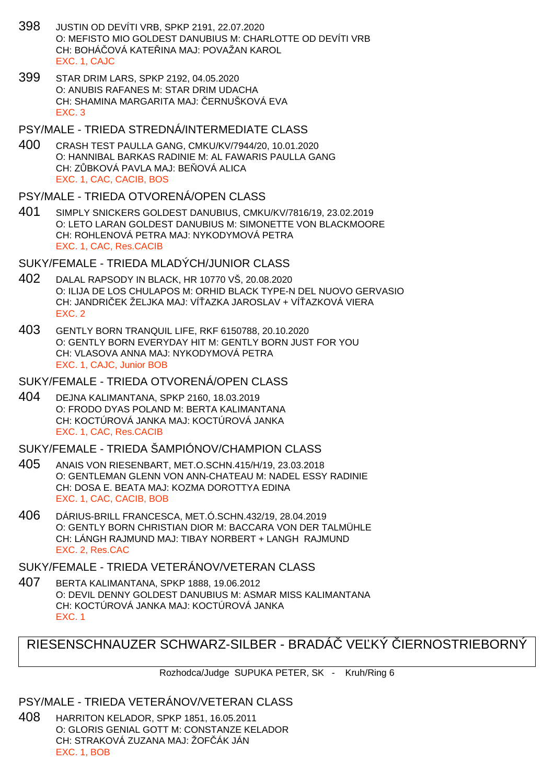- 398 JUSTIN OD DEVÍTI VRB, SPKP 2191, 22.07.2020 O: MEFISTO MIO GOLDEST DANUBIUS M: CHARLOTTE OD DEVÍTI VRB CH: BOHÁ ČOVÁ KATELINA MAJ: POVAŽAN KAROL EXC. 1, CAJC
- 399 STAR DRIM LARS, SPKP 2192, 04.05.2020 O: ANUBIS RAFANES M: STAR DRIM UDACHA CH: SHAMINA MARGARITA MAJ: ERNUŠKOVÁ EVA EXC. 3
- PSY/MALE TRIEDA STREDNÁ/INTERMEDIATE CLASS
- 400 CRASH TEST PAULLA GANG, CMKU/KV/7944/20, 10.01.2020 O: HANNIBAL BARKAS RADINIE M: AL FAWARIS PAULLA GANG CH: Z BKOVÁ PAVLA MAJ: BE OVÁ ALICA EXC. 1, CAC, CACIB, BOS
- PSY/MALE TRIEDA OTVORENÁ/OPEN CLASS
- 401 SIMPLY SNICKERS GOLDEST DANUBIUS, CMKU/KV/7816/19, 23.02.2019 O: LETO LARAN GOLDEST DANUBIUS M: SIMONETTE VON BLACKMOORE CH: ROHLENOVÁ PETRA MAJ: NYKODYMOVÁ PETRA EXC. 1, CAC, Res.CACIB

### SUKY/FEMALE - TRIEDA MLADÝCH/JUNIOR CLASS

- 402 DALAL RAPSODY IN BLACK, HR 10770 VŠ, 20.08.2020 O: ILIJA DE LOS CHULAPOS M: ORHID BLACK TYPE-N DEL NUOVO GERVASIO CH: JANDRI EK ŽELJKA MAJ: VÍ AZKA JAROSLAV + VÍ AZKOVÁ VIERA EXC. 2
- 403 GENTLY BORN TRANQUIL LIFE, RKF 6150788, 20.10.2020 O: GENTLY BORN EVERYDAY HIT M: GENTLY BORN JUST FOR YOU CH: VLASOVA ANNA MAJ: NYKODYMOVÁ PETRA EXC. 1, CAJC, Junior BOB

#### SUKY/FEMALE - TRIEDA OTVORENÁ/OPEN CLASS

404 DEJNA KALIMANTANA, SPKP 2160, 18.03.2019 O: FRODO DYAS POLAND M: BERTA KALIMANTANA CH: KOCTÚROVÁ JANKA MAJ: KOCTÚROVÁ JANKA EXC. 1, CAC, Res.CACIB

#### SUKY/FEMALE - TRIEDA ŠAMPIÓNOV/CHAMPION CLASS

- 405 ANAIS VON RIESENBART, MET.O.SCHN.415/H/19, 23.03.2018 O: GENTLEMAN GLENN VON ANN-CHATEAU M: NADEL ESSY RADINIE CH: DOSA E. BEATA MAJ: KOZMA DOROTTYA EDINA EXC. 1, CAC, CACIB, BOB
- 406 DÁRIUS-BRILL FRANCESCA, MET.Ó.SCHN.432/19, 28.04.2019 O: GENTLY BORN CHRISTIAN DIOR M: BACCARA VON DER TALMÜHLE CH: LÁNGH RAJMUND MAJ: TIBAY NORBERT + LANGH RAJMUND EXC. 2, Res.CAC

SUKY/FEMALE - TRIEDA VETERÁNOV/VETERAN CLASS

407 BERTA KALIMANTANA, SPKP 1888, 19.06.2012 O: DEVIL DENNY GOLDEST DANUBIUS M: ASMAR MISS KALIMANTANA CH: KOCTÚROVÁ JANKA MAJ: KOCTÚROVÁ JANKA EXC. 1

## RIESENSCHNAUZER SCHWARZ-SILBER - BRADÁ VE KÝ JERNOSTRIEBORNÝ

Rozhodca/Judge SUPUKA PETER, SK - Kruh/Ring 6

#### PSY/MALE - TRIEDA VETERÁNOV/VETERAN CLASS

408 HARRITON KELADOR, SPKP 1851, 16.05.2011 O: GLORIS GENIAL GOTT M: CONSTANZE KELADOR CH: STRAKOVÁ ZUZANA MAJ: ŽOF ÁK JÁN EXC. 1, BOB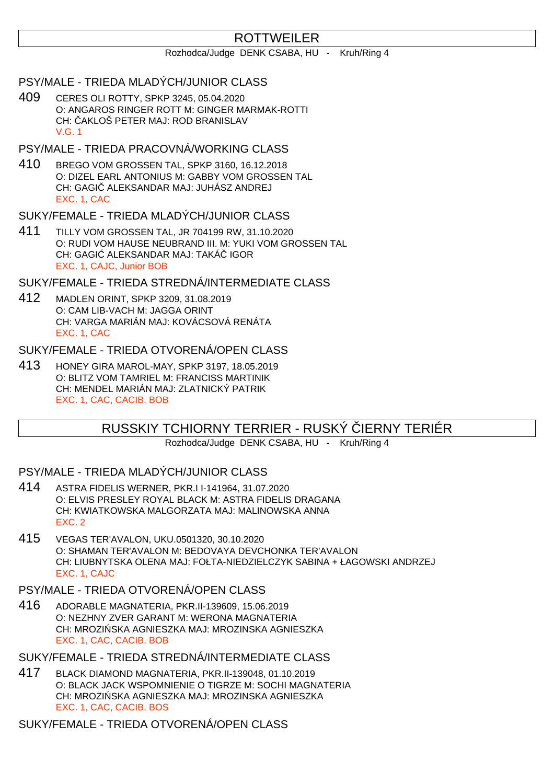# **ROTTWEILER**

#### Rozhodca/Judge DENK CSABA, HU - Kruh/Ring 4

#### PSY/MALE - TRIEDA MLADÝCH/JUNIOR CLASS

409 CERES OLI ROTTY, SPKP 3245, 05.04.2020 O: ANGAROS RINGER ROTT M: GINGER MARMAK-ROTTI CH: AKLOŠ PETER MAJ: ROD BRANISLAV V.G. 1

### PSY/MALE - TRIEDA PRACOVNÁ/WORKING CLASS

410 BREGO VOM GROSSEN TAL, SPKP 3160, 16.12.2018 O: DIZEL EARL ANTONIUS M: GABBY VOM GROSSEN TAL CH: GAGI ALEKSANDAR MAJ: JUHÁSZ ANDREJ EXC. 1, CAC

### SUKY/FEMALE - TRIEDA MLADÝCH/JUNIOR CLASS

411 TILLY VOM GROSSEN TAL, JR 704199 RW, 31.10.2020 O: RUDI VOM HAUSE NEUBRAND III. M: YUKI VOM GROSSEN TAL CH: GAGI ALEKSANDAR MAJ: TAKÁ IGOR EXC. 1, CAJC, Junior BOB

#### SUKY/FEMALE - TRIEDA STREDNÁ/INTERMEDIATE CLASS

412 MADLEN ORINT, SPKP 3209, 31.08.2019 O: CAM LIB-VACH M: JAGGA ORINT CH: VARGA MARIÁN MAJ: KOVÁCSOVÁ RENÁTA EXC. 1, CAC

#### SUKY/FEMALE - TRIEDA OTVORENÁ/OPEN CLASS

413 HONEY GIRA MAROL-MAY, SPKP 3197, 18.05.2019 O: BLITZ VOM TAMRIEL M: FRANCISS MARTINIK CH: MENDEL MARIÁN MAJ: ZLATNICKÝ PATRIK EXC. 1, CAC, CACIB, BOB

# RUSSKIY TCHIORNY TERRIER - RUSKÝ ČIERNY TERIÉR

Rozhodca/Judge DENK CSABA, HU - Kruh/Ring 4

#### PSY/MALE - TRIEDA MLADÝCH/JUNIOR CLASS

- 414 ASTRA FIDELIS WERNER, PKR.I I-141964, 31.07.2020 O: ELVIS PRESLEY ROYAL BLACK M: ASTRA FIDELIS DRAGANA CH: KWIATKOWSKA MALGORZATA MAJ: MALINOWSKA ANNA EXC. 2
- 415 VEGAS TER'AVALON, UKU.0501320, 30.10.2020 O: SHAMAN TER'AVALON M: BEDOVAYA DEVCHONKA TER'AVALON CH: LIUBNYTSKA OLENA MAJ: FOŁTA-NIEDZIELCZYK SABINA + ŁAGOWSKI ANDRZEJ EXC. 1, CAJC

## PSY/MALE - TRIEDA OTVORENÁ/OPEN CLASS

416 ADORABLE MAGNATERIA, PKR.II-139609, 15.06.2019 O: NEZHNY ZVER GARANT M: WERONA MAGNATERIA CH: MROZI SKA AGNIESZKA MAJ: MROZINSKA AGNIESZKA EXC. 1, CAC, CACIB, BOB

### SUKY/FEMALE - TRIEDA STREDNÁ/INTERMEDIATE CLASS

417 BLACK DIAMOND MAGNATERIA, PKR.II-139048, 01.10.2019 O: BLACK JACK WSPOMNIENIE O TIGRZE M: SOCHI MAGNATERIA CH: MROZI SKA AGNIESZKA MAJ: MROZINSKA AGNIESZKA EXC. 1, CAC, CACIB, BOS

#### SUKY/FEMALE - TRIEDA OTVORENÁ/OPEN CLASS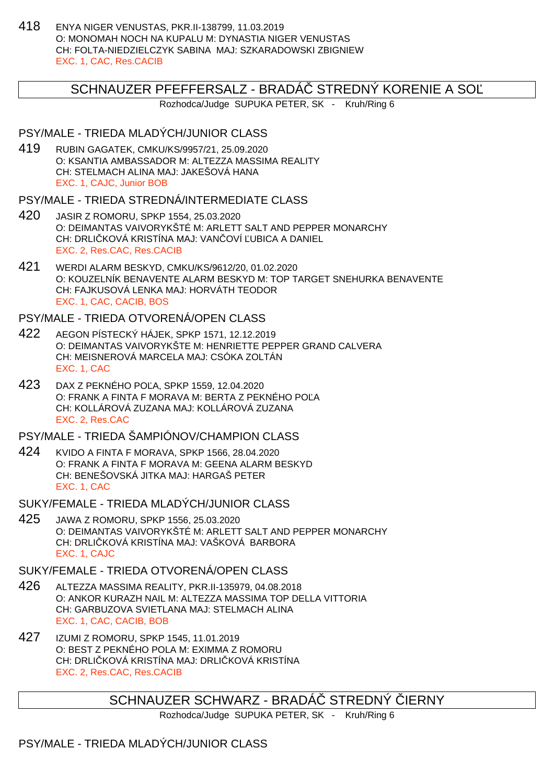418 ENYA NIGER VENUSTAS, PKR.II-138799, 11.03.2019 O: MONOMAH NOCH NA KUPALU M: DYNASTIA NIGER VENUSTAS CH: FOLTA-NIEDZIELCZYK SABINA MAJ: SZKARADOWSKI ZBIGNIEW EXC. 1, CAC, Res.CACIB

## SCHNAUZER PFEFFERSALZ - BRADA STREDNÝ KORENIE A SO

Rozhodca/Judge SUPUKA PETER, SK - Kruh/Ring 6

## PSY/MALE - TRIEDA MLADÝCH/JUNIOR CLASS

419 RUBIN GAGATEK, CMKU/KS/9957/21, 25.09.2020 O: KSANTIA AMBASSADOR M: ALTEZZA MASSIMA REALITY CH: STELMACH ALINA MAJ: JAKEŠOVÁ HANA EXC. 1, CAJC, Junior BOB

#### PSY/MALE - TRIEDA STREDNÁ/INTERMEDIATE CLASS

- 420 JASIR Z ROMORU, SPKP 1554, 25.03.2020 O: DEIMANTAS VAIVORYKŠTÉ M: ARLETT SALT AND PEPPER MONARCHY CH: DRLI KOVÁ KRISTÍNA MAJ: VAN OVÍ UBICA A DANIEL EXC. 2, Res.CAC, Res.CACIB
- 421 WERDI ALARM BESKYD, CMKU/KS/9612/20, 01.02.2020 O: KOUZELNÍK BENAVENTE ALARM BESKYD M: TOP TARGET SNEHURKA BENAVENTE CH: FAJKUSOVÁ LENKA MAJ: HORVÁTH TEODOR EXC. 1, CAC, CACIB, BOS

## PSY/MALE - TRIEDA OTVORENÁ/OPEN CLASS

- 422 AEGON PÍSTECKÝ HÁJEK, SPKP 1571, 12.12.2019 O: DEIMANTAS VAIVORYKŠTE M: HENRIETTE PEPPER GRAND CALVERA CH: MEISNEROVÁ MARCELA MAJ: CSÓKA ZOLTÁN EXC. 1, CAC
- 423 DAX Z PEKNÉHO PO A, SPKP 1559, 12.04.2020 O: FRANK A FINTA F MORAVA M: BERTA Z PEKNÉHO POĽA CH: KOLLÁROVÁ ZUZANA MAJ: KOLLÁROVÁ ZUZANA EXC. 2, Res.CAC

## PSY/MALE - TRIEDA ŠAMPIÓNOV/CHAMPION CLASS

424 KVIDO A FINTA F MORAVA, SPKP 1566, 28.04.2020 O: FRANK A FINTA F MORAVA M: GEENA ALARM BESKYD CH: BENEŠOVSKÁ JITKA MAJ: HARGAŠ PETER EXC. 1, CAC

#### SUKY/FEMALE - TRIEDA MLADÝCH/JUNIOR CLASS

425 JAWA Z ROMORU, SPKP 1556, 25.03.2020 O: DEIMANTAS VAIVORYKŠTÉ M: ARLETT SALT AND PEPPER MONARCHY CH: DRLI KOVÁ KRISTÍNA MAJ: VAŠKOVÁ BARBORA EXC. 1, CAJC

#### SUKY/FEMALE - TRIEDA OTVORENÁ/OPEN CLASS

- 426 ALTEZZA MASSIMA REALITY, PKR.II-135979, 04.08.2018 O: ANKOR KURAZH NAIL M: ALTEZZA MASSIMA TOP DELLA VITTORIA CH: GARBUZOVA SVIETLANA MAJ: STELMACH ALINA EXC. 1, CAC, CACIB, BOB
- 427 IZUMI Z ROMORU, SPKP 1545, 11.01.2019 O: BEST Z PEKNÉHO POLA M: EXIMMA Z ROMORU CH: DRLI KOVÁ KRISTÍNA MAJ: DRLI KOVÁ KRISTÍNA EXC. 2, Res.CAC, Res.CACIB

## SCHNAUZER SCHWARZ - BRADÁ STREDNÝ JERNY

Rozhodca/Judge SUPUKA PETER, SK - Kruh/Ring 6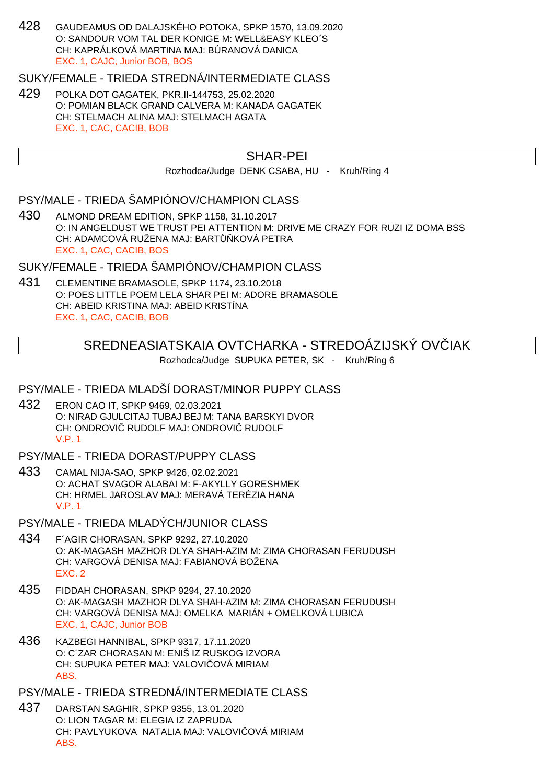428 GAUDEAMUS OD DALAJSKÉHO POTOKA, SPKP 1570, 13.09.2020 O: SANDOUR VOM TAL DER KONIGE M: WELL&EASY KLEO´S CH: KAPRÁLKOVÁ MARTINA MAJ: BÚRANOVÁ DANICA EXC. 1, CAJC, Junior BOB, BOS

SUKY/FEMALE - TRIEDA STREDNÁ/INTERMEDIATE CLASS

429 POLKA DOT GAGATEK, PKR.II-144753, 25.02.2020 O: POMIAN BLACK GRAND CALVERA M: KANADA GAGATEK CH: STELMACH ALINA MAJ: STELMACH AGATA EXC. 1, CAC, CACIB, BOB

## SHAR-PEI

Rozhodca/Judge DENK CSABA, HU - Kruh/Ring 4

PSY/MALE - TRIEDA ŠAMPIÓNOV/CHAMPION CLASS

430 ALMOND DREAM EDITION, SPKP 1158, 31.10.2017 O: IN ANGELDUST WE TRUST PEI ATTENTION M: DRIVE ME CRAZY FOR RUZI IZ DOMA BSS CH: ADAMCOVÁ RUŽENA MAJ: BART KOVÁ PETRA EXC. 1, CAC, CACIB, BOS

SUKY/FEMALE - TRIEDA ŠAMPIÓNOV/CHAMPION CLASS

431 CLEMENTINE BRAMASOLE, SPKP 1174, 23.10.2018 O: POES LITTLE POEM LELA SHAR PEI M: ADORE BRAMASOLE CH: ABEID KRISTINA MAJ: ABEID KRISTÍNA EXC. 1, CAC, CACIB, BOB

## SREDNEASIATSKAIA OVTCHARKA - STREDOÁZIJSKÝ OVÍJAK

Rozhodca/Judge SUPUKA PETER, SK - Kruh/Ring 6

PSY/MALE - TRIEDA MLADŠÍ DORAST/MINOR PUPPY CLASS

432 ERON CAO IT, SPKP 9469, 02.03.2021 O: NIRAD GJULCITAJ TUBAJ BEJ M: TANA BARSKYI DVOR CH: ONDROVI RUDOLF MAJ: ONDROVI RUDOLF V.P. 1

PSY/MALE - TRIEDA DORAST/PUPPY CLASS

433 CAMAL NIJA-SAO, SPKP 9426, 02.02.2021 O: ACHAT SVAGOR ALABAI M: F-AKYLLY GORESHMEK CH: HRMEL JAROSLAV MAJ: MERAVÁ TERÉZIA HANA V.P. 1

PSY/MALE - TRIEDA MLADÝCH/JUNIOR CLASS

- 434 F´AGIR CHORASAN, SPKP 9292, 27.10.2020 O: AK-MAGASH MAZHOR DLYA SHAH-AZIM M: ZIMA CHORASAN FERUDUSH CH: VARGOVÁ DENISA MAJ: FABIANOVÁ BOŽENA EXC. 2
- 435 FIDDAH CHORASAN, SPKP 9294, 27.10.2020 O: AK-MAGASH MAZHOR DLYA SHAH-AZIM M: ZIMA CHORASAN FERUDUSH CH: VARGOVÁ DENISA MAJ: OMELKA MARIÁN + OMELKOVÁ LUBICA EXC. 1, CAJC, Junior BOB
- 436 KAZBEGI HANNIBAL, SPKP 9317, 17.11.2020 O: C´ZAR CHORASAN M: ENIŠ IZ RUSKOG IZVORA CH: SUPUKA PETER MAJ: VALOVI OVÁ MIRIAM ABS.

PSY/MALE - TRIEDA STREDNÁ/INTERMEDIATE CLASS

437 DARSTAN SAGHIR, SPKP 9355, 13.01.2020 O: LION TAGAR M: ELEGIA IZ ZAPRUDA CH: PAVLYUKOVA NATALIA MAJ: VALOVI OVÁ MIRIAM ABS.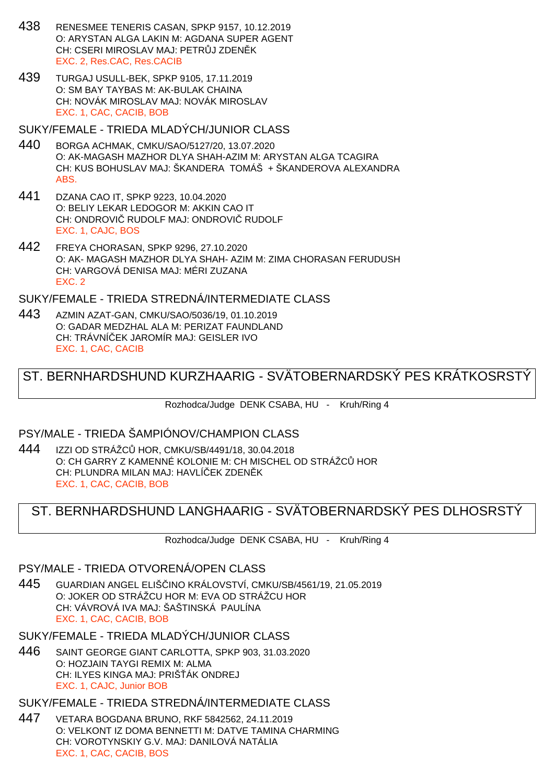- 438 RENESMEE TENERIS CASAN, SPKP 9157, 10.12.2019 O: ARYSTAN ALGA LAKIN M: AGDANA SUPER AGENT CH: CSERI MIROSLAV MAJ: PETR J ZDEN K EXC. 2, Res.CAC, Res.CACIB
- 439 TURGAJ USULL-BEK, SPKP 9105, 17.11.2019 O: SM BAY TAYBAS M: AK-BULAK CHAINA CH: NOVÁK MIROSLAV MAJ: NOVÁK MIROSLAV EXC. 1, CAC, CACIB, BOB

SUKY/FEMALE - TRIEDA MLADÝCH/JUNIOR CLASS

- 440 BORGA ACHMAK, CMKU/SAO/5127/20, 13.07.2020 O: AK-MAGASH MAZHOR DLYA SHAH-AZIM M: ARYSTAN ALGA TCAGIRA CH: KUS BOHUSLAV MAJ: ŠKANDERA TOMÁŠ + ŠKANDEROVA ALEXANDRA ABS.
- 441 DZANA CAO IT, SPKP 9223, 10.04.2020 O: BELIY LEKAR LEDOGOR M: AKKIN CAO IT CH: ONDROVI RUDOLF MAJ: ONDROVI RUDOLF EXC. 1, CAJC, BOS
- 442 FREYA CHORASAN, SPKP 9296, 27.10.2020 O: AK- MAGASH MAZHOR DLYA SHAH- AZIM M: ZIMA CHORASAN FERUDUSH CH: VARGOVÁ DENISA MAJ: MÉRI ZUZANA EXC. 2

SUKY/FEMALE - TRIEDA STREDNÁ/INTERMEDIATE CLASS

443 AZMIN AZAT-GAN, CMKU/SAO/5036/19, 01.10.2019 O: GADAR MEDZHAL ALA M: PERIZAT FAUNDLAND CH: TRÁVNÍČEK JAROMÍR MAJ: GEISLER IVO EXC. 1, CAC, CACIB

## ST. BERNHARDSHUND KURZHAARIG - SVÄTOBERNARDSKÝ PES KRÁTKOSRSTÝ

Rozhodca/Judge DENK CSABA, HU - Kruh/Ring 4

### PSY/MALE - TRIEDA ŠAMPIÓNOV/CHAMPION CLASS

444 IZZI OD STRÁŽCŮ HOR, CMKU/SB/4491/18, 30.04.2018 O: CH GARRY Z KAMENNÉ KOLONIE M: CH MISCHEL OD STRÁŽCŮ HOR CH: PLUNDRA MILAN MAJ: HAVLÍ EK ZDEN K EXC. 1, CAC, CACIB, BOB

## ST. BERNHARDSHUND LANGHAARIG - SVÄTOBERNARDSKÝ PES DLHOSRSTÝ

Rozhodca/Judge DENK CSABA, HU - Kruh/Ring 4

## PSY/MALE - TRIEDA OTVORENÁ/OPEN CLASS

445 GUARDIAN ANGEL ELIŠČINO KRÁLOVSTVÍ, CMKU/SB/4561/19, 21.05.2019 O: JOKER OD STRÁŽCU HOR M: EVA OD STRÁŽCU HOR CH: VÁVROVÁ IVA MAJ: ŠAŠTINSKÁ PAULÍNA EXC. 1, CAC, CACIB, BOB

SUKY/FEMALE - TRIEDA MLADÝCH/JUNIOR CLASS

446 SAINT GEORGE GIANT CARLOTTA, SPKP 903, 31.03.2020 O: HOZJAIN TAYGI REMIX M: ALMA CH: ILYES KINGA MAJ: PRIŠ ÁK ONDREJ EXC. 1, CAJC, Junior BOB

SUKY/FEMALE - TRIEDA STREDNÁ/INTERMEDIATE CLASS

447 VETARA BOGDANA BRUNO, RKF 5842562, 24.11.2019 O: VELKONT IZ DOMA BENNETTI M: DATVE TAMINA CHARMING CH: VOROTYNSKIY G.V. MAJ: DANILOVÁ NATÁLIA EXC. 1, CAC, CACIB, BOS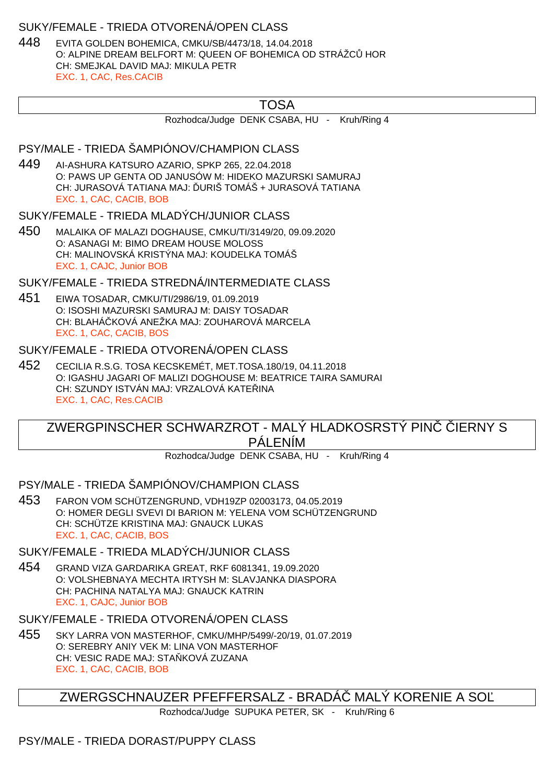### SUKY/FEMALE - TRIEDA OTVORENÁ/OPEN CLASS

448 EVITA GOLDEN BOHEMICA, CMKU/SB/4473/18, 14.04.2018 O: ALPINE DREAM BELFORT M: QUEEN OF BOHEMICA OD STRÁŽC HOR CH: SMEJKAL DAVID MAJ: MIKULA PETR EXC. 1, CAC, Res.CACIB

## TOSA

Rozhodca/Judge DENK CSABA, HU - Kruh/Ring 4

### PSY/MALE - TRIEDA ŠAMPIÓNOV/CHAMPION CLASS

449 AI-ASHURA KATSURO AZARIO, SPKP 265, 22.04.2018 O: PAWS UP GENTA OD JANUSÓW M: HIDEKO MAZURSKI SAMURAJ CH: JURASOVÁ TATIANA MAJ: URIŠ TOMÁŠ + JURASOVÁ TATIANA EXC. 1, CAC, CACIB, BOB

#### SUKY/FEMALE - TRIEDA MLADÝCH/JUNIOR CLASS

450 MALAIKA OF MALAZI DOGHAUSE, CMKU/TI/3149/20, 09.09.2020 O: ASANAGI M: BIMO DREAM HOUSE MOLOSS CH: MALINOVSKÁ KRISTÝNA MAJ: KOUDELKA TOMÁŠ EXC. 1, CAJC, Junior BOB

## SUKY/FEMALE - TRIEDA STREDNÁ/INTERMEDIATE CLASS

451 EIWA TOSADAR, CMKU/TI/2986/19, 01.09.2019 O: ISOSHI MAZURSKI SAMURAJ M: DAISY TOSADAR CH: BLAHÁ KOVÁ ANEŽKA MAJ: ZOUHAROVÁ MARCELA EXC. 1, CAC, CACIB, BOS

#### SUKY/FEMALE - TRIEDA OTVORENÁ/OPEN CLASS

452 CECILIA R.S.G. TOSA KECSKEMÉT, MET.TOSA.180/19, 04.11.2018 O: IGASHU JAGARI OF MALIZI DOGHOUSE M: BEATRICE TAIRA SAMURAI CH: SZUNDY ISTVÁN MAJ: VRZALOVÁ KATE INA EXC. 1, CAC, Res.CACIB

# ZWERGPINSCHER SCHWARZROT - MALÝ HLADKOSRSTÝ PINVERNY S PÁLENÍM

Rozhodca/Judge DENK CSABA, HU - Kruh/Ring 4

## PSY/MALE - TRIEDA ŠAMPIÓNOV/CHAMPION CLASS

453 FARON VOM SCHÜTZENGRUND, VDH19ZP 02003173, 04.05.2019 O: HOMER DEGLI SVEVI DI BARION M: YELENA VOM SCHÜTZENGRUND CH: SCHÜTZE KRISTINA MAJ: GNAUCK LUKAS EXC. 1, CAC, CACIB, BOS

#### SUKY/FEMALE - TRIEDA MLADÝCH/JUNIOR CLASS

454 GRAND VIZA GARDARIKA GREAT, RKF 6081341, 19.09.2020 O: VOLSHEBNAYA MECHTA IRTYSH M: SLAVJANKA DIASPORA CH: PACHINA NATALYA MAJ: GNAUCK KATRIN EXC. 1, CAJC, Junior BOB

#### SUKY/FEMALE - TRIEDA OTVORENÁ/OPEN CLASS

455 SKY LARRA VON MASTERHOF, CMKU/MHP/5499/-20/19, 01.07.2019 O: SEREBRY ANIY VEK M: LINA VON MASTERHOF CH: VESIC RADE MAJ: STA KOVÁ ZUZANA EXC. 1, CAC, CACIB, BOB

ZWERGSCHNAUZER PFEFFERSALZ - BRADÁ – MALÝ KORENIE A SO

Rozhodca/Judge SUPUKA PETER, SK - Kruh/Ring 6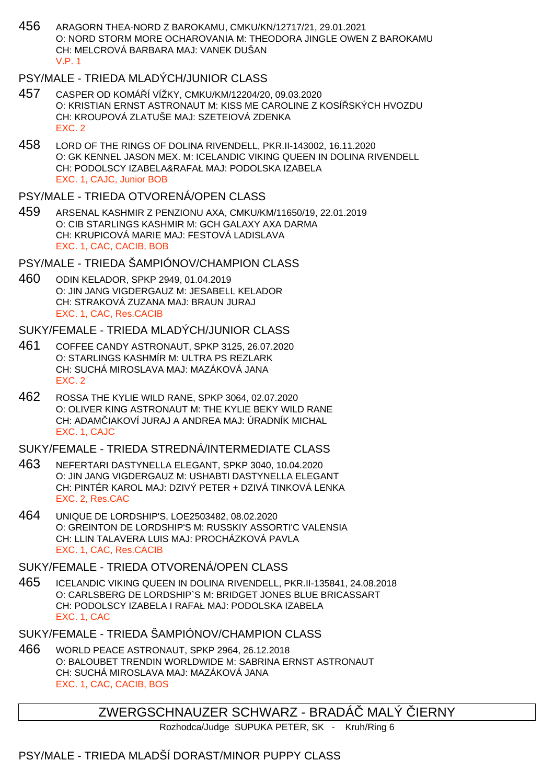456 ARAGORN THEA-NORD Z BAROKAMU, CMKU/KN/12717/21, 29.01.2021 O: NORD STORM MORE OCHAROVANIA M: THEODORA JINGLE OWEN Z BAROKAMU CH: MELCROVÁ BARBARA MAJ: VANEK DUŠAN V.P. 1

## PSY/MALE - TRIEDA MLADÝCH/JUNIOR CLASS

- 457 CASPER OD KOMÁŘÍ VÍŽKY, CMKU/KM/12204/20, 09.03.2020 O: KRISTIAN ERNST ASTRONAUT M: KISS ME CAROLINE Z KOSÍ SKÝCH HVOZDU CH: KROUPOVÁ ZLATUŠE MAJ: SZETEIOVÁ ZDENKA EXC. 2
- 458 LORD OF THE RINGS OF DOLINA RIVENDELL, PKR.II-143002, 16.11.2020 O: GK KENNEL JASON MEX. M: ICELANDIC VIKING QUEEN IN DOLINA RIVENDELL CH: PODOLSCY IZABELA&RAFAŁ MAJ: PODOLSKA IZABELA EXC. 1, CAJC, Junior BOB

#### PSY/MALE - TRIEDA OTVORENÁ/OPEN CLASS

459 ARSENAL KASHMIR Z PENZIONU AXA, CMKU/KM/11650/19, 22.01.2019 O: CIB STARLINGS KASHMIR M: GCH GALAXY AXA DARMA CH: KRUPICOVÁ MARIE MAJ: FESTOVÁ LADISLAVA EXC. 1, CAC, CACIB, BOB

## PSY/MALE - TRIEDA ŠAMPIÓNOV/CHAMPION CLASS

460 ODIN KELADOR, SPKP 2949, 01.04.2019 O: JIN JANG VIGDERGAUZ M: JESABELL KELADOR CH: STRAKOVÁ ZUZANA MAJ: BRAUN JURAJ EXC. 1, CAC, Res.CACIB

#### SUKY/FEMALE - TRIEDA MLADÝCH/JUNIOR CLASS

- 461 COFFEE CANDY ASTRONAUT, SPKP 3125, 26.07.2020 O: STARLINGS KASHMÍR M: ULTRA PS REZLARK CH: SUCHÁ MIROSLAVA MAJ: MAZÁKOVÁ JANA EXC. 2
- 462 ROSSA THE KYLIE WILD RANE, SPKP 3064, 02.07.2020 O: OLIVER KING ASTRONAUT M: THE KYLIE BEKY WILD RANE CH: ADAM IAKOVÍ JURAJ A ANDREA MAJ: ÚRADNÍK MICHAL EXC. 1, CAJC

#### SUKY/FEMALE - TRIEDA STREDNÁ/INTERMEDIATE CLASS

- 463 NEFERTARI DASTYNELLA ELEGANT, SPKP 3040, 10.04.2020 O: JIN JANG VIGDERGAUZ M: USHABTI DASTYNELLA ELEGANT CH: PINTÉR KAROL MAJ: DZIVÝ PETER + DZIVÁ TINKOVÁ LENKA EXC. 2, Res.CAC
- 464 UNIQUE DE LORDSHIP'S, LOE2503482, 08.02.2020 O: GREINTON DE LORDSHIP'S M: RUSSKIY ASSORTI'C VALENSIA CH: LLIN TALAVERA LUIS MAJ: PROCHÁZKOVÁ PAVLA EXC. 1, CAC, Res.CACIB

#### SUKY/FEMALE - TRIEDA OTVORENÁ/OPEN CLASS

465 ICELANDIC VIKING QUEEN IN DOLINA RIVENDELL, PKR.II-135841, 24.08.2018 O: CARLSBERG DE LORDSHIP`S M: BRIDGET JONES BLUE BRICASSART CH: PODOLSCY IZABELA I RAFAŁ MAJ: PODOLSKA IZABELA EXC. 1, CAC

## SUKY/FEMALE - TRIEDA ŠAMPIÓNOV/CHAMPION CLASS

466 WORLD PEACE ASTRONAUT, SPKP 2964, 26.12.2018 O: BALOUBET TRENDIN WORLDWIDE M: SABRINA ERNST ASTRONAUT CH: SUCHÁ MIROSLAVA MAJ: MAZÁKOVÁ JANA EXC. 1, CAC, CACIB, BOS

## ZWERGSCHNAUZER SCHWARZ - BRADÁ MALÝ JERNY

Rozhodca/Judge SUPUKA PETER, SK - Kruh/Ring 6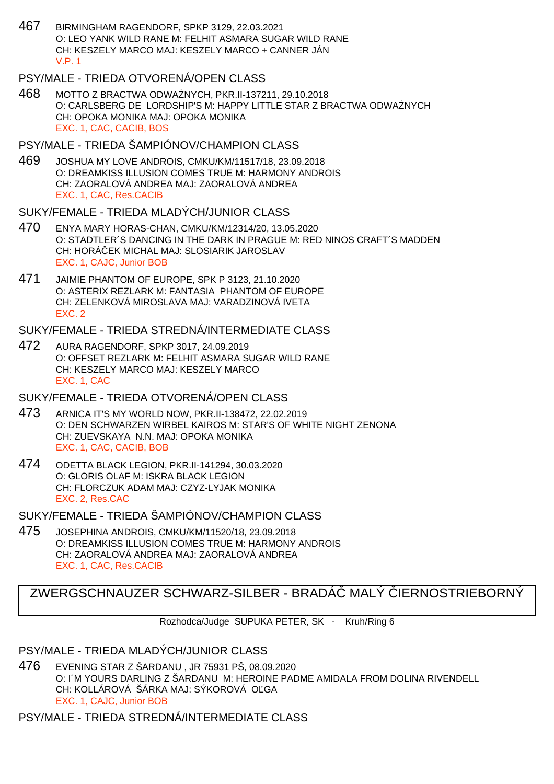467 BIRMINGHAM RAGENDORF, SPKP 3129, 22.03.2021 O: LEO YANK WILD RANE M: FELHIT ASMARA SUGAR WILD RANE CH: KESZELY MARCO MAJ: KESZELY MARCO + CANNER JÁN V.P. 1

## PSY/MALE - TRIEDA OTVORENÁ/OPEN CLASS

468 MOTTO Z BRACTWA ODWAŻNYCH, PKR.II-137211, 29.10.2018 O: CARLSBERG DE LORDSHIP'S M: HAPPY LITTLE STAR Z BRACTWA ODWA NYCH CH: OPOKA MONIKA MAJ: OPOKA MONIKA EXC. 1, CAC, CACIB, BOS

## PSY/MALE - TRIEDA ŠAMPIÓNOV/CHAMPION CLASS

469 JOSHUA MY LOVE ANDROIS, CMKU/KM/11517/18, 23.09.2018 O: DREAMKISS ILLUSION COMES TRUE M: HARMONY ANDROIS CH: ZAORALOVÁ ANDREA MAJ: ZAORALOVÁ ANDREA EXC. 1, CAC, Res.CACIB

## SUKY/FEMALE - TRIEDA MLADÝCH/JUNIOR CLASS

- 470 ENYA MARY HORAS-CHAN, CMKU/KM/12314/20, 13.05.2020 O: STADTLER´S DANCING IN THE DARK IN PRAGUE M: RED NINOS CRAFT´S MADDEN CH: HORÁČEK MICHAL MAJ: SLOSIARIK JAROSLAV EXC. 1, CAJC, Junior BOB
- 471 JAIMIE PHANTOM OF EUROPE, SPK P 3123, 21.10.2020 O: ASTERIX REZLARK M: FANTASIA PHANTOM OF EUROPE CH: ZELENKOVÁ MIROSLAVA MAJ: VARADZINOVÁ IVETA EXC. 2

### SUKY/FEMALE - TRIEDA STREDNÁ/INTERMEDIATE CLASS

472 AURA RAGENDORF, SPKP 3017, 24.09.2019 O: OFFSET REZLARK M: FELHIT ASMARA SUGAR WILD RANE CH: KESZELY MARCO MAJ: KESZELY MARCO EXC. 1, CAC

### SUKY/FEMALE - TRIEDA OTVORENÁ/OPEN CLASS

- 473 ARNICA IT'S MY WORLD NOW, PKR.II-138472, 22.02.2019 O: DEN SCHWARZEN WIRBEL KAIROS M: STAR'S OF WHITE NIGHT ZENONA CH: ZUEVSKAYA N.N. MAJ: OPOKA MONIKA EXC. 1, CAC, CACIB, BOB
- 474 ODETTA BLACK LEGION, PKR.II-141294, 30.03.2020 O: GLORIS OLAF M: ISKRA BLACK LEGION CH: FLORCZUK ADAM MAJ: CZYZ-LYJAK MONIKA EXC. 2, Res.CAC

SUKY/FEMALE - TRIEDA ŠAMPIÓNOV/CHAMPION CLASS

475 JOSEPHINA ANDROIS, CMKU/KM/11520/18, 23.09.2018 O: DREAMKISS ILLUSION COMES TRUE M: HARMONY ANDROIS CH: ZAORALOVÁ ANDREA MAJ: ZAORALOVÁ ANDREA EXC. 1, CAC, Res.CACIB

## ZWERGSCHNAUZER SCHWARZ-SILBER - BRADÁ MALÝ IERNOSTRIEBORNÝ

Rozhodca/Judge SUPUKA PETER, SK - Kruh/Ring 6

## PSY/MALE - TRIEDA MLADÝCH/JUNIOR CLASS

476 EVENING STAR Z ŠARDANU , JR 75931 PŠ, 08.09.2020 O: I´M YOURS DARLING Z ŠARDANU M: HEROINE PADME AMIDALA FROM DOLINA RIVENDELL CH: KOLLÁROVÁ ŠÁRKA MAJ: SÝKOROVÁ O GA EXC. 1, CAJC, Junior BOB

PSY/MALE - TRIEDA STREDNÁ/INTERMEDIATE CLASS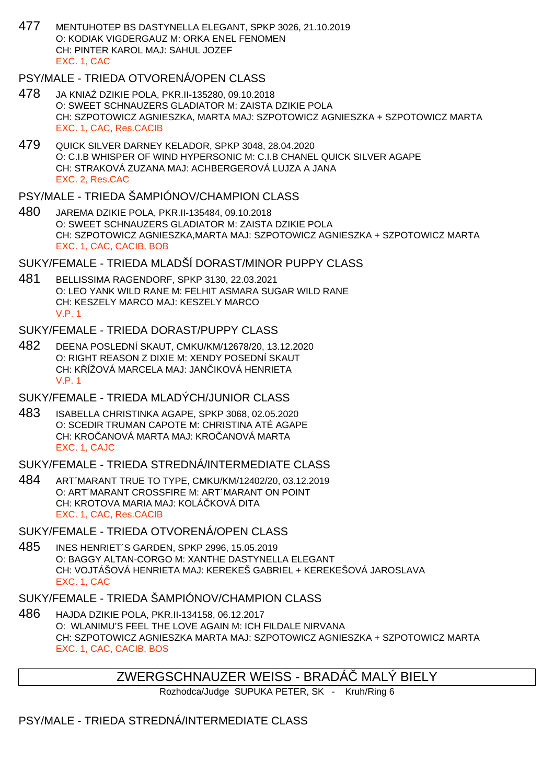477 MENTUHOTEP BS DASTYNELLA ELEGANT, SPKP 3026, 21.10.2019 O: KODIAK VIGDERGAUZ M: ORKA ENEL FENOMEN CH: PINTER KAROL MAJ: SAHUL JOZEF EXC. 1, CAC

#### PSY/MALE - TRIEDA OTVORENÁ/OPEN CLASS

- 478 JA KNIA DZIKIE POLA, PKR.II-135280, 09.10.2018 O: SWEET SCHNAUZERS GLADIATOR M: ZAISTA DZIKIE POLA CH: SZPOTOWICZ AGNIESZKA, MARTA MAJ: SZPOTOWICZ AGNIESZKA + SZPOTOWICZ MARTA EXC. 1, CAC, Res.CACIB
- 479 QUICK SILVER DARNEY KELADOR, SPKP 3048, 28.04.2020 O: C.I.B WHISPER OF WIND HYPERSONIC M: C.I.B CHANEL QUICK SILVER AGAPE CH: STRAKOVÁ ZUZANA MAJ: ACHBERGEROVÁ LUJZA A JANA EXC. 2, Res.CAC

#### PSY/MALE - TRIEDA ŠAMPIÓNOV/CHAMPION CLASS

480 JAREMA DZIKIE POLA, PKR.II-135484, 09.10.2018 O: SWEET SCHNAUZERS GLADIATOR M: ZAISTA DZIKIE POLA CH: SZPOTOWICZ AGNIESZKA,MARTA MAJ: SZPOTOWICZ AGNIESZKA + SZPOTOWICZ MARTA EXC. 1, CAC, CACIB, BOB

### SUKY/FEMALE - TRIEDA MLADŠÍ DORAST/MINOR PUPPY CLASS

481 BELLISSIMA RAGENDORF, SPKP 3130, 22.03.2021 O: LEO YANK WILD RANE M: FELHIT ASMARA SUGAR WILD RANE CH: KESZELY MARCO MAJ: KESZELY MARCO V.P. 1

#### SUKY/FEMALE - TRIEDA DORAST/PUPPY CLASS

482 DEENA POSLEDNÍ SKAUT, CMKU/KM/12678/20, 13.12.2020 O: RIGHT REASON Z DIXIE M: XENDY POSEDNÍ SKAUT CH: K ÍŽOVÁ MARCELA MAJ: JAN IKOVÁ HENRIETA V.P. 1

#### SUKY/FEMALE - TRIEDA MLADÝCH/JUNIOR CLASS

483 ISABELLA CHRISTINKA AGAPE, SPKP 3068, 02.05.2020 O: SCEDIR TRUMAN CAPOTE M: CHRISTINA ATÉ AGAPE CH: KROČANOVÁ MARTA MAJ: KROČANOVÁ MARTA EXC. 1, CAJC

### SUKY/FEMALE - TRIEDA STREDNÁ/INTERMEDIATE CLASS

484 ART´MARANT TRUE TO TYPE, CMKU/KM/12402/20, 03.12.2019 O: ART´MARANT CROSSFIRE M: ART´MARANT ON POINT CH: KROTOVA MARIA MAJ: KOLÁ KOVÁ DITA EXC. 1, CAC, Res.CACIB

## SUKY/FEMALE - TRIEDA OTVORENÁ/OPEN CLASS

485 INES HENRIET´S GARDEN, SPKP 2996, 15.05.2019 O: BAGGY ALTAN-CORGO M: XANTHE DASTYNELLA ELEGANT CH: VOJTÁŠOVÁ HENRIETA MAJ: KEREKEŠ GABRIEL + KEREKEŠOVÁ JAROSLAVA EXC. 1, CAC

## SUKY/FEMALE - TRIEDA ŠAMPIÓNOV/CHAMPION CLASS

486 HAJDA DZIKIE POLA, PKR.II-134158, 06.12.2017 O: WLANIMU'S FEEL THE LOVE AGAIN M: ICH FILDALE NIRVANA CH: SZPOTOWICZ AGNIESZKA MARTA MAJ: SZPOTOWICZ AGNIESZKA + SZPOTOWICZ MARTA EXC. 1, CAC, CACIB, BOS

# ZWERGSCHNAUZER WEISS - BRADÁČ MALÝ BIELY

Rozhodca/Judge SUPUKA PETER, SK - Kruh/Ring 6

# PSY/MALE - TRIEDA STREDNÁ/INTERMEDIATE CLASS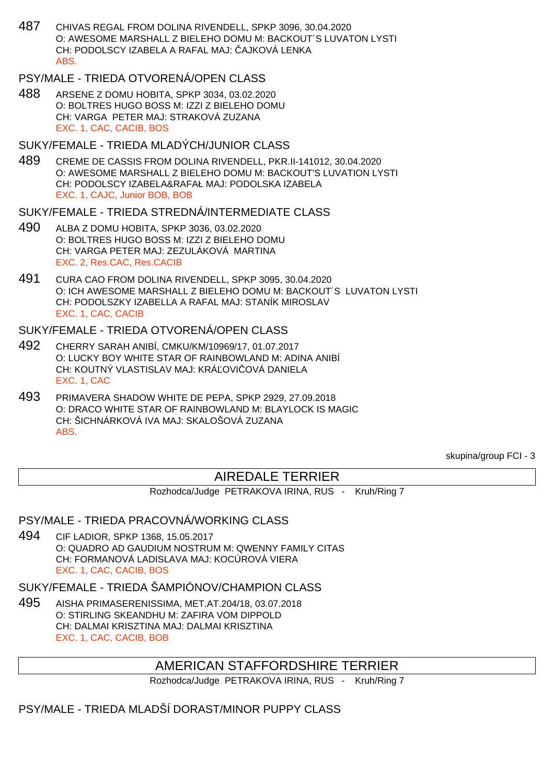- 487 CHIVAS REGAL FROM DOLINA RIVENDELL, SPKP 3096, 30.04.2020 O: AWESOME MARSHALL Z BIELEHO DOMU M: BACKOUT´S LUVATON LYSTI CH: PODOLSCY IZABELA A RAFAL MAJ: AJKOVÁ LENKA ABS.
- PSY/MALE TRIEDA OTVORENÁ/OPEN CLASS
- 488 ARSENE Z DOMU HOBITA, SPKP 3034, 03.02.2020 O: BOLTRES HUGO BOSS M: IZZI Z BIELEHO DOMU CH: VARGA PETER MAJ: STRAKOVÁ ZUZANA EXC. 1, CAC, CACIB, BOS

#### SUKY/FEMALE - TRIEDA MLADÝCH/JUNIOR CLASS

489 CREME DE CASSIS FROM DOLINA RIVENDELL, PKR.II-141012, 30.04.2020 O: AWESOME MARSHALL Z BIELEHO DOMU M: BACKOUT'S LUVATION LYSTI CH: PODOLSCY IZABELA&RAFAŁ MAJ: PODOLSKA IZABELA EXC. 1, CAJC, Junior BOB, BOB

#### SUKY/FEMALE - TRIEDA STREDNÁ/INTERMEDIATE CLASS

- 490 ALBA Z DOMU HOBITA, SPKP 3036, 03.02.2020 O: BOLTRES HUGO BOSS M: IZZI Z BIELEHO DOMU CH: VARGA PETER MAJ: ZEZULÁKOVÁ MARTINA EXC. 2, Res.CAC, Res.CACIB
- 491 CURA CAO FROM DOLINA RIVENDELL, SPKP 3095, 30.04.2020 O: ICH AWESOME MARSHALL Z BIELEHO DOMU M: BACKOUT´S LUVATON LYSTI CH: PODOLSZKY IZABELLA A RAFAL MAJ: STANÍK MIROSLAV EXC. 1, CAC, CACIB

## SUKY/FEMALE - TRIEDA OTVORENÁ/OPEN CLASS

- 492 CHERRY SARAH ANIBÍ, CMKU/KM/10969/17, 01.07.2017 O: LUCKY BOY WHITE STAR OF RAINBOWLAND M: ADINA ANIBÍ CH: KOUTNÝ VLASTISLAV MAJ: KRÁ OVI OVÁ DANIELA EXC. 1, CAC
- 493 PRIMAVERA SHADOW WHITE DE PEPA, SPKP 2929, 27.09.2018 O: DRACO WHITE STAR OF RAINBOWLAND M: BLAYLOCK IS MAGIC CH: ŠICHNÁRKOVÁ IVA MAJ: SKALOŠOVÁ ZUZANA ABS.

skupina/group FCI - 3

## AIREDALE TERRIER

Rozhodca/Judge PETRAKOVA IRINA, RUS - Kruh/Ring 7

#### PSY/MALE - TRIEDA PRACOVNÁ/WORKING CLASS

494 CIF LADIOR, SPKP 1368, 15.05.2017 O: QUADRO AD GAUDIUM NOSTRUM M: QWENNY FAMILY CITAS CH: FORMANOVÁ LADISLAVA MAJ: KOCÚROVÁ VIERA EXC. 1, CAC, CACIB, BOS

SUKY/FEMALE - TRIEDA ŠAMPIÓNOV/CHAMPION CLASS

495 AISHA PRIMASERENISSIMA, MET.AT.204/18, 03.07.2018 O: STIRLING SKEANDHU M: ZAFIRA VOM DIPPOLD CH: DALMAI KRISZTINA MAJ: DALMAI KRISZTINA EXC. 1, CAC, CACIB, BOB

## AMERICAN STAFFORDSHIRE TERRIER

Rozhodca/Judge PETRAKOVA IRINA, RUS - Kruh/Ring 7

## PSY/MALE - TRIEDA MLADŠÍ DORAST/MINOR PUPPY CLASS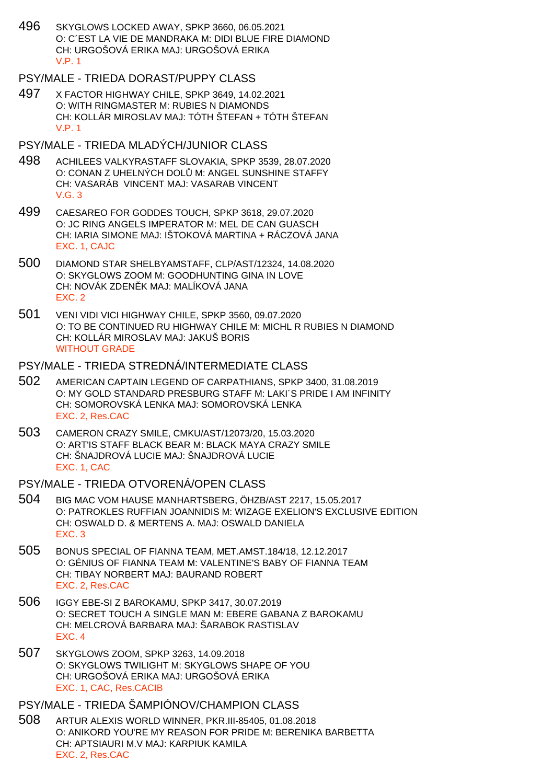496 SKYGLOWS LOCKED AWAY, SPKP 3660, 06.05.2021 O: C´EST LA VIE DE MANDRAKA M: DIDI BLUE FIRE DIAMOND CH: URGOŠOVÁ ERIKA MAJ: URGOŠOVÁ ERIKA V.P. 1

#### PSY/MALE - TRIEDA DORAST/PUPPY CLASS

497 X FACTOR HIGHWAY CHILE, SPKP 3649, 14.02.2021 O: WITH RINGMASTER M: RUBIES N DIAMONDS CH: KOLLÁR MIROSLAV MAJ: TÓTH ŠTEFAN + TÓTH ŠTEFAN V.P. 1

#### PSY/MALE - TRIEDA MLADÝCH/JUNIOR CLASS

- 498 ACHILEES VALKYRASTAFF SLOVAKIA, SPKP 3539, 28.07.2020 O: CONAN Z UHELNÝCH DOL M: ANGEL SUNSHINE STAFFY CH: VASARÁB VINCENT MAJ: VASARAB VINCENT V.G. 3
- 499 CAESAREO FOR GODDES TOUCH, SPKP 3618, 29.07.2020 O: JC RING ANGELS IMPERATOR M: MEL DE CAN GUASCH CH: IARIA SIMONE MAJ: IŠTOKOVÁ MARTINA + RÁCZOVÁ JANA EXC. 1, CAJC
- 500 DIAMOND STAR SHELBYAMSTAFF, CLP/AST/12324, 14.08.2020 O: SKYGLOWS ZOOM M: GOODHUNTING GINA IN LOVE CH: NOVÁK ZDEN K MAJ: MALÍKOVÁ JANA EXC. 2
- 501 VENI VIDI VICI HIGHWAY CHILE, SPKP 3560, 09.07.2020 O: TO BE CONTINUED RU HIGHWAY CHILE M: MICHL R RUBIES N DIAMOND CH: KOLLÁR MIROSLAV MAJ: JAKUŠ BORIS WITHOUT GRADE

#### PSY/MALE - TRIEDA STREDNÁ/INTERMEDIATE CLASS

- 502 AMERICAN CAPTAIN LEGEND OF CARPATHIANS, SPKP 3400, 31.08.2019 O: MY GOLD STANDARD PRESBURG STAFF M: LAKI´S PRIDE I AM INFINITY CH: SOMOROVSKÁ LENKA MAJ: SOMOROVSKÁ LENKA EXC. 2, Res.CAC
- 503 CAMERON CRAZY SMILE, CMKU/AST/12073/20, 15.03.2020 O: ART'IS STAFF BLACK BEAR M: BLACK MAYA CRAZY SMILE CH: ŠNAJDROVÁ LUCIE MAJ: ŠNAJDROVÁ LUCIE EXC. 1, CAC

#### PSY/MALE - TRIEDA OTVORENÁ/OPEN CLASS

- 504 BIG MAC VOM HAUSE MANHARTSBERG, ÖHZB/AST 2217, 15.05.2017 O: PATROKLES RUFFIAN JOANNIDIS M: WIZAGE EXELION'S EXCLUSIVE EDITION CH: OSWALD D. & MERTENS A. MAJ: OSWALD DANIELA EXC. 3
- 505 BONUS SPECIAL OF FIANNA TEAM, MET.AMST.184/18, 12.12.2017 O: GÉNIUS OF FIANNA TEAM M: VALENTINE'S BABY OF FIANNA TEAM CH: TIBAY NORBERT MAJ: BAURAND ROBERT EXC. 2, Res.CAC
- 506 IGGY EBE-SI Z BAROKAMU, SPKP 3417, 30.07.2019 O: SECRET TOUCH A SINGLE MAN M: EBERE GABANA Z BAROKAMU CH: MELCROVÁ BARBARA MAJ: ŠARABOK RASTISLAV EXC. 4
- 507 SKYGLOWS ZOOM, SPKP 3263, 14.09.2018 O: SKYGLOWS TWILIGHT M: SKYGLOWS SHAPE OF YOU CH: URGOŠOVÁ ERIKA MAJ: URGOŠOVÁ ERIKA EXC. 1, CAC, Res.CACIB
- PSY/MALE TRIEDA ŠAMPIÓNOV/CHAMPION CLASS
- 508 ARTUR ALEXIS WORLD WINNER, PKR.III-85405, 01.08.2018 O: ANIKORD YOU'RE MY REASON FOR PRIDE M: BERENIKA BARBETTA CH: APTSIAURI M.V MAJ: KARPIUK KAMILA EXC. 2, Res.CAC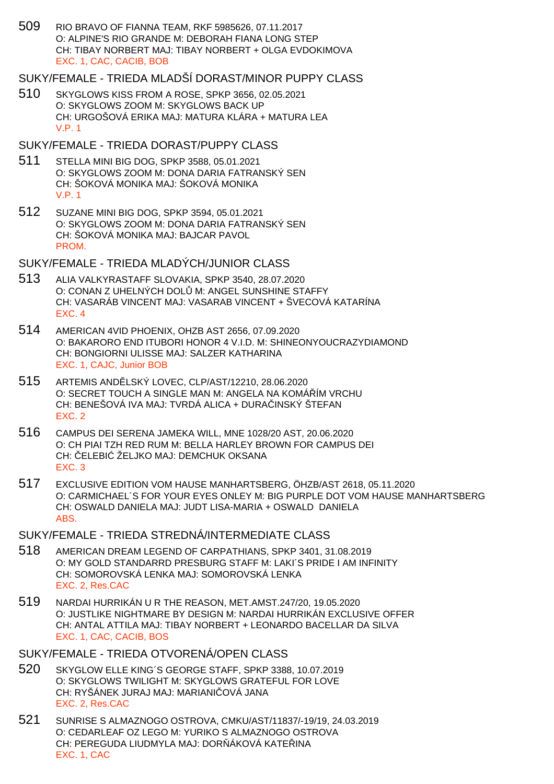509 RIO BRAVO OF FIANNA TEAM, RKF 5985626, 07.11.2017 O: ALPINE'S RIO GRANDE M: DEBORAH FIANA LONG STEP CH: TIBAY NORBERT MAJ: TIBAY NORBERT + OLGA EVDOKIMOVA EXC. 1, CAC, CACIB, BOB

### SUKY/FEMALE - TRIEDA MLADŠÍ DORAST/MINOR PUPPY CLASS

510 SKYGLOWS KISS FROM A ROSE, SPKP 3656, 02.05.2021 O: SKYGLOWS ZOOM M: SKYGLOWS BACK UP CH: URGOŠOVÁ ERIKA MAJ: MATURA KLÁRA + MATURA LEA V.P. 1

#### SUKY/FEMALE - TRIEDA DORAST/PUPPY CLASS

- 511 STELLA MINI BIG DOG, SPKP 3588, 05.01.2021 O: SKYGLOWS ZOOM M: DONA DARIA FATRANSKÝ SEN CH: ŠOKOVÁ MONIKA MAJ: ŠOKOVÁ MONIKA V.P. 1
- 512 SUZANE MINI BIG DOG, SPKP 3594, 05.01.2021 O: SKYGLOWS ZOOM M: DONA DARIA FATRANSKÝ SEN CH: ŠOKOVÁ MONIKA MAJ: BAJCAR PAVOL PROM.

## SUKY/FEMALE - TRIEDA MLADÝCH/JUNIOR CLASS

- 513 ALIA VALKYRASTAFF SLOVAKIA, SPKP 3540, 28.07.2020 O: CONAN Z UHELNÝCH DOL M: ANGEL SUNSHINE STAFFY CH: VASARÁB VINCENT MAJ: VASARAB VINCENT + ŠVECOVÁ KATARÍNA EXC. 4
- 514 AMERICAN 4VID PHOENIX, OHZB AST 2656, 07.09.2020 O: BAKARORO END ITUBORI HONOR 4 V.I.D. M: SHINEONYOUCRAZYDIAMOND CH: BONGIORNI ULISSE MAJ: SALZER KATHARINA EXC. 1, CAJC, Junior BOB
- 515 ARTEMIS AND LSKÝ LOVEC, CLP/AST/12210, 28.06.2020 O: SECRET TOUCH A SINGLE MAN M: ANGELA NA KOMÁ ÍM VRCHU CH: BENEŠOVÁ IVA MAJ: TVRDÁ ALICA + DURA INSKÝ ŠTEFAN EXC. 2
- 516 CAMPUS DEI SERENA JAMEKA WILL, MNE 1028/20 AST, 20.06.2020 O: CH PIAI TZH RED RUM M: BELLA HARLEY BROWN FOR CAMPUS DEI CH: ELEBI ŽELJKO MAJ: DEMCHUK OKSANA EXC. 3
- 517 EXCLUSIVE EDITION VOM HAUSE MANHARTSBERG, ÖHZB/AST 2618, 05.11.2020 O: CARMICHAEL´S FOR YOUR EYES ONLEY M: BIG PURPLE DOT VOM HAUSE MANHARTSBERG CH: OSWALD DANIELA MAJ: JUDT LISA-MARIA + OSWALD DANIELA ABS.

## SUKY/FEMALE - TRIEDA STREDNÁ/INTERMEDIATE CLASS

- 518 AMERICAN DREAM LEGEND OF CARPATHIANS, SPKP 3401, 31.08.2019 O: MY GOLD STANDARRD PRESBURG STAFF M: LAKI´S PRIDE I AM INFINITY CH: SOMOROVSKÁ LENKA MAJ: SOMOROVSKÁ LENKA EXC. 2, Res.CAC
- 519 NARDAI HURRIKÁN U R THE REASON, MET.AMST.247/20, 19.05.2020 O: JUSTLIKE NIGHTMARE BY DESIGN M: NARDAI HURRIKÁN EXCLUSIVE OFFER CH: ANTAL ATTILA MAJ: TIBAY NORBERT + LEONARDO BACELLAR DA SILVA EXC. 1, CAC, CACIB, BOS
- SUKY/FEMALE TRIEDA OTVORENÁ/OPEN CLASS
- 520 SKYGLOW ELLE KING´S GEORGE STAFF, SPKP 3388, 10.07.2019 O: SKYGLOWS TWILIGHT M: SKYGLOWS GRATEFUL FOR LOVE CH: RYŠÁNEK JURAJ MAJ: MARIANI OVÁ JANA EXC. 2, Res.CAC
- 521 SUNRISE S ALMAZNOGO OSTROVA, CMKU/AST/11837/-19/19, 24.03.2019 O: CEDARLEAF OZ LEGO M: YURIKO S ALMAZNOGO OSTROVA CH: PEREGUDA LIUDMYLA MAJ: DOR ÁKOVÁ KATE INA EXC. 1, CAC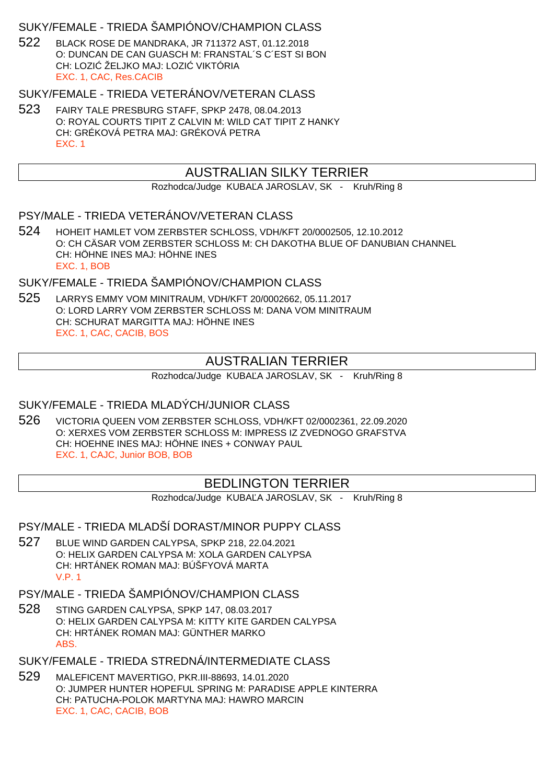### SUKY/FEMALE - TRIEDA ŠAMPIÓNOV/CHAMPION CLASS

522 BLACK ROSE DE MANDRAKA, JR 711372 AST, 01.12.2018 O: DUNCAN DE CAN GUASCH M: FRANSTAL´S C´EST SI BON CH: LOZI ŽELJKO MAJ: LOZI VIKTÓRIA EXC. 1, CAC, Res.CACIB

#### SUKY/FEMALE - TRIEDA VETERÁNOV/VETERAN CLASS

523 FAIRY TALE PRESBURG STAFF, SPKP 2478, 08.04.2013 O: ROYAL COURTS TIPIT Z CALVIN M: WILD CAT TIPIT Z HANKY CH: GRÉKOVÁ PETRA MAJ: GRÉKOVÁ PETRA EXC. 1

## AUSTRALIAN SILKY TERRIER

Rozhodca/Judge KUBA A JAROSLAV, SK - Kruh/Ring 8

#### PSY/MALE - TRIEDA VETERÁNOV/VETERAN CLASS

524 HOHEIT HAMLET VOM ZERBSTER SCHLOSS, VDH/KFT 20/0002505, 12.10.2012 O: CH CÄSAR VOM ZERBSTER SCHLOSS M: CH DAKOTHA BLUE OF DANUBIAN CHANNEL CH: HÖHNE INES MAJ: HÖHNE INES EXC. 1, BOB

SUKY/FEMALE - TRIEDA ŠAMPIÓNOV/CHAMPION CLASS

525 LARRYS EMMY VOM MINITRAUM, VDH/KFT 20/0002662, 05.11.2017 O: LORD LARRY VOM ZERBSTER SCHLOSS M: DANA VOM MINITRAUM CH: SCHURAT MARGITTA MAJ: HÖHNE INES EXC. 1, CAC, CACIB, BOS

## AUSTRALIAN TERRIER

Rozhodca/Judge KUBA A JAROSLAV, SK - Kruh/Ring 8

### SUKY/FEMALE - TRIEDA MLADÝCH/JUNIOR CLASS

526 VICTORIA QUEEN VOM ZERBSTER SCHLOSS, VDH/KFT 02/0002361, 22.09.2020 O: XERXES VOM ZERBSTER SCHLOSS M: IMPRESS IZ ZVEDNOGO GRAFSTVA CH: HOEHNE INES MAJ: HÖHNE INES + CONWAY PAUL EXC. 1, CAJC, Junior BOB, BOB

## BEDLINGTON TERRIER

Rozhodca/Judge KUBA A JAROSLAV, SK - Kruh/Ring 8

### PSY/MALE - TRIEDA MLADŠÍ DORAST/MINOR PUPPY CLASS

527 BLUE WIND GARDEN CALYPSA, SPKP 218, 22.04.2021 O: HELIX GARDEN CALYPSA M: XOLA GARDEN CALYPSA CH: HRTÁNEK ROMAN MAJ: BÚŠFYOVÁ MARTA V.P. 1

PSY/MALE - TRIEDA ŠAMPIÓNOV/CHAMPION CLASS

528 STING GARDEN CALYPSA, SPKP 147, 08.03.2017 O: HELIX GARDEN CALYPSA M: KITTY KITE GARDEN CALYPSA CH: HRTÁNEK ROMAN MAJ: GÜNTHER MARKO ABS.

SUKY/FEMALE - TRIEDA STREDNÁ/INTERMEDIATE CLASS

529 MALEFICENT MAVERTIGO, PKR.III-88693, 14.01.2020 O: JUMPER HUNTER HOPEFUL SPRING M: PARADISE APPLE KINTERRA CH: PATUCHA-POLOK MARTYNA MAJ: HAWRO MARCIN EXC. 1, CAC, CACIB, BOB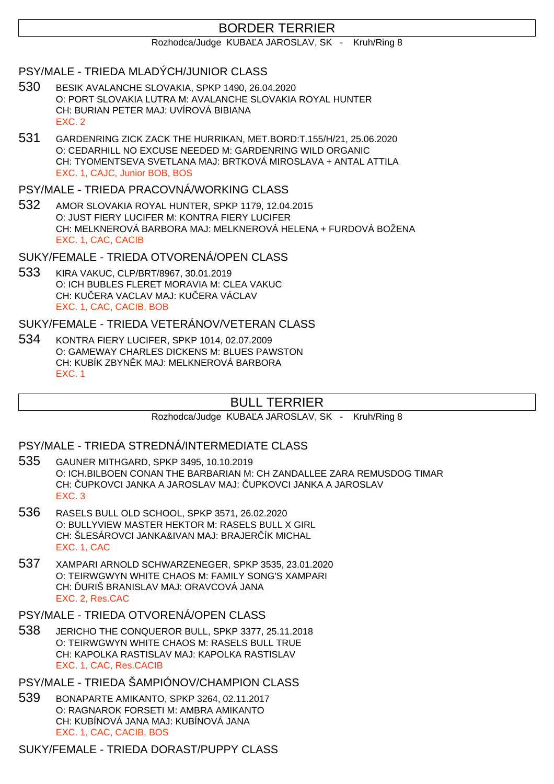# BORDER TERRIER

Rozhodca/Judge KUBA A JAROSLAV, SK - Kruh/Ring 8

#### PSY/MALE - TRIEDA MLADÝCH/JUNIOR CLASS

- 530 BESIK AVALANCHE SLOVAKIA, SPKP 1490, 26.04.2020 O: PORT SLOVAKIA LUTRA M: AVALANCHE SLOVAKIA ROYAL HUNTER CH: BURIAN PETER MAJ: UVÍROVÁ BIBIANA EXC. 2
- 531 GARDENRING ZICK ZACK THE HURRIKAN, MET.BORD:T.155/H/21, 25.06.2020 O: CEDARHILL NO EXCUSE NEEDED M: GARDENRING WILD ORGANIC CH: TYOMENTSEVA SVETLANA MAJ: BRTKOVÁ MIROSLAVA + ANTAL ATTILA EXC. 1, CAJC, Junior BOB, BOS

#### PSY/MALE - TRIEDA PRACOVNÁ/WORKING CLASS

- 532 AMOR SLOVAKIA ROYAL HUNTER, SPKP 1179, 12.04.2015 O: JUST FIERY LUCIFER M: KONTRA FIERY LUCIFER CH: MELKNEROVÁ BARBORA MAJ: MELKNEROVÁ HELENA + FURDOVÁ BOŽENA EXC. 1, CAC, CACIB
- SUKY/FEMALE TRIEDA OTVORENÁ/OPEN CLASS
- 533 KIRA VAKUC, CLP/BRT/8967, 30.01.2019 O: ICH BUBLES FLERET MORAVIA M: CLEA VAKUC CH: KU ERA VACLAV MAJ: KU ERA VÁCLAV EXC. 1, CAC, CACIB, BOB

#### SUKY/FEMALE - TRIEDA VETERÁNOV/VETERAN CLASS

534 KONTRA FIERY LUCIFER, SPKP 1014, 02.07.2009 O: GAMEWAY CHARLES DICKENS M: BLUES PAWSTON CH: KUBÍK ZBYN K MAJ: MELKNEROVÁ BARBORA EXC. 1

## BULL TERRIER

Rozhodca/Judge KUBA A JAROSLAV, SK - Kruh/Ring 8

#### PSY/MALE - TRIEDA STREDNÁ/INTERMEDIATE CLASS

- 535 GAUNER MITHGARD, SPKP 3495, 10.10.2019 O: ICH.BILBOEN CONAN THE BARBARIAN M: CH ZANDALLEE ZARA REMUSDOG TIMAR CH: UPKOVCI JANKA A JAROSLAV MAJ: UPKOVCI JANKA A JAROSLAV EXC. 3
- 536 RASELS BULL OLD SCHOOL, SPKP 3571, 26.02.2020 O: BULLYVIEW MASTER HEKTOR M: RASELS BULL X GIRL CH: ŠLESÁROVCI JANKA&IVAN MAJ: BRAJER ÍK MICHAL EXC. 1, CAC
- 537 XAMPARI ARNOLD SCHWARZENEGER, SPKP 3535, 23.01.2020 O: TEIRWGWYN WHITE CHAOS M: FAMILY SONG'S XAMPARI CH: URIŠ BRANISLAV MAJ: ORAVCOVÁ JANA EXC. 2, Res.CAC

## PSY/MALE - TRIEDA OTVORENÁ/OPEN CLASS

- 538 JERICHO THE CONQUEROR BULL, SPKP 3377, 25.11.2018 O: TEIRWGWYN WHITE CHAOS M: RASELS BULL TRUE CH: KAPOLKA RASTISLAV MAJ: KAPOLKA RASTISLAV EXC. 1, CAC, Res.CACIB
- PSY/MALE TRIEDA ŠAMPIÓNOV/CHAMPION CLASS
- 539 BONAPARTE AMIKANTO, SPKP 3264, 02.11.2017 O: RAGNAROK FORSETI M: AMBRA AMIKANTO CH: KUBÍNOVÁ JANA MAJ: KUBÍNOVÁ JANA EXC. 1, CAC, CACIB, BOS

## SUKY/FEMALE - TRIEDA DORAST/PUPPY CLASS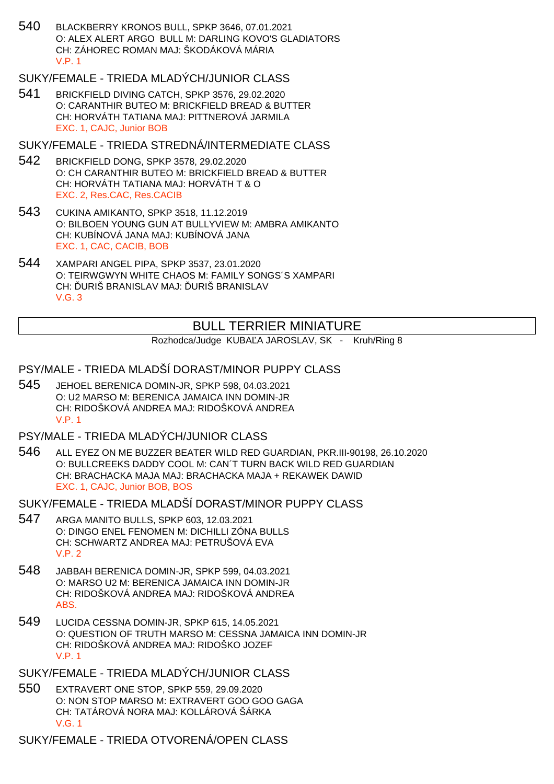540 BLACKBERRY KRONOS BULL, SPKP 3646, 07.01.2021 O: ALEX ALERT ARGO BULL M: DARLING KOVO'S GLADIATORS CH: ZÁHOREC ROMAN MAJ: ŠKODÁKOVÁ MÁRIA V.P. 1

## SUKY/FEMALE - TRIEDA MLADÝCH/JUNIOR CLASS

541 BRICKFIELD DIVING CATCH, SPKP 3576, 29.02.2020 O: CARANTHIR BUTEO M: BRICKFIELD BREAD & BUTTER CH: HORVÁTH TATIANA MAJ: PITTNEROVÁ JARMILA EXC. 1, CAJC, Junior BOB

SUKY/FEMALE - TRIEDA STREDNÁ/INTERMEDIATE CLASS

- 542 BRICKFIELD DONG, SPKP 3578, 29.02.2020 O: CH CARANTHIR BUTEO M: BRICKFIELD BREAD & BUTTER CH: HORVÁTH TATIANA MAJ: HORVÁTH T & O EXC. 2, Res.CAC, Res.CACIB
- 543 CUKINA AMIKANTO, SPKP 3518, 11.12.2019 O: BILBOEN YOUNG GUN AT BULLYVIEW M: AMBRA AMIKANTO CH: KUBÍNOVÁ JANA MAJ: KUBÍNOVÁ JANA EXC. 1, CAC, CACIB, BOB
- 544 XAMPARI ANGEL PIPA, SPKP 3537, 23.01.2020 O: TEIRWGWYN WHITE CHAOS M: FAMILY SONGS´S XAMPARI CH: URIŠ BRANISLAV MAJ: URIŠ BRANISLAV V.G. 3

## BULL TERRIER MINIATURE

Rozhodca/Judge KUBA A JAROSLAV, SK - Kruh/Ring 8

### PSY/MALE - TRIEDA MLADŠÍ DORAST/MINOR PUPPY CLASS

545 JEHOEL BERENICA DOMIN-JR, SPKP 598, 04.03.2021 O: U2 MARSO M: BERENICA JAMAICA INN DOMIN-JR CH: RIDOŠKOVÁ ANDREA MAJ: RIDOŠKOVÁ ANDREA V.P. 1

### PSY/MALE - TRIEDA MLADÝCH/JUNIOR CLASS

546 ALL EYEZ ON ME BUZZER BEATER WILD RED GUARDIAN, PKR.III-90198, 26.10.2020 O: BULLCREEKS DADDY COOL M: CAN´T TURN BACK WILD RED GUARDIAN CH: BRACHACKA MAJA MAJ: BRACHACKA MAJA + REKAWEK DAWID EXC. 1, CAJC, Junior BOB, BOS

SUKY/FEMALE - TRIEDA MLADŠÍ DORAST/MINOR PUPPY CLASS

- 547 ARGA MANITO BULLS, SPKP 603, 12.03.2021 O: DINGO ENEL FENOMEN M: DICHILLI ZÓNA BULLS CH: SCHWARTZ ANDREA MAJ: PETRUŠOVÁ EVA V.P. 2
- 548 JABBAH BERENICA DOMIN-JR, SPKP 599, 04.03.2021 O: MARSO U2 M: BERENICA JAMAICA INN DOMIN-JR CH: RIDOŠKOVÁ ANDREA MAJ: RIDOŠKOVÁ ANDREA ABS.
- 549 LUCIDA CESSNA DOMIN-JR, SPKP 615, 14.05.2021 O: QUESTION OF TRUTH MARSO M: CESSNA JAMAICA INN DOMIN-JR CH: RIDOŠKOVÁ ANDREA MAJ: RIDOŠKO JOZEF V.P. 1

SUKY/FEMALE - TRIEDA MLADÝCH/JUNIOR CLASS

550 EXTRAVERT ONE STOP, SPKP 559, 29.09.2020 O: NON STOP MARSO M: EXTRAVERT GOO GOO GAGA CH: TATÁROVÁ NORA MAJ: KOLLÁROVÁ ŠÁRKA V.G. 1

SUKY/FEMALE - TRIEDA OTVORENÁ/OPEN CLASS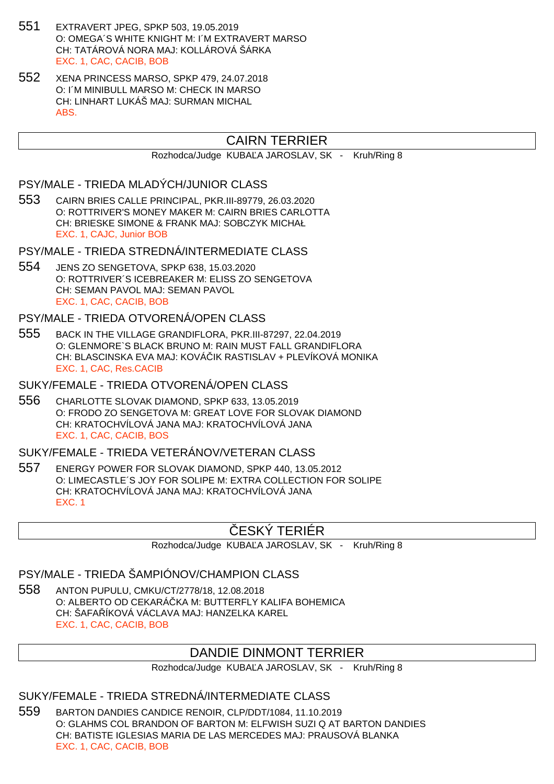- 551 EXTRAVERT JPEG, SPKP 503, 19.05.2019 O: OMEGA´S WHITE KNIGHT M: I´M EXTRAVERT MARSO CH: TATÁROVÁ NORA MAJ: KOLLÁROVÁ ŠÁRKA EXC. 1, CAC, CACIB, BOB
- 552 XENA PRINCESS MARSO, SPKP 479, 24.07.2018 O: I´M MINIBULL MARSO M: CHECK IN MARSO CH: LINHART LUKÁŠ MAJ: SURMAN MICHAL ABS.

# CAIRN TERRIER

Rozhodca/Judge KUBA A JAROSLAV, SK - Kruh/Ring 8

PSY/MALE - TRIEDA MLADÝCH/JUNIOR CLASS

553 CAIRN BRIES CALLE PRINCIPAL, PKR.III-89779, 26.03.2020 O: ROTTRIVER'S MONEY MAKER M: CAIRN BRIES CARLOTTA CH: BRIESKE SIMONE & FRANK MAJ: SOBCZYK MICHAŁ EXC. 1, CAJC, Junior BOB

PSY/MALE - TRIEDA STREDNÁ/INTERMEDIATE CLASS

554 JENS ZO SENGETOVA, SPKP 638, 15.03.2020 O: ROTTRIVER´S ICEBREAKER M: ELISS ZO SENGETOVA CH: SEMAN PAVOL MAJ: SEMAN PAVOL EXC. 1, CAC, CACIB, BOB

PSY/MALE - TRIEDA OTVORENÁ/OPEN CLASS

555 BACK IN THE VILLAGE GRANDIFLORA, PKR.III-87297, 22.04.2019 O: GLENMORE`S BLACK BRUNO M: RAIN MUST FALL GRANDIFLORA CH: BLASCINSKA EVA MAJ: KOVÁ IK RASTISLAV + PLEVÍKOVÁ MONIKA EXC. 1, CAC, Res.CACIB

SUKY/FEMALE - TRIEDA OTVORENÁ/OPEN CLASS

556 CHARLOTTE SLOVAK DIAMOND, SPKP 633, 13.05.2019 O: FRODO ZO SENGETOVA M: GREAT LOVE FOR SLOVAK DIAMOND CH: KRATOCHVÍLOVÁ JANA MAJ: KRATOCHVÍLOVÁ JANA EXC. 1, CAC, CACIB, BOS

SUKY/FEMALE - TRIEDA VETERÁNOV/VETERAN CLASS

557 ENERGY POWER FOR SLOVAK DIAMOND, SPKP 440, 13.05.2012 O: LIMECASTLE´S JOY FOR SOLIPE M: EXTRA COLLECTION FOR SOLIPE CH: KRATOCHVÍLOVÁ JANA MAJ: KRATOCHVÍLOVÁ JANA EXC. 1

## ČESKÝ TERIÉR

Rozhodca/Judge KUBA A JAROSLAV, SK - Kruh/Ring 8

PSY/MALE - TRIEDA ŠAMPIÓNOV/CHAMPION CLASS

558 ANTON PUPULU, CMKU/CT/2778/18, 12.08.2018 O: ALBERTO OD CEKARÁ KA M: BUTTERFLY KALIFA BOHEMICA CH: ŠAFA ÍKOVÁ VÁCLAVA MAJ: HANZELKA KAREL EXC. 1, CAC, CACIB, BOB

## DANDIE DINMONT TERRIER

Rozhodca/Judge KUBA A JAROSLAV, SK - Kruh/Ring 8

SUKY/FEMALE - TRIEDA STREDNÁ/INTERMEDIATE CLASS

559 BARTON DANDIES CANDICE RENOIR, CLP/DDT/1084, 11.10.2019 O: GLAHMS COL BRANDON OF BARTON M: ELFWISH SUZI Q AT BARTON DANDIES CH: BATISTE IGLESIAS MARIA DE LAS MERCEDES MAJ: PRAUSOVÁ BLANKA EXC. 1, CAC, CACIB, BOB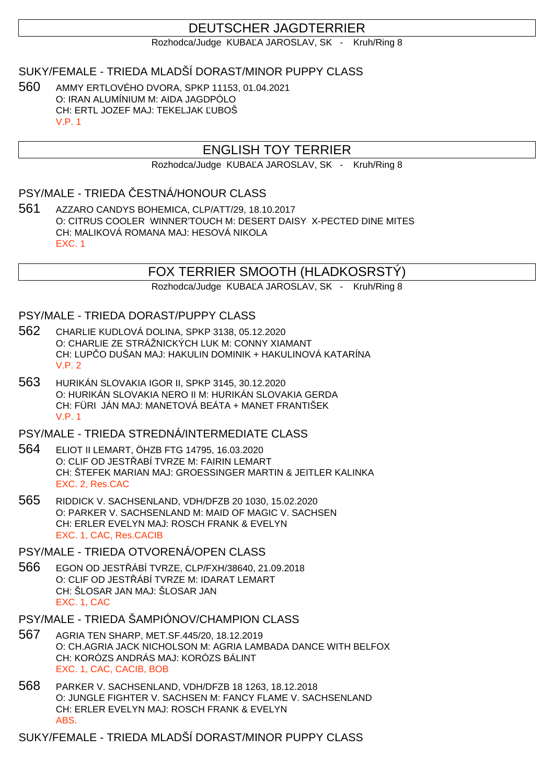## DEUTSCHER JAGDTERRIER

Rozhodca/Judge KUBA A JAROSLAV, SK - Kruh/Ring 8

## SUKY/FEMALE - TRIEDA MLADŠÍ DORAST/MINOR PUPPY CLASS

560 AMMY ERTLOVÉHO DVORA, SPKP 11153, 01.04.2021 O: IRAN ALUMÍNIUM M: AIDA JAGDPÓLO CH: ERTL JOZEF MAJ: TEKELJAK UBOŠ V.P. 1

## ENGLISH TOY TERRIER

Rozhodca/Judge KUBA A JAROSLAV, SK - Kruh/Ring 8

## PSY/MALE - TRIEDA ESTNÁ/HONOUR CLASS

561 AZZARO CANDYS BOHEMICA, CLP/ATT/29, 18.10.2017 O: CITRUS COOLER WINNER'TOUCH M: DESERT DAISY X-PECTED DINE MITES CH: MALIKOVÁ ROMANA MAJ: HESOVÁ NIKOLA EXC. 1

## FOX TERRIER SMOOTH (HLADKOSRSTÝ)

Rozhodca/Judge KUBA A JAROSLAV, SK - Kruh/Ring 8

#### PSY/MALE - TRIEDA DORAST/PUPPY CLASS

- 562 CHARLIE KUDLOVÁ DOLINA, SPKP 3138, 05.12.2020 O: CHARLIE ZE STRÁŽNICKÝCH LUK M: CONNY XIAMANT CH: LUP O DUŠAN MAJ: HAKULIN DOMINIK + HAKULINOVÁ KATARÍNA V.P. 2
- 563 HURIKÁN SLOVAKIA IGOR II, SPKP 3145, 30.12.2020 O: HURIKÁN SLOVAKIA NERO II M: HURIKÁN SLOVAKIA GERDA CH: FÜRI JÁN MAJ: MANETOVÁ BEÁTA + MANET FRANTIŠEK V.P. 1

### PSY/MALE - TRIEDA STREDNÁ/INTERMEDIATE CLASS

- 564 ELIOT II LEMART, ÖHZB FTG 14795, 16.03.2020 O: CLIF OD JEST ABÍ TVRZE M: FAIRIN LEMART CH: ŠTEFEK MARIAN MAJ: GROESSINGER MARTIN & JEITLER KALINKA EXC. 2, Res.CAC
- 565 RIDDICK V. SACHSENLAND, VDH/DFZB 20 1030, 15.02.2020 O: PARKER V. SACHSENLAND M: MAID OF MAGIC V. SACHSEN CH: ERLER EVELYN MAJ: ROSCH FRANK & EVELYN EXC. 1, CAC, Res.CACIB

#### PSY/MALE - TRIEDA OTVORENÁ/OPEN CLASS

- 566 EGON OD JESTŘÁBÍ TVRZE, CLP/FXH/38640, 21.09.2018 O: CLIF OD JEST ÁBÍ TVRZE M: IDARAT LEMART CH: ŠLOSAR JAN MAJ: ŠLOSAR JAN EXC. 1, CAC
- PSY/MALE TRIEDA ŠAMPIÓNOV/CHAMPION CLASS
- 567 AGRIA TEN SHARP, MET.SF.445/20, 18.12.2019 O: CH.AGRIA JACK NICHOLSON M: AGRIA LAMBADA DANCE WITH BELFOX CH: KORÓZS ANDRÁS MAJ: KORÓZS BÁLINT EXC. 1, CAC, CACIB, BOB
- 568 PARKER V. SACHSENLAND, VDH/DFZB 18 1263, 18.12.2018 O: JUNGLE FIGHTER V. SACHSEN M: FANCY FLAME V. SACHSENLAND CH: ERLER EVELYN MAJ: ROSCH FRANK & EVELYN ABS.

SUKY/FEMALE - TRIEDA MLADŠÍ DORAST/MINOR PUPPY CLASS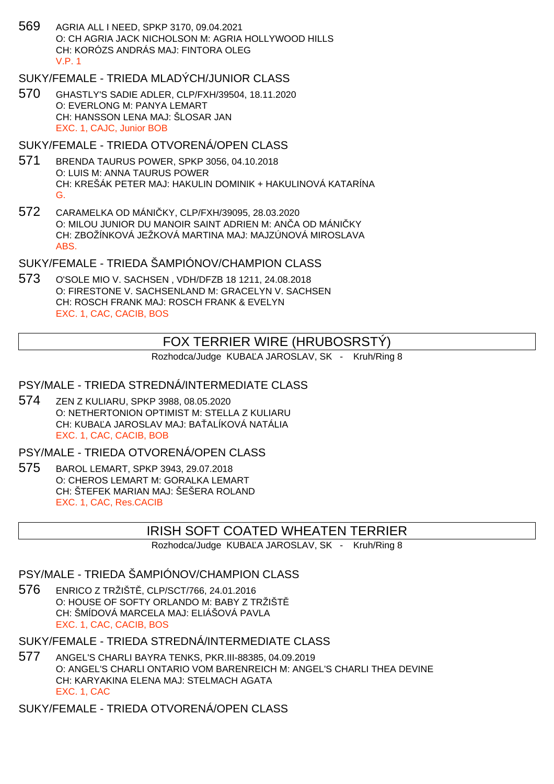569 AGRIA ALL I NEED, SPKP 3170, 09.04.2021 O: CH AGRIA JACK NICHOLSON M: AGRIA HOLLYWOOD HILLS CH: KORÓZS ANDRÁS MAJ: FINTORA OLEG V.P. 1

SUKY/FEMALE - TRIEDA MLADÝCH/JUNIOR CLASS

570 GHASTLY'S SADIE ADLER, CLP/FXH/39504, 18.11.2020 O: EVERLONG M: PANYA LEMART CH: HANSSON LENA MAJ: ŠLOSAR JAN EXC. 1, CAJC, Junior BOB

### SUKY/FEMALE - TRIEDA OTVORENÁ/OPEN CLASS

- 571 BRENDA TAURUS POWER, SPKP 3056, 04.10.2018 O: LUIS M: ANNA TAURUS POWER CH: KREŠÁK PETER MAJ: HAKULIN DOMINIK + HAKULINOVÁ KATARÍNA G.
- 572 CARAMELKA OD MÁNIKY, CLP/FXH/39095, 28.03.2020 O: MILOU JUNIOR DU MANOIR SAINT ADRIEN M: AN A OD MÁNICKY CH: ZBOŽÍNKOVÁ JEŽKOVÁ MARTINA MAJ: MAJZÚNOVÁ MIROSLAVA ABS.

SUKY/FEMALE - TRIEDA ŠAMPIÓNOV/CHAMPION CLASS

573 O'SOLE MIO V. SACHSEN , VDH/DFZB 18 1211, 24.08.2018 O: FIRESTONE V. SACHSENLAND M: GRACELYN V. SACHSEN CH: ROSCH FRANK MAJ: ROSCH FRANK & EVELYN EXC. 1, CAC, CACIB, BOS

## FOX TERRIER WIRE (HRUBOSRSTÝ)

Rozhodca/Judge KUBA A JAROSLAV, SK - Kruh/Ring 8

### PSY/MALE - TRIEDA STREDNÁ/INTERMEDIATE CLASS

574 ZEN Z KULIARU, SPKP 3988, 08.05.2020 O: NETHERTONION OPTIMIST M: STELLA Z KULIARU CH: KUBA A JAROSLAV MAJ: BA ALÍKOVÁ NATÁLIA EXC. 1, CAC, CACIB, BOB

PSY/MALE - TRIEDA OTVORENÁ/OPEN CLASS

575 BAROL LEMART, SPKP 3943, 29.07.2018 O: CHEROS LEMART M: GORALKA LEMART CH: ŠTEFEK MARIAN MAJ: ŠEŠERA ROLAND EXC. 1, CAC, Res.CACIB

## IRISH SOFT COATED WHEATEN TERRIER

Rozhodca/Judge KUBA A JAROSLAV, SK - Kruh/Ring 8

PSY/MALE - TRIEDA ŠAMPIÓNOV/CHAMPION CLASS

576 ENRICO Z TRŽIŠT, CLP/SCT/766, 24.01.2016 O: HOUSE OF SOFTY ORLANDO M: BABY Z TRŽIŠTĚ CH: ŠMÍDOVÁ MARCELA MAJ: ELIÁŠOVÁ PAVLA EXC. 1, CAC, CACIB, BOS

SUKY/FEMALE - TRIEDA STREDNÁ/INTERMEDIATE CLASS

577 ANGEL'S CHARLI BAYRA TENKS, PKR.III-88385, 04.09.2019 O: ANGEL'S CHARLI ONTARIO VOM BARENREICH M: ANGEL'S CHARLI THEA DEVINE CH: KARYAKINA ELENA MAJ: STELMACH AGATA EXC. 1, CAC

SUKY/FEMALE - TRIEDA OTVORENÁ/OPEN CLASS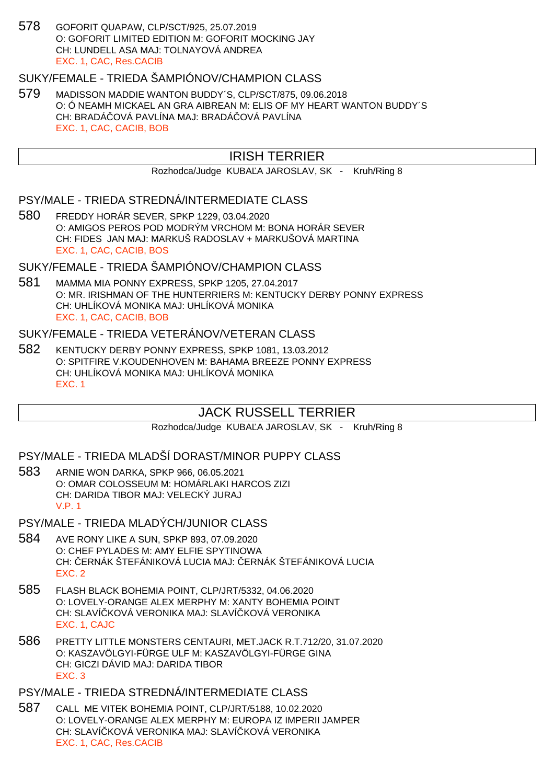578 GOFORIT QUAPAW, CLP/SCT/925, 25.07.2019 O: GOFORIT LIMITED EDITION M: GOFORIT MOCKING JAY CH: LUNDELL ASA MAJ: TOLNAYOVÁ ANDREA EXC. 1, CAC, Res.CACIB

## SUKY/FEMALE - TRIEDA ŠAMPIÓNOV/CHAMPION CLASS

579 MADISSON MADDIE WANTON BUDDY´S, CLP/SCT/875, 09.06.2018 O: Ó NEAMH MICKAEL AN GRA AIBREAN M: ELIS OF MY HEART WANTON BUDDY´S CH: BRADÁ OVÁ PAVLÍNA MAJ: BRADÁ OVÁ PAVLÍNA EXC. 1, CAC, CACIB, BOB

## IRISH TERRIER

Rozhodca/Judge KUBA A JAROSLAV, SK - Kruh/Ring 8

#### PSY/MALE - TRIEDA STREDNÁ/INTERMEDIATE CLASS

580 FREDDY HORÁR SEVER, SPKP 1229, 03.04.2020 O: AMIGOS PEROS POD MODRÝM VRCHOM M: BONA HORÁR SEVER CH: FIDES JAN MAJ: MARKUŠ RADOSLAV + MARKUŠOVÁ MARTINA EXC. 1, CAC, CACIB, BOS

#### SUKY/FEMALE - TRIEDA ŠAMPIÓNOV/CHAMPION CLASS

581 MAMMA MIA PONNY EXPRESS, SPKP 1205, 27.04.2017 O: MR. IRISHMAN OF THE HUNTERRIERS M: KENTUCKY DERBY PONNY EXPRESS CH: UHLÍKOVÁ MONIKA MAJ: UHLÍKOVÁ MONIKA EXC. 1, CAC, CACIB, BOB

## SUKY/FEMALE - TRIEDA VETERÁNOV/VETERAN CLASS

582 KENTUCKY DERBY PONNY EXPRESS, SPKP 1081, 13.03.2012 O: SPITFIRE V.KOUDENHOVEN M: BAHAMA BREEZE PONNY EXPRESS CH: UHLÍKOVÁ MONIKA MAJ: UHLÍKOVÁ MONIKA EXC. 1

## JACK RUSSELL TERRIER

Rozhodca/Judge KUBA A JAROSLAV, SK - Kruh/Ring 8

#### PSY/MALE - TRIEDA MLADŠÍ DORAST/MINOR PUPPY CLASS

583 ARNIE WON DARKA, SPKP 966, 06.05.2021 O: OMAR COLOSSEUM M: HOMÁRLAKI HARCOS ZIZI CH: DARIDA TIBOR MAJ: VELECKÝ JURAJ V.P. 1

PSY/MALE - TRIEDA MLADÝCH/JUNIOR CLASS

- 584 AVE RONY LIKE A SUN, SPKP 893, 07.09.2020 O: CHEF PYLADES M: AMY ELFIE SPYTINOWA CH: ČERNÁK ŠTEFÁNIKOVÁ LUCIA MAJ: ČERNÁK ŠTEFÁNIKOVÁ LUCIA EXC. 2
- 585 FLASH BLACK BOHEMIA POINT, CLP/JRT/5332, 04.06.2020 O: LOVELY-ORANGE ALEX MERPHY M: XANTY BOHEMIA POINT CH: SLAVÍ KOVÁ VERONIKA MAJ: SLAVÍ KOVÁ VERONIKA EXC. 1, CAJC
- 586 PRETTY LITTLE MONSTERS CENTAURI, MET.JACK R.T.712/20, 31.07.2020 O: KASZAVÖLGYI-FÜRGE ULF M: KASZAVÖLGYI-FÜRGE GINA CH: GICZI DÁVID MAJ: DARIDA TIBOR EXC. 3

### PSY/MALE - TRIEDA STREDNÁ/INTERMEDIATE CLASS

587 CALL ME VITEK BOHEMIA POINT, CLP/JRT/5188, 10.02.2020 O: LOVELY-ORANGE ALEX MERPHY M: EUROPA IZ IMPERII JAMPER CH: SLAVÍ KOVÁ VERONIKA MAJ: SLAVÍ KOVÁ VERONIKA EXC. 1, CAC, Res.CACIB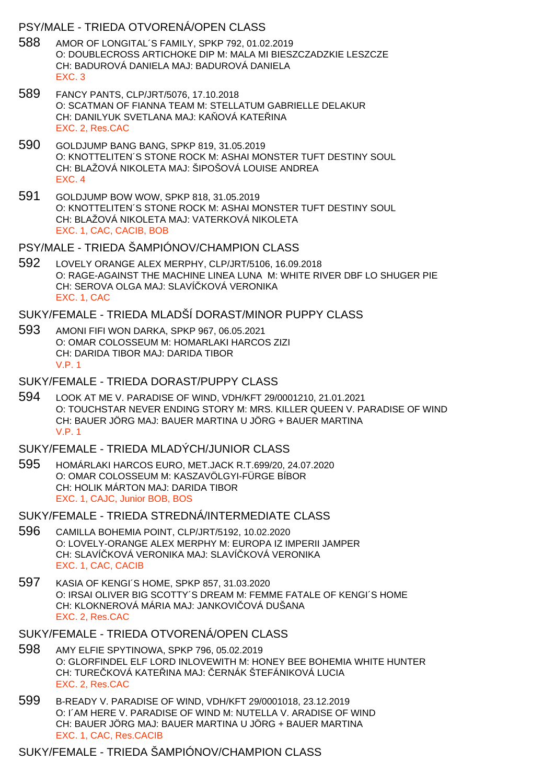#### PSY/MALE - TRIEDA OTVORENÁ/OPEN CLASS

- 588 AMOR OF LONGITAL´S FAMILY, SPKP 792, 01.02.2019 O: DOUBLECROSS ARTICHOKE DIP M: MALA MI BIESZCZADZKIE LESZCZE CH: BADUROVÁ DANIELA MAJ: BADUROVÁ DANIELA EXC. 3
- 589 FANCY PANTS, CLP/JRT/5076, 17.10.2018 O: SCATMAN OF FIANNA TEAM M: STELLATUM GABRIELLE DELAKUR CH: DANILYUK SVETLANA MAJ: KA OVÁ KATE INA EXC. 2, Res.CAC
- 590 GOLDJUMP BANG BANG, SPKP 819, 31.05.2019 O: KNOTTELITEN´S STONE ROCK M: ASHAI MONSTER TUFT DESTINY SOUL CH: BLAŽOVÁ NIKOLETA MAJ: ŠIPOŠOVÁ LOUISE ANDREA EXC. 4
- 591 GOLDJUMP BOW WOW, SPKP 818, 31.05.2019 O: KNOTTELITEN´S STONE ROCK M: ASHAI MONSTER TUFT DESTINY SOUL CH: BLAŽOVÁ NIKOLETA MAJ: VATERKOVÁ NIKOLETA EXC. 1, CAC, CACIB, BOB

PSY/MALE - TRIEDA ŠAMPIÓNOV/CHAMPION CLASS

592 LOVELY ORANGE ALEX MERPHY, CLP/JRT/5106, 16.09.2018 O: RAGE-AGAINST THE MACHINE LINEA LUNA M: WHITE RIVER DBF LO SHUGER PIE CH: SEROVA OLGA MAJ: SLAVÍ KOVÁ VERONIKA EXC. 1, CAC

SUKY/FEMALE - TRIEDA MLADŠÍ DORAST/MINOR PUPPY CLASS

593 AMONI FIFI WON DARKA, SPKP 967, 06.05.2021 O: OMAR COLOSSEUM M: HOMARLAKI HARCOS ZIZI CH: DARIDA TIBOR MAJ: DARIDA TIBOR V.P. 1

SUKY/FEMALE - TRIEDA DORAST/PUPPY CLASS

594 LOOK AT ME V. PARADISE OF WIND, VDH/KFT 29/0001210, 21.01.2021 O: TOUCHSTAR NEVER ENDING STORY M: MRS. KILLER QUEEN V. PARADISE OF WIND CH: BAUER JÖRG MAJ: BAUER MARTINA U JÖRG + BAUER MARTINA V.P. 1

SUKY/FEMALE - TRIEDA MLADÝCH/JUNIOR CLASS

595 HOMÁRLAKI HARCOS EURO, MET.JACK R.T.699/20, 24.07.2020 O: OMAR COLOSSEUM M: KASZAVÖLGYI-FÜRGE BÍBOR CH: HOLIK MÁRTON MAJ: DARIDA TIBOR EXC. 1, CAJC, Junior BOB, BOS

SUKY/FEMALE - TRIEDA STREDNÁ/INTERMEDIATE CLASS

- 596 CAMILLA BOHEMIA POINT, CLP/JRT/5192, 10.02.2020 O: LOVELY-ORANGE ALEX MERPHY M: EUROPA IZ IMPERII JAMPER CH: SLAVÍ KOVÁ VERONIKA MAJ: SLAVÍ KOVÁ VERONIKA EXC. 1, CAC, CACIB
- 597 KASIA OF KENGI´S HOME, SPKP 857, 31.03.2020 O: IRSAI OLIVER BIG SCOTTY´S DREAM M: FEMME FATALE OF KENGI´S HOME CH: KLOKNEROVÁ MÁRIA MAJ: JANKOVI OVÁ DUŠANA EXC. 2, Res.CAC

SUKY/FEMALE - TRIEDA OTVORENÁ/OPEN CLASS

- 598 AMY ELFIE SPYTINOWA, SPKP 796, 05.02.2019 O: GLORFINDEL ELF LORD INLOVEWITH M: HONEY BEE BOHEMIA WHITE HUNTER CH: TURE KOVÁ KATE INA MAJ: ERNÁK ŠTEFÁNIKOVÁ LUCIA EXC. 2, Res.CAC
- 599 B-READY V. PARADISE OF WIND, VDH/KFT 29/0001018, 23.12.2019 O: I´AM HERE V. PARADISE OF WIND M: NUTELLA V. ARADISE OF WIND CH: BAUER JÖRG MAJ: BAUER MARTINA U JÖRG + BAUER MARTINA EXC. 1, CAC, Res.CACIB

SUKY/FEMALE - TRIEDA ŠAMPIÓNOV/CHAMPION CLASS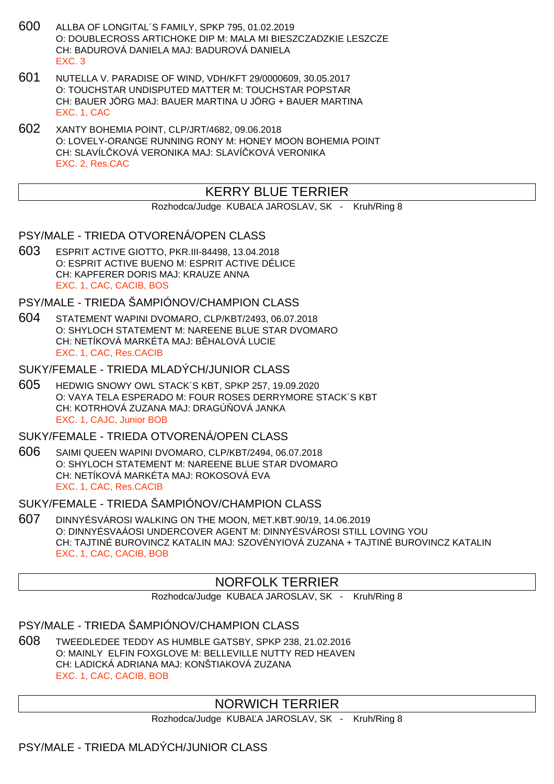- 600 ALLBA OF LONGITAL´S FAMILY, SPKP 795, 01.02.2019 O: DOUBLECROSS ARTICHOKE DIP M: MALA MI BIESZCZADZKIE LESZCZE CH: BADUROVÁ DANIELA MAJ: BADUROVÁ DANIELA EXC. 3
- 601 NUTELLA V. PARADISE OF WIND, VDH/KFT 29/0000609, 30.05.2017 O: TOUCHSTAR UNDISPUTED MATTER M: TOUCHSTAR POPSTAR CH: BAUER JÖRG MAJ: BAUER MARTINA U JÖRG + BAUER MARTINA EXC. 1, CAC
- 602 XANTY BOHEMIA POINT, CLP/JRT/4682, 09.06.2018 O: LOVELY-ORANGE RUNNING RONY M: HONEY MOON BOHEMIA POINT CH: SLAVÍL KOVÁ VERONIKA MAJ: SLAVÍ KOVÁ VERONIKA EXC. 2, Res.CAC

## KERRY BLUE TERRIER

Rozhodca/Judge KUBA A JAROSLAV, SK - Kruh/Ring 8

## PSY/MALE - TRIEDA OTVORENÁ/OPEN CLASS

603 ESPRIT ACTIVE GIOTTO, PKR.III-84498, 13.04.2018 O: ESPRIT ACTIVE BUENO M: ESPRIT ACTIVE DÉLICE CH: KAPFERER DORIS MAJ: KRAUZE ANNA EXC. 1, CAC, CACIB, BOS

## PSY/MALE - TRIEDA ŠAMPIÓNOV/CHAMPION CLASS

604 STATEMENT WAPINI DVOMARO, CLP/KBT/2493, 06.07.2018 O: SHYLOCH STATEMENT M: NAREENE BLUE STAR DVOMARO CH: NETÍKOVÁ MARKÉTA MAJ: B HALOVÁ LUCIE EXC. 1, CAC, Res.CACIB

#### SUKY/FEMALE - TRIEDA MLADÝCH/JUNIOR CLASS

605 HEDWIG SNOWY OWL STACK´S KBT, SPKP 257, 19.09.2020 O: VAYA TELA ESPERADO M: FOUR ROSES DERRYMORE STACK´S KBT CH: KOTRHOVÁ ZUZANA MAJ: DRAGÚ OVÁ JANKA EXC. 1, CAJC, Junior BOB

## SUKY/FEMALE - TRIEDA OTVORENÁ/OPEN CLASS

606 SAIMI QUEEN WAPINI DVOMARO, CLP/KBT/2494, 06.07.2018 O: SHYLOCH STATEMENT M: NAREENE BLUE STAR DVOMARO CH: NETÍKOVÁ MARKÉTA MAJ: ROKOSOVÁ EVA EXC. 1, CAC, Res.CACIB

## SUKY/FEMALE - TRIEDA ŠAMPIÓNOV/CHAMPION CLASS

607 DINNYÉSVÁROSI WALKING ON THE MOON, MET.KBT.90/19, 14.06.2019 O: DINNYÉSVAÁOSI UNDERCOVER AGENT M: DINNYÉSVÁROSI STILL LOVING YOU CH: TAJTINÉ BUROVINCZ KATALIN MAJ: SZOVÉNYIOVÁ ZUZANA + TAJTINÉ BUROVINCZ KATALIN EXC. 1, CAC, CACIB, BOB

# NORFOLK TERRIER

Rozhodca/Judge KUBA A JAROSLAV, SK - Kruh/Ring 8

PSY/MALE - TRIEDA ŠAMPIÓNOV/CHAMPION CLASS

608 TWEEDLEDEE TEDDY AS HUMBLE GATSBY, SPKP 238, 21.02.2016 O: MAINLY ELFIN FOXGLOVE M: BELLEVILLE NUTTY RED HEAVEN CH: LADICKÁ ADRIANA MAJ: KONŠTIAKOVÁ ZUZANA EXC. 1, CAC, CACIB, BOB

# NORWICH TERRIER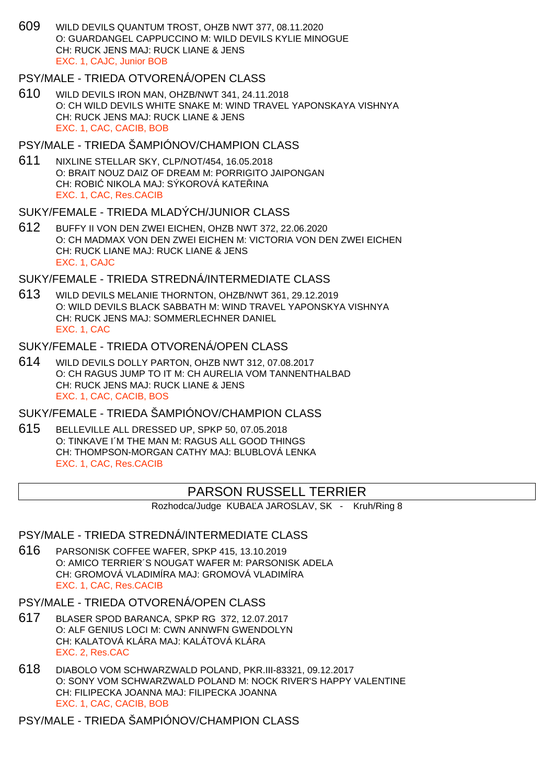609 WILD DEVILS QUANTUM TROST, OHZB NWT 377, 08.11.2020 O: GUARDANGEL CAPPUCCINO M: WILD DEVILS KYLIE MINOGUE CH: RUCK JENS MAJ: RUCK LIANE & JENS EXC. 1, CAJC, Junior BOB

#### PSY/MALE - TRIEDA OTVORENÁ/OPEN CLASS

610 WILD DEVILS IRON MAN, OHZB/NWT 341, 24.11.2018 O: CH WILD DEVILS WHITE SNAKE M: WIND TRAVEL YAPONSKAYA VISHNYA CH: RUCK JENS MAJ: RUCK LIANE & JENS EXC. 1, CAC, CACIB, BOB

### PSY/MALE - TRIEDA ŠAMPIÓNOV/CHAMPION CLASS

611 NIXLINE STELLAR SKY, CLP/NOT/454, 16.05.2018 O: BRAIT NOUZ DAIZ OF DREAM M: PORRIGITO JAIPONGAN CH: ROBI NIKOLA MAJ: SÝKOROVÁ KATE INA EXC. 1, CAC, Res.CACIB

## SUKY/FEMALE - TRIEDA MLADÝCH/JUNIOR CLASS

612 BUFFY II VON DEN ZWEI EICHEN, OHZB NWT 372, 22.06.2020 O: CH MADMAX VON DEN ZWEI EICHEN M: VICTORIA VON DEN ZWEI EICHEN CH: RUCK LIANE MAJ: RUCK LIANE & JENS EXC. 1, CAJC

#### SUKY/FEMALE - TRIEDA STREDNÁ/INTERMEDIATE CLASS

613 WILD DEVILS MELANIE THORNTON, OHZB/NWT 361, 29.12.2019 O: WILD DEVILS BLACK SABBATH M: WIND TRAVEL YAPONSKYA VISHNYA CH: RUCK JENS MAJ: SOMMERLECHNER DANIEL EXC. 1, CAC

#### SUKY/FEMALE - TRIEDA OTVORENÁ/OPEN CLASS

614 WILD DEVILS DOLLY PARTON, OHZB NWT 312, 07.08.2017 O: CH RAGUS JUMP TO IT M: CH AURELIA VOM TANNENTHALBAD CH: RUCK JENS MAJ: RUCK LIANE & JENS EXC. 1, CAC, CACIB, BOS

#### SUKY/FEMALE - TRIEDA ŠAMPIÓNOV/CHAMPION CLASS

615 BELLEVILLE ALL DRESSED UP, SPKP 50, 07.05.2018 O: TINKAVE I´M THE MAN M: RAGUS ALL GOOD THINGS CH: THOMPSON-MORGAN CATHY MAJ: BLUBLOVÁ LENKA EXC. 1, CAC, Res.CACIB

## PARSON RUSSELL TERRIER

Rozhodca/Judge KUBA A JAROSLAV, SK - Kruh/Ring 8

#### PSY/MALE - TRIEDA STREDNÁ/INTERMEDIATE CLASS

616 PARSONISK COFFEE WAFER, SPKP 415, 13.10.2019 O: AMICO TERRIER´S NOUGAT WAFER M: PARSONISK ADELA CH: GROMOVÁ VLADIMÍRA MAJ: GROMOVÁ VLADIMÍRA EXC. 1, CAC, Res.CACIB

#### PSY/MALE - TRIEDA OTVORENÁ/OPEN CLASS

- 617 BLASER SPOD BARANCA, SPKP RG 372, 12.07.2017 O: ALF GENIUS LOCI M: CWN ANNWFN GWENDOLYN CH: KALATOVÁ KLÁRA MAJ: KALÁTOVÁ KLÁRA EXC. 2, Res.CAC
- 618 DIABOLO VOM SCHWARZWALD POLAND, PKR.III-83321, 09.12.2017 O: SONY VOM SCHWARZWALD POLAND M: NOCK RIVER'S HAPPY VALENTINE CH: FILIPECKA JOANNA MAJ: FILIPECKA JOANNA EXC. 1, CAC, CACIB, BOB

PSY/MALE - TRIEDA ŠAMPIÓNOV/CHAMPION CLASS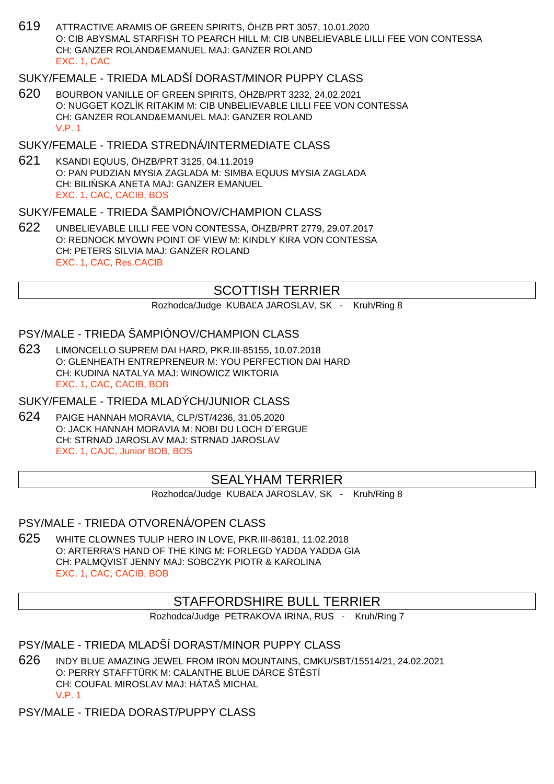619 ATTRACTIVE ARAMIS OF GREEN SPIRITS, ÖHZB PRT 3057, 10.01.2020 O: CIB ABYSMAL STARFISH TO PEARCH HILL M: CIB UNBELIEVABLE LILLI FEE VON CONTESSA CH: GANZER ROLAND&EMANUEL MAJ: GANZER ROLAND EXC. 1, CAC

## SUKY/FEMALE - TRIEDA MLADŠÍ DORAST/MINOR PUPPY CLASS

620 BOURBON VANILLE OF GREEN SPIRITS, ÖHZB/PRT 3232, 24.02.2021 O: NUGGET KOZLÍK RITAKIM M: CIB UNBELIEVABLE LILLI FEE VON CONTESSA CH: GANZER ROLAND&EMANUEL MAJ: GANZER ROLAND V.P. 1

#### SUKY/FEMALE - TRIEDA STREDNÁ/INTERMEDIATE CLASS

621 KSANDI EQUUS, ÖHZB/PRT 3125, 04.11.2019 O: PAN PUDZIAN MYSIA ZAGLADA M: SIMBA EQUUS MYSIA ZAGLADA CH: BILI SKA ANETA MAJ: GANZER EMANUEL EXC. 1, CAC, CACIB, BOS

#### SUKY/FEMALE - TRIEDA ŠAMPIÓNOV/CHAMPION CLASS

622 UNBELIEVABLE LILLI FEE VON CONTESSA, ÖHZB/PRT 2779, 29.07.2017 O: REDNOCK MYOWN POINT OF VIEW M: KINDLY KIRA VON CONTESSA CH: PETERS SILVIA MAJ: GANZER ROLAND EXC. 1, CAC, Res.CACIB

## SCOTTISH TERRIER

Rozhodca/Judge KUBA A JAROSLAV, SK - Kruh/Ring 8

## PSY/MALE - TRIEDA ŠAMPIÓNOV/CHAMPION CLASS

623 LIMONCELLO SUPREM DAI HARD, PKR.III-85155, 10.07.2018 O: GLENHEATH ENTREPRENEUR M: YOU PERFECTION DAI HARD CH: KUDINA NATALYA MAJ: WINOWICZ WIKTORIA EXC. 1, CAC, CACIB, BOB

#### SUKY/FEMALE - TRIEDA MLADÝCH/JUNIOR CLASS

624 PAIGE HANNAH MORAVIA, CLP/ST/4236, 31.05.2020 O: JACK HANNAH MORAVIA M: NOBI DU LOCH D´ERGUE CH: STRNAD JAROSLAV MAJ: STRNAD JAROSLAV EXC. 1, CAJC, Junior BOB, BOS

## SEALYHAM TERRIER

Rozhodca/Judge KUBA A JAROSLAV, SK - Kruh/Ring 8

PSY/MALE - TRIEDA OTVORENÁ/OPEN CLASS

625 WHITE CLOWNES TULIP HERO IN LOVE, PKR.III-86181, 11.02.2018 O: ARTERRA'S HAND OF THE KING M: FORLEGD YADDA YADDA GIA CH: PALMQVIST JENNY MAJ: SOBCZYK PIOTR & KAROLINA EXC. 1, CAC, CACIB, BOB

## STAFFORDSHIRE BULL TERRIER

Rozhodca/Judge PETRAKOVA IRINA, RUS - Kruh/Ring 7

### PSY/MALE - TRIEDA MLADŠÍ DORAST/MINOR PUPPY CLASS

626 INDY BLUE AMAZING JEWEL FROM IRON MOUNTAINS, CMKU/SBT/15514/21, 24.02.2021 O: PERRY STAFFTÜRK M: CALANTHE BLUE DÁRCE ŠT STÍ CH: COUFAL MIROSLAV MAJ: HÁTAŠ MICHAL V.P. 1

PSY/MALE - TRIEDA DORAST/PUPPY CLASS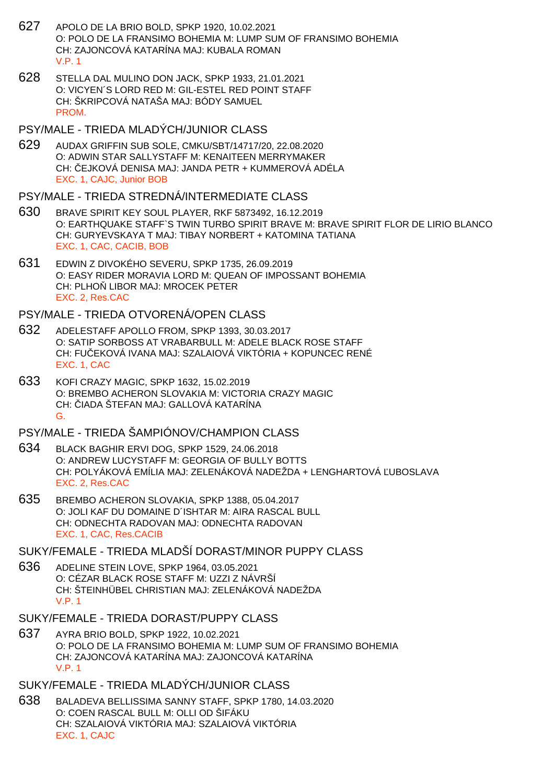- 627 APOLO DE LA BRIO BOLD, SPKP 1920, 10.02.2021 O: POLO DE LA FRANSIMO BOHEMIA M: LUMP SUM OF FRANSIMO BOHEMIA CH: ZAJONCOVÁ KATARÍNA MAJ: KUBALA ROMAN V.P. 1
- 628 STELLA DAL MULINO DON JACK, SPKP 1933, 21.01.2021 O: VICYEN´S LORD RED M: GIL-ESTEL RED POINT STAFF CH: ŠKRIPCOVÁ NATAŠA MAJ: BÓDY SAMUEL **PROM**
- PSY/MALE TRIEDA MLADÝCH/JUNIOR CLASS
- 629 AUDAX GRIFFIN SUB SOLE, CMKU/SBT/14717/20, 22.08.2020 O: ADWIN STAR SALLYSTAFF M: KENAITEEN MERRYMAKER CH: EJKOVÁ DENISA MAJ: JANDA PETR + KUMMEROVÁ ADÉLA EXC. 1, CAJC, Junior BOB
- PSY/MALE TRIEDA STREDNÁ/INTERMEDIATE CLASS
- 630 BRAVE SPIRIT KEY SOUL PLAYER, RKF 5873492, 16.12.2019 O: EARTHQUAKE STAFF`S TWIN TURBO SPIRIT BRAVE M: BRAVE SPIRIT FLOR DE LIRIO BLANCO CH: GURYEVSKAYA T MAJ: TIBAY NORBERT + KATOMINA TATIANA EXC. 1, CAC, CACIB, BOB
- 631 EDWIN Z DIVOKÉHO SEVERU, SPKP 1735, 26.09.2019 O: EASY RIDER MORAVIA LORD M: QUEAN OF IMPOSSANT BOHEMIA CH: PLHO LIBOR MAJ: MROCEK PETER EXC. 2, Res.CAC

#### PSY/MALE - TRIEDA OTVORENÁ/OPEN CLASS

- 632 ADELESTAFF APOLLO FROM, SPKP 1393, 30.03.2017 O: SATIP SORBOSS AT VRABARBULL M: ADELE BLACK ROSE STAFF CH: FU EKOVÁ IVANA MAJ: SZALAIOVÁ VIKTÓRIA + KOPUNCEC RENÉ EXC. 1, CAC
- 633 KOFI CRAZY MAGIC, SPKP 1632, 15.02.2019 O: BREMBO ACHERON SLOVAKIA M: VICTORIA CRAZY MAGIC CH: JADA ŠTEFAN MAJ: GALLOVÁ KATARÍNA G.

### PSY/MALE - TRIEDA ŠAMPIÓNOV/CHAMPION CLASS

- 634 BLACK BAGHIR ERVI DOG, SPKP 1529, 24.06.2018 O: ANDREW LUCYSTAFF M: GEORGIA OF BULLY BOTTS CH: POLYÁKOVÁ EMÍLIA MAJ: ZELENÁKOVÁ NADEŽDA + LENGHARTOVÁ ĽUBOSLAVA EXC. 2, Res.CAC
- 635 BREMBO ACHERON SLOVAKIA, SPKP 1388, 05.04.2017 O: JOLI KAF DU DOMAINE D´ISHTAR M: AIRA RASCAL BULL CH: ODNECHTA RADOVAN MAJ: ODNECHTA RADOVAN EXC. 1, CAC, Res.CACIB

## SUKY/FEMALE - TRIEDA MLADŠÍ DORAST/MINOR PUPPY CLASS

636 ADELINE STEIN LOVE, SPKP 1964, 03.05.2021 O: CÉZAR BLACK ROSE STAFF M: UZZI Z NÁVRŠÍ CH: ŠTEINHÜBEL CHRISTIAN MAJ: ZELENÁKOVÁ NADEŽDA V.P. 1

#### SUKY/FEMALE - TRIEDA DORAST/PUPPY CLASS

- 637 AYRA BRIO BOLD, SPKP 1922, 10.02.2021 O: POLO DE LA FRANSIMO BOHEMIA M: LUMP SUM OF FRANSIMO BOHEMIA CH: ZAJONCOVÁ KATARÍNA MAJ: ZAJONCOVÁ KATARÍNA V.P. 1
- SUKY/FEMALE TRIEDA MLADÝCH/JUNIOR CLASS
- 638 BALADEVA BELLISSIMA SANNY STAFF, SPKP 1780, 14.03.2020 O: COEN RASCAL BULL M: OLLI OD ŠIFÁKU CH: SZALAIOVÁ VIKTÓRIA MAJ: SZALAIOVÁ VIKTÓRIA EXC. 1, CAJC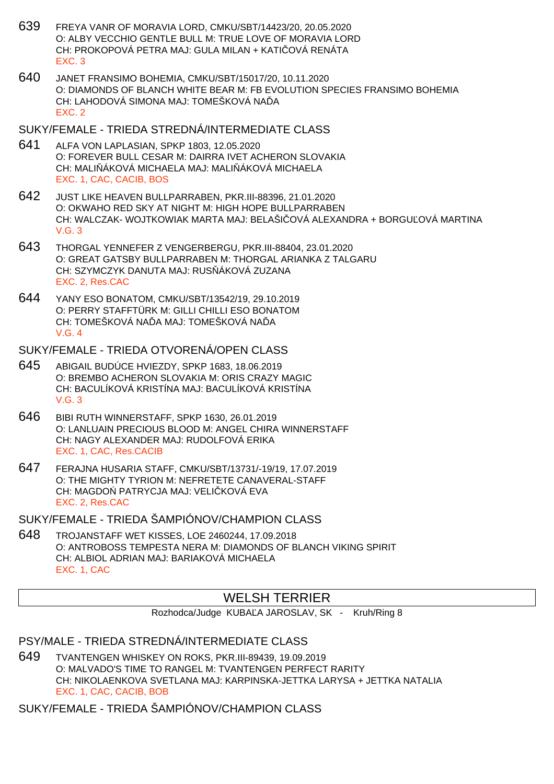- 639 FREYA VANR OF MORAVIA LORD, CMKU/SBT/14423/20, 20.05.2020 O: ALBY VECCHIO GENTLE BULL M: TRUE LOVE OF MORAVIA LORD CH: PROKOPOVÁ PETRA MAJ: GULA MILAN + KATI OVÁ RENÁTA EXC. 3
- 640 JANET FRANSIMO BOHEMIA, CMKU/SBT/15017/20, 10.11.2020 O: DIAMONDS OF BLANCH WHITE BEAR M: FB EVOLUTION SPECIES FRANSIMO BOHEMIA CH: LAHODOVÁ SIMONA MAJ: TOMEŠKOVÁ NA A EXC. 2

#### SUKY/FEMALE - TRIEDA STREDNÁ/INTERMEDIATE CLASS

- 641 ALFA VON LAPLASIAN, SPKP 1803, 12.05.2020 O: FOREVER BULL CESAR M: DAIRRA IVET ACHERON SLOVAKIA CH: MALI ÁKOVÁ MICHAELA MAJ: MALI ÁKOVÁ MICHAELA EXC. 1, CAC, CACIB, BOS
- 642 JUST LIKE HEAVEN BULLPARRABEN, PKR.III-88396, 21.01.2020 O: OKWAHO RED SKY AT NIGHT M: HIGH HOPE BULLPARRABEN CH: WALCZAK- WOJTKOWIAK MARTA MAJ: BELAŠI OVÁ ALEXANDRA + BORGU OVÁ MARTINA V.G. 3
- 643 THORGAL YENNEFER Z VENGERBERGU, PKR.III-88404, 23.01.2020 O: GREAT GATSBY BULLPARRABEN M: THORGAL ARIANKA Z TALGARU CH: SZYMCZYK DANUTA MAJ: RUS ÁKOVÁ ZUZANA EXC. 2, Res.CAC
- 644 YANY ESO BONATOM, CMKU/SBT/13542/19, 29.10.2019 O: PERRY STAFFTÜRK M: GILLI CHILLI ESO BONATOM CH: TOMEŠKOVÁ NA A MAJ: TOMEŠKOVÁ NA A V.G. 4

#### SUKY/FEMALE - TRIEDA OTVORENÁ/OPEN CLASS

- 645 ABIGAIL BUDÚCE HVIEZDY, SPKP 1683, 18.06.2019 O: BREMBO ACHERON SLOVAKIA M: ORIS CRAZY MAGIC CH: BACULÍKOVÁ KRISTÍNA MAJ: BACULÍKOVÁ KRISTÍNA V.G. 3
- 646 BIBI RUTH WINNERSTAFF, SPKP 1630, 26.01.2019 O: LANLUAIN PRECIOUS BLOOD M: ANGEL CHIRA WINNERSTAFF CH: NAGY ALEXANDER MAJ: RUDOLFOVÁ ERIKA EXC. 1, CAC, Res.CACIB
- 647 FERAJNA HUSARIA STAFF, CMKU/SBT/13731/-19/19, 17.07.2019 O: THE MIGHTY TYRION M: NEFRETETE CANAVERAL-STAFF CH: MAGDO PATRYCJA MAJ: VELI KOVÁ EVA EXC. 2, Res.CAC

SUKY/FEMALE - TRIEDA ŠAMPIÓNOV/CHAMPION CLASS

648 TROJANSTAFF WET KISSES, LOE 2460244, 17.09.2018 O: ANTROBOSS TEMPESTA NERA M: DIAMONDS OF BLANCH VIKING SPIRIT CH: ALBIOL ADRIAN MAJ: BARIAKOVÁ MICHAELA EXC. 1, CAC

## WELSH TERRIER

Rozhodca/Judge KUBA A JAROSLAV, SK - Kruh/Ring 8

PSY/MALE - TRIEDA STREDNÁ/INTERMEDIATE CLASS

649 TVANTENGEN WHISKEY ON ROKS, PKR.III-89439, 19.09.2019 O: MALVADO'S TIME TO RANGEL M: TVANTENGEN PERFECT RARITY CH: NIKOLAENKOVA SVETLANA MAJ: KARPINSKA-JETTKA LARYSA + JETTKA NATALIA EXC. 1, CAC, CACIB, BOB

SUKY/FEMALE - TRIEDA ŠAMPIÓNOV/CHAMPION CLASS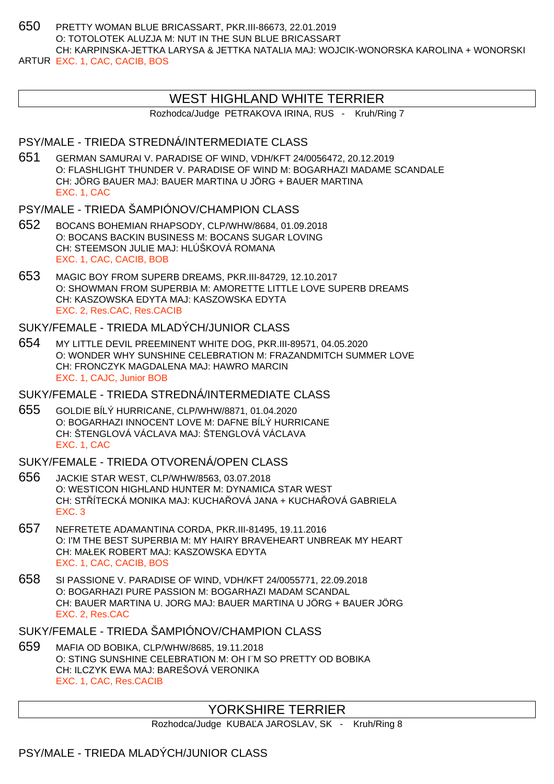650 PRETTY WOMAN BLUE BRICASSART, PKR.III-86673, 22.01.2019 O: TOTOLOTEK ALUZJA M: NUT IN THE SUN BLUE BRICASSART CH: KARPINSKA-JETTKA LARYSA & JETTKA NATALIA MAJ: WOJCIK-WONORSKA KAROLINA + WONORSKI

ARTUR EXC. 1, CAC, CACIB, BOS

## WEST HIGHLAND WHITE TERRIER

Rozhodca/Judge PETRAKOVA IRINA, RUS - Kruh/Ring 7

## PSY/MALE - TRIEDA STREDNÁ/INTERMEDIATE CLASS

651 GERMAN SAMURAI V. PARADISE OF WIND, VDH/KFT 24/0056472, 20.12.2019 O: FLASHLIGHT THUNDER V. PARADISE OF WIND M: BOGARHAZI MADAME SCANDALE CH: JÖRG BAUER MAJ: BAUER MARTINA U JÖRG + BAUER MARTINA EXC. 1, CAC

## PSY/MALE - TRIEDA ŠAMPIÓNOV/CHAMPION CLASS

- 652 BOCANS BOHEMIAN RHAPSODY, CLP/WHW/8684, 01.09.2018 O: BOCANS BACKIN BUSINESS M: BOCANS SUGAR LOVING CH: STEEMSON JULIE MAJ: HLÚŠKOVÁ ROMANA EXC. 1, CAC, CACIB, BOB
- 653 MAGIC BOY FROM SUPERB DREAMS, PKR.III-84729, 12.10.2017 O: SHOWMAN FROM SUPERBIA M: AMORETTE LITTLE LOVE SUPERB DREAMS CH: KASZOWSKA EDYTA MAJ: KASZOWSKA EDYTA EXC. 2, Res.CAC, Res.CACIB

### SUKY/FEMALE - TRIEDA MLADÝCH/JUNIOR CLASS

654 MY LITTLE DEVIL PREEMINENT WHITE DOG, PKR.III-89571, 04.05.2020 O: WONDER WHY SUNSHINE CELEBRATION M: FRAZANDMITCH SUMMER LOVE CH: FRONCZYK MAGDALENA MAJ: HAWRO MARCIN EXC. 1, CAJC, Junior BOB

### SUKY/FEMALE - TRIEDA STREDNÁ/INTERMEDIATE CLASS

655 GOLDIE BÍLÝ HURRICANE, CLP/WHW/8871, 01.04.2020 O: BOGARHAZI INNOCENT LOVE M: DAFNE BÍLÝ HURRICANE CH: ŠTENGLOVÁ VÁCLAVA MAJ: ŠTENGLOVÁ VÁCLAVA EXC. 1, CAC

#### SUKY/FEMALE - TRIEDA OTVORENÁ/OPEN CLASS

- 656 JACKIE STAR WEST, CLP/WHW/8563, 03.07.2018 O: WESTICON HIGHLAND HUNTER M: DYNAMICA STAR WEST CH: STÍTECKÁ MONIKA MAJ: KUCHA OVÁ JANA + KUCHA OVÁ GABRIELA EXC. 3
- 657 NEFRETETE ADAMANTINA CORDA, PKR.III-81495, 19.11.2016 O: I'M THE BEST SUPERBIA M: MY HAIRY BRAVEHEART UNBREAK MY HEART CH: MAŁEK ROBERT MAJ: KASZOWSKA EDYTA EXC. 1, CAC, CACIB, BOS
- 658 SI PASSIONE V. PARADISE OF WIND, VDH/KFT 24/0055771, 22.09.2018 O: BOGARHAZI PURE PASSION M: BOGARHAZI MADAM SCANDAL CH: BAUER MARTINA U. JORG MAJ: BAUER MARTINA U JÖRG + BAUER JÖRG EXC. 2, Res.CAC

## SUKY/FEMALE - TRIEDA ŠAMPIÓNOV/CHAMPION CLASS

659 MAFIA OD BOBIKA, CLP/WHW/8685, 19.11.2018 O: STING SUNSHINE CELEBRATION M: OH I¨M SO PRETTY OD BOBIKA CH: ILCZYK EWA MAJ: BAREŠOVÁ VERONIKA EXC. 1, CAC, Res.CACIB

## YORKSHIRE TERRIER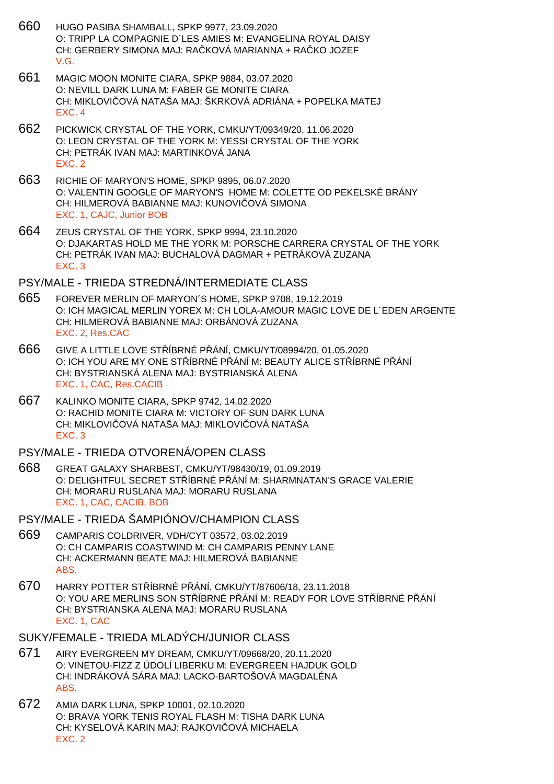- 660 HUGO PASIBA SHAMBALL, SPKP 9977, 23.09.2020 O: TRIPP LA COMPAGNIE D´LES AMIES M: EVANGELINA ROYAL DAISY CH: GERBERY SIMONA MAJ: RAČKOVÁ MARIANNA + RAČKO JOZEF V.G.
- 661 MAGIC MOON MONITE CIARA, SPKP 9884, 03.07.2020 O: NEVILL DARK LUNA M: FABER GE MONITE CIARA CH: MIKLOVI OVÁ NATAŠA MAJ: ŠKRKOVÁ ADRIÁNA + POPELKA MATEJ EXC. 4
- 662 PICKWICK CRYSTAL OF THE YORK, CMKU/YT/09349/20, 11.06.2020 O: LEON CRYSTAL OF THE YORK M: YESSI CRYSTAL OF THE YORK CH: PETRÁK IVAN MAJ: MARTINKOVÁ JANA EXC. 2
- 663 RICHIE OF MARYON'S HOME, SPKP 9895, 06.07.2020 O: VALENTIN GOOGLE OF MARYON'S HOME M: COLETTE OD PEKELSKÉ BRÁNY CH: HILMEROVÁ BABIANNE MAJ: KUNOVI OVÁ SIMONA EXC. 1, CAJC, Junior BOB
- 664 ZEUS CRYSTAL OF THE YORK, SPKP 9994, 23.10.2020 O: DJAKARTAS HOLD ME THE YORK M: PORSCHE CARRERA CRYSTAL OF THE YORK CH: PETRÁK IVAN MAJ: BUCHALOVÁ DAGMAR + PETRÁKOVÁ ZUZANA EXC. 3

#### PSY/MALE - TRIEDA STREDNÁ/INTERMEDIATE CLASS

- 665 FOREVER MERLIN OF MARYON´S HOME, SPKP 9708, 19.12.2019 O: ICH MAGICAL MERLIN YOREX M: CH LOLA-AMOUR MAGIC LOVE DE L´EDEN ARGENTE CH: HILMEROVÁ BABIANNE MAJ: ORBÁNOVÁ ZUZANA EXC. 2, Res.CAC
- 666 GIVE A LITTLE LOVE STŘÍBRNÉ PŘÁNÍ, CMKU/YT/08994/20, 01.05.2020 O: ICH YOU ARE MY ONE STÁBRNÉ PÁNÍ M: BEAUTY ALICE STÁBRNÉ PÁNÍ CH: BYSTRIANSKÁ ALENA MAJ: BYSTRIANSKÁ ALENA EXC. 1, CAC, Res.CACIB
- 667 KALINKO MONITE CIARA, SPKP 9742, 14.02.2020 O: RACHID MONITE CIARA M: VICTORY OF SUN DARK LUNA CH: MIKLOVI OVÁ NATAŠA MAJ: MIKLOVI OVÁ NATAŠA EXC. 3

#### PSY/MALE - TRIEDA OTVORENÁ/OPEN CLASS

- 668 GREAT GALAXY SHARBEST, CMKU/YT/98430/19, 01.09.2019 O: DELIGHTFUL SECRET ST ÍBRNÉ PÁNÍ M: SHARMNATAN'S GRACE VALERIE CH: MORARU RUSLANA MAJ: MORARU RUSLANA EXC. 1, CAC, CACIB, BOB
- PSY/MALE TRIEDA ŠAMPIÓNOV/CHAMPION CLASS
- 669 CAMPARIS COLDRIVER, VDH/CYT 03572, 03.02.2019 O: CH CAMPARIS COASTWIND M: CH CAMPARIS PENNY LANE CH: ACKERMANN BEATE MAJ: HILMEROVÁ BABIANNE ABS.
- 670 HARRY POTTER STŘÍBRNÉ PŘÁNÍ, CMKU/YT/87606/18, 23.11.2018 O: YOU ARE MERLINS SON STÍBRNÉ PÁNÍ M: READY FOR LOVE STÍBRNÉ PÁNÍ CH: BYSTRIANSKA ALENA MAJ: MORARU RUSLANA EXC. 1, CAC
- SUKY/FEMALE TRIEDA MLADÝCH/JUNIOR CLASS
- 671 AIRY EVERGREEN MY DREAM, CMKU/YT/09668/20, 20.11.2020 O: VINETOU-FIZZ Z ÚDOLÍ LIBERKU M: EVERGREEN HAJDUK GOLD CH: INDRÁKOVÁ SÁRA MAJ: LACKO-BARTOŠOVÁ MAGDALÉNA ABS.
- 672 AMIA DARK LUNA, SPKP 10001, 02.10.2020 O: BRAVA YORK TENIS ROYAL FLASH M: TISHA DARK LUNA CH: KYSELOVÁ KARIN MAJ: RAJKOVI OVÁ MICHAELA EXC. 2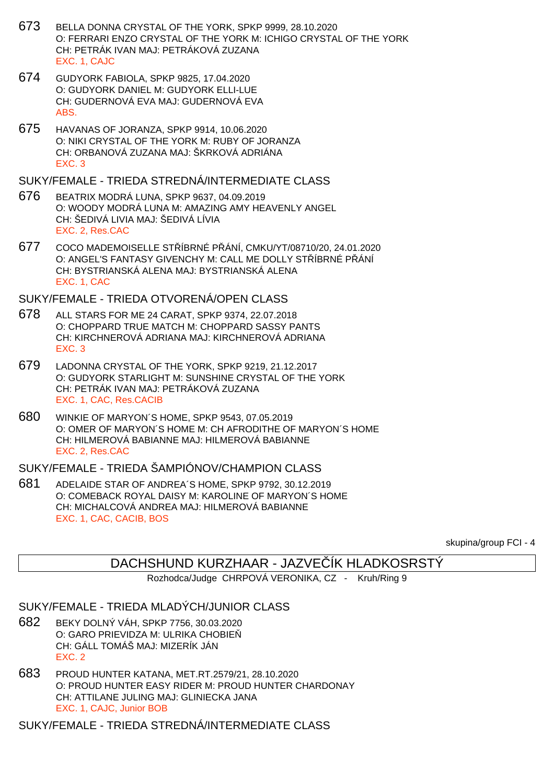- 673 BELLA DONNA CRYSTAL OF THE YORK, SPKP 9999, 28.10.2020 O: FERRARI ENZO CRYSTAL OF THE YORK M: ICHIGO CRYSTAL OF THE YORK CH: PETRÁK IVAN MAJ: PETRÁKOVÁ ZUZANA EXC. 1, CAJC
- 674 GUDYORK FABIOLA, SPKP 9825, 17.04.2020 O: GUDYORK DANIEL M: GUDYORK ELLI-LUE CH: GUDERNOVÁ EVA MAJ: GUDERNOVÁ EVA ABS.
- 675 HAVANAS OF JORANZA, SPKP 9914, 10.06.2020 O: NIKI CRYSTAL OF THE YORK M: RUBY OF JORANZA CH: ORBANOVÁ ZUZANA MAJ: ŠKRKOVÁ ADRIÁNA EXC. 3

#### SUKY/FEMALE - TRIEDA STREDNÁ/INTERMEDIATE CLASS

- 676 BEATRIX MODRÁ LUNA, SPKP 9637, 04.09.2019 O: WOODY MODRÁ LUNA M: AMAZING AMY HEAVENLY ANGEL CH: ŠEDIVÁ LIVIA MAJ: ŠEDIVÁ LÍVIA EXC. 2, Res.CAC
- 677 COCO MADEMOISELLE STŘÍBRNÉ PŘÁNÍ, CMKU/YT/08710/20, 24.01.2020 O: ANGEL'S FANTASY GIVENCHY M: CALL ME DOLLY ST ÍBRNÉ PÁNÍ CH: BYSTRIANSKÁ ALENA MAJ: BYSTRIANSKÁ ALENA EXC. 1, CAC

SUKY/FEMALE - TRIEDA OTVORENÁ/OPEN CLASS

- 678 ALL STARS FOR ME 24 CARAT, SPKP 9374, 22.07.2018 O: CHOPPARD TRUE MATCH M: CHOPPARD SASSY PANTS CH: KIRCHNEROVÁ ADRIANA MAJ: KIRCHNEROVÁ ADRIANA EXC. 3
- 679 LADONNA CRYSTAL OF THE YORK, SPKP 9219, 21.12.2017 O: GUDYORK STARLIGHT M: SUNSHINE CRYSTAL OF THE YORK CH: PETRÁK IVAN MAJ: PETRÁKOVÁ ZUZANA EXC. 1, CAC, Res.CACIB
- 680 WINKIE OF MARYON´S HOME, SPKP 9543, 07.05.2019 O: OMER OF MARYON´S HOME M: CH AFRODITHE OF MARYON´S HOME CH: HILMEROVÁ BABIANNE MAJ: HILMEROVÁ BABIANNE EXC. 2, Res.CAC

SUKY/FEMALE - TRIEDA ŠAMPIÓNOV/CHAMPION CLASS

681 ADELAIDE STAR OF ANDREA´S HOME, SPKP 9792, 30.12.2019 O: COMEBACK ROYAL DAISY M: KAROLINE OF MARYON´S HOME CH: MICHALCOVÁ ANDREA MAJ: HILMEROVÁ BABIANNE EXC. 1, CAC, CACIB, BOS

skupina/group FCI - 4

## DACHSHUND KURZHAAR - JAZVE ÍK HLADKOSRSTÝ

Rozhodca/Judge CHRPOVÁ VERONIKA, CZ - Kruh/Ring 9

SUKY/FEMALE - TRIEDA MLADÝCH/JUNIOR CLASS

- 682 BEKY DOLNÝ VÁH, SPKP 7756, 30.03.2020 O: GARO PRIEVIDZA M: ULRIKA CHOBIE CH: GÁLL TOMÁŠ MAJ: MIZERÍK JÁN EXC. 2
- 683 PROUD HUNTER KATANA, MET.RT.2579/21, 28.10.2020 O: PROUD HUNTER EASY RIDER M: PROUD HUNTER CHARDONAY CH: ATTILANE JULING MAJ: GLINIECKA JANA EXC. 1, CAJC, Junior BOB

SUKY/FEMALE - TRIEDA STREDNÁ/INTERMEDIATE CLASS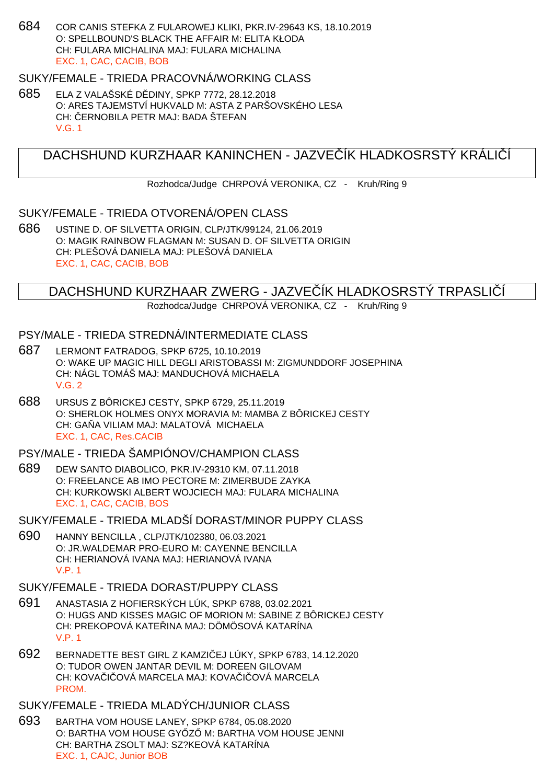684 COR CANIS STEFKA Z FULAROWEJ KLIKI, PKR.IV-29643 KS, 18.10.2019 O: SPELLBOUND'S BLACK THE AFFAIR M: ELITA KŁODA CH: FULARA MICHALINA MAJ: FULARA MICHALINA EXC. 1, CAC, CACIB, BOB

#### SUKY/FEMALE - TRIEDA PRACOVNÁ/WORKING CLASS

685 ELA Z VALAŠSKÉ D DINY, SPKP 7772, 28.12.2018 O: ARES TAJEMSTVÍ HUKVALD M: ASTA Z PARŠOVSKÉHO LESA CH: ERNOBILA PETR MAJ: BADA ŠTEFAN V.G. 1

# DACHSHUND KURZHAAR KANINCHEN - JAZVE ÍK HLADKOSRSTÝ KRÁLI Í

Rozhodca/Judge CHRPOVÁ VERONIKA, CZ - Kruh/Ring 9

#### SUKY/FEMALE - TRIEDA OTVORENÁ/OPEN CLASS

686 USTINE D. OF SILVETTA ORIGIN, CLP/JTK/99124, 21.06.2019 O: MAGIK RAINBOW FLAGMAN M: SUSAN D. OF SILVETTA ORIGIN CH: PLEŠOVÁ DANIELA MAJ: PLEŠOVÁ DANIELA EXC. 1, CAC, CACIB, BOB

## DACHSHUND KURZHAAR ZWERG - JAZVEĆÍK HLADKOSRSTÝ TRPASLICÍ

Rozhodca/Judge CHRPOVÁ VERONIKA, CZ - Kruh/Ring 9

#### PSY/MALE - TRIEDA STREDNÁ/INTERMEDIATE CLASS

- 687 LERMONT FATRADOG, SPKP 6725, 10.10.2019 O: WAKE UP MAGIC HILL DEGLI ARISTOBASSI M: ZIGMUNDDORF JOSEPHINA CH: NÁGL TOMÁŠ MAJ: MANDUCHOVÁ MICHAELA V.G. 2
- 688 URSUS Z BÔRICKEJ CESTY, SPKP 6729, 25.11.2019 O: SHERLOK HOLMES ONYX MORAVIA M: MAMBA Z BÔRICKEJ CESTY CH: GA A VILIAM MAJ: MALATOVÁ MICHAELA EXC. 1, CAC, Res.CACIB

PSY/MALE - TRIEDA ŠAMPIÓNOV/CHAMPION CLASS

689 DEW SANTO DIABOLICO, PKR.IV-29310 KM, 07.11.2018 O: FREELANCE AB IMO PECTORE M: ZIMERBUDE ZAYKA CH: KURKOWSKI ALBERT WOJCIECH MAJ: FULARA MICHALINA EXC. 1, CAC, CACIB, BOS

SUKY/FEMALE - TRIEDA MLADŠÍ DORAST/MINOR PUPPY CLASS

- 690 HANNY BENCILLA , CLP/JTK/102380, 06.03.2021 O: JR.WALDEMAR PRO-EURO M: CAYENNE BENCILLA CH: HERIANOVÁ IVANA MAJ: HERIANOVÁ IVANA V.P. 1
- SUKY/FEMALE TRIEDA DORAST/PUPPY CLASS
- 691 ANASTASIA Z HOFIERSKÝCH LÚK, SPKP 6788, 03.02.2021 O: HUGS AND KISSES MAGIC OF MORION M: SABINE Z BÔRICKEJ CESTY CH: PREKOPOVÁ KATE INA MAJ: DÖMÖSOVÁ KATARÍNA V.P. 1
- 692 BERNADETTE BEST GIRL Z KAMZI EJ LÚKY, SPKP 6783, 14.12.2020 O: TUDOR OWEN JANTAR DEVIL M: DOREEN GILOVAM CH: KOVA I OVÁ MARCELA MAJ: KOVA I OVÁ MARCELA PROM.
- SUKY/FEMALE TRIEDA MLADÝCH/JUNIOR CLASS
- 693 BARTHA VOM HOUSE LANEY, SPKP 6784, 05.08.2020 O: BARTHA VOM HOUSE GY Z M: BARTHA VOM HOUSE JENNI CH: BARTHA ZSOLT MAJ: SZ?KEOVÁ KATARÍNA EXC. 1, CAJC, Junior BOB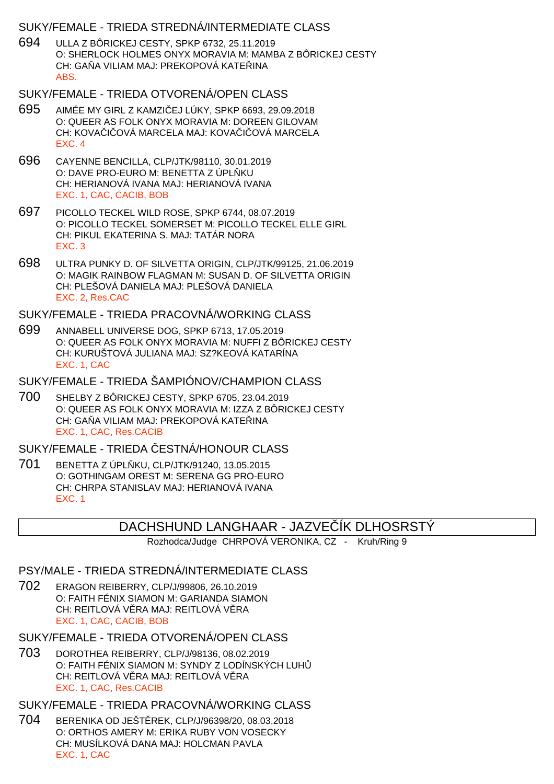### SUKY/FEMALE - TRIEDA STREDNÁ/INTERMEDIATE CLASS

694 ULLA Z BÔRICKEJ CESTY, SPKP 6732, 25.11.2019 O: SHERLOCK HOLMES ONYX MORAVIA M: MAMBA Z BÔRICKEJ CESTY CH: GA A VILIAM MAJ: PREKOPOVÁ KATELINA ABS.

### SUKY/FEMALE - TRIEDA OTVORENÁ/OPEN CLASS

- 695 AIMÉE MY GIRL Z KAMZI EJ LÚKY, SPKP 6693, 29.09.2018 O: QUEER AS FOLK ONYX MORAVIA M: DOREEN GILOVAM CH: KOVA I OVÁ MARCELA MAJ: KOVA I OVÁ MARCELA EXC. 4
- 696 CAYENNE BENCILLA, CLP/JTK/98110, 30.01.2019 O: DAVE PRO-EURO M: BENETTA Z ÚPL KU CH: HERIANOVÁ IVANA MAJ: HERIANOVÁ IVANA EXC. 1, CAC, CACIB, BOB
- 697 PICOLLO TECKEL WILD ROSE, SPKP 6744, 08.07.2019 O: PICOLLO TECKEL SOMERSET M: PICOLLO TECKEL ELLE GIRL CH: PIKUL EKATERINA S. MAJ: TATÁR NORA EXC. 3
- 698 ULTRA PUNKY D. OF SILVETTA ORIGIN, CLP/JTK/99125, 21.06.2019 O: MAGIK RAINBOW FLAGMAN M: SUSAN D. OF SILVETTA ORIGIN CH: PLEŠOVÁ DANIELA MAJ: PLEŠOVÁ DANIELA EXC. 2, Res.CAC

SUKY/FEMALE - TRIEDA PRACOVNÁ/WORKING CLASS

699 ANNABELL UNIVERSE DOG, SPKP 6713, 17.05.2019 O: QUEER AS FOLK ONYX MORAVIA M: NUFFI Z BÔRICKEJ CESTY CH: KURUŠTOVÁ JULIANA MAJ: SZ?KEOVÁ KATARÍNA EXC. 1, CAC

SUKY/FEMALE - TRIEDA ŠAMPIÓNOV/CHAMPION CLASS

700 SHELBY Z BÔRICKEJ CESTY, SPKP 6705, 23.04.2019 O: QUEER AS FOLK ONYX MORAVIA M: IZZA Z BÔRICKEJ CESTY CH: GA A VILIAM MAJ: PREKOPOVÁ KATE INA EXC. 1, CAC, Res.CACIB

SUKY/FEMALE - TRIEDA ESTNÁ/HONOUR CLASS

701 BENETTA Z ÚPL KU, CLP/JTK/91240, 13.05.2015 O: GOTHINGAM OREST M: SERENA GG PRO-EURO CH: CHRPA STANISLAV MAJ: HERIANOVÁ IVANA EXC. 1

## DACHSHUND LANGHAAR - JAZVE ÍK DLHOSRSTÝ

Rozhodca/Judge CHRPOVÁ VERONIKA, CZ - Kruh/Ring 9

PSY/MALE - TRIEDA STREDNÁ/INTERMEDIATE CLASS

- 702 ERAGON REIBERRY, CLP/J/99806, 26.10.2019 O: FAITH FÉNIX SIAMON M: GARIANDA SIAMON CH: REITLOVÁ V RA MAJ: REITLOVÁ V RA EXC. 1, CAC, CACIB, BOB
- SUKY/FEMALE TRIEDA OTVORENÁ/OPEN CLASS
- 703 DOROTHEA REIBERRY, CLP/J/98136, 08.02.2019 O: FAITH FÉNIX SIAMON M: SYNDY Z LODÍNSKÝCH LUH CH: REITLOVÁ V RA MAJ: REITLOVÁ V RA EXC. 1, CAC, Res.CACIB

SUKY/FEMALE - TRIEDA PRACOVNÁ/WORKING CLASS

704 BERENIKA OD JEŠTĚREK, CLP/J/96398/20, 08.03.2018 O: ORTHOS AMERY M: ERIKA RUBY VON VOSECKY CH: MUSÍLKOVÁ DANA MAJ: HOLCMAN PAVLA EXC. 1, CAC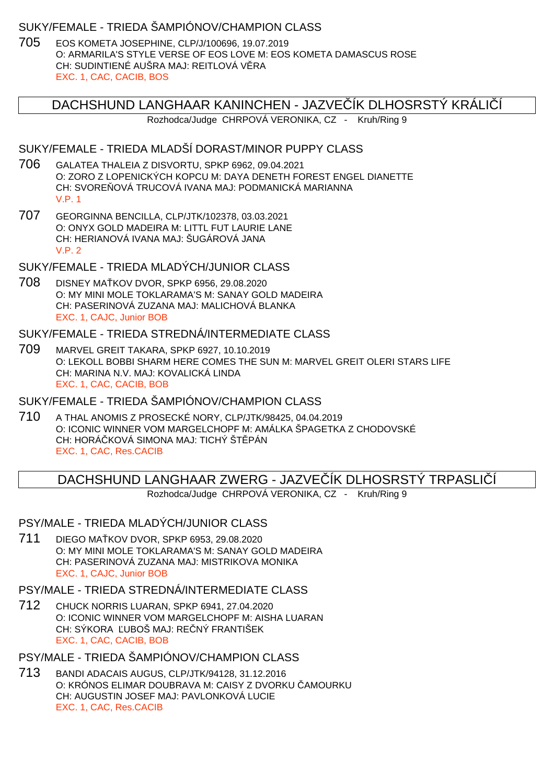## SUKY/FEMALE - TRIEDA ŠAMPIÓNOV/CHAMPION CLASS

705 EOS KOMETA JOSEPHINE, CLP/J/100696, 19.07.2019 O: ARMARILA'S STYLE VERSE OF EOS LOVE M: EOS KOMETA DAMASCUS ROSE CH: SUDINTIENÉ AUŠRA MAJ: REITLOVÁ V. RA EXC. 1, CAC, CACIB, BOS

## DACHSHUND LANGHAAR KANINCHEN - JAZVE ÍK DLHOSRSTÝ KRÁLI Í

Rozhodca/Judge CHRPOVÁ VERONIKA, CZ - Kruh/Ring 9

#### SUKY/FEMALE - TRIEDA MLADŠÍ DORAST/MINOR PUPPY CLASS

- 706 GALATEA THALEIA Z DISVORTU, SPKP 6962, 09.04.2021 O: ZORO Z LOPENICKÝCH KOPCU M: DAYA DENETH FOREST ENGEL DIANETTE CH: SVORE OVÁ TRUCOVÁ IVANA MAJ: PODMANICKÁ MARIANNA V.P. 1
- 707 GEORGINNA BENCILLA, CLP/JTK/102378, 03.03.2021 O: ONYX GOLD MADEIRA M: LITTL FUT LAURIE LANE CH: HERIANOVÁ IVANA MAJ: ŠUGÁROVÁ JANA V.P. 2

SUKY/FEMALE - TRIEDA MLADÝCH/JUNIOR CLASS

708 DISNEY MA KOV DVOR, SPKP 6956, 29.08.2020 O: MY MINI MOLE TOKLARAMA'S M: SANAY GOLD MADEIRA CH: PASERINOVÁ ZUZANA MAJ: MALICHOVÁ BLANKA EXC. 1, CAJC, Junior BOB

### SUKY/FEMALE - TRIEDA STREDNÁ/INTERMEDIATE CLASS

709 MARVEL GREIT TAKARA, SPKP 6927, 10.10.2019 O: LEKOLL BOBBI SHARM HERE COMES THE SUN M: MARVEL GREIT OLERI STARS LIFE CH: MARINA N.V. MAJ: KOVALICKÁ LINDA EXC. 1, CAC, CACIB, BOB

## SUKY/FEMALE - TRIEDA ŠAMPIÓNOV/CHAMPION CI ASS

710 A THAL ANOMIS Z PROSECKÉ NORY, CLP/JTK/98425, 04.04.2019 O: ICONIC WINNER VOM MARGELCHOPF M: AMÁLKA ŠPAGETKA Z CHODOVSKÉ CH: HORÁ KOVÁ SIMONA MAJ: TICHÝ ŠT PÁN EXC. 1, CAC, Res.CACIB

DACHSHUND LANGHAAR ZWERG - JAZVE ÍK DLHOSRSTÝ TRPASLIÍ

Rozhodca/Judge CHRPOVÁ VERONIKA, CZ - Kruh/Ring 9

#### PSY/MALE - TRIEDA MLADÝCH/JUNIOR CLASS

711 DIEGO MA KOV DVOR, SPKP 6953, 29.08.2020 O: MY MINI MOLE TOKLARAMA'S M: SANAY GOLD MADEIRA CH: PASERINOVÁ ZUZANA MAJ: MISTRIKOVA MONIKA EXC. 1, CAJC, Junior BOB

## PSY/MALE - TRIEDA STREDNÁ/INTERMEDIATE CLASS

712 CHUCK NORRIS LUARAN, SPKP 6941, 27.04.2020 O: ICONIC WINNER VOM MARGELCHOPF M: AISHA LUARAN CH: SÝKORA UBOŠ MAJ: RE NÝ FRANTIŠEK EXC. 1, CAC, CACIB, BOB

## PSY/MALE - TRIEDA ŠAMPIÓNOV/CHAMPION CLASS

713 BANDI ADACAIS AUGUS, CLP/JTK/94128, 31.12.2016 O: KRÓNOS ELIMAR DOUBRAVA M: CAISY Z DVORKU AMOURKU CH: AUGUSTIN JOSEF MAJ: PAVLONKOVÁ LUCIE EXC. 1, CAC, Res.CACIB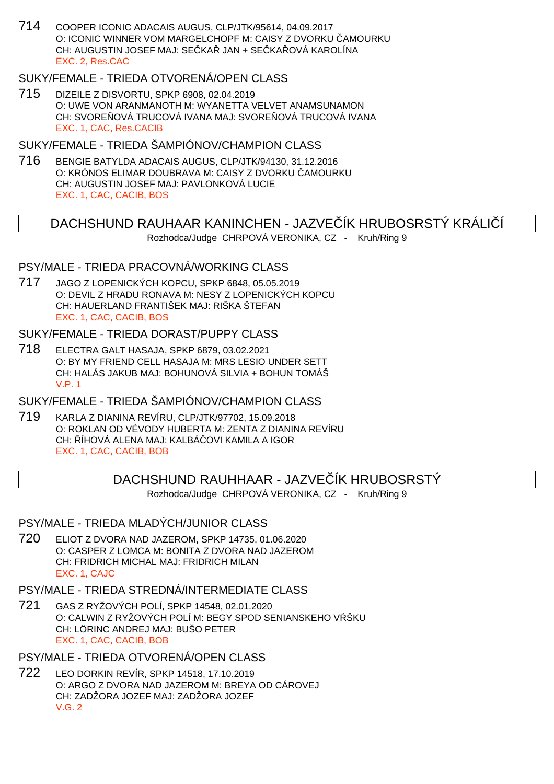714 COOPER ICONIC ADACAIS AUGUS, CLP/JTK/95614, 04.09.2017 O: ICONIC WINNER VOM MARGELCHOPF M: CAISY Z DVORKU AMOURKU CH: AUGUSTIN JOSEF MAJ: SEČKAŘ JAN + SEČKAŘOVÁ KAROLÍNA EXC. 2, Res.CAC

### SUKY/FEMALE - TRIEDA OTVORENÁ/OPEN CLASS

715 DIZEILE Z DISVORTU, SPKP 6908, 02.04.2019 O: UWE VON ARANMANOTH M: WYANETTA VELVET ANAMSUNAMON CH: SVORE OVÁ TRUCOVÁ IVANA MAJ: SVORE OVÁ TRUCOVÁ IVANA EXC. 1, CAC, Res.CACIB

#### SUKY/FEMALE - TRIEDA ŠAMPIÓNOV/CHAMPION CLASS

716 BENGIE BATYLDA ADACAIS AUGUS, CLP/JTK/94130, 31.12.2016 O: KRÓNOS ELIMAR DOUBRAVA M: CAISY Z DVORKU – AMOURKU CH: AUGUSTIN JOSEF MAJ: PAVLONKOVÁ LUCIE EXC. 1, CAC, CACIB, BOS

## DACHSHUND RAUHAAR KANINCHEN - JAZVE ÍK HRUBOSRSTÝ KRÁLIÍ

Rozhodca/Judge CHRPOVÁ VERONIKA, CZ - Kruh/Ring 9

### PSY/MALE - TRIEDA PRACOVNÁ/WORKING CLASS

717 JAGO Z LOPENICKÝCH KOPCU, SPKP 6848, 05.05.2019 O: DEVIL Z HRADU RONAVA M: NESY Z LOPENICKÝCH KOPCU CH: HAUERLAND FRANTIŠEK MAJ: RIŠKA ŠTEFAN EXC. 1, CAC, CACIB, BOS

#### SUKY/FEMALE - TRIEDA DORAST/PUPPY CLASS

718 ELECTRA GALT HASAJA, SPKP 6879, 03.02.2021 O: BY MY FRIEND CELL HASAJA M: MRS LESIO UNDER SETT CH: HALÁS JAKUB MAJ: BOHUNOVÁ SILVIA + BOHUN TOMÁŠ V.P. 1

SUKY/FEMALE - TRIEDA ŠAMPIÓNOV/CHAMPION CLASS

719 KARLA Z DIANINA REVÍRU, CLP/JTK/97702, 15.09.2018 O: ROKLAN OD VÉVODY HUBERTA M: ZENTA Z DIANINA REVÍRU CH: ÍHOVÁ ALENA MAJ: KALBÁ OVI KAMILA A IGOR EXC. 1, CAC, CACIB, BOB

## DACHSHUND RAUHHAAR - JAZVE ÍK HRUBOSRSTÝ

Rozhodca/Judge CHRPOVÁ VERONIKA, CZ - Kruh/Ring 9

#### PSY/MALE - TRIEDA MLADÝCH/JUNIOR CLASS

720 ELIOT Z DVORA NAD JAZEROM, SPKP 14735, 01.06.2020 O: CASPER Z LOMCA M: BONITA Z DVORA NAD JAZEROM CH: FRIDRICH MICHAL MAJ: FRIDRICH MILAN EXC. 1, CAJC

## PSY/MALE - TRIEDA STREDNÁ/INTERMEDIATE CLASS

721 GAS Z RYŽOVÝCH POLÍ, SPKP 14548, 02.01.2020 O: CALWIN Z RYŽOVÝCH POLÍ M: BEGY SPOD SENIANSKEHO V ŠKU CH: LÖRINC ANDREJ MAJ: BUŠO PETER EXC. 1, CAC, CACIB, BOB

## PSY/MALE - TRIEDA OTVORENÁ/OPEN CLASS

722 LEO DORKIN REVÍR, SPKP 14518, 17.10.2019 O: ARGO Z DVORA NAD JAZEROM M: BREYA OD CÁROVEJ CH: ZADŽORA JOZEF MAJ: ZADŽORA JOZEF V.G. 2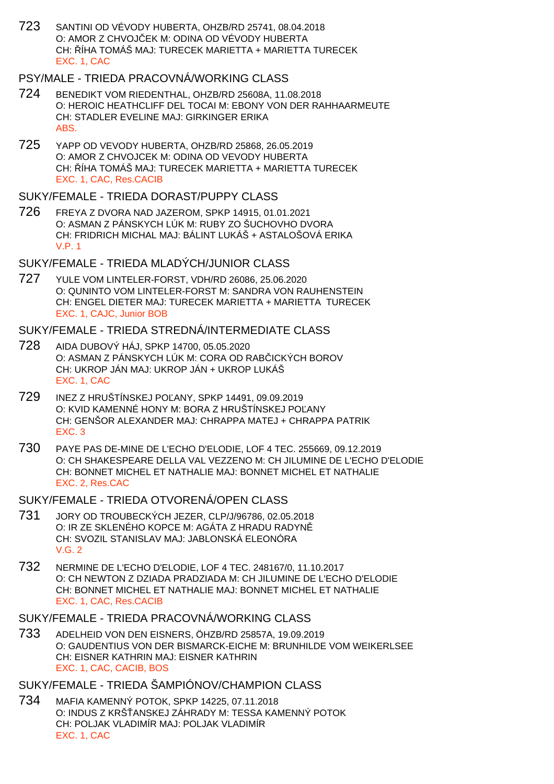723 SANTINI OD VÉVODY HUBERTA, OHZB/RD 25741, 08.04.2018 O: AMOR Z CHVOJEK M: ODINA OD VÉVODY HUBERTA CH: ŘÍHA TOMÁŠ MAJ: TURECEK MARIETTA + MARIETTA TURECEK EXC. 1, CAC

## PSY/MALE - TRIEDA PRACOVNÁ/WORKING CLASS

- 724 BENEDIKT VOM RIEDENTHAL, OHZB/RD 25608A, 11.08.2018 O: HEROIC HEATHCLIFF DEL TOCAI M: EBONY VON DER RAHHAARMEUTE CH: STADLER EVELINE MAJ: GIRKINGER ERIKA ABS.
- 725 YAPP OD VEVODY HUBERTA, OHZB/RD 25868, 26.05.2019 O: AMOR Z CHVOJCEK M: ODINA OD VEVODY HUBERTA CH: ÍHA TOMÁŠ MAJ: TURECEK MARIETTA + MARIETTA TURECEK EXC. 1, CAC, Res.CACIB

#### SUKY/FEMALE - TRIEDA DORAST/PUPPY CLASS

726 FREYA Z DVORA NAD JAZEROM, SPKP 14915, 01.01.2021 O: ASMAN Z PÁNSKYCH LÚK M: RUBY ZO ŠUCHOVHO DVORA CH: FRIDRICH MICHAL MAJ: BÁLINT LUKÁŠ + ASTALOŠOVÁ ERIKA V.P. 1

### SUKY/FEMALE - TRIEDA MLADÝCH/JUNIOR CLASS

727 YULE VOM LINTELER-FORST, VDH/RD 26086, 25.06.2020 O: QUNINTO VOM LINTELER-FORST M: SANDRA VON RAUHENSTEIN CH: ENGEL DIETER MAJ: TURECEK MARIETTA + MARIETTA TURECEK EXC. 1, CAJC, Junior BOB

### SUKY/FEMALE - TRIEDA STREDNÁ/INTERMEDIATE CLASS

- 728 AIDA DUBOVÝ HÁJ, SPKP 14700, 05.05.2020 O: ASMAN Z PÁNSKYCH LÚK M: CORA OD RABČICKÝCH BOROV CH: UKROP JÁN MAJ: UKROP JÁN + UKROP LUKÁŠ EXC. 1, CAC
- 729 INEZ Z HRUŠTÍNSKEJ POĽANY, SPKP 14491, 09.09.2019 O: KVID KAMENNÉ HONY M: BORA Z HRUŠTÍNSKEJ POĽANY CH: GENŠOR ALEXANDER MAJ: CHRAPPA MATEJ + CHRAPPA PATRIK EXC. 3
- 730 PAYE PAS DE-MINE DE L'ECHO D'ELODIE, LOF 4 TEC. 255669, 09.12.2019 O: CH SHAKESPEARE DELLA VAL VEZZENO M: CH JILUMINE DE L'ECHO D'ELODIE CH: BONNET MICHEL ET NATHALIE MAJ: BONNET MICHEL ET NATHALIE EXC. 2, Res.CAC

#### SUKY/FEMALE - TRIEDA OTVORENÁ/OPEN CLASS

- 731 JORY OD TROUBECKÝCH JEZER, CLP/J/96786, 02.05.2018 O: IR ZE SKLENÉHO KOPCE M: AGÁTA Z HRADU RADYNĚ CH: SVOZIL STANISLAV MAJ: JABLONSKÁ ELEONÓRA V.G. 2
- 732 NERMINE DE L'ECHO D'ELODIE, LOF 4 TEC. 248167/0, 11.10.2017 O: CH NEWTON Z DZIADA PRADZIADA M: CH JILUMINE DE L'ECHO D'ELODIE CH: BONNET MICHEL ET NATHALIE MAJ: BONNET MICHEL ET NATHALIE EXC. 1, CAC, Res.CACIB

#### SUKY/FEMALE - TRIEDA PRACOVNÁ/WORKING CLASS

733 ADELHEID VON DEN EISNERS, ÖHZB/RD 25857A, 19.09.2019 O: GAUDENTIUS VON DER BISMARCK-EICHE M: BRUNHILDE VOM WEIKERLSEE CH: EISNER KATHRIN MAJ: EISNER KATHRIN EXC. 1, CAC, CACIB, BOS

## SUKY/FEMALE - TRIEDA ŠAMPIÓNOV/CHAMPION CLASS

734 MAFIA KAMENNÝ POTOK, SPKP 14225, 07.11.2018 O: INDUS Z KRŠ ANSKEJ ZÁHRADY M: TESSA KAMENNÝ POTOK CH: POLJAK VLADIMÍR MAJ: POLJAK VLADIMÍR EXC. 1, CAC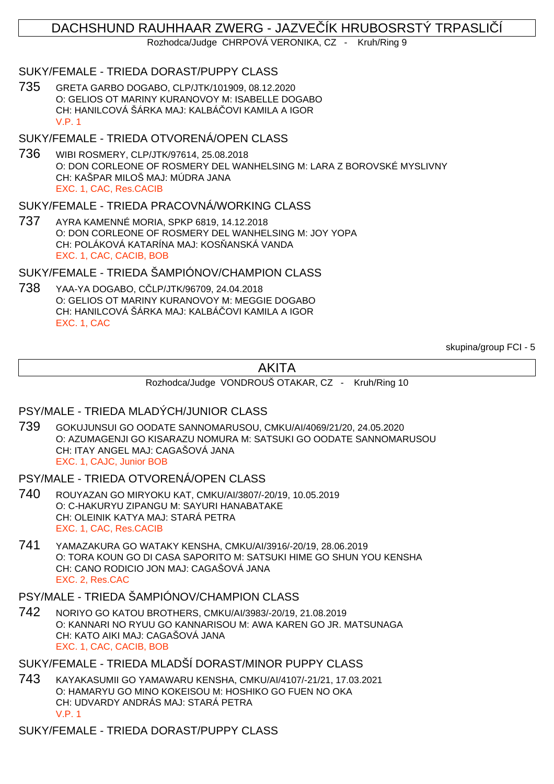## DACHSHUND RAUHHAAR ZWERG - JAZVE ÍK HRUBOSRSTÝ TRPASLI Í

Rozhodca/Judge CHRPOVÁ VERONIKA, CZ - Kruh/Ring 9

SUKY/FEMALE - TRIEDA DORAST/PUPPY CLASS

735 GRETA GARBO DOGABO, CLP/JTK/101909, 08.12.2020 O: GELIOS OT MARINY KURANOVOY M: ISABELLE DOGABO CH: HANILCOVÁ ŠÁRKA MAJ: KALBÁ OVI KAMILA A IGOR V.P. 1

#### SUKY/FEMALE - TRIEDA OTVORENÁ/OPEN CLASS

736 WIBI ROSMERY, CLP/JTK/97614, 25.08.2018 O: DON CORLEONE OF ROSMERY DEL WANHELSING M: LARA Z BOROVSKÉ MYSLIVNY CH: KAŠPAR MILOŠ MAJ: MÚDRA JANA EXC. 1, CAC, Res.CACIB

### SUKY/FEMALE - TRIEDA PRACOVNÁ/WORKING CLASS

737 AYRA KAMENNÉ MORIA, SPKP 6819, 14.12.2018 O: DON CORLEONE OF ROSMERY DEL WANHELSING M: JOY YOPA CH: POLÁKOVÁ KATARÍNA MAJ: KOS ANSKÁ VANDA EXC. 1, CAC, CACIB, BOB

SUKY/FEMALE - TRIEDA ŠAMPIÓNOV/CHAMPION CLASS

738 YAA-YA DOGABO, CČLP/JTK/96709, 24.04.2018 O: GELIOS OT MARINY KURANOVOY M: MEGGIE DOGABO CH: HANILCOVÁ ŠÁRKA MAJ: KALBÁČOVI KAMILA A IGOR EXC. 1, CAC

skupina/group FCI - 5

## AKITA

Rozhodca/Judge VONDROUŠ OTAKAR, CZ - Kruh/Ring 10

### PSY/MALE - TRIEDA MLADÝCH/JUNIOR CLASS

739 GOKUJUNSUI GO OODATE SANNOMARUSOU, CMKU/AI/4069/21/20, 24.05.2020 O: AZUMAGENJI GO KISARAZU NOMURA M: SATSUKI GO OODATE SANNOMARUSOU CH: ITAY ANGEL MAJ: CAGAŠOVÁ JANA EXC. 1, CAJC, Junior BOB

### PSY/MALE - TRIEDA OTVORENÁ/OPEN CLASS

- 740 ROUYAZAN GO MIRYOKU KAT, CMKU/AI/3807/-20/19, 10.05.2019 O: C-HAKURYU ZIPANGU M: SAYURI HANABATAKE CH: OLEINIK KATYA MAJ: STARÁ PETRA EXC. 1, CAC, Res.CACIB
- 741 YAMAZAKURA GO WATAKY KENSHA, CMKU/AI/3916/-20/19, 28.06.2019 O: TORA KOUN GO DI CASA SAPORITO M: SATSUKI HIME GO SHUN YOU KENSHA CH: CANO RODICIO JON MAJ: CAGAŠOVÁ JANA EXC. 2, Res.CAC

## PSY/MALE - TRIEDA ŠAMPIÓNOV/CHAMPION CLASS

742 NORIYO GO KATOU BROTHERS, CMKU/AI/3983/-20/19, 21.08.2019 O: KANNARI NO RYUU GO KANNARISOU M: AWA KAREN GO JR. MATSUNAGA CH: KATO AIKI MAJ: CAGAŠOVÁ JANA EXC. 1, CAC, CACIB, BOB

## SUKY/FEMALE - TRIEDA MLADŠÍ DORAST/MINOR PUPPY CLASS

743 KAYAKASUMII GO YAMAWARU KENSHA, CMKU/AI/4107/-21/21, 17.03.2021 O: HAMARYU GO MINO KOKEISOU M: HOSHIKO GO FUEN NO OKA CH: UDVARDY ANDRÁS MAJ: STARÁ PETRA V.P. 1

SUKY/FEMALE - TRIEDA DORAST/PUPPY CLASS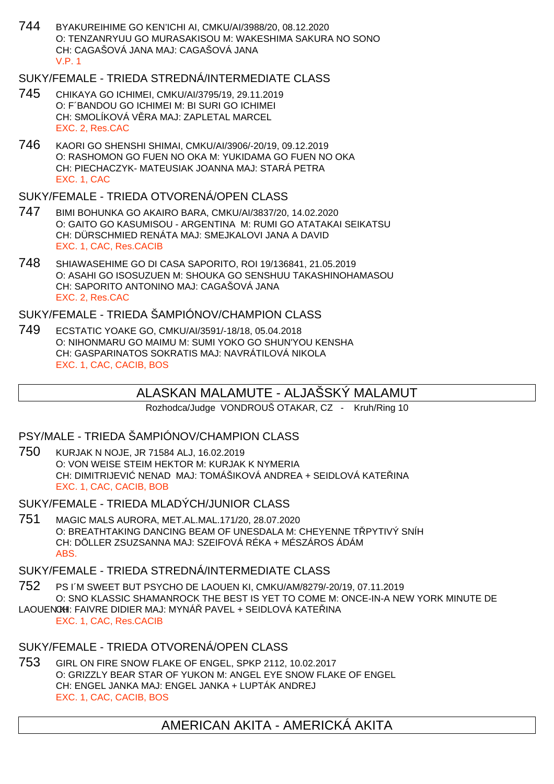744 BYAKUREIHIME GO KEN'ICHI AI, CMKU/AI/3988/20, 08.12.2020 O: TENZANRYUU GO MURASAKISOU M: WAKESHIMA SAKURA NO SONO CH: CAGAŠOVÁ JANA MAJ: CAGAŠOVÁ JANA V.P. 1

## SUKY/FEMALE - TRIEDA STREDNÁ/INTERMEDIATE CLASS

- 745 CHIKAYA GO ICHIMEI, CMKU/AI/3795/19, 29.11.2019 O: F´BANDOU GO ICHIMEI M: BI SURI GO ICHIMEI CH: SMOLÍKOVÁ V RA MAJ: ZAPLETAL MARCEL EXC. 2, Res.CAC
- 746 KAORI GO SHENSHI SHIMAI, CMKU/AI/3906/-20/19, 09.12.2019 O: RASHOMON GO FUEN NO OKA M: YUKIDAMA GO FUEN NO OKA CH: PIECHACZYK- MATEUSIAK JOANNA MAJ: STARÁ PETRA EXC. 1, CAC

### SUKY/FEMALE - TRIEDA OTVORENÁ/OPEN CLASS

- 747 BIMI BOHUNKA GO AKAIRO BARA, CMKU/AI/3837/20, 14.02.2020 O: GAITO GO KASUMISOU - ARGENTINA M: RUMI GO ATATAKAI SEIKATSU CH: DÜRSCHMIED RENÁTA MAJ: SMEJKALOVI JANA A DAVID EXC. 1, CAC, Res.CACIB
- 748 SHIAWASEHIME GO DI CASA SAPORITO, ROI 19/136841, 21.05.2019 O: ASAHI GO ISOSUZUEN M: SHOUKA GO SENSHUU TAKASHINOHAMASOU CH: SAPORITO ANTONINO MAJ: CAGAŠOVÁ JANA EXC. 2, Res.CAC

## SUKY/FEMALE - TRIEDA ŠAMPIÓNOV/CHAMPION CLASS

749 ECSTATIC YOAKE GO, CMKU/AI/3591/-18/18, 05.04.2018 O: NIHONMARU GO MAIMU M: SUMI YOKO GO SHUN'YOU KENSHA CH: GASPARINATOS SOKRATIS MAJ: NAVRÁTILOVÁ NIKOLA EXC. 1, CAC, CACIB, BOS

## ALASKAN MALAMUTE - ALJAŠSKÝ MALAMUT

Rozhodca/Judge VONDROUŠ OTAKAR, CZ - Kruh/Ring 10

### PSY/MALE - TRIEDA ŠAMPIÓNOV/CHAMPION CLASS

750 KURJAK N NOJE, JR 71584 ALJ, 16.02.2019 O: VON WEISE STEIM HEKTOR M: KURJAK K NYMERIA CH: DIMITRIJEVI NENAD MAJ: TOMÁŠIKOVÁ ANDREA + SEIDLOVÁ KATEJNA EXC. 1, CAC, CACIB, BOB

SUKY/FEMALE - TRIEDA MLADÝCH/JUNIOR CLASS

- 751 MAGIC MALS AURORA, MET.AL.MAL.171/20, 28.07.2020 O: BREATHTAKING DANCING BEAM OF UNESDALA M: CHEYENNE T PYTIVÝ SNÍH CH: DÖLLER ZSUZSANNA MAJ: SZEIFOVÁ RÉKA + MÉSZÁROS ÁDÁM ABS.
- SUKY/FEMALE TRIEDA STREDNÁ/INTERMEDIATE CLASS
- 752 PS I´M SWEET BUT PSYCHO DE LAOUEN KI, CMKU/AM/8279/-20/19, 07.11.2019 O: SNO KLASSIC SHAMANROCK THE BEST IS YET TO COME M: ONCE-IN-A NEW YORK MINUTE DE LAOUEN CHI: FAIVRE DIDIER MAJ: MYNÁ PAVEL + SEIDLOVÁ KATEJNA
- EXC. 1, CAC, Res.CACIB

### SUKY/FEMALE - TRIEDA OTVORENÁ/OPEN CLASS

753 GIRL ON FIRE SNOW FLAKE OF ENGEL, SPKP 2112, 10.02.2017 O: GRIZZLY BEAR STAR OF YUKON M: ANGEL EYE SNOW FLAKE OF ENGEL CH: ENGEL JANKA MAJ: ENGEL JANKA + LUPTÁK ANDREJ EXC. 1, CAC, CACIB, BOS

## AMERICAN AKITA - AMERICKÁ AKITA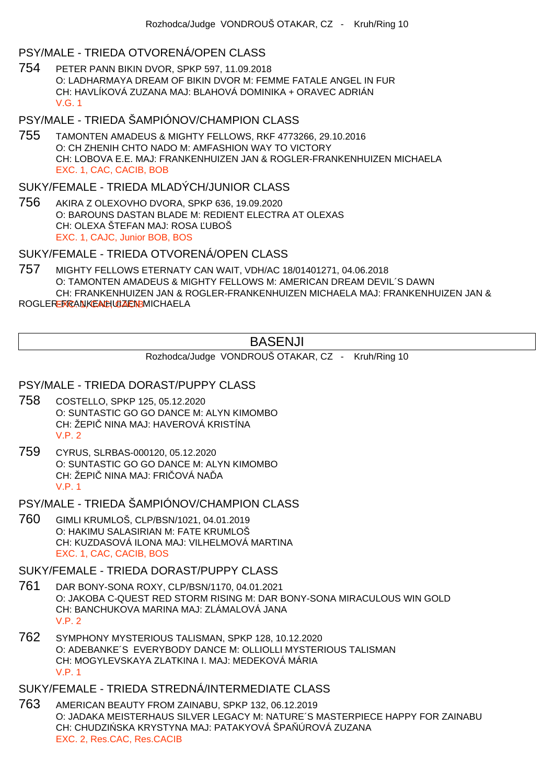#### PSY/MALE - TRIEDA OTVORENÁ/OPEN CLASS

754 PETER PANN BIKIN DVOR, SPKP 597, 11.09.2018 O: LADHARMAYA DREAM OF BIKIN DVOR M: FEMME FATALE ANGEL IN FUR CH: HAVLÍKOVÁ ZUZANA MAJ: BLAHOVÁ DOMINIKA + ORAVEC ADRIÁN V.G. 1

## PSY/MALE - TRIEDA ŠAMPIÓNOV/CHAMPION CLASS

755 TAMONTEN AMADEUS & MIGHTY FELLOWS, RKF 4773266, 29.10.2016 O: CH ZHENIH CHTO NADO M: AMFASHION WAY TO VICTORY CH: LOBOVA E.E. MAJ: FRANKENHUIZEN JAN & ROGLER-FRANKENHUIZEN MICHAELA EXC. 1, CAC, CACIB, BOB

#### SUKY/FEMALE - TRIEDA MLADÝCH/JUNIOR CLASS

756 AKIRA Z OLEXOVHO DVORA, SPKP 636, 19.09.2020 O: BAROUNS DASTAN BLADE M: REDIENT ELECTRA AT OLEXAS CH: OLEXA ŠTEFAN MAJ: ROSA UBOŠ EXC. 1, CAJC, Junior BOB, BOS

### SUKY/FEMALE - TRIEDA OTVORENÁ/OPEN CLASS

757 MIGHTY FELLOWS ETERNATY CAN WAIT, VDH/AC 18/01401271, 04.06.2018 O: TAMONTEN AMADEUS & MIGHTY FELLOWS M: AMERICAN DREAM DEVIL´S DAWN CH: FRANKENHUIZEN JAN & ROGLER-FRANKENHUIZEN MICHAELA MAJ: FRANKENHUIZEN JAN &

ROGLEREX CANKEN HUIZEN BMICHAELA

## BASENJI

Rozhodca/Judge VONDROUŠ OTAKAR, CZ - Kruh/Ring 10

#### PSY/MALE - TRIEDA DORAST/PUPPY CLASS

- 758 COSTELLO, SPKP 125, 05.12.2020 O: SUNTASTIC GO GO DANCE M: ALYN KIMOMBO CH: ŽEPI NINA MAJ: HAVEROVÁ KRISTÍNA V.P. 2
- 759 CYRUS, SLRBAS-000120, 05.12.2020 O: SUNTASTIC GO GO DANCE M: ALYN KIMOMBO CH: ŽEPI NINA MAJ: FRI OVÁ NA A V.P. 1

PSY/MALE - TRIEDA ŠAMPIÓNOV/CHAMPION CLASS

760 GIMLI KRUMLOŠ, CLP/BSN/1021, 04.01.2019 O: HAKIMU SALASIRIAN M: FATE KRUMLOŠ CH: KUZDASOVÁ ILONA MAJ: VILHELMOVÁ MARTINA EXC. 1, CAC, CACIB, BOS

SUKY/FEMALE - TRIEDA DORAST/PUPPY CLASS

- 761 DAR BONY-SONA ROXY, CLP/BSN/1170, 04.01.2021 O: JAKOBA C-QUEST RED STORM RISING M: DAR BONY-SONA MIRACULOUS WIN GOLD CH: BANCHUKOVA MARINA MAJ: ZLÁMALOVÁ JANA V.P. 2
- 762 SYMPHONY MYSTERIOUS TALISMAN, SPKP 128, 10.12.2020 O: ADEBANKE´S EVERYBODY DANCE M: OLLIOLLI MYSTERIOUS TALISMAN CH: MOGYLEVSKAYA ZLATKINA I. MAJ: MEDEKOVÁ MÁRIA V.P. 1

## SUKY/FEMALE - TRIEDA STREDNÁ/INTERMEDIATE CLASS

763 AMERICAN BEAUTY FROM ZAINABU, SPKP 132, 06.12.2019 O: JADAKA MEISTERHAUS SILVER LEGACY M: NATURE´S MASTERPIECE HAPPY FOR ZAINABU CH: CHUDZI SKA KRYSTYNA MAJ: PATAKYOVÁ ŠPA ÚROVÁ ZUZANA EXC. 2, Res.CAC, Res.CACIB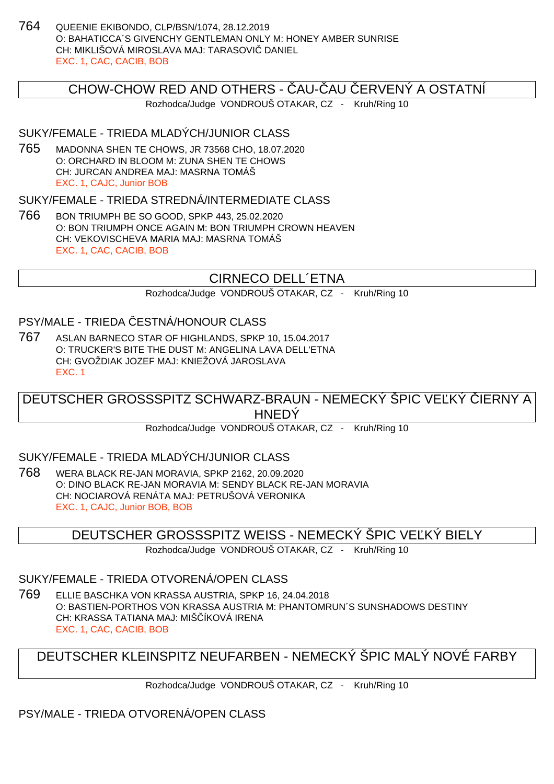764 QUEENIE EKIBONDO, CLP/BSN/1074, 28.12.2019 O: BAHATICCA´S GIVENCHY GENTLEMAN ONLY M: HONEY AMBER SUNRISE CH: MIKLIŠOVÁ MIROSLAVA MAJ: TARASOVIČ DANIEL EXC. 1, CAC, CACIB, BOB

## CHOW-CHOW RED AND OTHERS - AU- AU ERVENY A OSTATNÍ

Rozhodca/Judge VONDROUŠ OTAKAR, CZ - Kruh/Ring 10

## SUKY/FEMALE - TRIEDA MLADÝCH/JUNIOR CLASS

765 MADONNA SHEN TE CHOWS, JR 73568 CHO, 18.07.2020 O: ORCHARD IN BLOOM M: ZUNA SHEN TE CHOWS CH: JURCAN ANDREA MAJ: MASRNA TOMÁŠ EXC. 1, CAJC, Junior BOB

#### SUKY/FEMALE - TRIEDA STREDNÁ/INTERMEDIATE CLASS

766 BON TRIUMPH BE SO GOOD, SPKP 443, 25.02.2020 O: BON TRIUMPH ONCE AGAIN M: BON TRIUMPH CROWN HEAVEN CH: VEKOVISCHEVA MARIA MAJ: MASRNA TOMÁŠ EXC. 1, CAC, CACIB, BOB

## CIRNECO DELL´ETNA

Rozhodca/Judge VONDROUŠ OTAKAR, CZ - Kruh/Ring 10

## PSY/MALE - TRIEDA ESTNÁ/HONOUR CLASS

767 ASLAN BARNECO STAR OF HIGHLANDS, SPKP 10, 15.04.2017 O: TRUCKER'S BITE THE DUST M: ANGELINA LAVA DELL'ETNA CH: GVOŽDIAK JOZEF MAJ: KNIEŽOVÁ JAROSLAVA EXC. 1

DEUTSCHER GROSSSPITZ SCHWARZ-BRAUN - NEMECKÝ ŠPIC VEĽKÝ LIERNY A **HNEDÝ** 

Rozhodca/Judge VONDROUŠ OTAKAR, CZ - Kruh/Ring 10

## SUKY/FEMALE - TRIEDA MLADÝCH/JUNIOR CLASS

768 WERA BLACK RE-JAN MORAVIA, SPKP 2162, 20.09.2020 O: DINO BLACK RE-JAN MORAVIA M: SENDY BLACK RE-JAN MORAVIA CH: NOCIAROVÁ RENÁTA MAJ: PETRUŠOVÁ VERONIKA EXC. 1, CAJC, Junior BOB, BOB

## DEUTSCHER GROSSSPITZ WEISS - NEMECKÝ ŠPIC VE KÝ BIELY

Rozhodca/Judge VONDROUŠ OTAKAR, CZ - Kruh/Ring 10

### SUKY/FEMALE - TRIEDA OTVORENÁ/OPEN CLASS

769 ELLIE BASCHKA VON KRASSA AUSTRIA, SPKP 16, 24.04.2018 O: BASTIEN-PORTHOS VON KRASSA AUSTRIA M: PHANTOMRUN´S SUNSHADOWS DESTINY CH: KRASSA TATIANA MAJ: MIŠÍKOVÁ IRENA EXC. 1, CAC, CACIB, BOB

# DEUTSCHER KLEINSPITZ NEUFARBEN - NEMECKÝ ŠPIC MALÝ NOVÉ FARBY

Rozhodca/Judge VONDROUŠ OTAKAR, CZ - Kruh/Ring 10

PSY/MALE - TRIEDA OTVORENÁ/OPEN CLASS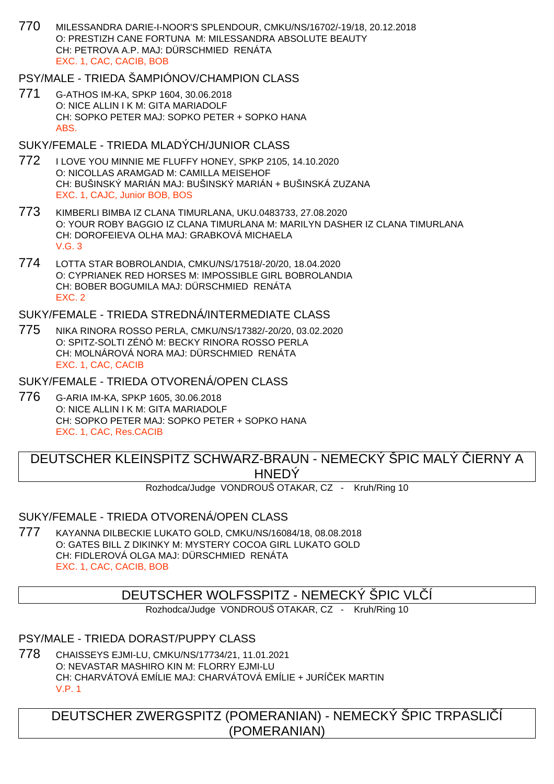770 MILESSANDRA DARIE-I-NOOR'S SPLENDOUR, CMKU/NS/16702/-19/18, 20.12.2018 O: PRESTIZH CANE FORTUNA M: MILESSANDRA ABSOLUTE BEAUTY CH: PETROVA A.P. MAJ: DÜRSCHMIED RENÁTA EXC. 1, CAC, CACIB, BOB

## PSY/MALE - TRIEDA ŠAMPIÓNOV/CHAMPION CLASS

771 G-ATHOS IM-KA, SPKP 1604, 30.06.2018 O: NICE ALLIN I K M: GITA MARIADOLF CH: SOPKO PETER MAJ: SOPKO PETER + SOPKO HANA ABS.

## SUKY/FEMALE - TRIEDA MLADÝCH/JUNIOR CLASS

- 772 I LOVE YOU MINNIE ME FLUFFY HONEY, SPKP 2105, 14.10.2020 O: NICOLLAS ARAMGAD M: CAMILLA MEISEHOF CH: BUŠINSKÝ MARIÁN MAJ: BUŠINSKÝ MARIÁN + BUŠINSKÁ ZUZANA EXC. 1, CAJC, Junior BOB, BOS
- 773 KIMBERLI BIMBA IZ CLANA TIMURLANA, UKU.0483733, 27.08.2020 O: YOUR ROBY BAGGIO IZ CLANA TIMURLANA M: MARILYN DASHER IZ CLANA TIMURLANA CH: DOROFEIEVA OLHA MAJ: GRABKOVÁ MICHAELA V.G. 3
- 774 LOTTA STAR BOBROLANDIA, CMKU/NS/17518/-20/20, 18.04.2020 O: CYPRIANEK RED HORSES M: IMPOSSIBLE GIRL BOBROLANDIA CH: BOBER BOGUMILA MAJ: DÜRSCHMIED RENÁTA EXC. 2

## SUKY/FEMALE - TRIEDA STREDNÁ/INTERMEDIATE CLASS

775 NIKA RINORA ROSSO PERLA, CMKU/NS/17382/-20/20, 03.02.2020 O: SPITZ-SOLTI ZÉNÓ M: BECKY RINORA ROSSO PERLA CH: MOLNÁROVÁ NORA MAJ: DÜRSCHMIED RENÁTA EXC. 1, CAC, CACIB

SUKY/FEMALE - TRIEDA OTVORENÁ/OPEN CLASS

776 G-ARIA IM-KA, SPKP 1605, 30.06.2018 O: NICE ALLIN I K M: GITA MARIADOLF CH: SOPKO PETER MAJ: SOPKO PETER + SOPKO HANA EXC. 1, CAC, Res.CACIB

DEUTSCHER KLEINSPITZ SCHWARZ-BRAUN - NEMECKÝ ŠPIC MALÝ IERNY A **HNEDY** 

Rozhodca/Judge VONDROUŠ OTAKAR, CZ - Kruh/Ring 10

SUKY/FEMALE - TRIEDA OTVORENÁ/OPEN CLASS

777 KAYANNA DILBECKIE LUKATO GOLD, CMKU/NS/16084/18, 08.08.2018 O: GATES BILL Z DIKINKY M: MYSTERY COCOA GIRL LUKATO GOLD CH: FIDLEROVÁ OLGA MAJ: DÜRSCHMIED RENÁTA EXC. 1, CAC, CACIB, BOB

# DEUTSCHER WOLFSSPITZ - NEMECKÝ ŠPIC VLÍ

Rozhodca/Judge VONDROUŠ OTAKAR, CZ - Kruh/Ring 10

PSY/MALE - TRIEDA DORAST/PUPPY CLASS

778 CHAISSEYS EJMI-LU, CMKU/NS/17734/21, 11.01.2021 O: NEVASTAR MASHIRO KIN M: FLORRY EJMI-LU CH: CHARVÁTOVÁ EMÍLIE MAJ: CHARVÁTOVÁ EMÍLIE + JURÍ EK MARTIN V.P. 1

DEUTSCHER ZWERGSPITZ (POMERANIAN) - NEMECKÝ ŠPIC TRPASLIČÍ (POMERANIAN)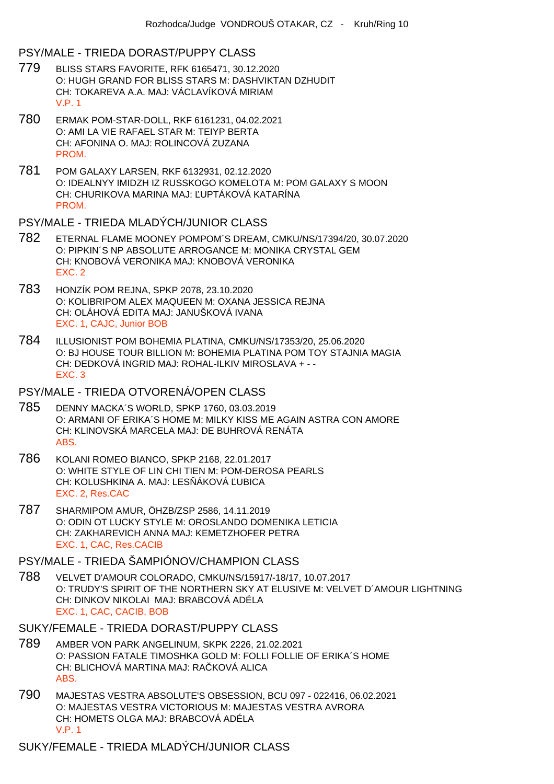### PSY/MALE - TRIEDA DORAST/PUPPY CLASS

- 779 BLISS STARS FAVORITE, RFK 6165471, 30.12.2020 O: HUGH GRAND FOR BLISS STARS M: DASHVIKTAN DZHUDIT CH: TOKAREVA A.A. MAJ: VÁCLAVÍKOVÁ MIRIAM V.P. 1
- 780 ERMAK POM-STAR-DOLL, RKF 6161231, 04.02.2021 O: AMI LA VIE RAFAEL STAR M: TEIYP BERTA CH: AFONINA O. MAJ: ROLINCOVÁ ZUZANA PROM.
- 781 POM GALAXY LARSEN, RKF 6132931, 02.12.2020 O: IDEALNYY IMIDZH IZ RUSSKOGO KOMELOTA M: POM GALAXY S MOON CH: CHURIKOVA MARINA MAJ: UPTÁKOVÁ KATARÍNA PROM.

### PSY/MALE - TRIEDA MLADÝCH/JUNIOR CLASS

- 782 ETERNAL FLAME MOONEY POMPOM´S DREAM, CMKU/NS/17394/20, 30.07.2020 O: PIPKIN´S NP ABSOLUTE ARROGANCE M: MONIKA CRYSTAL GEM CH: KNOBOVÁ VERONIKA MAJ: KNOBOVÁ VERONIKA EXC. 2
- 783 HONZÍK POM REJNA, SPKP 2078, 23.10.2020 O: KOLIBRIPOM ALEX MAQUEEN M: OXANA JESSICA REJNA CH: OLÁHOVÁ EDITA MAJ: JANUŠKOVÁ IVANA EXC. 1, CAJC, Junior BOB
- 784 ILLUSIONIST POM BOHEMIA PLATINA, CMKU/NS/17353/20, 25.06.2020 O: BJ HOUSE TOUR BILLION M: BOHEMIA PLATINA POM TOY STAJNIA MAGIA CH: DEDKOVÁ INGRID MAJ: ROHAL-ILKIV MIROSLAVA + - - EXC. 3

#### PSY/MALE - TRIEDA OTVORENÁ/OPEN CLASS

- 785 DENNY MACKA´S WORLD, SPKP 1760, 03.03.2019 O: ARMANI OF ERIKA´S HOME M: MILKY KISS ME AGAIN ASTRA CON AMORE CH: KLINOVSKÁ MARCELA MAJ: DE BUHROVÁ RENÁTA ABS.
- 786 KOLANI ROMEO BIANCO, SPKP 2168, 22.01.2017 O: WHITE STYLE OF LIN CHI TIEN M: POM-DEROSA PEARLS CH: KOLUSHKINA A. MAJ: LES ÁKOVÁ UBICA EXC. 2, Res.CAC
- 787 SHARMIPOM AMUR, ÖHZB/ZSP 2586, 14.11.2019 O: ODIN OT LUCKY STYLE M: OROSLANDO DOMENIKA LETICIA CH: ZAKHAREVICH ANNA MAJ: KEMETZHOFER PETRA EXC. 1, CAC, Res.CACIB

### PSY/MALE - TRIEDA ŠAMPIÓNOV/CHAMPION CLASS

788 VELVET D'AMOUR COLORADO, CMKU/NS/15917/-18/17, 10.07.2017 O: TRUDY'S SPIRIT OF THE NORTHERN SKY AT ELUSIVE M: VELVET D´AMOUR LIGHTNING CH: DINKOV NIKOLAI MAJ: BRABCOVÁ ADÉLA EXC. 1, CAC, CACIB, BOB

#### SUKY/FEMALE - TRIEDA DORAST/PUPPY CLASS

- 789 AMBER VON PARK ANGELINUM, SKPK 2226, 21.02.2021 O: PASSION FATALE TIMOSHKA GOLD M: FOLLI FOLLIE OF ERIKA´S HOME CH: BLICHOVÁ MARTINA MAJ: RA KOVÁ ALICA ABS.
- 790 MAJESTAS VESTRA ABSOLUTE'S OBSESSION, BCU 097 022416, 06.02.2021 O: MAJESTAS VESTRA VICTORIOUS M: MAJESTAS VESTRA AVRORA CH: HOMETS OLGA MAJ: BRABCOVÁ ADÉLA V.P. 1

SUKY/FEMALE - TRIEDA MLADÝCH/JUNIOR CLASS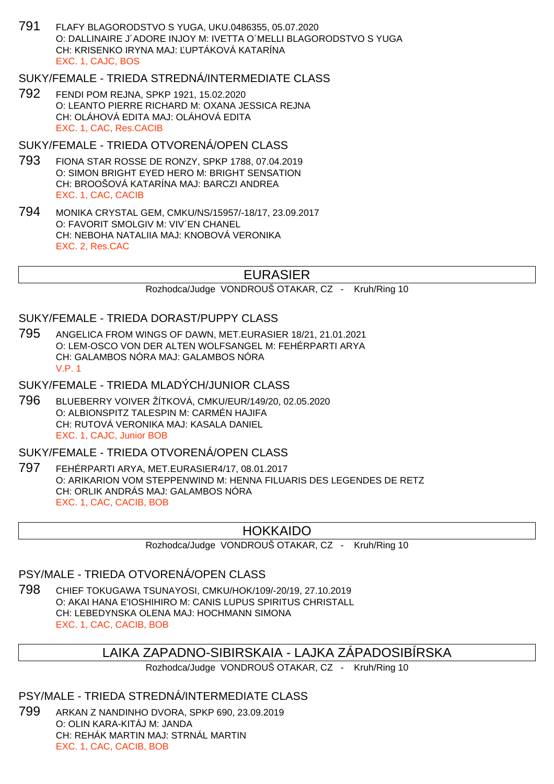791 FLAFY BLAGORODSTVO S YUGA, UKU.0486355, 05.07.2020 O: DALLINAIRE J´ADORE INJOY M: IVETTA O´MELLI BLAGORODSTVO S YUGA CH: KRISENKO IRYNA MAJ: ĽUPTÁKOVÁ KATARÍNA EXC. 1, CAJC, BOS

SUKY/FEMALE - TRIEDA STREDNÁ/INTERMEDIATE CLASS

792 FENDI POM REJNA, SPKP 1921, 15.02.2020 O: LEANTO PIERRE RICHARD M: OXANA JESSICA REJNA CH: OLÁHOVÁ EDITA MAJ: OLÁHOVÁ EDITA EXC. 1, CAC, Res.CACIB

### SUKY/FEMALE - TRIEDA OTVORENÁ/OPEN CLASS

- 793 FIONA STAR ROSSE DE RONZY, SPKP 1788, 07.04.2019 O: SIMON BRIGHT EYED HERO M: BRIGHT SENSATION CH: BROOŠOVÁ KATARÍNA MAJ: BARCZI ANDREA EXC. 1, CAC, CACIB
- 794 MONIKA CRYSTAL GEM, CMKU/NS/15957/-18/17, 23.09.2017 O: FAVORIT SMOLGIV M: VIV´EN CHANEL CH: NEBOHA NATALIIA MAJ: KNOBOVÁ VERONIKA EXC. 2, Res.CAC

## EURASIER

Rozhodca/Judge VONDROUŠ OTAKAR, CZ - Kruh/Ring 10

SUKY/FEMALE - TRIEDA DORAST/PUPPY CLASS

795 ANGELICA FROM WINGS OF DAWN, MET.EURASIER 18/21, 21.01.2021 O: LEM-OSCO VON DER ALTEN WOLFSANGEL M: FEHÉRPARTI ARYA CH: GALAMBOS NÓRA MAJ: GALAMBOS NÓRA V.P. 1

SUKY/FEMALE - TRIEDA MLADÝCH/JUNIOR CLASS

796 BLUEBERRY VOIVER ŽÍTKOVÁ, CMKU/EUR/149/20, 02.05.2020 O: ALBIONSPITZ TALESPIN M: CARMÉN HAJIFA CH: RUTOVÁ VERONIKA MAJ: KASALA DANIEL EXC. 1, CAJC, Junior BOB

SUKY/FEMALE - TRIEDA OTVORENÁ/OPEN CLASS

797 FEHÉRPARTI ARYA, MET.EURASIER4/17, 08.01.2017 O: ARIKARION VOM STEPPENWIND M: HENNA FILUARIS DES LEGENDES DE RETZ CH: ORLIK ANDRÁS MAJ: GALAMBOS NÓRA EXC. 1, CAC, CACIB, BOB

## HOKKAIDO

Rozhodca/Judge VONDROUŠ OTAKAR, CZ - Kruh/Ring 10

PSY/MALE - TRIEDA OTVORENÁ/OPEN CLASS

798 CHIEF TOKUGAWA TSUNAYOSI, CMKU/HOK/109/-20/19, 27.10.2019 O: AKAI HANA E'IOSHIHIRO M: CANIS LUPUS SPIRITUS CHRISTALL CH: LEBEDYNSKA OLENA MAJ: HOCHMANN SIMONA EXC. 1, CAC, CACIB, BOB

## LAIKA ZAPADNO-SIBIRSKAIA - LAJKA ZÁPADOSIBÍRSKA

Rozhodca/Judge VONDROUŠ OTAKAR, CZ - Kruh/Ring 10

PSY/MALE - TRIEDA STREDNÁ/INTERMEDIATE CLASS

799 ARKAN Z NANDINHO DVORA, SPKP 690, 23.09.2019 O: OLIN KARA-KITÁJ M: JANDA CH: REHÁK MARTIN MAJ: STRNÁL MARTIN EXC. 1, CAC, CACIB, BOB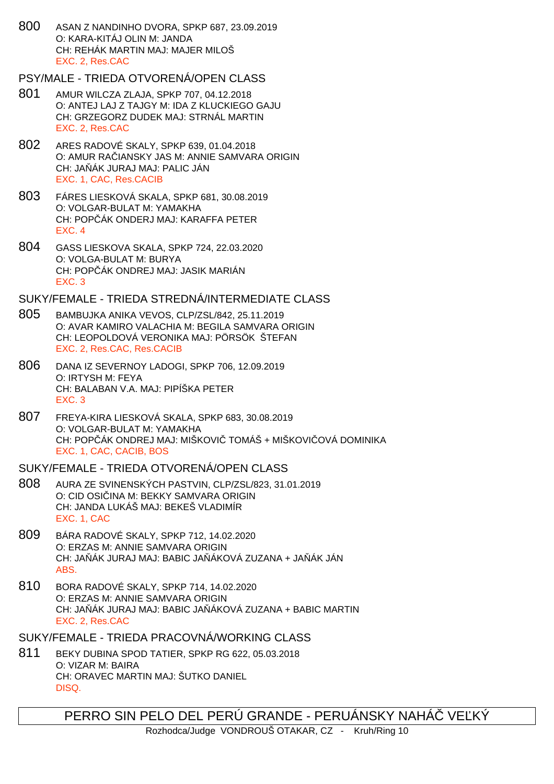800 ASAN Z NANDINHO DVORA, SPKP 687, 23.09.2019 O: KARA-KITÁJ OLIN M: JANDA CH: REHÁK MARTIN MAJ: MAJER MILOŠ EXC. 2, Res.CAC

### PSY/MALE - TRIEDA OTVORENÁ/OPEN CLASS

- 801 AMUR WILCZA ZLAJA, SPKP 707, 04.12.2018 O: ANTEJ LAJ Z TAJGY M: IDA Z KLUCKIEGO GAJU CH: GRZEGORZ DUDEK MAJ: STRNÁL MARTIN EXC. 2, Res.CAC
- 802 ARES RADOVÉ SKALY, SPKP 639, 01.04.2018 O: AMUR RA $i$  IANSKY JAS M: ANNIE SAMVARA ORIGIN CH: JA ÁK JURAJ MAJ: PALIC JÁN EXC. 1, CAC, Res.CACIB
- 803 FÁRES LIESKOVÁ SKALA, SPKP 681, 30.08.2019 O: VOLGAR-BULAT M: YAMAKHA CH: POP ÁK ONDERJ MAJ: KARAFFA PETER EXC. 4
- 804 GASS LIESKOVA SKALA, SPKP 724, 22.03.2020 O: VOLGA-BULAT M: BURYA CH: POP ÁK ONDREJ MAJ: JASIK MARIÁN EXC. 3

## SUKY/FEMALE - TRIEDA STREDNÁ/INTERMEDIATE CLASS

- 805 BAMBUJKA ANIKA VEVOS, CLP/ZSL/842, 25.11.2019 O: AVAR KAMIRO VALACHIA M: BEGILA SAMVARA ORIGIN CH: LEOPOLDOVÁ VERONIKA MAJ: PÖRSÖK ŠTEFAN EXC. 2, Res.CAC, Res.CACIB
- 806 DANA IZ SEVERNOY LADOGI, SPKP 706, 12.09.2019 O: IRTYSH M: FEYA CH: BALABAN V.A. MAJ: PIPÍŠKA PETER EXC. 3
- 807 FREYA-KIRA LIESKOVÁ SKALA, SPKP 683, 30.08.2019 O: VOLGAR-BULAT M: YAMAKHA CH: POP ÁK ONDREJ MAJ: MIŠKOVI TOMÁŠ + MIŠKOVI OVÁ DOMINIKA EXC. 1, CAC, CACIB, BOS

### SUKY/FEMALE - TRIEDA OTVORENÁ/OPEN CLASS

- 808 AURA ZE SVINENSKÝCH PASTVIN, CLP/ZSL/823, 31.01.2019 O: CID OSI INA M: BEKKY SAMVARA ORIGIN CH: JANDA LUKÁŠ MAJ: BEKEŠ VLADIMÍR EXC. 1, CAC
- 809 BÁRA RADOVÉ SKALY, SPKP 712, 14.02.2020 O: ERZAS M: ANNIE SAMVARA ORIGIN CH: JA ÁK JURAJ MAJ: BABIC JA ÁKOVÁ ZUZANA + JA ÁK JÁN ABS.
- 810 BORA RADOVÉ SKALY, SPKP 714, 14.02.2020 O: ERZAS M: ANNIE SAMVARA ORIGIN CH: JA ÁK JURAJ MAJ: BABIC JA ÁKOVÁ ZUZANA + BABIC MARTIN EXC. 2, Res.CAC
- SUKY/FEMALE TRIEDA PRACOVNÁ/WORKING CLASS
- 811 BEKY DUBINA SPOD TATIER, SPKP RG 622, 05.03.2018 O: VIZAR M: BAIRA CH: ORAVEC MARTIN MAJ: ŠUTKO DANIEL DISQ.

PERRO SIN PELO DEL PERÚ GRANDE - PERUÁNSKY NAHÁ $\;\;\;$ VE $\;\;$ KÝ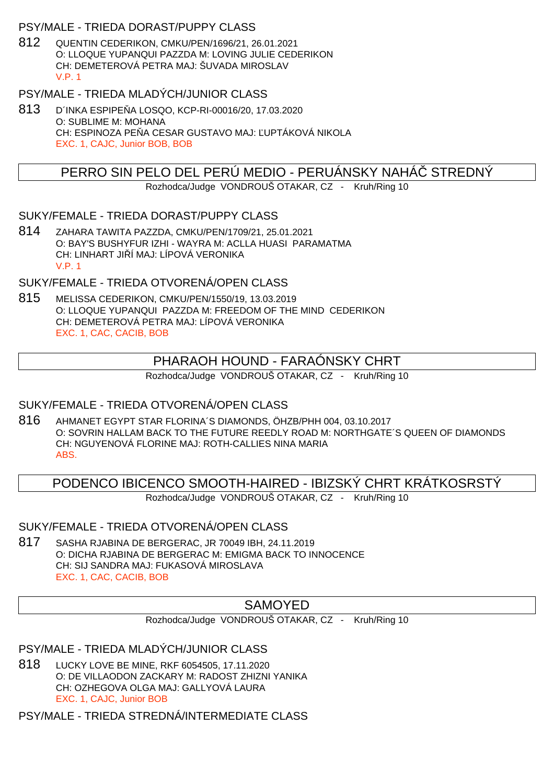#### PSY/MALE - TRIEDA DORAST/PUPPY CLASS

812 QUENTIN CEDERIKON, CMKU/PEN/1696/21, 26.01.2021 O: LLOQUE YUPANQUI PAZZDA M: LOVING JULIE CEDERIKON CH: DEMETEROVÁ PETRA MAJ: ŠUVADA MIROSLAV V.P. 1

## PSY/MALE - TRIEDA MLADÝCH/JUNIOR CLASS

813 D'INKA ESPIPE A LOSQO, KCP-RI-00016/20, 17.03.2020 O: SUBLIME M: MOHANA CH: ESPINOZA PE A CESAR GUSTAVO MAJ: UPTÁKOVÁ NIKOLA EXC. 1, CAJC, Junior BOB, BOB

PERRO SIN PELO DEL PERÚ MEDIO - PERUÁNSKY NAHÁČ STREDNÝ

Rozhodca/Judge VONDROUŠ OTAKAR, CZ - Kruh/Ring 10

#### SUKY/FEMALE - TRIEDA DORAST/PUPPY CLASS

814 ZAHARA TAWITA PAZZDA, CMKU/PEN/1709/21, 25.01.2021 O: BAY'S BUSHYFUR IZHI - WAYRA M: ACLLA HUASI PARAMATMA CH: LINHART JI Í MAJ: LÍPOVÁ VERONIKA V.P. 1

SUKY/FEMALE - TRIEDA OTVORENÁ/OPEN CLASS

815 MELISSA CEDERIKON, CMKU/PEN/1550/19, 13.03.2019 O: LLOQUE YUPANQUI PAZZDA M: FREEDOM OF THE MIND CEDERIKON CH: DEMETEROVÁ PETRA MAJ: LÍPOVÁ VERONIKA EXC. 1, CAC, CACIB, BOB

## PHARAOH HOUND - FARAÓNSKY CHRT

Rozhodca/Judge VONDROUŠ OTAKAR, CZ - Kruh/Ring 10

## SUKY/FEMALE - TRIEDA OTVORENÁ/OPEN CLASS

816 AHMANET EGYPT STAR FLORINA´S DIAMONDS, ÖHZB/PHH 004, 03.10.2017 O: SOVRIN HALLAM BACK TO THE FUTURE REEDLY ROAD M: NORTHGATE´S QUEEN OF DIAMONDS CH: NGUYENOVÁ FLORINE MAJ: ROTH-CALLIES NINA MARIA ABS.

PODENCO IBICENCO SMOOTH-HAIRED - IBIZSKÝ CHRT KRÁTKOSRSTÝ

Rozhodca/Judge VONDROUŠ OTAKAR, CZ - Kruh/Ring 10

### SUKY/FEMALE - TRIEDA OTVORENÁ/OPEN CLASS

817 SASHA RJABINA DE BERGERAC, JR 70049 IBH, 24.11.2019 O: DICHA RJABINA DE BERGERAC M: EMIGMA BACK TO INNOCENCE CH: SIJ SANDRA MAJ: FUKASOVÁ MIROSLAVA EXC. 1, CAC, CACIB, BOB

## SAMOYED

Rozhodca/Judge VONDROUŠ OTAKAR, CZ - Kruh/Ring 10

PSY/MALE - TRIEDA MLADÝCH/JUNIOR CLASS

818 LUCKY LOVE BE MINE, RKF 6054505, 17.11.2020 O: DE VILLAODON ZACKARY M: RADOST ZHIZNI YANIKA CH: OZHEGOVA OLGA MAJ: GALLYOVÁ LAURA EXC. 1, CAJC, Junior BOB

PSY/MALE - TRIEDA STREDNÁ/INTERMEDIATE CLASS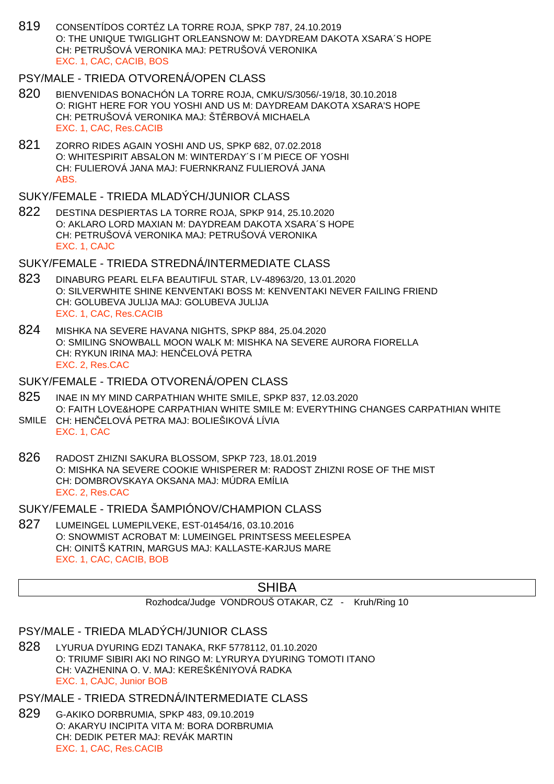819 CONSENTÍDOS CORTÉZ LA TORRE ROJA, SPKP 787, 24.10.2019 O: THE UNIQUE TWIGLIGHT ORLEANSNOW M: DAYDREAM DAKOTA XSARA´S HOPE CH: PETRUŠOVÁ VERONIKA MAJ: PETRUŠOVÁ VERONIKA EXC. 1, CAC, CACIB, BOS

## PSY/MALE - TRIEDA OTVORENÁ/OPEN CLASS

- 820 BIENVENIDAS BONACHÓN LA TORRE ROJA, CMKU/S/3056/-19/18, 30.10.2018 O: RIGHT HERE FOR YOU YOSHI AND US M: DAYDREAM DAKOTA XSARA'S HOPE CH: PETRUŠOVÁ VERONIKA MAJ: ŠT RBOVÁ MICHAELA EXC. 1, CAC, Res.CACIB
- 821 ZORRO RIDES AGAIN YOSHI AND US, SPKP 682, 07.02.2018 O: WHITESPIRIT ABSALON M: WINTERDAY´S I´M PIECE OF YOSHI CH: FULIEROVÁ JANA MAJ: FUERNKRANZ FULIEROVÁ JANA ABS.
- SUKY/FEMALE TRIEDA MLADÝCH/JUNIOR CLASS
- 822 DESTINA DESPIERTAS LA TORRE ROJA, SPKP 914, 25.10.2020 O: AKLARO LORD MAXIAN M: DAYDREAM DAKOTA XSARA´S HOPE CH: PETRUŠOVÁ VERONIKA MAJ: PETRUŠOVÁ VERONIKA EXC. 1, CAJC

### SUKY/FEMALE - TRIEDA STREDNÁ/INTERMEDIATE CLASS

- 823 DINABURG PEARL ELFA BEAUTIFUL STAR, LV-48963/20, 13.01.2020 O: SILVERWHITE SHINE KENVENTAKI BOSS M: KENVENTAKI NEVER FAILING FRIEND CH: GOLUBEVA JULIJA MAJ: GOLUBEVA JULIJA EXC. 1, CAC, Res.CACIB
- 824 MISHKA NA SEVERE HAVANA NIGHTS, SPKP 884, 25.04.2020 O: SMILING SNOWBALL MOON WALK M: MISHKA NA SEVERE AURORA FIORELLA CH: RYKUN IRINA MAJ: HEN ELOVÁ PETRA EXC. 2, Res.CAC

#### SUKY/FEMALE - TRIEDA OTVORENÁ/OPEN CLASS

- 825 INAE IN MY MIND CARPATHIAN WHITE SMILE, SPKP 837, 12.03.2020 O: FAITH LOVE&HOPE CARPATHIAN WHITE SMILE M: EVERYTHING CHANGES CARPATHIAN WHITE
- SMILE CH: HEN ELOVÁ PETRA MAJ: BOLIEŠIKOVÁ LÍVIA EXC. 1, CAC
- 826 RADOST ZHIZNI SAKURA BLOSSOM, SPKP 723, 18.01.2019 O: MISHKA NA SEVERE COOKIE WHISPERER M: RADOST ZHIZNI ROSE OF THE MIST CH: DOMBROVSKAYA OKSANA MAJ: MÚDRA EMÍLIA EXC. 2, Res.CAC

## SUKY/FEMALE - TRIEDA ŠAMPIÓNOV/CHAMPION CLASS

827 LUMEINGEL LUMEPILVEKE, EST-01454/16, 03.10.2016 O: SNOWMIST ACROBAT M: LUMEINGEL PRINTSESS MEELESPEA CH: OINITŠ KATRIN, MARGUS MAJ: KALLASTE-KARJUS MARE EXC. 1, CAC, CACIB, BOB

### SHIBA

Rozhodca/Judge VONDROUŠ OTAKAR, CZ - Kruh/Ring 10

### PSY/MALE - TRIEDA MLADÝCH/JUNIOR CLASS

828 LYURUA DYURING EDZI TANAKA, RKF 5778112, 01.10.2020 O: TRIUMF SIBIRI AKI NO RINGO M: LYRURYA DYURING TOMOTI ITANO CH: VAZHENINA O. V. MAJ: KEREŠKÉNIYOVÁ RADKA EXC. 1, CAJC, Junior BOB

#### PSY/MALE - TRIEDA STREDNÁ/INTERMEDIATE CLASS

829 G-AKIKO DORBRUMIA, SPKP 483, 09.10.2019 O: AKARYU INCIPITA VITA M: BORA DORBRUMIA CH: DEDIK PETER MAJ: REVÁK MARTIN EXC. 1, CAC, Res.CACIB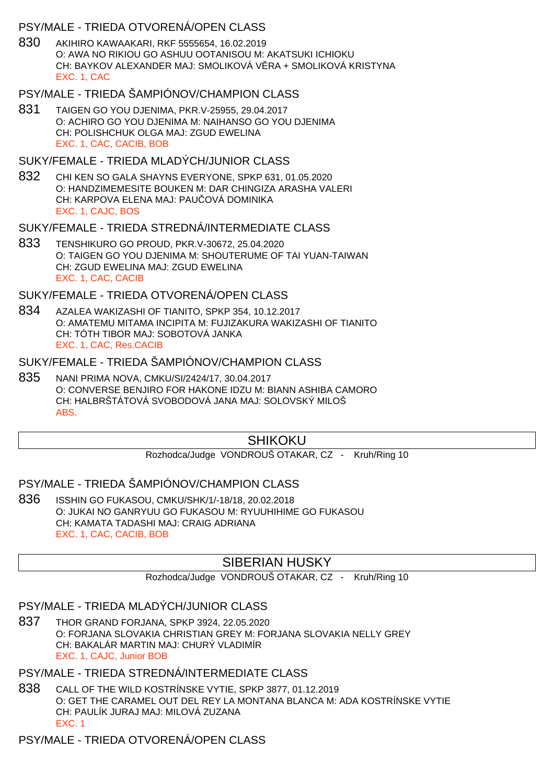### PSY/MALE - TRIEDA OTVORENÁ/OPEN CLASS

830 AKIHIRO KAWAAKARI, RKF 5555654, 16.02.2019 O: AWA NO RIKIOU GO ASHUU OOTANISOU M: AKATSUKI ICHIOKU CH: BAYKOV ALEXANDER MAJ: SMOLIKOVÁ VĚRA + SMOLIKOVÁ KRISTYNA EXC. 1, CAC

## PSY/MALE - TRIEDA ŠAMPIÓNOV/CHAMPION CLASS

831 TAIGEN GO YOU DJENIMA, PKR.V-25955, 29.04.2017 O: ACHIRO GO YOU DJENIMA M: NAIHANSO GO YOU DJENIMA CH: POLISHCHUK OLGA MAJ: ZGUD EWELINA EXC. 1, CAC, CACIB, BOB

#### SUKY/FEMALE - TRIEDA MLADÝCH/JUNIOR CLASS

832 CHI KEN SO GALA SHAYNS EVERYONE, SPKP 631, 01.05.2020 O: HANDZIMEMESITE BOUKEN M: DAR CHINGIZA ARASHA VALERI CH: KARPOVA ELENA MAJ: PAU OVÁ DOMINIKA EXC. 1, CAJC, BOS

#### SUKY/FEMALE - TRIEDA STREDNÁ/INTERMEDIATE CLASS

833 TENSHIKURO GO PROUD, PKR.V-30672, 25.04.2020 O: TAIGEN GO YOU DJENIMA M: SHOUTERUME OF TAI YUAN-TAIWAN CH: ZGUD EWELINA MAJ: ZGUD EWELINA EXC. 1, CAC, CACIB

#### SUKY/FEMALE - TRIEDA OTVORENÁ/OPEN CLASS

834 AZALEA WAKIZASHI OF TIANITO, SPKP 354, 10.12.2017 O: AMATEMU MITAMA INCIPITA M: FUJIZAKURA WAKIZASHI OF TIANITO CH: TÓTH TIBOR MAJ: SOBOTOVÁ JANKA EXC. 1, CAC, Res.CACIB

## SUKY/FEMALE - TRIEDA ŠAMPIÓNOV/CHAMPION CLASS

835 NANI PRIMA NOVA, CMKU/SI/2424/17, 30.04.2017 O: CONVERSE BENJIRO FOR HAKONE IDZU M: BIANN ASHIBA CAMORO CH: HALBRŠTÁTOVÁ SVOBODOVÁ JANA MAJ: SOLOVSKÝ MILOŠ ABS.

## SHIKOKU

Rozhodca/Judge VONDROUŠ OTAKAR, CZ - Kruh/Ring 10

## PSY/MALE - TRIEDA ŠAMPIÓNOV/CHAMPION CLASS

836 ISSHIN GO FUKASOU, CMKU/SHK/1/-18/18, 20.02.2018 O: JUKAI NO GANRYUU GO FUKASOU M: RYUUHIHIME GO FUKASOU CH: KAMATA TADASHI MAJ: CRAIG ADRIANA EXC. 1, CAC, CACIB, BOB

## SIBERIAN HUSKY

Rozhodca/Judge VONDROUŠ OTAKAR, CZ - Kruh/Ring 10

### PSY/MALE - TRIEDA MLADÝCH/JUNIOR CLASS

837 THOR GRAND FORJANA, SPKP 3924, 22.05.2020 O: FORJANA SLOVAKIA CHRISTIAN GREY M: FORJANA SLOVAKIA NELLY GREY CH: BAKALÁR MARTIN MAJ: CHURÝ VLADIMÍR EXC. 1, CAJC, Junior BOB

### PSY/MALE - TRIEDA STREDNÁ/INTERMEDIATE CLASS

838 CALL OF THE WILD KOSTRÍNSKE VYTIE, SPKP 3877, 01.12.2019 O: GET THE CARAMEL OUT DEL REY LA MONTANA BLANCA M: ADA KOSTRÍNSKE VYTIE CH: PAULÍK JURAJ MAJ: MILOVÁ ZUZANA EXC. 1

PSY/MALE - TRIEDA OTVORENÁ/OPEN CLASS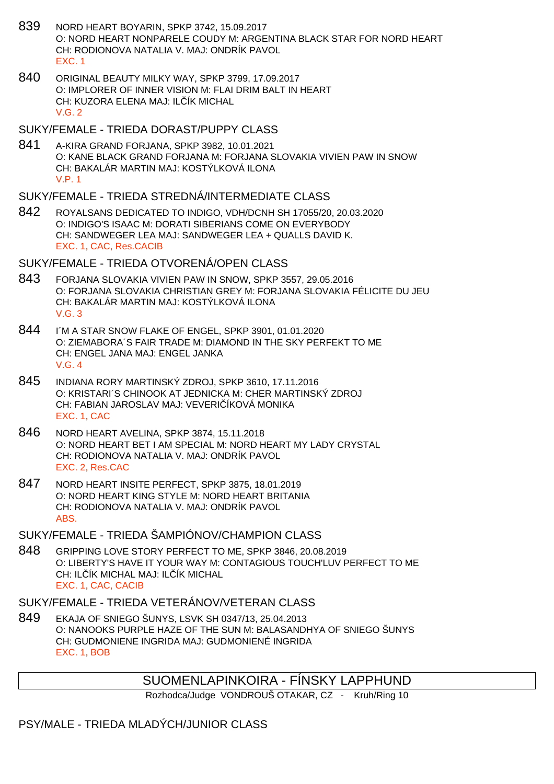- 839 NORD HEART BOYARIN, SPKP 3742, 15.09.2017 O: NORD HEART NONPARELE COUDY M: ARGENTINA BLACK STAR FOR NORD HEART CH: RODIONOVA NATALIA V. MAJ: ONDRÍK PAVOL EXC. 1
- 840 ORIGINAL BEAUTY MILKY WAY, SPKP 3799, 17.09.2017 O: IMPLORER OF INNER VISION M: FLAI DRIM BALT IN HEART CH: KUZORA ELENA MAJ: IL ÍK MICHAL  $V$  G  $2$
- SUKY/FEMALE TRIEDA DORAST/PUPPY CLASS
- 841 A-KIRA GRAND FORJANA, SPKP 3982, 10.01.2021 O: KANE BLACK GRAND FORJANA M: FORJANA SLOVAKIA VIVIEN PAW IN SNOW CH: BAKALÁR MARTIN MAJ: KOSTÝLKOVÁ ILONA V.P. 1
- SUKY/FEMALE TRIEDA STREDNÁ/INTERMEDIATE CLASS
- 842 ROYALSANS DEDICATED TO INDIGO, VDH/DCNH SH 17055/20, 20.03.2020 O: INDIGO'S ISAAC M: DORATI SIBERIANS COME ON EVERYBODY CH: SANDWEGER LEA MAJ: SANDWEGER LEA + QUALLS DAVID K. EXC. 1, CAC, Res.CACIB
- SUKY/FEMALE TRIEDA OTVORENÁ/OPEN CLASS
- 843 FORJANA SLOVAKIA VIVIEN PAW IN SNOW, SPKP 3557, 29.05.2016 O: FORJANA SLOVAKIA CHRISTIAN GREY M: FORJANA SLOVAKIA FÉLICITE DU JEU CH: BAKALÁR MARTIN MAJ: KOSTÝLKOVÁ ILONA V.G. 3
- 844 I´M A STAR SNOW FLAKE OF ENGEL, SPKP 3901, 01.01.2020 O: ZIEMABORA´S FAIR TRADE M: DIAMOND IN THE SKY PERFEKT TO ME CH: ENGEL JANA MAJ: ENGEL JANKA V.G. 4
- 845 INDIANA RORY MARTINSKÝ ZDROJ, SPKP 3610, 17.11.2016 O: KRISTARI´S CHINOOK AT JEDNICKA M: CHER MARTINSKÝ ZDROJ CH: FABIAN JAROSLAV MAJ: VEVERI ÍKOVÁ MONIKA EXC. 1, CAC
- 846 NORD HEART AVELINA, SPKP 3874, 15.11.2018 O: NORD HEART BET I AM SPECIAL M: NORD HEART MY LADY CRYSTAL CH: RODIONOVA NATALIA V. MAJ: ONDRÍK PAVOL EXC. 2, Res.CAC
- 847 NORD HEART INSITE PERFECT, SPKP 3875, 18.01.2019 O: NORD HEART KING STYLE M: NORD HEART BRITANIA CH: RODIONOVA NATALIA V. MAJ: ONDRÍK PAVOL ABS.
- SUKY/FEMALE TRIEDA ŠAMPIÓNOV/CHAMPION CLASS
- 848 GRIPPING LOVE STORY PERFECT TO ME, SPKP 3846, 20.08.2019 O: LIBERTY'S HAVE IT YOUR WAY M: CONTAGIOUS TOUCH'LUV PERFECT TO ME CH: IL ÍK MICHAL MAJ: IL ÍK MICHAL EXC. 1, CAC, CACIB
- SUKY/FEMALE TRIEDA VETERÁNOV/VETERAN CLASS
- 849 EKAJA OF SNIEGO ŠUNYS, LSVK SH 0347/13, 25.04.2013 O: NANOOKS PURPLE HAZE OF THE SUN M: BALASANDHYA OF SNIEGO ŠUNYS CH: GUDMONIENE INGRIDA MAJ: GUDMONIENÉ INGRIDA EXC. 1, BOB

## SUOMENLAPINKOIRA - FÍNSKY LAPPHUND

Rozhodca/Judge VONDROUŠ OTAKAR, CZ - Kruh/Ring 10

PSY/MALE - TRIEDA MLADÝCH/JUNIOR CLASS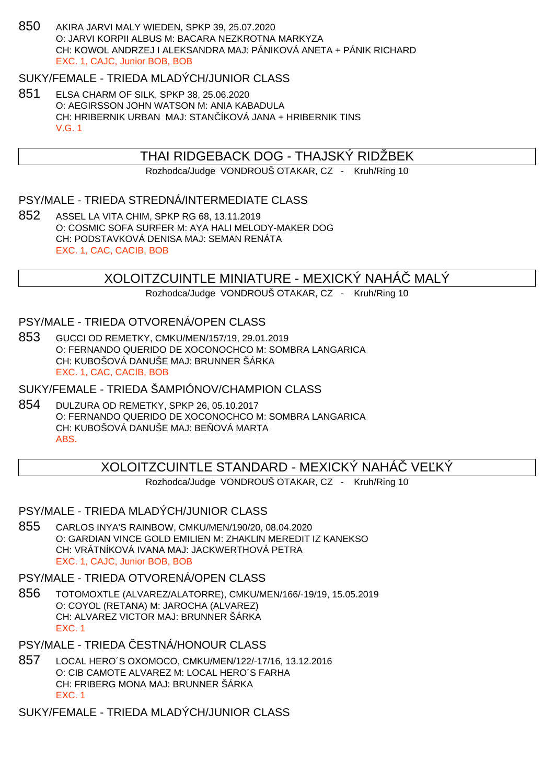850 AKIRA JARVI MALY WIEDEN, SPKP 39, 25.07.2020 O: JARVI KORPII ALBUS M: BACARA NEZKROTNA MARKYZA CH: KOWOL ANDRZEJ I ALEKSANDRA MAJ: PÁNIKOVÁ ANETA + PÁNIK RICHARD EXC. 1, CAJC, Junior BOB, BOB

#### SUKY/FEMALE - TRIEDA MLADÝCH/JUNIOR CLASS

851 ELSA CHARM OF SILK, SPKP 38, 25.06.2020 O: AEGIRSSON JOHN WATSON M: ANIA KABADULA CH: HRIBERNIK URBAN MAJ: STAN ÍKOVÁ JANA + HRIBERNIK TINS V.G. 1

## THAI RIDGEBACK DOG - THAJSKÝ RIDŽBEK

Rozhodca/Judge VONDROUŠ OTAKAR, CZ - Kruh/Ring 10

### PSY/MALE - TRIEDA STREDNÁ/INTERMEDIATE CLASS

852 ASSEL LA VITA CHIM, SPKP RG 68, 13.11.2019 O: COSMIC SOFA SURFER M: AYA HALI MELODY-MAKER DOG CH: PODSTAVKOVÁ DENISA MAJ: SEMAN RENÁTA EXC. 1, CAC, CACIB, BOB

## XOLOITZCUINTLE MINIATURE - MEXICKÝ NAHÁČ MALÝ

Rozhodca/Judge VONDROUŠ OTAKAR, CZ - Kruh/Ring 10

#### PSY/MALE - TRIEDA OTVORENÁ/OPEN CLASS

853 GUCCI OD REMETKY, CMKU/MEN/157/19, 29.01.2019 O: FERNANDO QUERIDO DE XOCONOCHCO M: SOMBRA LANGARICA CH: KUBOŠOVÁ DANUŠE MAJ: BRUNNER ŠÁRKA EXC. 1, CAC, CACIB, BOB

SUKY/FEMALE - TRIEDA ŠAMPIÓNOV/CHAMPION CLASS

854 DULZURA OD REMETKY, SPKP 26, 05.10.2017 O: FERNANDO QUERIDO DE XOCONOCHCO M: SOMBRA LANGARICA CH: KUBOŠOVÁ DANUŠE MAJ: BE OVÁ MARTA ABS.

## XOLOITZCUINTLE STANDARD - MEXICKÝ NAHÁ $\;$  ve KÝ

Rozhodca/Judge VONDROUŠ OTAKAR, CZ - Kruh/Ring 10

PSY/MALE - TRIEDA MLADÝCH/JUNIOR CLASS

855 CARLOS INYA'S RAINBOW, CMKU/MEN/190/20, 08.04.2020 O: GARDIAN VINCE GOLD EMILIEN M: ZHAKLIN MEREDIT IZ KANEKSO CH: VRÁTNÍKOVÁ IVANA MAJ: JACKWERTHOVÁ PETRA EXC. 1, CAJC, Junior BOB, BOB

#### PSY/MALE - TRIEDA OTVORENÁ/OPEN CLASS

856 TOTOMOXTLE (ALVAREZ/ALATORRE), CMKU/MEN/166/-19/19, 15.05.2019 O: COYOL (RETANA) M: JAROCHA (ALVAREZ) CH: ALVAREZ VICTOR MAJ: BRUNNER ŠÁRKA EXC. 1

PSY/MALE - TRIEDA ESTNÁ/HONOUR CLASS

857 LOCAL HERO´S OXOMOCO, CMKU/MEN/122/-17/16, 13.12.2016 O: CIB CAMOTE ALVAREZ M: LOCAL HERO´S FARHA CH: FRIBERG MONA MAJ: BRUNNER ŠÁRKA EXC. 1

SUKY/FEMALE - TRIEDA MLADÝCH/JUNIOR CLASS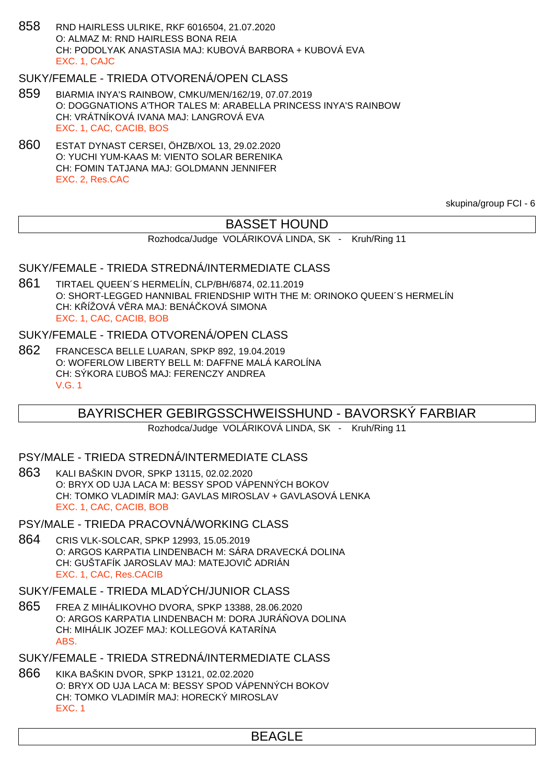858 RND HAIRLESS ULRIKE, RKF 6016504, 21.07.2020 O: ALMAZ M: RND HAIRLESS BONA REIA CH: PODOLYAK ANASTASIA MAJ: KUBOVÁ BARBORA + KUBOVÁ EVA EXC. 1, CAJC

## SUKY/FEMALE - TRIEDA OTVORENÁ/OPEN CLASS

- 859 BIARMIA INYA'S RAINBOW, CMKU/MEN/162/19, 07.07.2019 O: DOGGNATIONS A'THOR TALES M: ARABELLA PRINCESS INYA'S RAINBOW CH: VRÁTNÍKOVÁ IVANA MAJ: LANGROVÁ EVA EXC. 1, CAC, CACIB, BOS
- 860 ESTAT DYNAST CERSEI, ÖHZB/XOL 13, 29.02.2020 O: YUCHI YUM-KAAS M: VIENTO SOLAR BERENIKA CH: FOMIN TATJANA MAJ: GOLDMANN JENNIFER EXC. 2, Res.CAC

skupina/group FCI - 6

## BASSET HOUND

Rozhodca/Judge VOLÁRIKOVÁ LINDA, SK - Kruh/Ring 11

### SUKY/FEMALE - TRIEDA STREDNÁ/INTERMEDIATE CLASS

861 TIRTAEL QUEEN´S HERMELÍN, CLP/BH/6874, 02.11.2019 O: SHORT-LEGGED HANNIBAL FRIENDSHIP WITH THE M: ORINOKO QUEEN´S HERMELÍN CH: K ÍŽOVÁ V RA MAJ: BENÁ KOVÁ SIMONA EXC. 1, CAC, CACIB, BOB

#### SUKY/FEMALE - TRIEDA OTVORENÁ/OPEN CLASS

862 FRANCESCA BELLE LUARAN, SPKP 892, 19.04.2019 O: WOFERLOW LIBERTY BELL M: DAFFNE MALÁ KAROLÍNA CH: SÝKORA ĽUBOŠ MAJ: FERENCZY ANDREA V.G. 1

### BAYRISCHER GEBIRGSSCHWEISSHUND - BAVORSKÝ FARBIAR

Rozhodca/Judge VOLÁRIKOVÁ LINDA, SK - Kruh/Ring 11

### PSY/MALE - TRIEDA STREDNÁ/INTERMEDIATE CLASS

863 KALI BAŠKIN DVOR, SPKP 13115, 02.02.2020 O: BRYX OD UJA LACA M: BESSY SPOD VÁPENNÝCH BOKOV CH: TOMKO VLADIMÍR MAJ: GAVLAS MIROSLAV + GAVLASOVÁ LENKA EXC. 1, CAC, CACIB, BOB

#### PSY/MALE - TRIEDA PRACOVNÁ/WORKING CLASS

864 CRIS VLK-SOLCAR, SPKP 12993, 15.05.2019 O: ARGOS KARPATIA LINDENBACH M: SÁRA DRAVECKÁ DOLINA CH: GUŠTAFÍK JAROSLAV MAJ: MATEJOVIČ ADRIÁN EXC. 1, CAC, Res.CACIB

### SUKY/FEMALE - TRIEDA MLADÝCH/JUNIOR CLASS

865 FREA Z MIHÁLIKOVHO DVORA, SPKP 13388, 28.06.2020 O: ARGOS KARPATIA LINDENBACH M: DORA JURÁ OVA DOLINA CH: MIHÁLIK JOZEF MAJ: KOLLEGOVÁ KATARÍNA ABS.

SUKY/FEMALE - TRIEDA STREDNÁ/INTERMEDIATE CLASS

866 KIKA BAŠKIN DVOR, SPKP 13121, 02.02.2020 O: BRYX OD UJA LACA M: BESSY SPOD VÁPENNÝCH BOKOV CH: TOMKO VLADIMÍR MAJ: HORECKÝ MIROSLAV EXC. 1

BEAGLE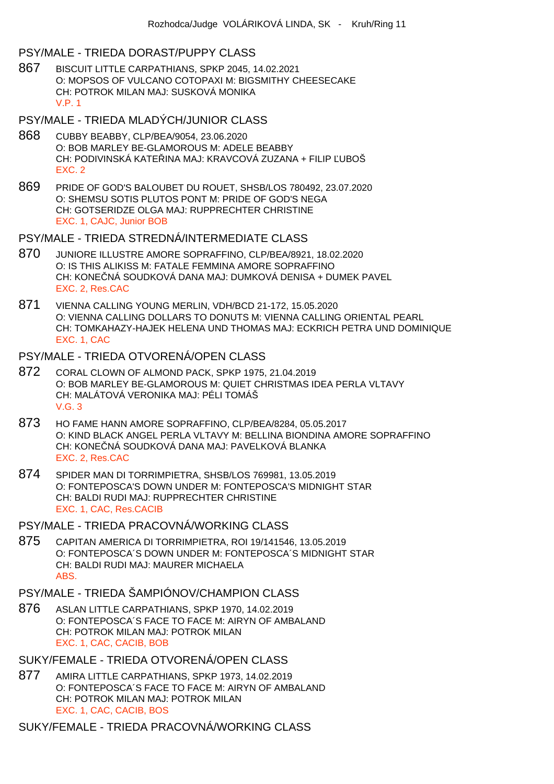#### PSY/MALE - TRIEDA DORAST/PUPPY CLASS

867 BISCUIT LITTLE CARPATHIANS, SPKP 2045, 14.02.2021 O: MOPSOS OF VULCANO COTOPAXI M: BIGSMITHY CHEESECAKE CH: POTROK MILAN MAJ: SUSKOVÁ MONIKA V.P. 1

PSY/MALE - TRIEDA MLADÝCH/JUNIOR CLASS

- 868 CUBBY BEABBY, CLP/BEA/9054, 23.06.2020 O: BOB MARLEY BE-GLAMOROUS M: ADELE BEABBY CH: PODIVINSKÁ KATE INA MAJ: KRAVCOVÁ ZUZANA + FILIP UBOŠ EXC. 2
- 869 PRIDE OF GOD'S BALOUBET DU ROUET, SHSB/LOS 780492, 23.07.2020 O: SHEMSU SOTIS PLUTOS PONT M: PRIDE OF GOD'S NEGA CH: GOTSERIDZE OLGA MAJ: RUPPRECHTER CHRISTINE EXC. 1, CAJC, Junior BOB

#### PSY/MALE - TRIEDA STREDNÁ/INTERMEDIATE CLASS

- 870 JUNIORE ILLUSTRE AMORE SOPRAFFINO, CLP/BEA/8921, 18.02.2020 O: IS THIS ALIKISS M: FATALE FEMMINA AMORE SOPRAFFINO CH: KONEČNÁ SOUDKOVÁ DANA MAJ: DUMKOVÁ DENISA + DUMEK PAVEL EXC. 2, Res.CAC
- 871 VIENNA CALLING YOUNG MERLIN, VDH/BCD 21-172, 15.05.2020 O: VIENNA CALLING DOLLARS TO DONUTS M: VIENNA CALLING ORIENTAL PEARL CH: TOMKAHAZY-HAJEK HELENA UND THOMAS MAJ: ECKRICH PETRA UND DOMINIQUE EXC. 1, CAC
- PSY/MALE TRIEDA OTVORENÁ/OPEN CLASS
- 872 CORAL CLOWN OF ALMOND PACK, SPKP 1975, 21.04.2019 O: BOB MARLEY BE-GLAMOROUS M: QUIET CHRISTMAS IDEA PERLA VLTAVY CH: MALÁTOVÁ VERONIKA MAJ: PÉLI TOMÁŠ  $V$  G  $3$
- 873 HO FAME HANN AMORE SOPRAFFINO, CLP/BEA/8284, 05.05.2017 O: KIND BLACK ANGEL PERLA VLTAVY M: BELLINA BIONDINA AMORE SOPRAFFINO CH: KONE NÁ SOUDKOVÁ DANA MAJ: PAVELKOVÁ BLANKA EXC. 2, Res.CAC
- 874 SPIDER MAN DI TORRIMPIETRA, SHSB/LOS 769981, 13.05.2019 O: FONTEPOSCA'S DOWN UNDER M: FONTEPOSCA'S MIDNIGHT STAR CH: BALDI RUDI MAJ: RUPPRECHTER CHRISTINE EXC. 1, CAC, Res.CACIB
- PSY/MALE TRIEDA PRACOVNÁ/WORKING CLASS
- 875 CAPITAN AMERICA DI TORRIMPIETRA, ROI 19/141546, 13.05.2019 O: FONTEPOSCA´S DOWN UNDER M: FONTEPOSCA´S MIDNIGHT STAR CH: BALDI RUDI MAJ: MAURER MICHAELA **ABS**

### PSY/MALE - TRIEDA ŠAMPIÓNOV/CHAMPION CLASS

876 ASLAN LITTLE CARPATHIANS, SPKP 1970, 14.02.2019 O: FONTEPOSCA´S FACE TO FACE M: AIRYN OF AMBALAND CH: POTROK MILAN MAJ: POTROK MILAN EXC. 1, CAC, CACIB, BOB

#### SUKY/FEMALE - TRIEDA OTVORENÁ/OPEN CLASS

877 AMIRA LITTLE CARPATHIANS, SPKP 1973, 14.02.2019 O: FONTEPOSCA´S FACE TO FACE M: AIRYN OF AMBALAND CH: POTROK MILAN MAJ: POTROK MILAN EXC. 1, CAC, CACIB, BOS

SUKY/FEMALE - TRIEDA PRACOVNÁ/WORKING CLASS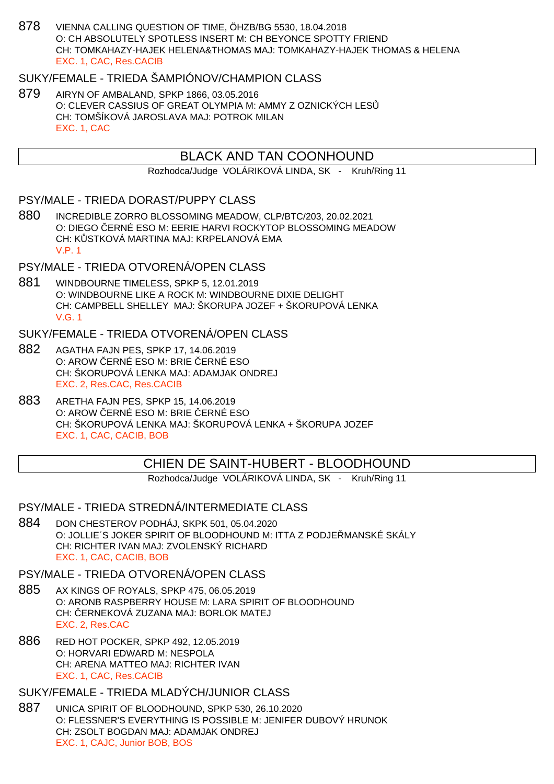878 VIENNA CALLING QUESTION OF TIME, ÖHZB/BG 5530, 18.04.2018 O: CH ABSOLUTELY SPOTLESS INSERT M: CH BEYONCE SPOTTY FRIEND CH: TOMKAHAZY-HAJEK HELENA&THOMAS MAJ: TOMKAHAZY-HAJEK THOMAS & HELENA EXC. 1, CAC, Res.CACIB

## SUKY/FEMALE - TRIEDA ŠAMPIÓNOV/CHAMPION CLASS

879 AIRYN OF AMBALAND, SPKP 1866, 03.05.2016 O: CLEVER CASSIUS OF GREAT OLYMPIA M: AMMY Z OZNICKÝCH LES CH: TOMŠÍKOVÁ JAROSLAVA MAJ: POTROK MILAN EXC. 1, CAC

## BLACK AND TAN COONHOUND

Rozhodca/Judge VOLÁRIKOVÁ LINDA, SK - Kruh/Ring 11

#### PSY/MALE - TRIEDA DORAST/PUPPY CLASS

880 INCREDIBLE ZORRO BLOSSOMING MEADOW, CLP/BTC/203, 20.02.2021 O: DIEGO ČERNÉ ESO M: EERIE HARVI ROCKYTOP BLOSSOMING MEADOW CH: K STKOVÁ MARTINA MAJ: KRPELANOVÁ EMA V.P. 1

## PSY/MALE - TRIEDA OTVORENÁ/OPEN CLASS

881 WINDBOURNE TIMELESS, SPKP 5, 12.01.2019 O: WINDBOURNE LIKE A ROCK M: WINDBOURNE DIXIE DELIGHT CH: CAMPBELL SHELLEY MAJ: ŠKORUPA JOZEF + ŠKORUPOVÁ LENKA V.G. 1

## SUKY/FEMALE - TRIEDA OTVORENÁ/OPEN CLASS

- 882 AGATHA FAJN PES, SPKP 17, 14.06.2019 O: AROW ERNÉ ESO M: BRIE ERNÉ ESO CH: ŠKORUPOVÁ LENKA MAJ: ADAMJAK ONDREJ EXC. 2, Res.CAC, Res.CACIB
- 883 ARETHA FAJN PES, SPKP 15, 14.06.2019 O: AROW ERNÉ ESO M: BRIE ERNÉ ESO CH: ŠKORUPOVÁ LENKA MAJ: ŠKORUPOVÁ LENKA + ŠKORUPA JOZEF EXC. 1, CAC, CACIB, BOB

## CHIEN DE SAINT-HUBERT - BLOODHOUND

Rozhodca/Judge VOLÁRIKOVÁ LINDA, SK - Kruh/Ring 11

PSY/MALE - TRIEDA STREDNÁ/INTERMEDIATE CLASS

884 DON CHESTEROV PODHÁJ, SKPK 501, 05.04.2020 O: JOLLIE'S JOKER SPIRIT OF BLOODHOUND M: ITTA Z PODJE MANSKÉ SKÁLY CH: RICHTER IVAN MAJ: ZVOLENSKÝ RICHARD EXC. 1, CAC, CACIB, BOB

#### PSY/MALE - TRIEDA OTVORENÁ/OPEN CLASS

- 885 AX KINGS OF ROYALS, SPKP 475, 06.05.2019 O: ARONB RASPBERRY HOUSE M: LARA SPIRIT OF BLOODHOUND CH: ERNEKOVÁ ZUZANA MAJ: BORLOK MATEJ EXC. 2, Res.CAC
- 886 RED HOT POCKER, SPKP 492, 12.05.2019 O: HORVARI EDWARD M: NESPOLA CH: ARENA MATTEO MAJ: RICHTER IVAN EXC. 1, CAC, Res.CACIB

## SUKY/FEMALE - TRIEDA MLADÝCH/JUNIOR CLASS

887 UNICA SPIRIT OF BLOODHOUND, SPKP 530, 26.10.2020 O: FLESSNER'S EVERYTHING IS POSSIBLE M: JENIFER DUBOVÝ HRUNOK CH: ZSOLT BOGDAN MAJ: ADAMJAK ONDREJ EXC. 1, CAJC, Junior BOB, BOS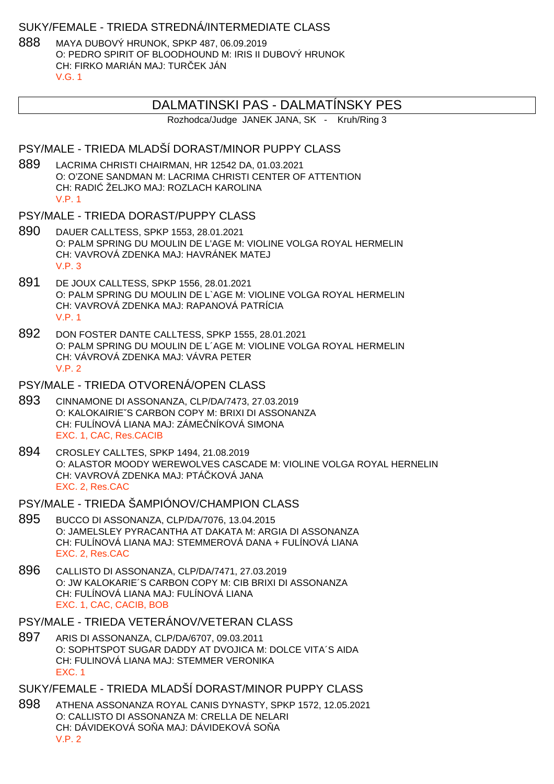## SUKY/FEMALE - TRIEDA STREDNÁ/INTERMEDIATE CLASS

888 MAYA DUBOVÝ HRUNOK, SPKP 487, 06.09.2019 O: PEDRO SPIRIT OF BLOODHOUND M: IRIS II DUBOVÝ HRUNOK CH: FIRKO MARIÁN MAJ: TUR EK JÁN V.G. 1

## DALMATINSKI PAS - DALMATÍNSKY PES

Rozhodca/Judge JANEK JANA, SK - Kruh/Ring 3

#### PSY/MALE - TRIEDA MLADŠÍ DORAST/MINOR PUPPY CLASS

889 LACRIMA CHRISTI CHAIRMAN, HR 12542 DA, 01.03.2021 O: O'ZONE SANDMAN M: LACRIMA CHRISTI CENTER OF ATTENTION CH: RADI ŽELJKO MAJ: ROZLACH KAROLINA V.P. 1

#### PSY/MALE - TRIEDA DORAST/PUPPY CLASS

- 890 DAUER CALLTESS, SPKP 1553, 28.01.2021 O: PALM SPRING DU MOULIN DE L'AGE M: VIOLINE VOLGA ROYAL HERMELIN CH: VAVROVÁ ZDENKA MAJ: HAVRÁNEK MATEJ V.P. 3
- 891 DE JOUX CALLTESS, SPKP 1556, 28.01.2021 O: PALM SPRING DU MOULIN DE L`AGE M: VIOLINE VOLGA ROYAL HERMELIN CH: VAVROVÁ ZDENKA MAJ: RAPANOVÁ PATRÍCIA V.P. 1
- 892 DON FOSTER DANTE CALLTESS, SPKP 1555, 28.01.2021 O: PALM SPRING DU MOULIN DE L´AGE M: VIOLINE VOLGA ROYAL HERMELIN CH: VÁVROVÁ ZDENKA MAJ: VÁVRA PETER V.P. 2

## PSY/MALE - TRIEDA OTVORENÁ/OPEN CLASS

- 893 CINNAMONE DI ASSONANZA, CLP/DA/7473, 27.03.2019 O: KALOKAIRIEˇS CARBON COPY M: BRIXI DI ASSONANZA CH: FULÍNOVÁ LIANA MAJ: ZÁME NÍKOVÁ SIMONA EXC. 1, CAC, Res.CACIB
- 894 CROSLEY CALLTES, SPKP 1494, 21.08.2019 O: ALASTOR MOODY WEREWOLVES CASCADE M: VIOLINE VOLGA ROYAL HERNELIN CH: VAVROVÁ ZDENKA MAJ: PTÁ KOVÁ JANA EXC. 2, Res.CAC

#### PSY/MALE - TRIEDA ŠAMPIÓNOV/CHAMPION CLASS

- 895 BUCCO DI ASSONANZA, CLP/DA/7076, 13.04.2015 O: JAMELSLEY PYRACANTHA AT DAKATA M: ARGIA DI ASSONANZA CH: FULÍNOVÁ LIANA MAJ: STEMMEROVÁ DANA + FULÍNOVÁ LIANA EXC. 2, Res.CAC
- 896 CALLISTO DI ASSONANZA, CLP/DA/7471, 27.03.2019 O: JW KALOKARIE´S CARBON COPY M: CIB BRIXI DI ASSONANZA CH: FULÍNOVÁ LIANA MAJ: FULÍNOVÁ LIANA EXC. 1, CAC, CACIB, BOB

#### PSY/MALE - TRIEDA VETERÁNOV/VETERAN CLASS

897 ARIS DI ASSONANZA, CLP/DA/6707, 09.03.2011 O: SOPHTSPOT SUGAR DADDY AT DVOJICA M: DOLCE VITA´S AIDA CH: FULINOVÁ LIANA MAJ: STEMMER VERONIKA EXC. 1

## SUKY/FEMALE - TRIEDA MLADŠÍ DORAST/MINOR PUPPY CLASS

898 ATHENA ASSONANZA ROYAL CANIS DYNASTY, SPKP 1572, 12.05.2021 O: CALLISTO DI ASSONANZA M: CRELLA DE NELARI CH: DÁVIDEKOVÁ SO A MAJ: DÁVIDEKOVÁ SO A V.P. 2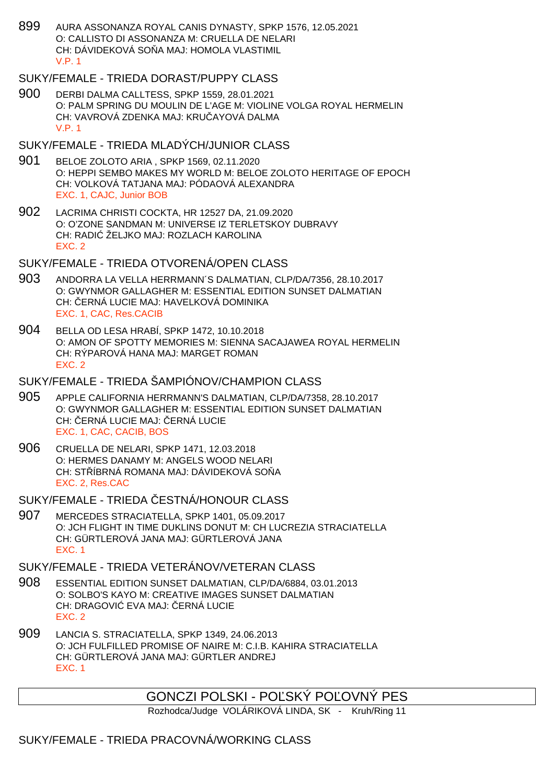899 AURA ASSONANZA ROYAL CANIS DYNASTY, SPKP 1576, 12.05.2021 O: CALLISTO DI ASSONANZA M: CRUELLA DE NELARI CH: DÁVIDEKOVÁ SO A MAJ: HOMOLA VLASTIMIL V.P. 1

### SUKY/FEMALE - TRIEDA DORAST/PUPPY CLASS

900 DERBI DALMA CALLTESS, SPKP 1559, 28.01.2021 O: PALM SPRING DU MOULIN DE L'AGE M: VIOLINE VOLGA ROYAL HERMELIN CH: VAVROVÁ ZDENKA MAJ: KRU AYOVÁ DALMA V.P. 1

#### SUKY/FEMALE - TRIEDA MLADÝCH/JUNIOR CLASS

- 901 BELOE ZOLOTO ARIA , SPKP 1569, 02.11.2020 O: HEPPI SEMBO MAKES MY WORLD M: BELOE ZOLOTO HERITAGE OF EPOCH CH: VOLKOVÁ TATJANA MAJ: PÓDAOVÁ ALEXANDRA EXC. 1, CAJC, Junior BOB
- 902 LACRIMA CHRISTI COCKTA, HR 12527 DA, 21.09.2020 O: O'ZONE SANDMAN M: UNIVERSE IZ TERLETSKOY DUBRAVY CH: RADI ŽELJKO MAJ: ROZLACH KAROLINA EXC. 2

#### SUKY/FEMALE - TRIEDA OTVORENÁ/OPEN CLASS

- 903 ANDORRA LA VELLA HERRMANN´S DALMATIAN, CLP/DA/7356, 28.10.2017 O: GWYNMOR GALLAGHER M: ESSENTIAL EDITION SUNSET DALMATIAN CH: ERNÁ LUCIE MAJ: HAVELKOVÁ DOMINIKA EXC. 1, CAC, Res.CACIB
- 904 BELLA OD LESA HRABÍ, SPKP 1472, 10.10.2018 O: AMON OF SPOTTY MEMORIES M: SIENNA SACAJAWEA ROYAL HERMELIN CH: RÝPAROVÁ HANA MAJ: MARGET ROMAN EXC. 2

### SUKY/FEMALE - TRIEDA ŠAMPIÓNOV/CHAMPION CLASS

- 905 APPLE CALIFORNIA HERRMANN'S DALMATIAN, CLP/DA/7358, 28.10.2017 O: GWYNMOR GALLAGHER M: ESSENTIAL EDITION SUNSET DALMATIAN CH: ERNÁ LUCIE MAJ: ERNÁ LUCIE EXC. 1, CAC, CACIB, BOS
- 906 CRUELLA DE NELARI, SPKP 1471, 12.03.2018 O: HERMES DANAMY M: ANGELS WOOD NELARI CH: STÍBRNÁ ROMANA MAJ: DÁVIDEKOVÁ SOŇA EXC. 2, Res.CAC

#### SUKY/FEMALE - TRIEDA ESTNÁ/HONOUR CLASS

907 MERCEDES STRACIATELLA, SPKP 1401, 05.09.2017 O: JCH FLIGHT IN TIME DUKLINS DONUT M: CH LUCREZIA STRACIATELLA CH: GÜRTLEROVÁ JANA MAJ: GÜRTLEROVÁ JANA EXC. 1

### SUKY/FEMALE - TRIEDA VETERÁNOV/VETERAN CLASS

- 908 ESSENTIAL EDITION SUNSET DALMATIAN, CLP/DA/6884, 03.01.2013 O: SOLBO'S KAYO M: CREATIVE IMAGES SUNSET DALMATIAN CH: DRAGOVI EVA MAJ: ERNÁ LUCIE EXC. 2
- 909 LANCIA S. STRACIATELLA, SPKP 1349, 24.06.2013 O: JCH FULFILLED PROMISE OF NAIRE M: C.I.B. KAHIRA STRACIATELLA CH: GÜRTLEROVÁ JANA MAJ: GÜRTLER ANDREJ EXC. 1

## GONCZI POLSKI - POĽSKÝ POĽOVNÝ PES

Rozhodca/Judge VOLÁRIKOVÁ LINDA, SK - Kruh/Ring 11

### SUKY/FEMALE - TRIEDA PRACOVNÁ/WORKING CLASS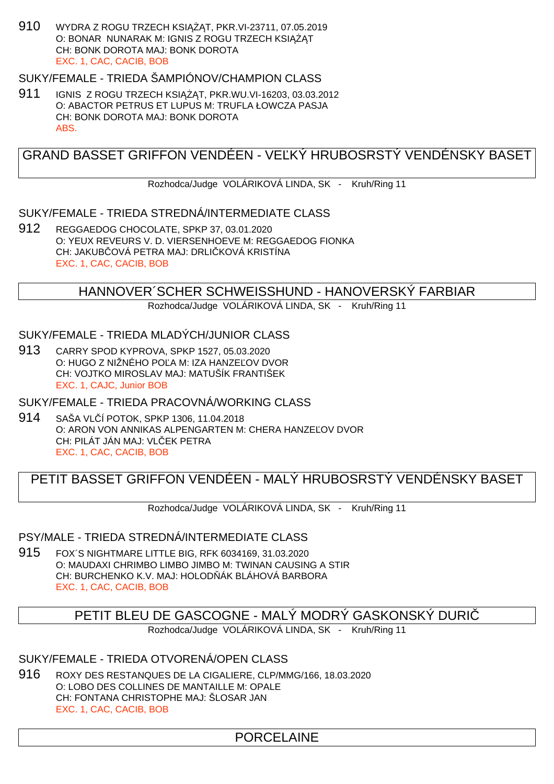910 WYDRA Z ROGU TRZECH KSI T, PKR. VI-23711, 07.05.2019 O: BONAR NUNARAK M: IGNIS Z ROGU TRZECH KSIĄT CH: BONK DOROTA MAJ: BONK DOROTA EXC. 1, CAC, CACIB, BOB

SUKY/FEMALE - TRIEDA ŠAMPIÓNOV/CHAMPION CLASS

911 IGNIS Z ROGU TRZECH KSI T, PKR.WU.VI-16203, 03.03.2012 O: ABACTOR PETRUS ET LUPUS M: TRUFLA ŁOWCZA PASJA CH: BONK DOROTA MAJ: BONK DOROTA ABS.

GRAND BASSET GRIFFON VENDÉEN - VELKÝ HRUBOSRSTÝ VENDÉNSKY BASET

Rozhodca/Judge VOLÁRIKOVÁ LINDA, SK - Kruh/Ring 11

### SUKY/FEMALE - TRIEDA STREDNÁ/INTERMEDIATE CLASS

912 REGGAEDOG CHOCOLATE, SPKP 37, 03.01.2020 O: YEUX REVEURS V. D. VIERSENHOEVE M: REGGAEDOG FIONKA CH: JAKUB OVÁ PETRA MAJ: DRLI KOVÁ KRISTÍNA EXC. 1, CAC, CACIB, BOB

## HANNOVER´SCHER SCHWEISSHUND - HANOVERSKÝ FARBIAR

Rozhodca/Judge VOLÁRIKOVÁ LINDA, SK - Kruh/Ring 11

#### SUKY/FEMALE - TRIEDA MLADÝCH/JUNIOR CLASS

913 CARRY SPOD KYPROVA, SPKP 1527, 05.03.2020 O: HUGO Z NIŽNÉHO POLA M: IZA HANZELOV DVOR CH: VOJTKO MIROSLAV MAJ: MATUŠÍK FRANTIŠEK EXC. 1, CAJC, Junior BOB

## SUKY/FEMALE - TRIEDA PRACOVNÁ/WORKING CLASS

914 SAŠA VLÍ POTOK, SPKP 1306, 11.04.2018 O: ARON VON ANNIKAS ALPENGARTEN M: CHERA HANZE OV DVOR CH: PILAT JAN MAJ: VL EK PETRA EXC. 1, CAC, CACIB, BOB

## PETIT BASSET GRIFFON VENDÉEN - MALÝ HRUBOSRSTÝ VENDÉNSKY BASET

Rozhodca/Judge VOLÁRIKOVÁ LINDA, SK - Kruh/Ring 11

### PSY/MALE - TRIEDA STREDNÁ/INTERMEDIATE CLASS

915 FOX´S NIGHTMARE LITTLE BIG, RFK 6034169, 31.03.2020 O: MAUDAXI CHRIMBO LIMBO JIMBO M: TWINAN CAUSING A STIR CH: BURCHENKO K.V. MAJ: HOLOD ÁK BLÁHOVÁ BARBORA EXC. 1, CAC, CACIB, BOB

PETIT BLEU DE GASCOGNE - MALÝ MODRÝ GASKONSKÝ DURIČ

Rozhodca/Judge VOLÁRIKOVÁ LINDA, SK - Kruh/Ring 11

## SUKY/FEMALE - TRIEDA OTVORENÁ/OPEN CLASS

916 ROXY DES RESTANQUES DE LA CIGALIERE, CLP/MMG/166, 18.03.2020 O: LOBO DES COLLINES DE MANTAILLE M: OPALE CH: FONTANA CHRISTOPHE MAJ: ŠLOSAR JAN EXC. 1, CAC, CACIB, BOB

## PORCELAINE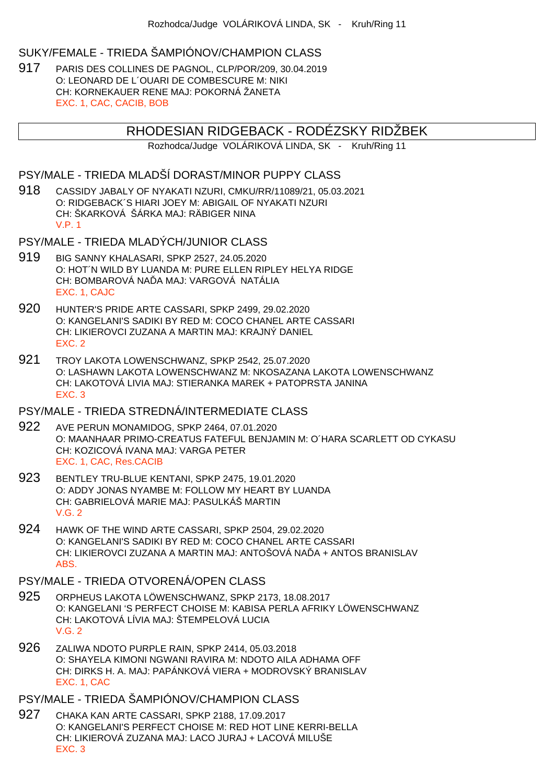## SUKY/FEMALE - TRIEDA ŠAMPIÓNOV/CHAMPION CLASS

917 PARIS DES COLLINES DE PAGNOL, CLP/POR/209, 30.04.2019 O: LEONARD DE L´OUARI DE COMBESCURE M: NIKI CH: KORNEKAUER RENE MAJ: POKORNÁ ŽANETA EXC. 1, CAC, CACIB, BOB

# RHODESIAN RIDGEBACK - RODÉZSKY RIDŽBEK

Rozhodca/Judge VOLÁRIKOVÁ LINDA, SK - Kruh/Ring 11

PSY/MALE - TRIEDA MLADŠÍ DORAST/MINOR PUPPY CLASS

918 CASSIDY JABALY OF NYAKATI NZURI, CMKU/RR/11089/21, 05.03.2021 O: RIDGEBACK´S HIARI JOEY M: ABIGAIL OF NYAKATI NZURI CH: ŠKARKOVÁ ŠÁRKA MAJ: RÄBIGER NINA V.P. 1

## PSY/MALE - TRIEDA MLADÝCH/JUNIOR CLASS

- 919 BIG SANNY KHALASARI, SPKP 2527, 24.05.2020 O: HOT´N WILD BY LUANDA M: PURE ELLEN RIPLEY HELYA RIDGE CH: BOMBAROVÁ NA A MAJ: VARGOVÁ NATÁLIA EXC. 1, CAJC
- 920 HUNTER'S PRIDE ARTE CASSARI, SPKP 2499, 29.02.2020 O: KANGELANI'S SADIKI BY RED M: COCO CHANEL ARTE CASSARI CH: LIKIEROVCI ZUZANA A MARTIN MAJ: KRAJNÝ DANIEL EXC. 2
- 921 TROY LAKOTA LOWENSCHWANZ, SPKP 2542, 25.07.2020 O: LASHAWN LAKOTA LOWENSCHWANZ M: NKOSAZANA LAKOTA LOWENSCHWANZ CH: LAKOTOVÁ LIVIA MAJ: STIERANKA MAREK + PATOPRSTA JANINA EXC. 3

## PSY/MALE - TRIEDA STREDNÁ/INTERMEDIATE CLASS

- 922 AVE PERUN MONAMIDOG, SPKP 2464, 07.01.2020 O: MAANHAAR PRIMO-CREATUS FATEFUL BENJAMIN M: O´HARA SCARLETT OD CYKASU CH: KOZICOVÁ IVANA MAJ: VARGA PETER EXC. 1, CAC, Res.CACIB
- 923 BENTLEY TRU-BLUE KENTANI, SPKP 2475, 19.01.2020 O: ADDY JONAS NYAMBE M: FOLLOW MY HEART BY LUANDA CH: GABRIELOVÁ MARIE MAJ: PASULKÁŠ MARTIN V.G. 2
- 924 HAWK OF THE WIND ARTE CASSARI, SPKP 2504, 29.02.2020 O: KANGELANI'S SADIKI BY RED M: COCO CHANEL ARTE CASSARI CH: LIKIEROVCI ZUZANA A MARTIN MAJ: ANTOŠOVÁ NA  $A + ANTOS$ BRANISLAV ABS.

## PSY/MALE - TRIEDA OTVORENÁ/OPEN CLASS

- 925 ORPHEUS LAKOTA LÖWENSCHWANZ, SPKP 2173, 18.08.2017 O: KANGELANI 'S PERFECT CHOISE M: KABISA PERLA AFRIKY LÖWENSCHWANZ CH: LAKOTOVÁ LÍVIA MAJ: ŠTEMPELOVÁ LUCIA V.G. 2
- 926 ZALIWA NDOTO PURPLE RAIN, SPKP 2414, 05.03.2018 O: SHAYELA KIMONI NGWANI RAVIRA M: NDOTO AILA ADHAMA OFF CH: DIRKS H. A. MAJ: PAPÁNKOVÁ VIERA + MODROVSKÝ BRANISLAV EXC. 1, CAC

## PSY/MALE - TRIEDA ŠAMPIÓNOV/CHAMPION CLASS

927 CHAKA KAN ARTE CASSARI, SPKP 2188, 17.09.2017 O: KANGELANI'S PERFECT CHOISE M: RED HOT LINE KERRI-BELLA CH: LIKIEROVÁ ZUZANA MAJ: LACO JURAJ + LACOVÁ MILUŠE EXC. 3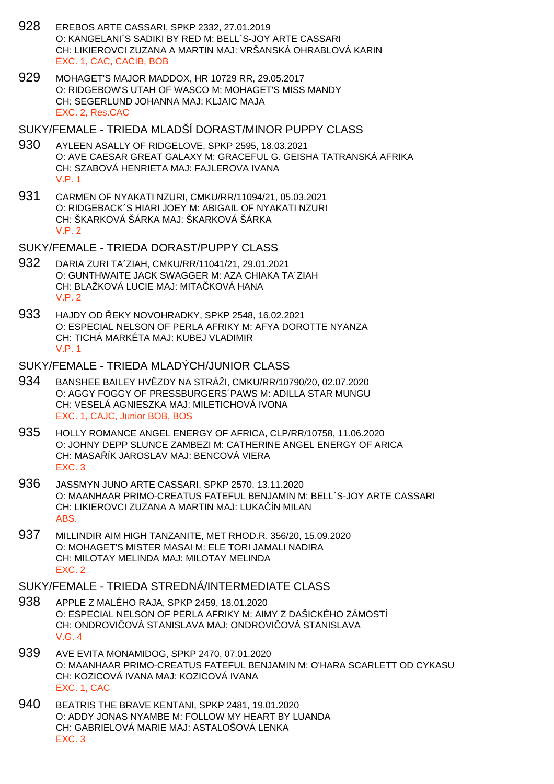- 928 EREBOS ARTE CASSARI, SPKP 2332, 27.01.2019 O: KANGELANI´S SADIKI BY RED M: BELL´S-JOY ARTE CASSARI CH: LIKIEROVCI ZUZANA A MARTIN MAJ: VRŠANSKÁ OHRABLOVÁ KARIN EXC. 1, CAC, CACIB, BOB
- 929 MOHAGET'S MAJOR MADDOX, HR 10729 RR, 29.05.2017 O: RIDGEBOW'S UTAH OF WASCO M: MOHAGET'S MISS MANDY CH: SEGERLUND JOHANNA MAJ: KLJAIC MAJA EXC. 2, Res.CAC
- SUKY/FEMALE TRIEDA MLADŠÍ DORAST/MINOR PUPPY CLASS
- 930 AYLEEN ASALLY OF RIDGELOVE, SPKP 2595, 18.03.2021 O: AVE CAESAR GREAT GALAXY M: GRACEFUL G. GEISHA TATRANSKÁ AFRIKA CH: SZABOVÁ HENRIETA MAJ: FAJLEROVA IVANA V.P. 1
- 931 CARMEN OF NYAKATI NZURI, CMKU/RR/11094/21, 05.03.2021 O: RIDGEBACK´S HIARI JOEY M: ABIGAIL OF NYAKATI NZURI CH: ŠKARKOVÁ ŠÁRKA MAJ: ŠKARKOVÁ ŠÁRKA V.P. 2
- SUKY/FEMALE TRIEDA DORAST/PUPPY CLASS
- 932 DARIA ZURI TA´ZIAH, CMKU/RR/11041/21, 29.01.2021 O: GUNTHWAITE JACK SWAGGER M: AZA CHIAKA TA´ZIAH CH: BLAŽKOVÁ LUCIE MAJ: MITA KOVÁ HANA V.P. 2
- 933 HAJDY OD EKY NOVOHRADKY, SPKP 2548, 16.02.2021 O: ESPECIAL NELSON OF PERLA AFRIKY M: AFYA DOROTTE NYANZA CH: TICHÁ MARKÉTA MAJ: KUBEJ VLADIMIR V.P. 1

### SUKY/FEMALE - TRIEDA MLADÝCH/JUNIOR CLASS

- 934 BANSHEE BAILEY HV ZDY NA STRÁŽI, CMKU/RR/10790/20, 02.07.2020 O: AGGY FOGGY OF PRESSBURGERS´PAWS M: ADILLA STAR MUNGU CH: VESELÁ AGNIESZKA MAJ: MILETICHOVÁ IVONA EXC. 1, CAJC, Junior BOB, BOS
- 935 HOLLY ROMANCE ANGEL ENERGY OF AFRICA, CLP/RR/10758, 11.06.2020 O: JOHNY DEPP SLUNCE ZAMBEZI M: CATHERINE ANGEL ENERGY OF ARICA CH: MASA ÍK JAROSLAV MAJ: BENCOVÁ VIERA EXC. 3
- 936 JASSMYN JUNO ARTE CASSARI, SPKP 2570, 13.11.2020 O: MAANHAAR PRIMO-CREATUS FATEFUL BENJAMIN M: BELL´S-JOY ARTE CASSARI CH: LIKIEROVCI ZUZANA A MARTIN MAJ: LUKAČÍN MILAN ABS.
- 937 MILLINDIR AIM HIGH TANZANITE, MET RHOD.R. 356/20, 15.09.2020 O: MOHAGET'S MISTER MASAI M: ELE TORI JAMALI NADIRA CH: MILOTAY MELINDA MAJ: MILOTAY MELINDA EXC. 2

#### SUKY/FEMALE - TRIEDA STREDNÁ/INTERMEDIATE CLASS

- 938 APPLE Z MALÉHO RAJA, SPKP 2459, 18.01.2020 O: ESPECIAL NELSON OF PERLA AFRIKY M: AIMY Z DAŠICKÉHO ZÁMOSTÍ CH: ONDROVI OVÁ STANISLAVA MAJ: ONDROVI OVÁ STANISLAVA V.G. 4
- 939 AVE EVITA MONAMIDOG, SPKP 2470, 07.01.2020 O: MAANHAAR PRIMO-CREATUS FATEFUL BENJAMIN M: O'HARA SCARLETT OD CYKASU CH: KOZICOVÁ IVANA MAJ: KOZICOVÁ IVANA EXC. 1, CAC
- 940 BEATRIS THE BRAVE KENTANI, SPKP 2481, 19.01.2020 O: ADDY JONAS NYAMBE M: FOLLOW MY HEART BY LUANDA CH: GABRIELOVÁ MARIE MAJ: ASTALOŠOVÁ LENKA EXC. 3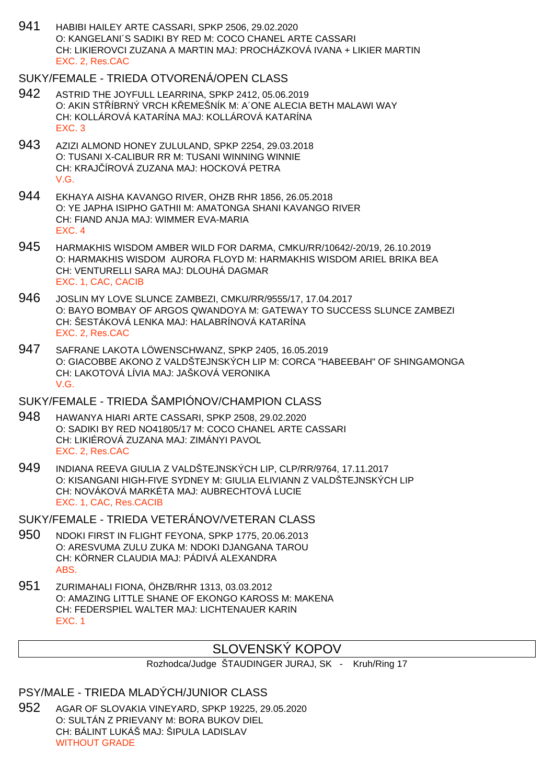941 HABIBI HAILEY ARTE CASSARI, SPKP 2506, 29.02.2020 O: KANGELANI´S SADIKI BY RED M: COCO CHANEL ARTE CASSARI CH: LIKIEROVCI ZUZANA A MARTIN MAJ: PROCHÁZKOVÁ IVANA + LIKIER MARTIN EXC. 2, Res.CAC

## SUKY/FEMALE - TRIEDA OTVORENÁ/OPEN CLASS

- 942 ASTRID THE JOYFULL LEARRINA, SPKP 2412, 05.06.2019 O: AKIN STÍBRNÝ VRCH KLEMEŠNÍK M: A´ONE ALECIA BETH MALAWI WAY CH: KOLLÁROVÁ KATARÍNA MAJ: KOLLÁROVÁ KATARÍNA EXC. 3
- 943 AZIZI ALMOND HONEY ZULULAND, SPKP 2254, 29.03.2018 O: TUSANI X-CALIBUR RR M: TUSANI WINNING WINNIE CH: KRAJ ÍROVÁ ZUZANA MAJ: HOCKOVÁ PETRA V.G.
- 944 EKHAYA AISHA KAVANGO RIVER, OHZB RHR 1856, 26.05.2018 O: YE JAPHA ISIPHO GATHII M: AMATONGA SHANI KAVANGO RIVER CH: FIAND ANJA MAJ: WIMMER EVA-MARIA EXC. 4
- 945 HARMAKHIS WISDOM AMBER WILD FOR DARMA, CMKU/RR/10642/-20/19, 26.10.2019 O: HARMAKHIS WISDOM AURORA FLOYD M: HARMAKHIS WISDOM ARIEL BRIKA BEA CH: VENTURELLI SARA MAJ: DLOUHÁ DAGMAR EXC. 1, CAC, CACIB
- 946 JOSLIN MY LOVE SLUNCE ZAMBEZI, CMKU/RR/9555/17, 17.04.2017 O: BAYO BOMBAY OF ARGOS QWANDOYA M: GATEWAY TO SUCCESS SLUNCE ZAMBEZI CH: ŠESTÁKOVÁ LENKA MAJ: HALABRÍNOVÁ KATARÍNA EXC. 2, Res.CAC
- 947 SAFRANE LAKOTA LÖWENSCHWANZ, SPKP 2405, 16.05.2019 O: GIACOBBE AKONO Z VALDŠTEJNSKÝCH LIP M: CORCA "HABEEBAH" OF SHINGAMONGA CH: LAKOTOVÁ LÍVIA MAJ: JAŠKOVÁ VERONIKA V.G.

## SUKY/FEMALE - TRIEDA ŠAMPIÓNOV/CHAMPION CLASS

- 948 HAWANYA HIARI ARTE CASSARI, SPKP 2508, 29.02.2020 O: SADIKI BY RED NO41805/17 M: COCO CHANEL ARTE CASSARI CH: LIKIÉROVÁ ZUZANA MAJ: ZIMÁNYI PAVOL EXC. 2, Res.CAC
- 949 INDIANA REEVA GIULIA Z VALDŠTEJNSKÝCH LIP, CLP/RR/9764, 17.11.2017 O: KISANGANI HIGH-FIVE SYDNEY M: GIULIA ELIVIANN Z VALDŠTEJNSKÝCH LIP CH: NOVÁKOVÁ MARKÉTA MAJ: AUBRECHTOVÁ LUCIE EXC. 1, CAC, Res.CACIB
- SUKY/FEMALE TRIEDA VETERÁNOV/VETERAN CLASS
- 950 NDOKI FIRST IN FLIGHT FEYONA, SPKP 1775, 20.06.2013 O: ARESVUMA ZULU ZUKA M: NDOKI DJANGANA TAROU CH: KÖRNER CLAUDIA MAJ: PÁDIVÁ ALEXANDRA ABS.
- 951 ZURIMAHALI FIONA, ÖHZB/RHR 1313, 03.03.2012 O: AMAZING LITTLE SHANE OF EKONGO KAROSS M: MAKENA CH: FEDERSPIEL WALTER MAJ: LICHTENAUER KARIN EXC. 1

## SLOVENSKÝ KOPOV

Rozhodca/Judge ŠTAUDINGER JURAJ, SK - Kruh/Ring 17

PSY/MALE - TRIEDA MLADÝCH/JUNIOR CLASS

952 AGAR OF SLOVAKIA VINEYARD, SPKP 19225, 29.05.2020 O: SULTÁN Z PRIEVANY M: BORA BUKOV DIEL CH: BÁLINT LUKÁŠ MAJ: ŠIPULA LADISLAV WITHOUT GRADE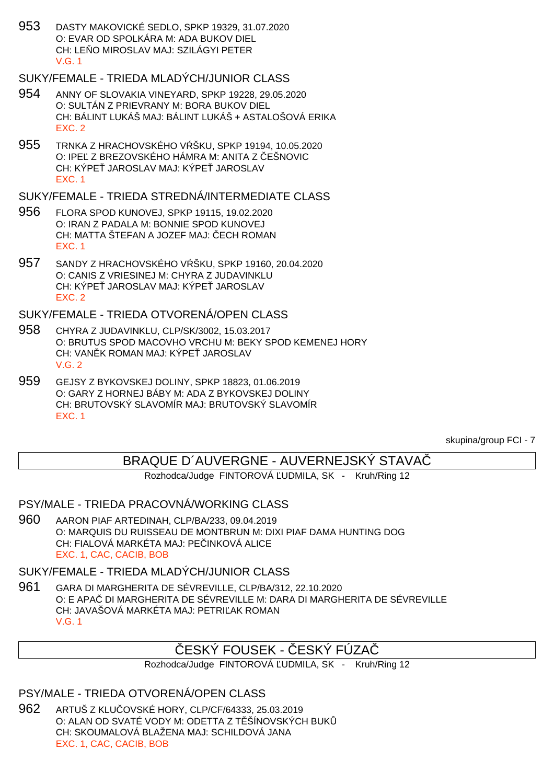953 DASTY MAKOVICKÉ SEDLO, SPKP 19329, 31.07.2020 O: EVAR OD SPOLKÁRA M: ADA BUKOV DIEL CH: LE O MIROSLAV MAJ: SZILÁGYI PETER V.G. 1

### SUKY/FEMALE - TRIEDA MLADÝCH/JUNIOR CLASS

- 954 ANNY OF SLOVAKIA VINEYARD, SPKP 19228, 29.05.2020 O: SULTÁN Z PRIEVRANY M: BORA BUKOV DIEL CH: BÁLINT LUKÁŠ MAJ: BÁLINT LUKÁŠ + ASTALOŠOVÁ ERIKA EXC. 2
- 955 TRNKA Z HRACHOVSKÉHO V ŠKU, SPKP 19194, 10.05.2020 O: IPE Z BREZOVSKÉHO HÁMRA M: ANITA Z EŠNOVIC CH: KÝPE JAROSLAV MAJ: KÝPE JAROSLAV EXC. 1

SUKY/FEMALE - TRIEDA STREDNÁ/INTERMEDIATE CLASS

- 956 FLORA SPOD KUNOVEJ, SPKP 19115, 19.02.2020 O: IRAN Z PADALA M: BONNIE SPOD KUNOVEJ CH: MATTA ŠTEFAN A JOZEF MAJ: ECH ROMAN EXC. 1
- 957 SANDY Z HRACHOVSKÉHO V ŠKU, SPKP 19160, 20.04.2020 O: CANIS Z VRIESINEJ M: CHYRA Z JUDAVINKLU CH: KÝPE JAROSLAV MAJ: KÝPE JAROSLAV EXC. 2

SUKY/FEMALE - TRIEDA OTVORENÁ/OPEN CLASS

- 958 CHYRA Z JUDAVINKLU, CLP/SK/3002, 15.03.2017 O: BRUTUS SPOD MACOVHO VRCHU M: BEKY SPOD KEMENEJ HORY CH: VAN K ROMAN MAJ: KÝPE JAROSLAV V.G. 2
- 959 GEJSY Z BYKOVSKEJ DOLINY, SPKP 18823, 01.06.2019 O: GARY Z HORNEJ BÁBY M: ADA Z BYKOVSKEJ DOLINY CH: BRUTOVSKÝ SLAVOMÍR MAJ: BRUTOVSKÝ SLAVOMÍR EXC. 1

skupina/group FCI - 7

## BRAQUE D´AUVERGNE - AUVERNEJSKÝ STAVAČ

Rozhodca/Judge FINTOROVÁ UDMILA, SK - Kruh/Ring 12

PSY/MALE - TRIEDA PRACOVNÁ/WORKING CLASS

960 AARON PIAF ARTEDINAH, CLP/BA/233, 09.04.2019 O: MARQUIS DU RUISSEAU DE MONTBRUN M: DIXI PIAF DAMA HUNTING DOG CH: FIALOVÁ MARKÉTA MAJ: PE INKOVÁ ALICE EXC. 1, CAC, CACIB, BOB

SUKY/FEMALE - TRIEDA MLADÝCH/JUNIOR CLASS

961 GARA DI MARGHERITA DE SÉVREVILLE, CLP/BA/312, 22.10.2020 O: E APAČ DI MARGHERITA DE SÉVREVILLE M: DARA DI MARGHERITA DE SÉVREVILLE CH: JAVAŠOVÁ MARKÉTA MAJ: PETRI AK ROMAN V.G. 1

## ESKÝ FOUSEK - ČESKÝ FÚZA

Rozhodca/Judge FINTOROVÁ UDMILA, SK - Kruh/Ring 12

PSY/MALE - TRIEDA OTVORENÁ/OPEN CLASS

962 ARTUŠ Z KLUČOVSKÉ HORY, CLP/CF/64333, 25.03.2019 O: ALAN OD SVATÉ VODY M: ODETTA Z T. ŠÍNOVSKÝCH BUK CH: SKOUMALOVÁ BLAŽENA MAJ: SCHILDOVÁ JANA EXC. 1, CAC, CACIB, BOB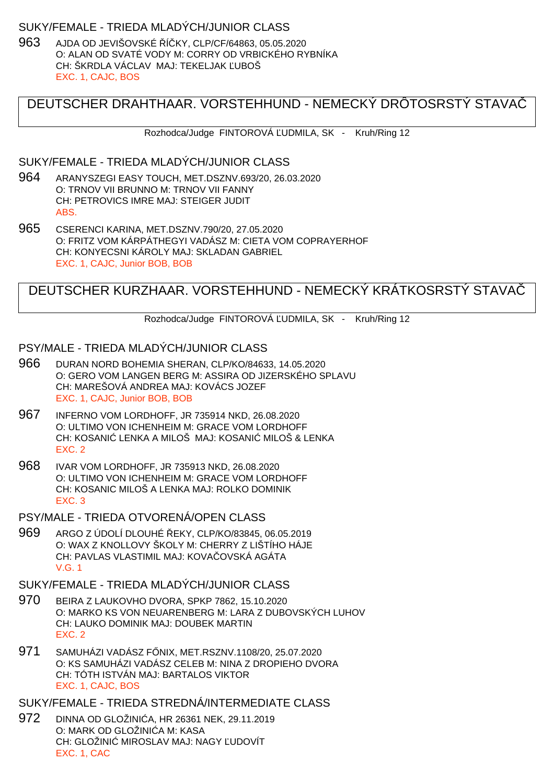## SUKY/FEMALE - TRIEDA MLADÝCH/JUNIOR CLASS

963 AJDA OD JEVIŠOVSKÉ Í KY, CLP/CF/64863, 05.05.2020 O: ALAN OD SVATÉ VODY M: CORRY OD VRBICKÉHO RYBNÍKA CH: ŠKRDLA VÁCLAV MAJ: TEKELJAK UBOŠ EXC. 1, CAJC, BOS

## DEUTSCHER DRAHTHAAR. VORSTEHHUND - NEMECKÝ DRÔTOSRSTÝ STAVAČ

Rozhodca/Judge FINTOROVÁ UDMILA, SK - Kruh/Ring 12

#### SUKY/FEMALE - TRIEDA MLADÝCH/JUNIOR CLASS

- 964 ARANYSZEGI EASY TOUCH, MET.DSZNV.693/20, 26.03.2020 O: TRNOV VII BRUNNO M: TRNOV VII FANNY CH: PETROVICS IMRE MAJ: STEIGER JUDIT ABS.
- 965 CSERENCI KARINA, MET.DSZNV.790/20, 27.05.2020 O: FRITZ VOM KÁRPÁTHEGYI VADÁSZ M: CIETA VOM COPRAYERHOF CH: KONYECSNI KÁROLY MAJ: SKLADAN GABRIEL EXC. 1, CAJC, Junior BOB, BOB

## DEUTSCHER KURZHAAR. VORSTEHHUND - NEMECKÝ KRÁTKOSRSTÝ STAVAČ

Rozhodca/Judge FINTOROVÁ UDMILA, SK - Kruh/Ring 12

### PSY/MALE - TRIEDA MLADÝCH/JUNIOR CLASS

- 966 DURAN NORD BOHEMIA SHERAN, CLP/KO/84633, 14.05.2020 O: GERO VOM LANGEN BERG M: ASSIRA OD JIZERSKÉHO SPLAVU CH: MAREŠOVÁ ANDREA MAJ: KOVÁCS JOZEF EXC. 1, CAJC, Junior BOB, BOB
- 967 INFERNO VOM LORDHOFF, JR 735914 NKD, 26.08.2020 O: ULTIMO VON ICHENHEIM M: GRACE VOM LORDHOFF CH: KOSANI LENKA A MILOŠ MAJ: KOSANI MILOŠ & LENKA EXC. 2
- 968 IVAR VOM LORDHOFF, JR 735913 NKD, 26.08.2020 O: ULTIMO VON ICHENHEIM M: GRACE VOM LORDHOFF CH: KOSANIC MILOŠ A LENKA MAJ: ROLKO DOMINIK EXC. 3
- PSY/MALE TRIEDA OTVORENÁ/OPEN CLASS
- 969 ARGO Z ÚDOLÍ DLOUHÉ ŘEKY, CLP/KO/83845, 06.05.2019 O: WAX Z KNOLLOVY ŠKOLY M: CHERRY Z LIŠTÍHO HÁJE CH: PAVLAS VLASTIMIL MAJ: KOVA OVSKÁ AGÁTA V.G. 1
- SUKY/FEMALE TRIEDA MLADÝCH/JUNIOR CLASS
- 970 BEIRA Z LAUKOVHO DVORA, SPKP 7862, 15.10.2020 O: MARKO KS VON NEUARENBERG M: LARA Z DUBOVSKÝCH LUHOV CH: LAUKO DOMINIK MAJ: DOUBEK MARTIN EXC. 2
- 971 SAMUHÁZI VADÁSZ F NIX, MET.RSZNV.1108/20, 25.07.2020 O: KS SAMUHÁZI VADÁSZ CELEB M: NINA Z DROPIEHO DVORA CH: TÓTH ISTVÁN MAJ: BARTALOS VIKTOR EXC. 1, CAJC, BOS

SUKY/FEMALE - TRIEDA STREDNÁ/INTERMEDIATE CLASS

972 DINNA OD GLOŽINI A, HR 26361 NEK, 29.11.2019 O: MARK OD GLOŽINI A M: KASA CH: GLOŽINI MIROSLAV MAJ: NAGY LUDOVÍT EXC. 1, CAC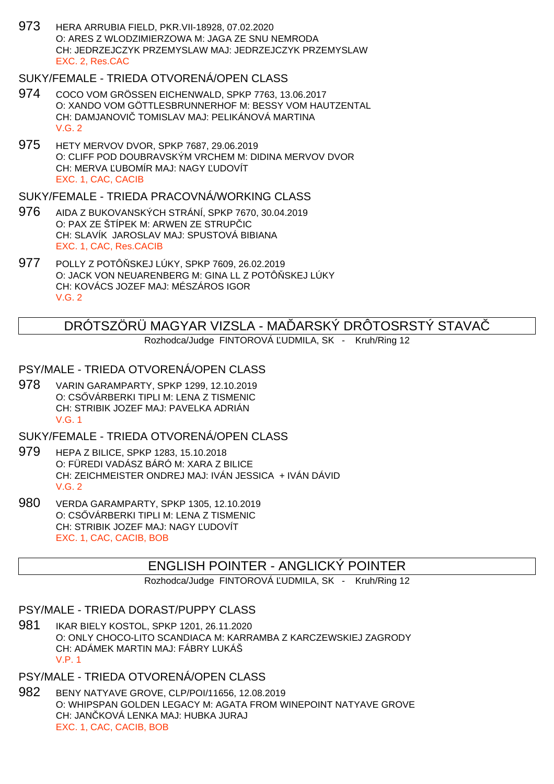973 HERA ARRUBIA FIELD, PKR.VII-18928, 07.02.2020 O: ARES Z WLODZIMIERZOWA M: JAGA ZE SNU NEMRODA CH: JEDRZEJCZYK PRZEMYSLAW MAJ: JEDRZEJCZYK PRZEMYSLAW EXC. 2, Res.CAC

## SUKY/FEMALE - TRIEDA OTVORENÁ/OPEN CLASS

- 974 COCO VOM GRÖSSEN EICHENWALD, SPKP 7763, 13.06.2017 O: XANDO VOM GÖTTLESBRUNNERHOF M: BESSY VOM HAUTZENTAL CH: DAMJANOVI TOMISLAV MAJ: PELIKÁNOVÁ MARTINA V.G. 2
- 975 HETY MERVOV DVOR, SPKP 7687, 29.06.2019 O: CLIFF POD DOUBRAVSKÝM VRCHEM M: DIDINA MERVOV DVOR CH: MERVA UBOMÍR MAJ: NAGY UDOVÍT EXC. 1, CAC, CACIB

SUKY/FEMALE - TRIEDA PRACOVNÁ/WORKING CLASS

- 976 AIDA Z BUKOVANSKÝCH STRÁNÍ, SPKP 7670, 30.04.2019 O: PAX ZE ŠTÍPEK M: ARWEN ZE STRUP IC CH: SLAVÍK JAROSLAV MAJ: SPUSTOVÁ BIBIANA EXC. 1, CAC, Res.CACIB
- 977 POLLY Z POTÔ SKEJ LÚKY, SPKP 7609, 26.02.2019 O: JACK VON NEUARENBERG M: GINA LL Z POTÔ SKEJ LÚKY CH: KOVÁCS JOZEF MAJ: MÉSZÁROS IGOR V.G. 2

## DRÓTSZÖRÜ MAGYAR VIZSLA - MA ÞARSKÝ DRÔTOSRSTÝ STAVA

Rozhodca/Judge FINTOROVÁ UDMILA, SK - Kruh/Ring 12

### PSY/MALE - TRIEDA OTVORENÁ/OPEN CLASS

978 VARIN GARAMPARTY, SPKP 1299, 12.10.2019 O: CS VÁRBERKI TIPLI M: LENA Z TISMENIC CH: STRIBIK JOZEF MAJ: PAVELKA ADRIÁN V.G. 1

#### SUKY/FEMALE - TRIEDA OTVORENÁ/OPEN CLASS

- 979 HEPA Z BILICE, SPKP 1283, 15.10.2018 O: FÜREDI VADÁSZ BÁRÓ M: XARA Z BILICE CH: ZEICHMEISTER ONDREJ MAJ: IVÁN JESSICA + IVÁN DÁVID V.G. 2
- 980 VERDA GARAMPARTY, SPKP 1305, 12.10.2019 O: CS VÁRBERKI TIPLI M: LENA Z TISMENIC CH: STRIBIK JOZEF MAJ: NAGY UDOVÍT EXC. 1, CAC, CACIB, BOB

## ENGLISH POINTER - ANGLICKÝ POINTER

Rozhodca/Judge FINTOROVÁ UDMILA, SK - Kruh/Ring 12

#### PSY/MALE - TRIEDA DORAST/PUPPY CLASS

981 IKAR BIELY KOSTOL, SPKP 1201, 26.11.2020 O: ONLY CHOCO-LITO SCANDIACA M: KARRAMBA Z KARCZEWSKIEJ ZAGRODY CH: ADÁMEK MARTIN MAJ: FÁBRY LUKÁŠ V.P. 1

### PSY/MALE - TRIEDA OTVORENÁ/OPEN CLASS

982 BENY NATYAVE GROVE, CLP/POI/11656, 12.08.2019 O: WHIPSPAN GOLDEN LEGACY M: AGATA FROM WINEPOINT NATYAVE GROVE CH: JAN KOVÁ LENKA MAJ: HUBKA JURAJ EXC. 1, CAC, CACIB, BOB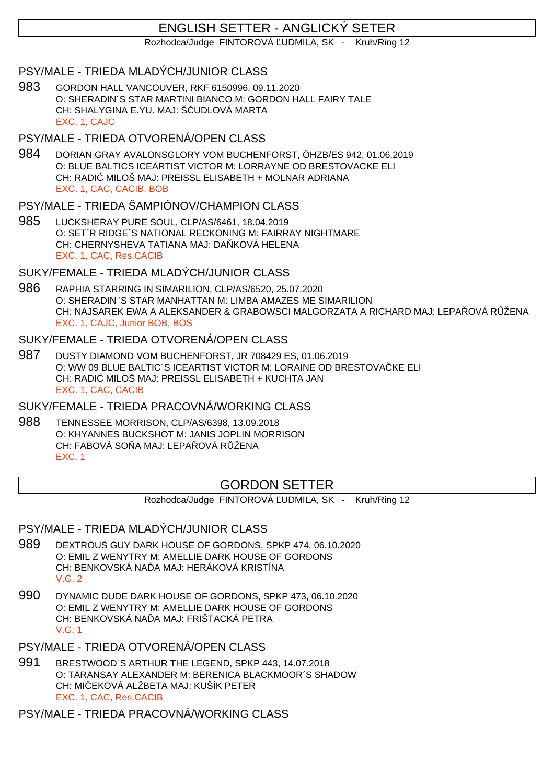## ENGLISH SETTER - ANGLICKÝ SETER

Rozhodca/Judge FINTOROVÁ UDMILA, SK - Kruh/Ring 12

### PSY/MALE - TRIEDA MLADÝCH/JUNIOR CLASS

983 GORDON HALL VANCOUVER, RKF 6150996, 09.11.2020 O: SHERADIN´S STAR MARTINI BIANCO M: GORDON HALL FAIRY TALE CH: SHALYGINA E.YU. MAJ: Š UDLOVÁ MARTA EXC. 1, CAJC

### PSY/MALE - TRIEDA OTVORENÁ/OPEN CLASS

984 DORIAN GRAY AVALONSGLORY VOM BUCHENFORST, ÖHZB/ES 942, 01.06.2019 O: BLUE BALTICS ICEARTIST VICTOR M: LORRAYNE OD BRESTOVACKE ELI CH: RADI MILOŠ MAJ: PREISSL ELISABETH + MOLNAR ADRIANA EXC. 1, CAC, CACIB, BOB

## PSY/MALE - TRIEDA ŠAMPIÓNOV/CHAMPION CLASS

985 LUCKSHERAY PURE SOUL, CLP/AS/6461, 18.04.2019 O: SET´R RIDGE´S NATIONAL RECKONING M: FAIRRAY NIGHTMARE CH: CHERNYSHEVA TATIANA MAJ: DA KOVÁ HELENA EXC. 1, CAC, Res.CACIB

#### SUKY/FEMALE - TRIEDA MLADÝCH/JUNIOR CLASS

986 RAPHIA STARRING IN SIMARILION, CLP/AS/6520, 25.07.2020 O: SHERADIN 'S STAR MANHATTAN M: LIMBA AMAZES ME SIMARILION CH: NAJSAREK EWA A ALEKSANDER & GRABOWSCI MALGORZATA A RICHARD MAJ: LEPA VOVÁ R ŽENA EXC. 1, CAJC, Junior BOB, BOS

#### SUKY/FEMALE - TRIEDA OTVORENÁ/OPEN CLASS

987 DUSTY DIAMOND VOM BUCHENFORST, JR 708429 ES, 01.06.2019 O: WW 09 BLUE BALTIC'S ICEARTIST VICTOR M: LORAINE OD BRESTOVA KE ELI CH: RADI MILOŠ MAJ: PREISSL ELISABETH + KUCHTA JAN EXC. 1, CAC, CACIB

### SUKY/FEMALE - TRIEDA PRACOVNÁ/WORKING CLASS

988 TENNESSEE MORRISON, CLP/AS/6398, 13.09.2018 O: KHYANNES BUCKSHOT M: JANIS JOPLIN MORRISON CH: FABOVÁ SO A MAJ: LEPA QVÁ RŽENA EXC. 1

## GORDON SETTER

Rozhodca/Judge FINTOROVÁ UDMILA, SK - Kruh/Ring 12

### PSY/MALE - TRIEDA MLADÝCH/JUNIOR CLASS

- 989 DEXTROUS GUY DARK HOUSE OF GORDONS, SPKP 474, 06.10.2020 O: EMIL Z WENYTRY M: AMELLIE DARK HOUSE OF GORDONS CH: BENKOVSKÁ NA LA MAJ: HERÁKOVÁ KRISTÍNA V.G. 2
- 990 DYNAMIC DUDE DARK HOUSE OF GORDONS, SPKP 473, 06.10.2020 O: EMIL Z WENYTRY M: AMELLIE DARK HOUSE OF GORDONS CH: BENKOVSKÁ NA A MAJ: FRIŠTACKÁ PETRA V.G. 1
- PSY/MALE TRIEDA OTVORENÁ/OPEN CLASS
- 991 BRESTWOOD´S ARTHUR THE LEGEND, SPKP 443, 14.07.2018 O: TARANSAY ALEXANDER M: BERENICA BLACKMOOR´S SHADOW CH: MILEKOVÁ ALŽBETA MAJ: KUŠÍK PETER EXC. 1, CAC, Res.CACIB
- PSY/MALE TRIEDA PRACOVNÁ/WORKING CLASS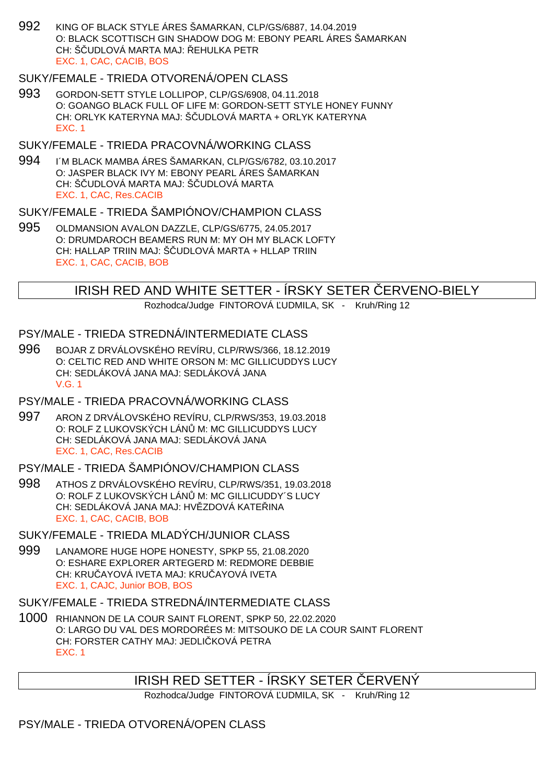992 KING OF BLACK STYLE ÁRES ŠAMARKAN, CLP/GS/6887, 14.04.2019 O: BLACK SCOTTISCH GIN SHADOW DOG M: EBONY PEARL ÁRES ŠAMARKAN CH: ŠUDLOVÁ MARTA MAJ: EHULKA PETR EXC. 1, CAC, CACIB, BOS

### SUKY/FEMALE - TRIEDA OTVORENÁ/OPEN CLASS

993 GORDON-SETT STYLE LOLLIPOP, CLP/GS/6908, 04.11.2018 O: GOANGO BLACK FULL OF LIFE M: GORDON-SETT STYLE HONEY FUNNY CH: ORLYK KATERYNA MAJ: Š UDLOVÁ MARTA + ORLYK KATERYNA EXC. 1

## SUKY/FEMALE - TRIEDA PRACOVNÁ/WORKING CLASS

994 I´M BLACK MAMBA ÁRES ŠAMARKAN, CLP/GS/6782, 03.10.2017 O: JASPER BLACK IVY M: EBONY PEARL ÁRES ŠAMARKAN CH: ŠUDLOVÁ MARTA MAJ: ŠUDLOVÁ MARTA EXC. 1, CAC, Res.CACIB

### SUKY/FEMALE - TRIEDA ŠAMPIÓNOV/CHAMPION CLASS

995 OLDMANSION AVALON DAZZLE, CLP/GS/6775, 24.05.2017 O: DRUMDAROCH BEAMERS RUN M: MY OH MY BLACK LOFTY CH: HALLAP TRIIN MAJ: Š. UDLOVÁ MARTA + HLLAP TRIIN EXC. 1, CAC, CACIB, BOB

## IRISH RED AND WHITE SETTER - ÍRSKY SETER ČERVENO-BIELY

Rozhodca/Judge FINTOROVÁ UDMILA, SK - Kruh/Ring 12

## PSY/MALE - TRIEDA STREDNÁ/INTERMEDIATE CLASS

996 BOJAR Z DRVÁLOVSKÉHO REVÍRU, CLP/RWS/366, 18.12.2019 O: CELTIC RED AND WHITE ORSON M: MC GILLICUDDYS LUCY CH: SEDLÁKOVÁ JANA MAJ: SEDLÁKOVÁ JANA V.G. 1

### PSY/MALE - TRIEDA PRACOVNÁ/WORKING CLASS

997 ARON Z DRVÁLOVSKÉHO REVÍRU, CLP/RWS/353, 19.03.2018 O: ROLF Z LUKOVSKÝCH LÁN M: MC GILLICUDDYS LUCY CH: SEDLÁKOVÁ JANA MAJ: SEDLÁKOVÁ JANA EXC. 1, CAC, Res.CACIB

## PSY/MALE - TRIEDA ŠAMPIÓNOV/CHAMPION CLASS

998 ATHOS Z DRVÁLOVSKÉHO REVÍRU, CLP/RWS/351, 19.03.2018 O: ROLF Z LUKOVSKÝCH LÁN M: MC GILLICUDDY´S LUCY CH: SEDLÁKOVÁ JANA MAJ: HV. ZDOVÁ KATELINA EXC. 1, CAC, CACIB, BOB

## SUKY/FEMALE - TRIEDA MLADÝCH/JUNIOR CLASS

999 LANAMORE HUGE HOPE HONESTY, SPKP 55, 21.08.2020 O: ESHARE EXPLORER ARTEGERD M: REDMORE DEBBIE CH: KRU AYOVÁ IVETA MAJ: KRU AYOVÁ IVETA EXC. 1, CAJC, Junior BOB, BOS

## SUKY/FEMALE - TRIEDA STREDNÁ/INTERMEDIATE CLASS

1000 RHIANNON DE LA COUR SAINT FLORENT, SPKP 50, 22.02.2020 O: LARGO DU VAL DES MORDORÉES M: MITSOUKO DE LA COUR SAINT FLORENT CH: FORSTER CATHY MAJ: JEDLI KOVÁ PETRA EXC. 1

# IRISH RED SETTER - ÍRSKY SETER ČERVENÝ

Rozhodca/Judge FINTOROVÁ UDMILA, SK - Kruh/Ring 12

## PSY/MALE - TRIEDA OTVORENÁ/OPEN CLASS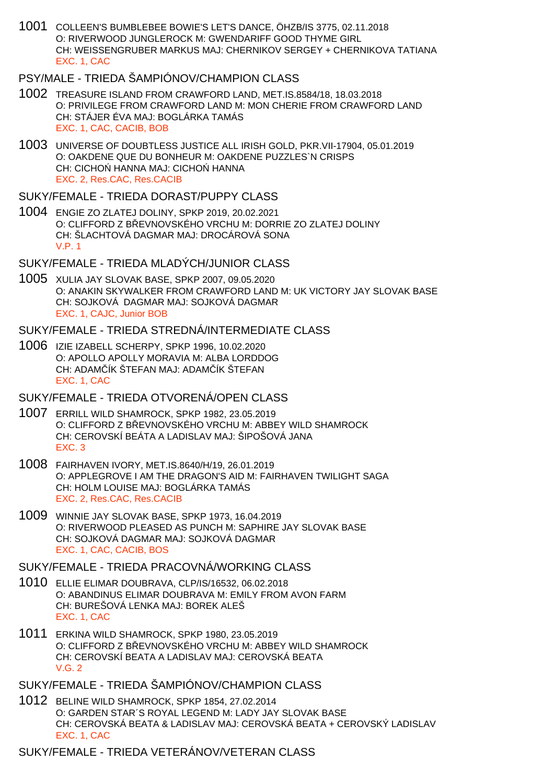1001 COLLEEN'S BUMBLEBEE BOWIE'S LET'S DANCE, ÖHZB/IS 3775, 02.11.2018 O: RIVERWOOD JUNGLEROCK M: GWENDARIFF GOOD THYME GIRL CH: WEISSENGRUBER MARKUS MAJ: CHERNIKOV SERGEY + CHERNIKOVA TATIANA EXC. 1, CAC

## PSY/MALE - TRIEDA ŠAMPIÓNOV/CHAMPION CLASS

- 1002 TREASURE ISLAND FROM CRAWFORD LAND, MET.IS.8584/18, 18.03.2018 O: PRIVILEGE FROM CRAWFORD LAND M: MON CHERIE FROM CRAWFORD LAND CH: STÁJER ÉVA MAJ: BOGLÁRKA TAMÁS EXC. 1, CAC, CACIB, BOB
- 1003 UNIVERSE OF DOUBTLESS JUSTICE ALL IRISH GOLD, PKR.VII-17904, 05.01.2019 O: OAKDENE QUE DU BONHEUR M: OAKDENE PUZZLES`N CRISPS CH: CICHO HANNA MAJ: CICHO HANNA EXC. 2, Res.CAC, Res.CACIB
- SUKY/FEMALE TRIEDA DORAST/PUPPY CLASS
- 1004 ENGIE ZO ZLATEJ DOLINY, SPKP 2019, 20.02.2021 O: CLIFFORD Z B EVNOVSKÉHO VRCHU M: DORRIE ZO ZLATEJ DOLINY CH: ŠLACHTOVÁ DAGMAR MAJ: DROCÁROVÁ SONA V.P. 1

## SUKY/FEMALE - TRIEDA MLADÝCH/JUNIOR CLASS

1005 XULIA JAY SLOVAK BASE, SPKP 2007, 09.05.2020 O: ANAKIN SKYWALKER FROM CRAWFORD LAND M: UK VICTORY JAY SLOVAK BASE CH: SOJKOVÁ DAGMAR MAJ: SOJKOVÁ DAGMAR EXC. 1, CAJC, Junior BOB

#### SUKY/FEMALE - TRIEDA STREDNÁ/INTERMEDIATE CLASS

1006 IZIE IZABELL SCHERPY, SPKP 1996, 10.02.2020 O: APOLLO APOLLY MORAVIA M: ALBA LORDDOG CH: ADAM ÍK ŠTEFAN MAJ: ADAM ÍK ŠTEFAN EXC. 1, CAC

## SUKY/FEMALE - TRIEDA OTVORENÁ/OPEN CLASS

- 1007 ERRILL WILD SHAMROCK, SPKP 1982, 23.05.2019 O: CLIFFORD Z B EVNOVSKÉHO VRCHU M: ABBEY WILD SHAMROCK CH: CEROVSKÍ BEÁTA A LADISLAV MAJ: ŠIPOŠOVÁ JANA EXC. 3
- 1008 FAIRHAVEN IVORY, MET.IS.8640/H/19, 26.01.2019 O: APPLEGROVE I AM THE DRAGON'S AID M: FAIRHAVEN TWILIGHT SAGA CH: HOLM LOUISE MAJ: BOGLÁRKA TAMÁS EXC. 2, Res.CAC, Res.CACIB
- 1009 WINNIE JAY SLOVAK BASE, SPKP 1973, 16.04.2019 O: RIVERWOOD PLEASED AS PUNCH M: SAPHIRE JAY SLOVAK BASE CH: SOJKOVÁ DAGMAR MAJ: SOJKOVÁ DAGMAR EXC. 1, CAC, CACIB, BOS

## SUKY/FEMALE - TRIEDA PRACOVNÁ/WORKING CLASS

- 1010 ELLIE ELIMAR DOUBRAVA, CLP/IS/16532, 06.02.2018 O: ABANDINUS ELIMAR DOUBRAVA M: EMILY FROM AVON FARM CH: BUREŠOVÁ LENKA MAJ: BOREK ALEŠ EXC. 1, CAC
- 1011 ERKINA WILD SHAMROCK, SPKP 1980, 23.05.2019 O: CLIFFORD Z BEVNOVSKÉHO VRCHU M: ABBEY WILD SHAMROCK CH: CEROVSKÍ BEATA A LADISLAV MAJ: CEROVSKÁ BEATA V.G. 2
- SUKY/FEMALE TRIEDA ŠAMPIÓNOV/CHAMPION CLASS
- 1012 BELINE WILD SHAMROCK, SPKP 1854, 27.02.2014 O: GARDEN STAR´S ROYAL LEGEND M: LADY JAY SLOVAK BASE CH: CEROVSKÁ BEATA & LADISLAV MAJ: CEROVSKÁ BEATA + CEROVSKÝ LADISLAV EXC. 1, CAC

## SUKY/FEMALE - TRIEDA VETERÁNOV/VETERAN CLASS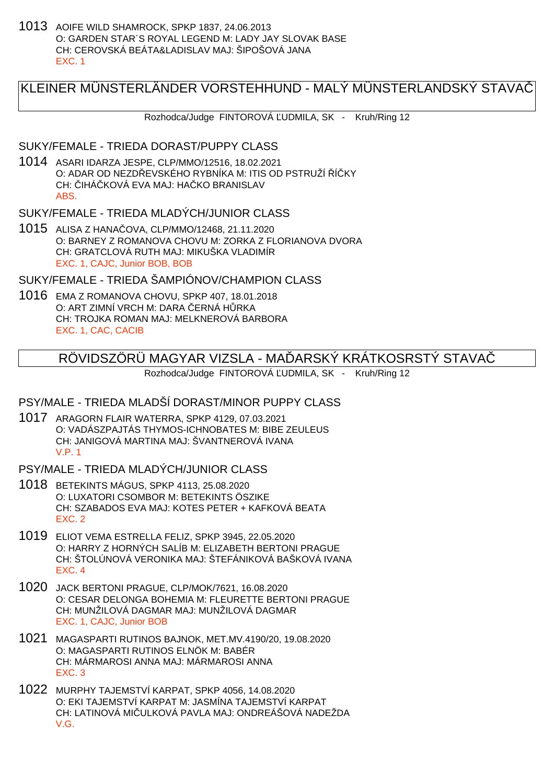1013 AOIFE WILD SHAMROCK, SPKP 1837, 24.06.2013 O: GARDEN STAR´S ROYAL LEGEND M: LADY JAY SLOVAK BASE CH: CEROVSKÁ BEÁTA&LADISLAV MAJ: ŠIPOŠOVÁ JANA EXC. 1

# KLEINER MÜNSTERLÄNDER VORSTEHHUND - MALÝ MÜNSTERLANDSKÝ STAVAČ

Rozhodca/Judge FINTOROVÁ UDMILA, SK - Kruh/Ring 12

#### SUKY/FEMALE - TRIEDA DORAST/PUPPY CLASS

1014 ASARI IDARZA JESPE, CLP/MMO/12516, 18.02.2021 O: ADAR OD NEZDEVSKÉHO RYBNÍKA M: ITIS OD PSTRUŽÍ Í KY CH: IHÁ KOVÁ EVA MAJ: HA KO BRANISLAV ABS.

## SUKY/FEMALE - TRIEDA MLADÝCH/JUNIOR CLASS

1015 ALISA Z HANAČOVA, CLP/MMO/12468, 21.11.2020 O: BARNEY Z ROMANOVA CHOVU M: ZORKA Z FLORIANOVA DVORA CH: GRATCLOVÁ RUTH MAJ: MIKUŠKA VLADIMÍR EXC. 1, CAJC, Junior BOB, BOB

## SUKY/FEMALE - TRIEDA ŠAMPIÓNOV/CHAMPION CLASS

1016 EMA Z ROMANOVA CHOVU, SPKP 407, 18.01.2018 O: ART ZIMNÍ VRCH M: DARA ERNÁ H RKA CH: TROJKA ROMAN MAJ: MELKNEROVÁ BARBORA EXC. 1, CAC, CACIB

# RÖVIDSZÖRÜ MAGYAR VIZSLA - MA ÖARSKÝ KRÁTKOSRSTÝ STAVA

Rozhodca/Judge FINTOROVÁ UDMILA, SK - Kruh/Ring 12

## PSY/MALE - TRIEDA MLADŠÍ DORAST/MINOR PUPPY CLASS

1017 ARAGORN FLAIR WATERRA, SPKP 4129, 07.03.2021 O: VADÁSZPAJTÁS THYMOS-ICHNOBATES M: BIBE ZEULEUS CH: JANIGOVÁ MARTINA MAJ: ŠVANTNEROVÁ IVANA V.P. 1

## PSY/MALE - TRIEDA MLADÝCH/JUNIOR CLASS

- 1018 BETEKINTS MÁGUS, SPKP 4113, 25.08.2020 O: LUXATORI CSOMBOR M: BETEKINTS ÖSZIKE CH: SZABADOS EVA MAJ: KOTES PETER + KAFKOVÁ BEATA EXC. 2
- 1019 ELIOT VEMA ESTRELLA FELIZ, SPKP 3945, 22.05.2020 O: HARRY Z HORNÝCH SALÍB M: ELIZABETH BERTONI PRAGUE CH: ŠTOLÚNOVÁ VERONIKA MAJ: ŠTEFÁNIKOVÁ BAŠKOVÁ IVANA EXC. 4
- 1020 JACK BERTONI PRAGUE, CLP/MOK/7621, 16.08.2020 O: CESAR DELONGA BOHEMIA M: FLEURETTE BERTONI PRAGUE CH: MUNŽILOVÁ DAGMAR MAJ: MUNŽILOVÁ DAGMAR EXC. 1, CAJC, Junior BOB
- 1021 MAGASPARTI RUTINOS BAJNOK, MET.MV.4190/20, 19.08.2020 O: MAGASPARTI RUTINOS ELNÖK M: BABÉR CH: MÁRMAROSI ANNA MAJ: MÁRMAROSI ANNA EXC. 3
- 1022 MURPHY TAJEMSTVÍ KARPAT, SPKP 4056, 14.08.2020 O: EKI TAJEMSTVÍ KARPAT M: JASMÍNA TAJEMSTVÍ KARPAT CH: LATINOVÁ MI ULKOVÁ PAVLA MAJ: ONDREÁŠOVÁ NADEŽDA V.G.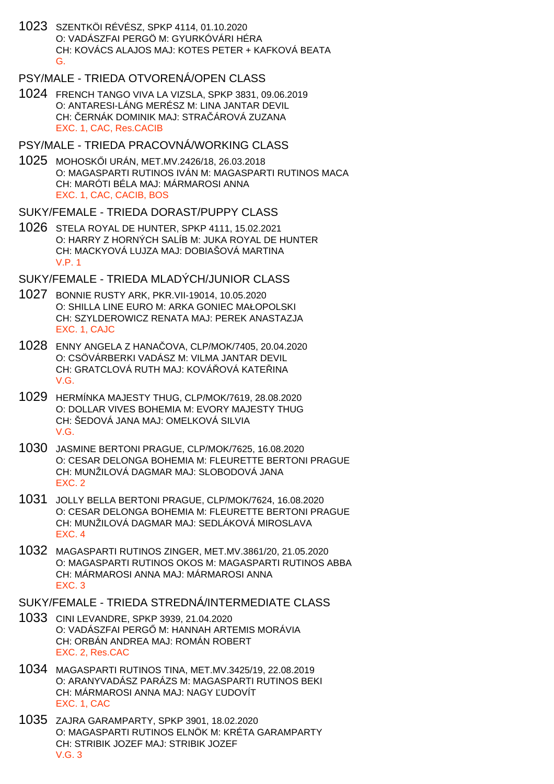1023 SZENTKÖI RÉVÉSZ, SPKP 4114, 01.10.2020 O: VADÁSZFAI PERGÖ M: GYURKÓVÁRI HÉRA CH: KOVÁCS ALAJOS MAJ: KOTES PETER + KAFKOVÁ BEATA G.

## PSY/MALE - TRIEDA OTVORENÁ/OPEN CLASS

1024 FRENCH TANGO VIVA LA VIZSLA, SPKP 3831, 09.06.2019 O: ANTARESI-LÁNG MERÉSZ M: LINA JANTAR DEVIL CH: ERNÁK DOMINIK MAJ: STRA ÁROVÁ ZUZANA EXC. 1, CAC, Res.CACIB

#### PSY/MALE - TRIEDA PRACOVNÁ/WORKING CLASS

1025 MOHOSKŐI URÁN, MET.MV.2426/18, 26.03.2018 O: MAGASPARTI RUTINOS IVÁN M: MAGASPARTI RUTINOS MACA CH: MARÓTI BÉLA MAJ: MÁRMAROSI ANNA EXC. 1, CAC, CACIB, BOS

#### SUKY/FEMALE - TRIEDA DORAST/PUPPY CLASS

1026 STELA ROYAL DE HUNTER, SPKP 4111, 15.02.2021 O: HARRY Z HORNÝCH SALÍB M: JUKA ROYAL DE HUNTER CH: MACKYOVÁ LUJZA MAJ: DOBIAŠOVÁ MARTINA V.P. 1

### SUKY/FEMALE - TRIEDA MLADÝCH/JUNIOR CLASS

- 1027 BONNIE RUSTY ARK, PKR.VII-19014, 10.05.2020 O: SHILLA LINE EURO M: ARKA GONIEC MAŁOPOLSKI CH: SZYLDEROWICZ RENATA MAJ: PEREK ANASTAZJA EXC. 1, CAJC
- 1028 ENNY ANGELA Z HANAČOVA, CLP/MOK/7405, 20.04.2020 O: CSÖVÁRBERKI VADÁSZ M: VILMA JANTAR DEVIL CH: GRATCLOVÁ RUTH MAJ: KOVÁ DVÁ KATE INA V.G.
- 1029 HERMÍNKA MAJESTY THUG, CLP/MOK/7619, 28.08.2020 O: DOLLAR VIVES BOHEMIA M: EVORY MAJESTY THUG CH: ŠEDOVÁ JANA MAJ: OMELKOVÁ SILVIA V.G.
- 1030 JASMINE BERTONI PRAGUE, CLP/MOK/7625, 16.08.2020 O: CESAR DELONGA BOHEMIA M: FLEURETTE BERTONI PRAGUE CH: MUNŽILOVÁ DAGMAR MAJ: SLOBODOVÁ JANA EXC. 2
- 1031 JOLLY BELLA BERTONI PRAGUE, CLP/MOK/7624, 16.08.2020 O: CESAR DELONGA BOHEMIA M: FLEURETTE BERTONI PRAGUE CH: MUNŽILOVÁ DAGMAR MAJ: SEDLÁKOVÁ MIROSLAVA EXC. 4
- 1032 MAGASPARTI RUTINOS ZINGER, MET.MV.3861/20, 21.05.2020 O: MAGASPARTI RUTINOS OKOS M: MAGASPARTI RUTINOS ABBA CH: MÁRMAROSI ANNA MAJ: MÁRMAROSI ANNA EXC. 3

#### SUKY/FEMALE - TRIEDA STREDNÁ/INTERMEDIATE CLASS

- 1033 CINI LEVANDRE, SPKP 3939, 21.04.2020 O: VADÁSZFAI PERG M: HANNAH ARTEMIS MORÁVIA CH: ORBÁN ANDREA MAJ: ROMÁN ROBERT EXC. 2, Res.CAC
- 1034 MAGASPARTI RUTINOS TINA, MET.MV.3425/19, 22.08.2019 O: ARANYVADÁSZ PARÁZS M: MAGASPARTI RUTINOS BEKI CH: MÁRMAROSI ANNA MAJ: NAGY UDOVÍT EXC. 1, CAC
- 1035 ZAJRA GARAMPARTY, SPKP 3901, 18.02.2020 O: MAGASPARTI RUTINOS ELNÖK M: KRÉTA GARAMPARTY CH: STRIBIK JOZEF MAJ: STRIBIK JOZEF V.G. 3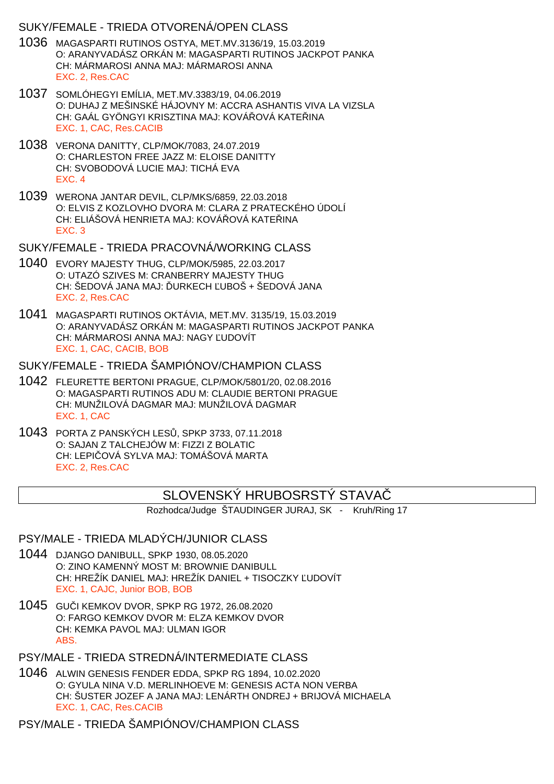## SUKY/FEMALE - TRIEDA OTVORENÁ/OPEN CLASS

- 1036 MAGASPARTI RUTINOS OSTYA, MET.MV.3136/19, 15.03.2019 O: ARANYVADÁSZ ORKÁN M: MAGASPARTI RUTINOS JACKPOT PANKA CH: MÁRMAROSI ANNA MAJ: MÁRMAROSI ANNA EXC. 2, Res.CAC
- 1037 SOMLÓHEGYI EMÍLIA, MET.MV.3383/19, 04.06.2019 O: DUHAJ Z MEŠINSKÉ HÁJOVNY M: ACCRA ASHANTIS VIVA LA VIZSLA CH: GAÁL GYÖNGYI KRISZTINA MAJ: KOVÁ OVÁ KATE INA EXC. 1, CAC, Res.CACIB
- 1038 VERONA DANITTY, CLP/MOK/7083, 24.07.2019 O: CHARLESTON FREE JAZZ M: ELOISE DANITTY CH: SVOBODOVÁ LUCIE MAJ: TICHÁ EVA EXC. 4
- 1039 WERONA JANTAR DEVIL, CLP/MKS/6859, 22.03.2018 O: ELVIS Z KOZLOVHO DVORA M: CLARA Z PRATECKÉHO ÚDOLÍ CH: ELIÁŠOVÁ HENRIETA MAJ: KOVÁ OVÁ KATE INA EXC. 3

SUKY/FEMALE - TRIEDA PRACOVNÁ/WORKING CLASS

- 1040 EVORY MAJESTY THUG, CLP/MOK/5985, 22.03.2017 O: UTAZÓ SZIVES M: CRANBERRY MAJESTY THUG CH: ŠEDOVÁ JANA MAJ: URKECH UBOŠ + ŠEDOVÁ JANA EXC. 2, Res.CAC
- 1041 MAGASPARTI RUTINOS OKTÁVIA, MET.MV. 3135/19, 15.03.2019 O: ARANYVADÁSZ ORKÁN M: MAGASPARTI RUTINOS JACKPOT PANKA CH: MÁRMAROSI ANNA MAJ: NAGY UDOVÍT EXC. 1, CAC, CACIB, BOB

SUKY/FEMALE - TRIEDA ŠAMPIÓNOV/CHAMPION CLASS

- 1042 FLEURETTE BERTONI PRAGUE, CLP/MOK/5801/20, 02.08.2016 O: MAGASPARTI RUTINOS ADU M: CLAUDIE BERTONI PRAGUE CH: MUNŽILOVÁ DAGMAR MAJ: MUNŽILOVÁ DAGMAR EXC. 1, CAC
- 1043 PORTA Z PANSKÝCH LESŮ, SPKP 3733, 07.11.2018 O: SAJAN Z TALCHEJÓW M: FIZZI Z BOLATIC CH: LEPIČOVÁ SYLVA MAJ: TOMÁŠOVÁ MARTA EXC. 2, Res.CAC

## SLOVENSKÝ HRUBOSRSTÝ STAVAČ

Rozhodca/Judge ŠTAUDINGER JURAJ, SK - Kruh/Ring 17

PSY/MALE - TRIEDA MLADÝCH/JUNIOR CLASS

- 1044 DJANGO DANIBULL, SPKP 1930, 08.05.2020 O: ZINO KAMENNÝ MOST M: BROWNIE DANIBULL CH: HREŽÍK DANIEL MAJ: HREŽÍK DANIEL + TISOCZKY UDOVÍT EXC. 1, CAJC, Junior BOB, BOB
- 1045 GUČI KEMKOV DVOR, SPKP RG 1972, 26.08.2020 O: FARGO KEMKOV DVOR M: ELZA KEMKOV DVOR CH: KEMKA PAVOL MAJ: ULMAN IGOR ABS.

PSY/MALE - TRIEDA STREDNÁ/INTERMEDIATE CLASS

1046 ALWIN GENESIS FENDER EDDA, SPKP RG 1894, 10.02.2020 O: GYULA NINA V.D. MERLINHOEVE M: GENESIS ACTA NON VERBA CH: ŠUSTER JOZEF A JANA MAJ: LENÁRTH ONDREJ + BRIJOVÁ MICHAELA EXC. 1, CAC, Res.CACIB

PSY/MALE - TRIEDA ŠAMPIÓNOV/CHAMPION CLASS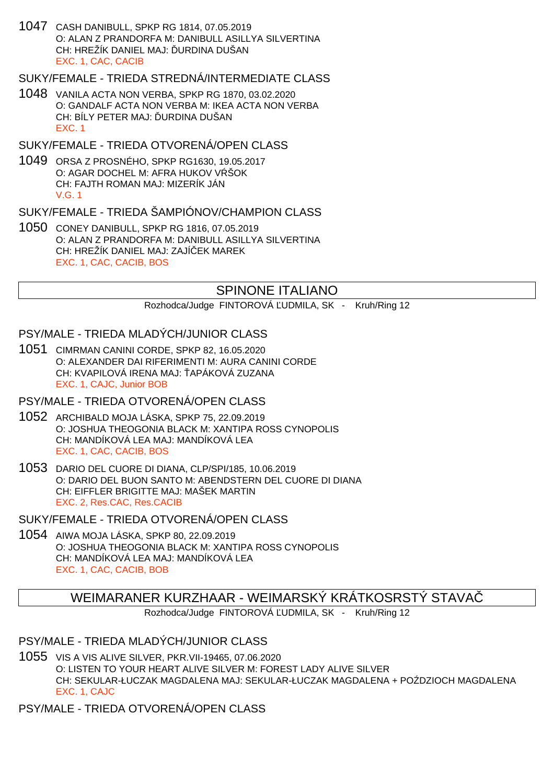1047 CASH DANIBULL, SPKP RG 1814, 07.05.2019 O: ALAN Z PRANDORFA M: DANIBULL ASILLYA SILVERTINA CH: HREŽÍK DANIEL MAJ: URDINA DUŠAN EXC. 1, CAC, CACIB

#### SUKY/FEMALE - TRIEDA STREDNÁ/INTERMEDIATE CLASS

1048 VANILA ACTA NON VERBA, SPKP RG 1870, 03.02.2020 O: GANDALF ACTA NON VERBA M: IKEA ACTA NON VERBA CH: BÍLY PETER MAJ: URDINA DUŠAN EXC. 1

#### SUKY/FEMALE - TRIEDA OTVORENÁ/OPEN CLASS

1049 ORSA Z PROSNÉHO, SPKP RG1630, 19.05.2017 O: AGAR DOCHEL M: AFRA HUKOV V ŠOK CH: FAJTH ROMAN MAJ: MIZERÍK JÁN V.G. 1

## SUKY/FEMALE - TRIEDA ŠAMPIÓNOV/CHAMPION CLASS

1050 CONEY DANIBULL, SPKP RG 1816, 07.05.2019 O: ALAN Z PRANDORFA M: DANIBULL ASILLYA SILVERTINA CH: HREŽÍK DANIEL MAJ: ZAJÍČEK MAREK EXC. 1, CAC, CACIB, BOS

## SPINONE ITALIANO

Rozhodca/Judge FINTOROVÁ UDMILA, SK - Kruh/Ring 12

## PSY/MALE - TRIEDA MLADÝCH/JUNIOR CLASS

1051 CIMRMAN CANINI CORDE, SPKP 82, 16.05.2020 O: ALEXANDER DAI RIFERIMENTI M: AURA CANINI CORDE CH: KVAPILOVÁ IRENA MAJ: APÁKOVÁ ZUZANA EXC. 1, CAJC, Junior BOB

### PSY/MALE - TRIEDA OTVORENÁ/OPEN CLASS

- 1052 ARCHIBALD MOJA LÁSKA, SPKP 75, 22.09.2019 O: JOSHUA THEOGONIA BLACK M: XANTIPA ROSS CYNOPOLIS CH: MANDÍKOVÁ LEA MAJ: MANDÍKOVÁ LEA EXC. 1, CAC, CACIB, BOS
- 1053 DARIO DEL CUORE DI DIANA, CLP/SPI/185, 10.06.2019 O: DARIO DEL BUON SANTO M: ABENDSTERN DEL CUORE DI DIANA CH: EIFFLER BRIGITTE MAJ: MAŠEK MARTIN EXC. 2, Res.CAC, Res.CACIB

SUKY/FEMALE - TRIEDA OTVORENÁ/OPEN CLASS

1054 AIWA MOJA LÁSKA, SPKP 80, 22.09.2019 O: JOSHUA THEOGONIA BLACK M: XANTIPA ROSS CYNOPOLIS CH: MANDÍKOVÁ LEA MAJ: MANDÍKOVÁ LEA EXC. 1, CAC, CACIB, BOB

## WEIMARANER KURZHAAR - WEIMARSKÝ KRÁTKOSRSTÝ STAVAČ

Rozhodca/Judge FINTOROVÁ UDMILA, SK - Kruh/Ring 12

### PSY/MALE - TRIEDA MLADÝCH/JUNIOR CLASS

1055 VIS A VIS ALIVE SILVER, PKR.VII-19465, 07.06.2020 O: LISTEN TO YOUR HEART ALIVE SILVER M: FOREST LADY ALIVE SILVER CH: SEKULAR-ŁUCZAK MAGDALENA MAJ: SEKULAR-ŁUCZAK MAGDALENA + PO DZIOCH MAGDALENA EXC. 1, CAJC

PSY/MALE - TRIEDA OTVORENÁ/OPEN CLASS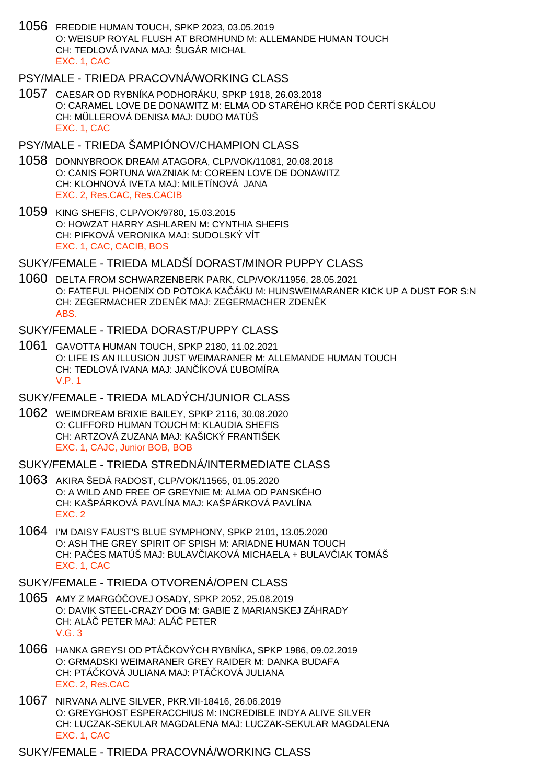1056 FREDDIE HUMAN TOUCH, SPKP 2023, 03.05.2019 O: WEISUP ROYAL FLUSH AT BROMHUND M: ALLEMANDE HUMAN TOUCH CH: TEDLOVÁ IVANA MAJ: ŠUGÁR MICHAL EXC. 1, CAC

## PSY/MALE - TRIEDA PRACOVNÁ/WORKING CLASS

1057 CAESAR OD RYBNÍKA PODHORÁKU, SPKP 1918, 26.03.2018 O: CARAMEL LOVE DE DONAWITZ M: ELMA OD STARÉHO KRČE POD ČERTÍ SKÁLOU CH: MÜLLEROVÁ DENISA MAJ: DUDO MATÚŠ EXC. 1, CAC

## PSY/MALE - TRIEDA ŠAMPIÓNOV/CHAMPION CLASS

- 1058 DONNYBROOK DREAM ATAGORA, CLP/VOK/11081, 20.08.2018 O: CANIS FORTUNA WAZNIAK M: COREEN LOVE DE DONAWITZ CH: KLOHNOVÁ IVETA MAJ: MILETÍNOVÁ JANA EXC. 2, Res.CAC, Res.CACIB
- 1059 KING SHEFIS, CLP/VOK/9780, 15.03.2015 O: HOWZAT HARRY ASHLAREN M: CYNTHIA SHEFIS CH: PIFKOVÁ VERONIKA MAJ: SUDOLSKÝ VÍT EXC. 1, CAC, CACIB, BOS

#### SUKY/FEMALE - TRIEDA MLADŠÍ DORAST/MINOR PUPPY CLASS

1060 DELTA FROM SCHWARZENBERK PARK, CLP/VOK/11956, 28.05.2021 O: FATEFUL PHOENIX OD POTOKA KAČÁKU M: HUNSWEIMARANER KICK UP A DUST FOR S:N CH: ZEGERMACHER ZDEN K MAJ: ZEGERMACHER ZDEN K ABS.

#### SUKY/FEMALE - TRIEDA DORAST/PUPPY CLASS

1061 GAVOTTA HUMAN TOUCH, SPKP 2180, 11.02.2021 O: LIFE IS AN ILLUSION JUST WEIMARANER M: ALLEMANDE HUMAN TOUCH CH: TEDLOVÁ IVANA MAJ: JAN ÍKOVÁ UBOMÍRA V.P. 1

### SUKY/FEMALE - TRIEDA MLADÝCH/JUNIOR CLASS

1062 WEIMDREAM BRIXIE BAILEY, SPKP 2116, 30.08.2020 O: CLIFFORD HUMAN TOUCH M: KLAUDIA SHEFIS CH: ARTZOVÁ ZUZANA MAJ: KAŠICKÝ FRANTIŠEK EXC. 1, CAJC, Junior BOB, BOB

## SUKY/FEMALE - TRIEDA STREDNÁ/INTERMEDIATE CLASS

- 1063 AKIRA ŠEDÁ RADOST, CLP/VOK/11565, 01.05.2020 O: A WILD AND FREE OF GREYNIE M: ALMA OD PANSKÉHO CH: KAŠPÁRKOVÁ PAVLÍNA MAJ: KAŠPÁRKOVÁ PAVLÍNA EXC. 2
- 1064 I'M DAISY FAUST'S BLUE SYMPHONY, SPKP 2101, 13.05.2020 O: ASH THE GREY SPIRIT OF SPISH M: ARIADNE HUMAN TOUCH CH: PAČES MATÚŠ MAJ: BULAVI JAKOVÁ MICHAELA + BULAVIJAK TOMÁŠ EXC. 1, CAC

#### SUKY/FEMALE - TRIEDA OTVORENÁ/OPEN CLASS

- 1065 AMY Z MARGÓČOVEJ OSADY, SPKP 2052, 25.08.2019 O: DAVIK STEEL-CRAZY DOG M: GABIE Z MARIANSKEJ ZÁHRADY CH: ALÁ PETER MAJ: ALÁ PETER V.G. 3
- 1066 HANKA GREYSI OD PTÁČKOVÝCH RYBNÍKA, SPKP 1986, 09.02.2019 O: GRMADSKI WEIMARANER GREY RAIDER M: DANKA BUDAFA CH: PTÁ KOVÁ JULIANA MAJ: PTÁ KOVÁ JULIANA EXC. 2, Res.CAC
- 1067 NIRVANA ALIVE SILVER, PKR.VII-18416, 26.06.2019 O: GREYGHOST ESPERACCHIUS M: INCREDIBLE INDYA ALIVE SILVER CH: LUCZAK-SEKULAR MAGDALENA MAJ: LUCZAK-SEKULAR MAGDALENA EXC. 1, CAC

#### SUKY/FEMALE - TRIEDA PRACOVNÁ/WORKING CLASS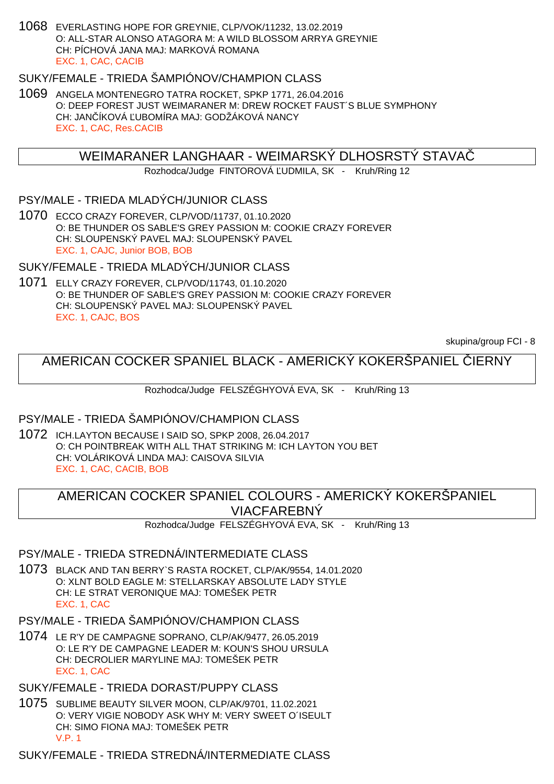1068 EVERLASTING HOPE FOR GREYNIE, CLP/VOK/11232, 13.02.2019 O: ALL-STAR ALONSO ATAGORA M: A WILD BLOSSOM ARRYA GREYNIE CH: PÍCHOVÁ JANA MAJ: MARKOVÁ ROMANA EXC. 1, CAC, CACIB

## SUKY/FEMALE - TRIEDA ŠAMPIÓNOV/CHAMPION CLASS

1069 ANGELA MONTENEGRO TATRA ROCKET, SPKP 1771, 26.04.2016 O: DEEP FOREST JUST WEIMARANER M: DREW ROCKET FAUST´S BLUE SYMPHONY CH: JAN ÍKOVÁ UBOMÍRA MAJ: GODŽÁKOVÁ NANCY EXC. 1, CAC, Res.CACIB

WEIMARANER LANGHAAR - WEIMARSKÝ DLHOSRSTÝ STAVAČ

Rozhodca/Judge FINTOROVÁ UDMILA, SK - Kruh/Ring 12

PSY/MALE - TRIEDA MLADÝCH/JUNIOR CLASS

1070 ECCO CRAZY FOREVER, CLP/VOD/11737, 01.10.2020 O: BE THUNDER OS SABLE'S GREY PASSION M: COOKIE CRAZY FOREVER CH: SLOUPENSKÝ PAVEL MAJ: SLOUPENSKÝ PAVEL EXC. 1, CAJC, Junior BOB, BOB

SUKY/FEMALE - TRIEDA MLADÝCH/JUNIOR CLASS

1071 ELLY CRAZY FOREVER, CLP/VOD/11743, 01.10.2020 O: BE THUNDER OF SABLE'S GREY PASSION M: COOKIE CRAZY FOREVER CH: SLOUPENSKÝ PAVEL MAJ: SLOUPENSKÝ PAVEL EXC. 1, CAJC, BOS

skupina/group FCI - 8

## AMERICAN COCKER SPANIEL BLACK - AMERICKÝ KOKERŠPANIEL IERNY

Rozhodca/Judge FELSZÉGHYOVÁ EVA, SK - Kruh/Ring 13

### PSY/MALE - TRIEDA ŠAMPIÓNOV/CHAMPION CLASS

1072 ICH.LAYTON BECAUSE I SAID SO, SPKP 2008, 26.04.2017 O: CH POINTBREAK WITH ALL THAT STRIKING M: ICH LAYTON YOU BET CH: VOLÁRIKOVÁ LINDA MAJ: CAISOVA SILVIA EXC. 1, CAC, CACIB, BOB

## AMERICAN COCKER SPANIEL COLOURS - AMERICKÝ KOKERŠPANIEL VIACFAREBNÝ

Rozhodca/Judge FELSZÉGHYOVÁ EVA, SK - Kruh/Ring 13

### PSY/MALE - TRIEDA STREDNÁ/INTERMEDIATE CLASS

- 1073 BLACK AND TAN BERRY`S RASTA ROCKET, CLP/AK/9554, 14.01.2020 O: XLNT BOLD EAGLE M: STELLARSKAY ABSOLUTE LADY STYLE CH: LE STRAT VERONIQUE MAJ: TOMEŠEK PETR EXC. 1, CAC
- PSY/MALE TRIEDA ŠAMPIÓNOV/CHAMPION CLASS
- 1074 LE R'Y DE CAMPAGNE SOPRANO, CLP/AK/9477, 26.05.2019 O: LE R'Y DE CAMPAGNE LEADER M: KOUN'S SHOU URSULA CH: DECROLIER MARYLINE MAJ: TOMEŠEK PETR EXC. 1, CAC

SUKY/FEMALE - TRIEDA DORAST/PUPPY CLASS

1075 SUBLIME BEAUTY SILVER MOON, CLP/AK/9701, 11.02.2021 O: VERY VIGIE NOBODY ASK WHY M: VERY SWEET O´ISEULT CH: SIMO FIONA MAJ: TOMEŠEK PETR V.P. 1

SUKY/FEMALE - TRIEDA STREDNÁ/INTERMEDIATE CLASS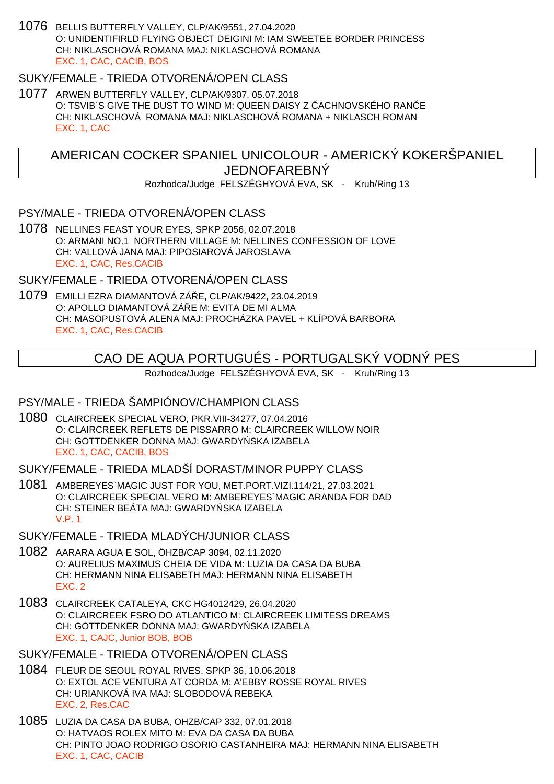1076 BELLIS BUTTERFLY VALLEY, CLP/AK/9551, 27.04.2020 O: UNIDENTIFIRLD FLYING OBJECT DEIGINI M: IAM SWEETEE BORDER PRINCESS CH: NIKLASCHOVÁ ROMANA MAJ: NIKLASCHOVÁ ROMANA EXC. 1, CAC, CACIB, BOS

## SUKY/FEMALE - TRIEDA OTVORENÁ/OPEN CLASS

1077 ARWEN BUTTERFLY VALLEY, CLP/AK/9307, 05.07.2018 O: TSVIB´S GIVE THE DUST TO WIND M: QUEEN DAISY Z ACHNOVSKÉHO RAN E CH: NIKLASCHOVÁ ROMANA MAJ: NIKLASCHOVÁ ROMANA + NIKLASCH ROMAN EXC. 1, CAC

AMERICAN COCKER SPANIEL UNICOLOUR - AMERICKÝ KOKERŠPANIEL JEDNOFAREBNÝ

Rozhodca/Judge FELSZÉGHYOVÁ EVA, SK - Kruh/Ring 13

## PSY/MALE - TRIEDA OTVORENÁ/OPEN CLASS

1078 NELLINES FEAST YOUR EYES, SPKP 2056, 02.07.2018 O: ARMANI NO.1 NORTHERN VILLAGE M: NELLINES CONFESSION OF LOVE CH: VALLOVÁ JANA MAJ: PIPOSIAROVÁ JAROSLAVA EXC. 1, CAC, Res.CACIB

SUKY/FEMALE - TRIEDA OTVORENÁ/OPEN CLASS

1079 EMILLI EZRA DIAMANTOVÁ ZÁŘE, CLP/AK/9422, 23.04.2019 O: APOLLO DIAMANTOVÁ ZÁ E M: EVITA DE MI ALMA CH: MASOPUSTOVÁ ALENA MAJ: PROCHÁZKA PAVEL + KLÍPOVÁ BARBORA EXC. 1, CAC, Res.CACIB

# CAO DE AQUA PORTUGUÉS - PORTUGALSKÝ VODNÝ PES

Rozhodca/Judge FELSZÉGHYOVÁ EVA, SK - Kruh/Ring 13

## PSY/MALE - TRIEDA ŠAMPIÓNOV/CHAMPION CLASS

1080 CLAIRCREEK SPECIAL VERO, PKR.VIII-34277, 07.04.2016 O: CLAIRCREEK REFLETS DE PISSARRO M: CLAIRCREEK WILLOW NOIR CH: GOTTDENKER DONNA MAJ: GWARDY SKA IZABELA EXC. 1, CAC, CACIB, BOS

SUKY/FEMALE - TRIEDA MLADŠÍ DORAST/MINOR PUPPY CLASS

1081 AMBEREYES`MAGIC JUST FOR YOU, MET.PORT.VIZI.114/21, 27.03.2021 O: CLAIRCREEK SPECIAL VERO M: AMBEREYES`MAGIC ARANDA FOR DAD CH: STEINER BEÁTA MAJ: GWARDY SKA IZABELA V.P. 1

SUKY/FEMALE - TRIEDA MLADÝCH/JUNIOR CLASS

- 1082 AARARA AGUA E SOL, ÖHZB/CAP 3094, 02.11.2020 O: AURELIUS MAXIMUS CHEIA DE VIDA M: LUZIA DA CASA DA BUBA CH: HERMANN NINA ELISABETH MAJ: HERMANN NINA ELISABETH EXC. 2
- 1083 CLAIRCREEK CATALEYA, CKC HG4012429, 26.04.2020 O: CLAIRCREEK FSRO DO ATLANTICO M: CLAIRCREEK LIMITESS DREAMS CH: GOTTDENKER DONNA MAJ: GWARDY SKA IZABELA EXC. 1, CAJC, Junior BOB, BOB
- SUKY/FEMALE TRIEDA OTVORENÁ/OPEN CLASS
- 1084 FLEUR DE SEOUL ROYAL RIVES, SPKP 36, 10.06.2018 O: EXTOL ACE VENTURA AT CORDA M: A'EBBY ROSSE ROYAL RIVES CH: URIANKOVÁ IVA MAJ: SLOBODOVÁ REBEKA EXC. 2, Res.CAC
- 1085 LUZIA DA CASA DA BUBA, OHZB/CAP 332, 07.01.2018 O: HATVAOS ROLEX MITO M: EVA DA CASA DA BUBA CH: PINTO JOAO RODRIGO OSORIO CASTANHEIRA MAJ: HERMANN NINA ELISABETH EXC. 1, CAC, CACIB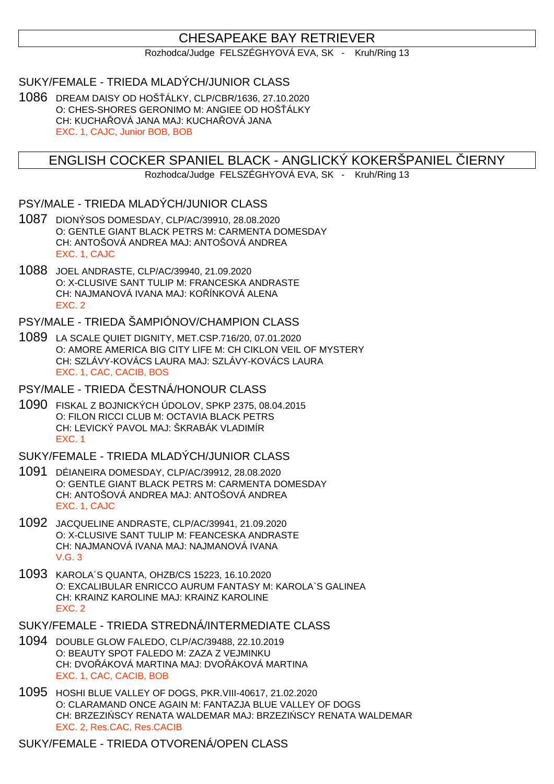## CHESAPEAKE BAY RETRIEVER

Rozhodca/Judge FELSZÉGHYOVÁ EVA, SK - Kruh/Ring 13

### SUKY/FEMALE - TRIEDA MLADÝCH/JUNIOR CLASS

1086 DREAM DAISY OD HOŠÁLKY, CLP/CBR/1636, 27.10.2020 O: CHES-SHORES GERONIMO M: ANGIEE OD HOŠ ÁLKY CH: KUCHA QVÁ JANA MAJ: KUCHA QVÁ JANA EXC. 1, CAJC, Junior BOB, BOB

## ENGLISH COCKER SPANIEL BLACK - ANGLICKÝ KOKERŠPANIEL IERNY

Rozhodca/Judge FELSZÉGHYOVÁ EVA, SK - Kruh/Ring 13

#### PSY/MALE - TRIEDA MLADÝCH/JUNIOR CLASS

- 1087 DIONÝSOS DOMESDAY, CLP/AC/39910, 28.08.2020 O: GENTLE GIANT BLACK PETRS M: CARMENTA DOMESDAY CH: ANTOŠOVÁ ANDREA MAJ: ANTOŠOVÁ ANDREA EXC. 1, CAJC
- 1088 JOEL ANDRASTE, CLP/AC/39940, 21.09.2020 O: X-CLUSIVE SANT TULIP M: FRANCESKA ANDRASTE CH: NAJMANOVÁ IVANA MAJ: KOLÍNKOVÁ ALENA EXC. 2

## PSY/MALE - TRIEDA ŠAMPIÓNOV/CHAMPION CLASS

- 1089 LA SCALE QUIET DIGNITY, MET.CSP.716/20, 07.01.2020 O: AMORE AMERICA BIG CITY LIFE M: CH CIKLON VEIL OF MYSTERY CH: SZLÁVY-KOVÁCS LAURA MAJ: SZLÁVY-KOVÁCS LAURA EXC. 1, CAC, CACIB, BOS
- PSY/MALE TRIEDA ESTNÁ/HONOUR CLASS
- 1090 FISKAL Z BOJNICKÝCH ÚDOLOV, SPKP 2375, 08.04.2015 O: FILON RICCI CLUB M: OCTAVIA BLACK PETRS CH: LEVICKÝ PAVOL MAJ: ŠKRABÁK VLADIMÍR EXC. 1

### SUKY/FEMALE - TRIEDA MLADÝCH/JUNIOR CLASS

- 1091 DÉIANEIRA DOMESDAY, CLP/AC/39912, 28.08.2020 O: GENTLE GIANT BLACK PETRS M: CARMENTA DOMESDAY CH: ANTOŠOVÁ ANDREA MAJ: ANTOŠOVÁ ANDREA EXC. 1, CAJC
- 1092 JACQUELINE ANDRASTE, CLP/AC/39941, 21.09.2020 O: X-CLUSIVE SANT TULIP M: FEANCESKA ANDRASTE CH: NAJMANOVÁ IVANA MAJ: NAJMANOVÁ IVANA  $V$  G  $3$
- 1093 KAROLA´S QUANTA, OHZB/CS 15223, 16.10.2020 O: EXCALIBULAR ENRICCO AURUM FANTASY M: KAROLA`S GALINEA CH: KRAINZ KAROLINE MAJ: KRAINZ KAROLINE EXC. 2

#### SUKY/FEMALE - TRIEDA STREDNÁ/INTERMEDIATE CLASS

- 1094 DOUBLE GLOW FALEDO, CLP/AC/39488, 22.10.2019 O: BEAUTY SPOT FALEDO M: ZAZA Z VEJMINKU CH: DVO ÁKOVÁ MARTINA MAJ: DVO ÁKOVÁ MARTINA EXC. 1, CAC, CACIB, BOB
- 1095 HOSHI BLUE VALLEY OF DOGS, PKR.VIII-40617, 21.02.2020 O: CLARAMAND ONCE AGAIN M: FANTAZJA BLUE VALLEY OF DOGS CH: BRZEZI SCY RENATA WALDEMAR MAJ: BRZEZI SCY RENATA WALDEMAR EXC. 2, Res.CAC, Res.CACIB

### SUKY/FEMALE - TRIEDA OTVORENÁ/OPEN CLASS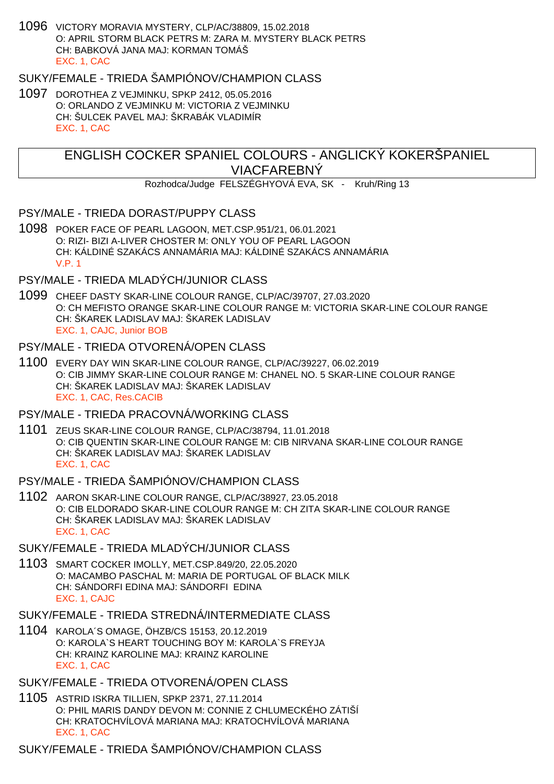1096 VICTORY MORAVIA MYSTERY, CLP/AC/38809, 15.02.2018 O: APRIL STORM BLACK PETRS M: ZARA M. MYSTERY BLACK PETRS CH: BABKOVÁ JANA MAJ: KORMAN TOMÁŠ EXC. 1, CAC

### SUKY/FEMALE - TRIEDA ŠAMPIÓNOV/CHAMPION CLASS

1097 DOROTHEA Z VEJMINKU, SPKP 2412, 05.05.2016 O: ORLANDO Z VEJMINKU M: VICTORIA Z VEJMINKU CH: ŠULCEK PAVEL MAJ: ŠKRABÁK VLADIMÍR EXC. 1, CAC

# ENGLISH COCKER SPANIEL COLOURS - ANGLICKÝ KOKERŠPANIEL VIACFAREBNÝ

Rozhodca/Judge FELSZÉGHYOVÁ EVA, SK - Kruh/Ring 13

#### PSY/MALE - TRIEDA DORAST/PUPPY CLASS

1098 POKER FACE OF PEARL LAGOON, MET.CSP.951/21, 06.01.2021 O: RIZI- BIZI A-LIVER CHOSTER M: ONLY YOU OF PEARL LAGOON CH: KÁLDINÉ SZAKÁCS ANNAMÁRIA MAJ: KÁLDINÉ SZAKÁCS ANNAMÁRIA V.P. 1

### PSY/MALE - TRIEDA MLADÝCH/JUNIOR CLASS

1099 CHEEF DASTY SKAR-LINE COLOUR RANGE, CLP/AC/39707, 27.03.2020 O: CH MEFISTO ORANGE SKAR-LINE COLOUR RANGE M: VICTORIA SKAR-LINE COLOUR RANGE CH: ŠKAREK LADISLAV MAJ: ŠKAREK LADISLAV EXC. 1, CAJC, Junior BOB

#### PSY/MALE - TRIEDA OTVORENÁ/OPEN CLASS

1100 EVERY DAY WIN SKAR-LINE COLOUR RANGE, CLP/AC/39227, 06.02.2019 O: CIB JIMMY SKAR-LINE COLOUR RANGE M: CHANEL NO. 5 SKAR-LINE COLOUR RANGE CH: ŠKAREK LADISLAV MAJ: ŠKAREK LADISLAV EXC. 1, CAC, Res.CACIB

### PSY/MALE - TRIEDA PRACOVNÁ/WORKING CLASS

1101 ZEUS SKAR-LINE COLOUR RANGE, CLP/AC/38794, 11.01.2018 O: CIB QUENTIN SKAR-LINE COLOUR RANGE M: CIB NIRVANA SKAR-LINE COLOUR RANGE CH: ŠKAREK LADISLAV MAJ: ŠKAREK LADISLAV EXC. 1, CAC

## PSY/MALE - TRIEDA ŠAMPIÓNOV/CHAMPION CLASS

1102 AARON SKAR-LINE COLOUR RANGE, CLP/AC/38927, 23.05.2018 O: CIB ELDORADO SKAR-LINE COLOUR RANGE M: CH ZITA SKAR-LINE COLOUR RANGE CH: ŠKAREK LADISLAV MAJ: ŠKAREK LADISLAV EXC. 1, CAC

### SUKY/FEMALE - TRIEDA MLADÝCH/JUNIOR CLASS

1103 SMART COCKER IMOLLY, MET.CSP.849/20, 22.05.2020 O: MACAMBO PASCHAL M: MARIA DE PORTUGAL OF BLACK MILK CH: SÁNDORFI EDINA MAJ: SÁNDORFI EDINA EXC. 1, CAJC

## SUKY/FEMALE - TRIEDA STREDNÁ/INTERMEDIATE CLASS

1104 KAROLA´S OMAGE, ÖHZB/CS 15153, 20.12.2019 O: KAROLA`S HEART TOUCHING BOY M: KAROLA`S FREYJA CH: KRAINZ KAROLINE MAJ: KRAINZ KAROLINE EXC. 1, CAC

# SUKY/FEMALE - TRIEDA OTVORENÁ/OPEN CLASS

1105 ASTRID ISKRA TILLIEN, SPKP 2371, 27.11.2014 O: PHIL MARIS DANDY DEVON M: CONNIE Z CHLUMECKÉHO ZÁTIŠÍ CH: KRATOCHVÍLOVÁ MARIANA MAJ: KRATOCHVÍLOVÁ MARIANA EXC. 1, CAC

SUKY/FEMALE - TRIEDA ŠAMPIÓNOV/CHAMPION CLASS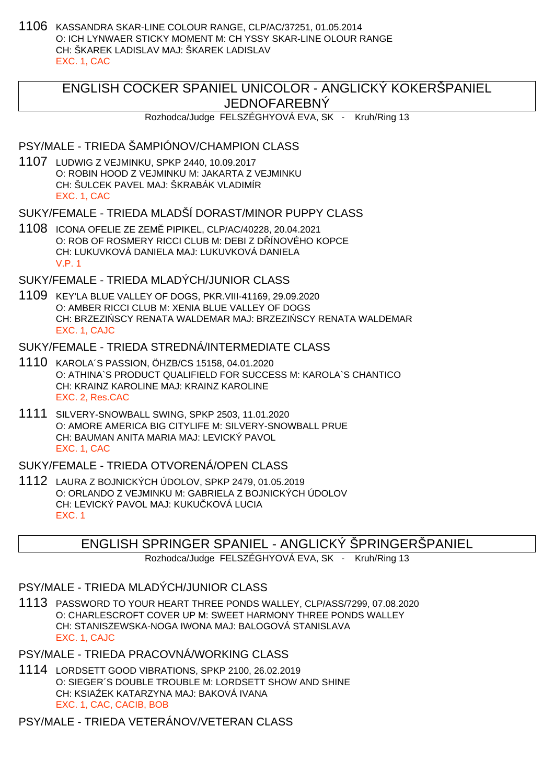1106 KASSANDRA SKAR-LINE COLOUR RANGE, CLP/AC/37251, 01.05.2014 O: ICH LYNWAER STICKY MOMENT M: CH YSSY SKAR-LINE OLOUR RANGE CH: ŠKAREK LADISLAV MAJ: ŠKAREK LADISLAV EXC. 1, CAC

# ENGLISH COCKER SPANIEL UNICOLOR - ANGLICKÝ KOKERŠPANIEL JEDNOFAREBNÝ

Rozhodca/Judge FELSZÉGHYOVÁ EVA, SK - Kruh/Ring 13

#### PSY/MALE - TRIEDA ŠAMPIÓNOV/CHAMPION CLASS

1107 LUDWIG Z VEJMINKU, SPKP 2440, 10.09.2017 O: ROBIN HOOD Z VEJMINKU M: JAKARTA Z VEJMINKU CH: ŠULCEK PAVEL MAJ: ŠKRABÁK VLADIMÍR EXC. 1, CAC

### SUKY/FEMALE - TRIEDA MLADŠÍ DORAST/MINOR PUPPY CLASS

1108 ICONA OFELIE ZE ZEMĚ PIPIKEL, CLP/AC/40228, 20.04.2021 O: ROB OF ROSMERY RICCI CLUB M: DEBI Z D ÍNOVÉHO KOPCE CH: LUKUVKOVÁ DANIELA MAJ: LUKUVKOVÁ DANIELA V.P. 1

## SUKY/FEMALE - TRIEDA MLADÝCH/JUNIOR CLASS

1109 KEY'LA BLUE VALLEY OF DOGS, PKR.VIII-41169, 29.09.2020 O: AMBER RICCI CLUB M: XENIA BLUE VALLEY OF DOGS CH: BRZEZI SCY RENATA WALDEMAR MAJ: BRZEZI SCY RENATA WALDEMAR EXC. 1, CAJC

## SUKY/FEMALE - TRIEDA STREDNÁ/INTERMEDIATE CLASS

- 1110 KAROLA´S PASSION, ÖHZB/CS 15158, 04.01.2020 O: ATHINA`S PRODUCT QUALIFIELD FOR SUCCESS M: KAROLA`S CHANTICO CH: KRAINZ KAROLINE MAJ: KRAINZ KAROLINE EXC. 2, Res.CAC
- 1111 SILVERY-SNOWBALL SWING, SPKP 2503, 11.01.2020 O: AMORE AMERICA BIG CITYLIFE M: SILVERY-SNOWBALL PRUE CH: BAUMAN ANITA MARIA MAJ: LEVICKÝ PAVOL EXC. 1, CAC

## SUKY/FEMALE - TRIEDA OTVORENÁ/OPEN CLASS

1112 LAURA Z BOJNICKÝCH ÚDOLOV, SPKP 2479, 01.05.2019 O: ORLANDO Z VEJMINKU M: GABRIELA Z BOJNICKÝCH ÚDOLOV CH: LEVICKÝ PAVOL MAJ: KUKU KOVÁ LUCIA EXC. 1

# ENGLISH SPRINGER SPANIEL - ANGLICKÝ ŠPRINGERŠPANIEL

Rozhodca/Judge FELSZÉGHYOVÁ EVA, SK - Kruh/Ring 13

## PSY/MALE - TRIEDA MLADÝCH/JUNIOR CLASS

1113 PASSWORD TO YOUR HEART THREE PONDS WALLEY, CLP/ASS/7299, 07.08.2020 O: CHARLESCROFT COVER UP M: SWEET HARMONY THREE PONDS WALLEY CH: STANISZEWSKA-NOGA IWONA MAJ: BALOGOVÁ STANISLAVA EXC. 1, CAJC

## PSY/MALE - TRIEDA PRACOVNÁ/WORKING CLASS

1114 LORDSETT GOOD VIBRATIONS, SPKP 2100, 26.02.2019 O: SIEGER´S DOUBLE TROUBLE M: LORDSETT SHOW AND SHINE CH: KSIA EK KATARZYNA MAJ: BAKOVÁ IVANA EXC. 1, CAC, CACIB, BOB

### PSY/MALE - TRIEDA VETERÁNOV/VETERAN CLASS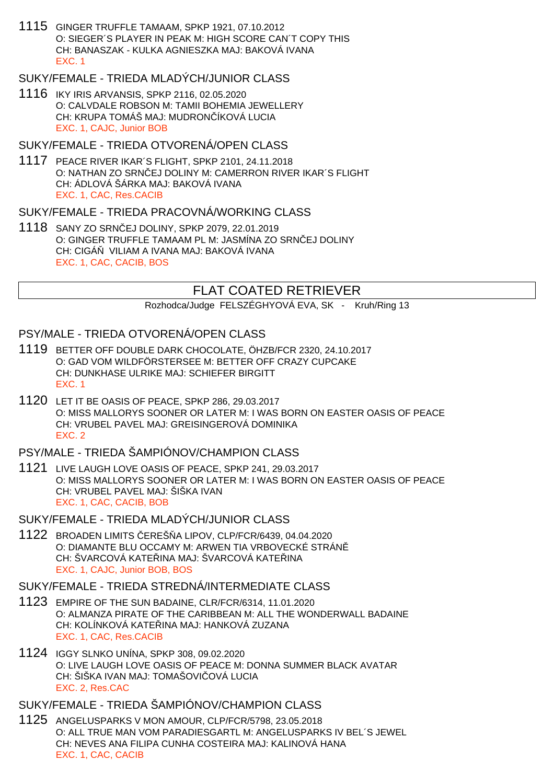1115 GINGER TRUFFLE TAMAAM, SPKP 1921, 07.10.2012 O: SIEGER´S PLAYER IN PEAK M: HIGH SCORE CAN´T COPY THIS CH: BANASZAK - KULKA AGNIESZKA MAJ: BAKOVÁ IVANA EXC. 1

### SUKY/FEMALE - TRIEDA MLADÝCH/JUNIOR CLASS

1116 IKY IRIS ARVANSIS, SPKP 2116, 02.05.2020 O: CALVDALE ROBSON M: TAMII BOHEMIA JEWELLERY CH: KRUPA TOMÁŠ MAJ: MUDRON ÍKOVÁ LUCIA EXC. 1, CAJC, Junior BOB

#### SUKY/FEMALE - TRIEDA OTVORENÁ/OPEN CLASS

1117 PEACE RIVER IKAR´S FLIGHT, SPKP 2101, 24.11.2018 O: NATHAN ZO SRNIEJ DOLINY M: CAMERRON RIVER IKAR´S FLIGHT CH: ÁDLOVÁ ŠÁRKA MAJ: BAKOVÁ IVANA EXC. 1, CAC, Res.CACIB

#### SUKY/FEMALE - TRIEDA PRACOVNÁ/WORKING CLASS

1118 SANY ZO SRNČEJ DOLINY, SPKP 2079, 22.01.2019 O: GINGER TRUFFLE TAMAAM PL M: JASMÍNA ZO SRNIEJ DOLINY CH: CIGÁ VILIAM A IVANA MAJ: BAKOVÁ IVANA EXC. 1, CAC, CACIB, BOS

## FLAT COATED RETRIEVER

Rozhodca/Judge FELSZÉGHYOVÁ EVA, SK - Kruh/Ring 13

### PSY/MALE - TRIEDA OTVORENÁ/OPEN CLASS

- 1119 BETTER OFF DOUBLE DARK CHOCOLATE, ÖHZB/FCR 2320, 24.10.2017 O: GAD VOM WILDFÖRSTERSEE M: BETTER OFF CRAZY CUPCAKE CH: DUNKHASE ULRIKE MAJ: SCHIEFER BIRGITT EXC. 1
- 1120 LET IT BE OASIS OF PEACE, SPKP 286, 29.03.2017 O: MISS MALLORYS SOONER OR LATER M: I WAS BORN ON EASTER OASIS OF PEACE CH: VRUBEL PAVEL MAJ: GREISINGEROVÁ DOMINIKA EXC. 2

### PSY/MALE - TRIEDA ŠAMPIÓNOV/CHAMPION CLASS

- 1121 LIVE LAUGH LOVE OASIS OF PEACE, SPKP 241, 29.03.2017 O: MISS MALLORYS SOONER OR LATER M: I WAS BORN ON EASTER OASIS OF PEACE CH: VRUBEL PAVEL MAJ: ŠIŠKA IVAN EXC. 1, CAC, CACIB, BOB
- SUKY/FEMALE TRIEDA MLADÝCH/JUNIOR CLASS
- 1122 BROADEN LIMITS ČEREŠŇA LIPOV, CLP/FCR/6439, 04.04.2020 O: DIAMANTE BLU OCCAMY M: ARWEN TIA VRBOVECKÉ STRÁN CH: ŠVARCOVÁ KATE INA MAJ: ŠVARCOVÁ KATE INA EXC. 1, CAJC, Junior BOB, BOS

#### SUKY/FEMALE - TRIEDA STREDNÁ/INTERMEDIATE CLASS

- 1123 EMPIRE OF THE SUN BADAINE, CLR/FCR/6314, 11.01.2020 O: ALMANZA PIRATE OF THE CARIBBEAN M: ALL THE WONDERWALL BADAINE CH: KOLÍNKOVÁ KATE INA MAJ: HANKOVÁ ZUZANA EXC. 1, CAC, Res.CACIB
- 1124 IGGY SLNKO UNÍNA, SPKP 308, 09.02.2020 O: LIVE LAUGH LOVE OASIS OF PEACE M: DONNA SUMMER BLACK AVATAR CH: ŠIŠKA IVAN MAJ: TOMAŠOVI OVÁ LUCIA EXC. 2, Res.CAC

### SUKY/FEMALE - TRIEDA ŠAMPIÓNOV/CHAMPION CLASS

1125 ANGELUSPARKS V MON AMOUR, CLP/FCR/5798, 23.05.2018 O: ALL TRUE MAN VOM PARADIESGARTL M: ANGELUSPARKS IV BEL´S JEWEL CH: NEVES ANA FILIPA CUNHA COSTEIRA MAJ: KALINOVÁ HANA EXC. 1, CAC, CACIB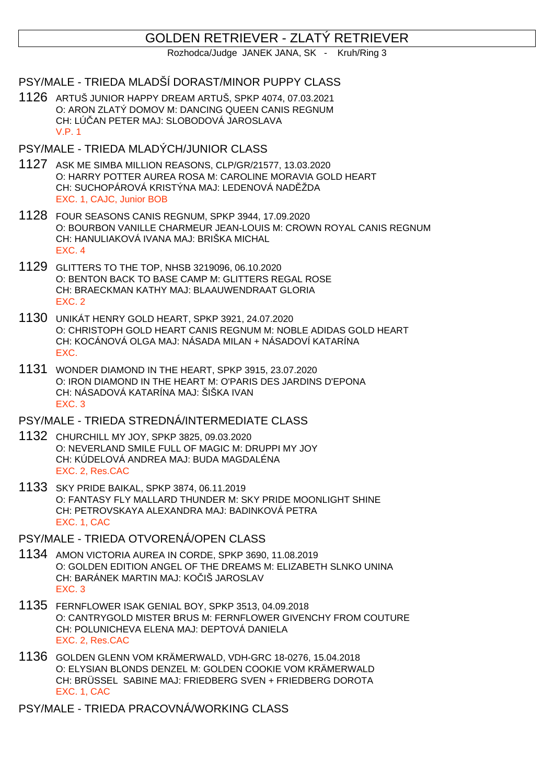# GOLDEN RETRIEVER - ZLATÝ RETRIEVER

Rozhodca/Judge JANEK JANA, SK - Kruh/Ring 3

PSY/MALE - TRIEDA MLADŠÍ DORAST/MINOR PUPPY CLASS

1126 ARTUŠ JUNIOR HAPPY DREAM ARTUŠ, SPKP 4074, 07.03.2021 O: ARON ZLATÝ DOMOV M: DANCING QUEEN CANIS REGNUM CH: LÚČAN PETER MAJ: SLOBODOVÁ JAROSLAVA V.P. 1

### PSY/MALE - TRIEDA MLADÝCH/JUNIOR CLASS

- 1127 ASK ME SIMBA MILLION REASONS, CLP/GR/21577, 13.03.2020 O: HARRY POTTER AUREA ROSA M: CAROLINE MORAVIA GOLD HEART CH: SUCHOPÁROVÁ KRISTÝNA MAJ: LEDENOVÁ NAD ŽDA EXC. 1, CAJC, Junior BOB
- 1128 FOUR SEASONS CANIS REGNUM, SPKP 3944, 17.09.2020 O: BOURBON VANILLE CHARMEUR JEAN-LOUIS M: CROWN ROYAL CANIS REGNUM CH: HANULIAKOVÁ IVANA MAJ: BRIŠKA MICHAL EXC. 4
- 1129 GLITTERS TO THE TOP, NHSB 3219096, 06.10.2020 O: BENTON BACK TO BASE CAMP M: GLITTERS REGAL ROSE CH: BRAECKMAN KATHY MAJ: BLAAUWENDRAAT GLORIA EXC. 2
- 1130 UNIKÁT HENRY GOLD HEART, SPKP 3921, 24.07.2020 O: CHRISTOPH GOLD HEART CANIS REGNUM M: NOBLE ADIDAS GOLD HEART CH: KOCÁNOVÁ OLGA MAJ: NÁSADA MILAN + NÁSADOVÍ KATARÍNA EXC.
- 1131 WONDER DIAMOND IN THE HEART, SPKP 3915, 23.07.2020 O: IRON DIAMOND IN THE HEART M: O'PARIS DES JARDINS D'EPONA CH: NÁSADOVÁ KATARÍNA MAJ: ŠIŠKA IVAN EXC. 3

### PSY/MALE - TRIEDA STREDNÁ/INTERMEDIATE CLASS

- 1132 CHURCHILL MY JOY, SPKP 3825, 09.03.2020 O: NEVERLAND SMILE FULL OF MAGIC M: DRUPPI MY JOY CH: KÚDELOVÁ ANDREA MAJ: BUDA MAGDALÉNA EXC. 2, Res.CAC
- 1133 SKY PRIDE BAIKAL, SPKP 3874, 06.11.2019 O: FANTASY FLY MALLARD THUNDER M: SKY PRIDE MOONLIGHT SHINE CH: PETROVSKAYA ALEXANDRA MAJ: BADINKOVÁ PETRA EXC. 1, CAC
- PSY/MALE TRIEDA OTVORENÁ/OPEN CLASS
- 1134 AMON VICTORIA AUREA IN CORDE, SPKP 3690, 11.08.2019 O: GOLDEN EDITION ANGEL OF THE DREAMS M: ELIZABETH SLNKO UNINA CH: BARÁNEK MARTIN MAJ: KOČIŠ JAROSLAV EXC. 3
- 1135 FERNFLOWER ISAK GENIAL BOY, SPKP 3513, 04.09.2018 O: CANTRYGOLD MISTER BRUS M: FERNFLOWER GIVENCHY FROM COUTURE CH: POLUNICHEVA ELENA MAJ: DEPTOVÁ DANIELA EXC. 2, Res.CAC
- 1136 GOLDEN GLENN VOM KRÄMERWALD, VDH-GRC 18-0276, 15.04.2018 O: ELYSIAN BLONDS DENZEL M: GOLDEN COOKIE VOM KRÄMERWALD CH: BRÜSSEL SABINE MAJ: FRIEDBERG SVEN + FRIEDBERG DOROTA EXC. 1, CAC

PSY/MALE - TRIEDA PRACOVNÁ/WORKING CLASS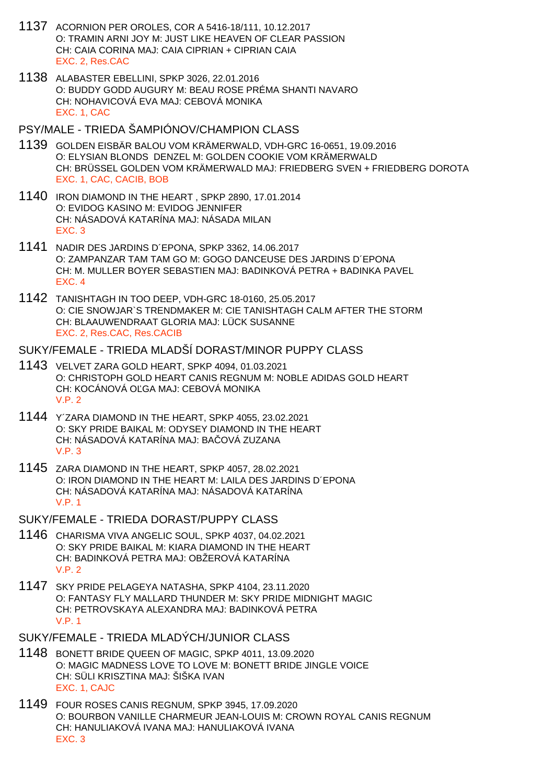- 1137 ACORNION PER OROLES, COR A 5416-18/111, 10.12.2017 O: TRAMIN ARNI JOY M: JUST LIKE HEAVEN OF CLEAR PASSION CH: CAIA CORINA MAJ: CAIA CIPRIAN + CIPRIAN CAIA EXC. 2, Res.CAC
- 1138 ALABASTER EBELLINI, SPKP 3026, 22.01.2016 O: BUDDY GODD AUGURY M: BEAU ROSE PRÉMA SHANTI NAVARO CH: NOHAVICOVÁ EVA MAJ: CEBOVÁ MONIKA EXC. 1, CAC

#### PSY/MALE - TRIEDA ŠAMPIÓNOV/CHAMPION CLASS

- 1139 GOLDEN EISBÄR BALOU VOM KRÄMERWALD, VDH-GRC 16-0651, 19.09.2016 O: ELYSIAN BLONDS DENZEL M: GOLDEN COOKIE VOM KRÄMERWALD CH: BRÜSSEL GOLDEN VOM KRÄMERWALD MAJ: FRIEDBERG SVEN + FRIEDBERG DOROTA EXC. 1, CAC, CACIB, BOB
- 1140 IRON DIAMOND IN THE HEART , SPKP 2890, 17.01.2014 O: EVIDOG KASINO M: EVIDOG JENNIFER CH: NÁSADOVÁ KATARÍNA MAJ: NÁSADA MILAN EXC. 3
- 1141 NADIR DES JARDINS D´EPONA, SPKP 3362, 14.06.2017 O: ZAMPANZAR TAM TAM GO M: GOGO DANCEUSE DES JARDINS D´EPONA CH: M. MULLER BOYER SEBASTIEN MAJ: BADINKOVÁ PETRA + BADINKA PAVEL EXC. 4
- 1142 TANISHTAGH IN TOO DEEP, VDH-GRC 18-0160, 25.05.2017 O: CIE SNOWJAR`S TRENDMAKER M: CIE TANISHTAGH CALM AFTER THE STORM CH: BLAAUWENDRAAT GLORIA MAJ: LÜCK SUSANNE EXC. 2, Res.CAC, Res.CACIB

#### SUKY/FEMALE - TRIEDA MLADŠÍ DORAST/MINOR PUPPY CLASS

- 1143 VELVET ZARA GOLD HEART, SPKP 4094, 01.03.2021 O: CHRISTOPH GOLD HEART CANIS REGNUM M: NOBLE ADIDAS GOLD HEART CH: KOCÁNOVÁ OLGA MAJ: CEBOVÁ MONIKA V.P. 2
- 1144 Y´ZARA DIAMOND IN THE HEART, SPKP 4055, 23.02.2021 O: SKY PRIDE BAIKAL M: ODYSEY DIAMOND IN THE HEART CH: NÁSADOVÁ KATARÍNA MAJ: BAČOVÁ ZUZANA V.P. 3
- 1145 ZARA DIAMOND IN THE HEART, SPKP 4057, 28.02.2021 O: IRON DIAMOND IN THE HEART M: LAILA DES JARDINS D´EPONA CH: NÁSADOVÁ KATARÍNA MAJ: NÁSADOVÁ KATARÍNA V.P. 1
- SUKY/FEMALE TRIEDA DORAST/PUPPY CLASS
- 1146 CHARISMA VIVA ANGELIC SOUL, SPKP 4037, 04.02.2021 O: SKY PRIDE BAIKAL M: KIARA DIAMOND IN THE HEART CH: BADINKOVÁ PETRA MAJ: OBŽEROVÁ KATARÍNA V.P. 2
- 1147 SKY PRIDE PELAGEYA NATASHA, SPKP 4104, 23.11.2020 O: FANTASY FLY MALLARD THUNDER M: SKY PRIDE MIDNIGHT MAGIC CH: PETROVSKAYA ALEXANDRA MAJ: BADINKOVÁ PETRA V.P. 1
- SUKY/FEMALE TRIEDA MLADÝCH/JUNIOR CLASS
- 1148 BONETT BRIDE QUEEN OF MAGIC, SPKP 4011, 13.09.2020 O: MAGIC MADNESS LOVE TO LOVE M: BONETT BRIDE JINGLE VOICE CH: SÜLI KRISZTINA MAJ: ŠIŠKA IVAN EXC. 1, CAJC
- 1149 FOUR ROSES CANIS REGNUM, SPKP 3945, 17.09.2020 O: BOURBON VANILLE CHARMEUR JEAN-LOUIS M: CROWN ROYAL CANIS REGNUM CH: HANULIAKOVÁ IVANA MAJ: HANULIAKOVÁ IVANA EXC. 3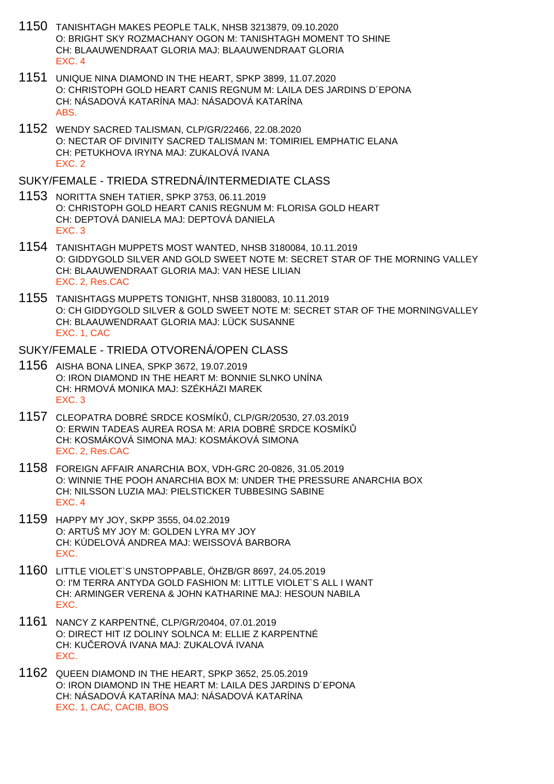- 1150 TANISHTAGH MAKES PEOPLE TALK, NHSB 3213879, 09.10.2020 O: BRIGHT SKY ROZMACHANY OGON M: TANISHTAGH MOMENT TO SHINE CH: BLAAUWENDRAAT GLORIA MAJ: BLAAUWENDRAAT GLORIA EXC. 4
- 1151 UNIQUE NINA DIAMOND IN THE HEART, SPKP 3899, 11.07.2020 O: CHRISTOPH GOLD HEART CANIS REGNUM M: LAILA DES JARDINS D´EPONA CH: NÁSADOVÁ KATARÍNA MAJ: NÁSADOVÁ KATARÍNA ABS.
- 1152 WENDY SACRED TALISMAN, CLP/GR/22466, 22.08.2020 O: NECTAR OF DIVINITY SACRED TALISMAN M: TOMIRIEL EMPHATIC ELANA CH: PETUKHOVA IRYNA MAJ: ZUKALOVÁ IVANA EXC. 2

#### SUKY/FEMALE - TRIEDA STREDNÁ/INTERMEDIATE CLASS

- 1153 NORITTA SNEH TATIER, SPKP 3753, 06.11.2019 O: CHRISTOPH GOLD HEART CANIS REGNUM M: FLORISA GOLD HEART CH: DEPTOVÁ DANIELA MAJ: DEPTOVÁ DANIELA EXC. 3
- 1154 TANISHTAGH MUPPETS MOST WANTED, NHSB 3180084, 10.11.2019 O: GIDDYGOLD SILVER AND GOLD SWEET NOTE M: SECRET STAR OF THE MORNING VALLEY CH: BLAAUWENDRAAT GLORIA MAJ: VAN HESE LILIAN EXC. 2, Res.CAC
- 1155 TANISHTAGS MUPPETS TONIGHT, NHSB 3180083, 10.11.2019 O: CH GIDDYGOLD SILVER & GOLD SWEET NOTE M: SECRET STAR OF THE MORNINGVALLEY CH: BLAAUWENDRAAT GLORIA MAJ: LÜCK SUSANNE EXC. 1, CAC

### SUKY/FEMALE - TRIEDA OTVORENÁ/OPEN CLASS

- 1156 AISHA BONA LINEA, SPKP 3672, 19.07.2019 O: IRON DIAMOND IN THE HEART M: BONNIE SLNKO UNÍNA CH: HRMOVÁ MONIKA MAJ: SZÉKHÁZI MAREK EXC. 3
- 1157 CLEOPATRA DOBRÉ SRDCE KOSMÍKŮ, CLP/GR/20530, 27.03.2019 O: ERWIN TADEAS AUREA ROSA M: ARIA DOBRÉ SRDCE KOSMÍK CH: KOSMÁKOVÁ SIMONA MAJ: KOSMÁKOVÁ SIMONA EXC. 2, Res.CAC
- 1158 FOREIGN AFFAIR ANARCHIA BOX, VDH-GRC 20-0826, 31.05.2019 O: WINNIE THE POOH ANARCHIA BOX M: UNDER THE PRESSURE ANARCHIA BOX CH: NILSSON LUZIA MAJ: PIELSTICKER TUBBESING SABINE EXC. 4
- 1159 HAPPY MY JOY, SKPP 3555, 04.02.2019 O: ARTUŠ MY JOY M: GOLDEN LYRA MY JOY CH: KÚDELOVÁ ANDREA MAJ: WEISSOVÁ BARBORA EXC.
- 1160 LITTLE VIOLET`S UNSTOPPABLE, ÖHZB/GR 8697, 24.05.2019 O: I'M TERRA ANTYDA GOLD FASHION M: LITTLE VIOLET`S ALL I WANT CH: ARMINGER VERENA & JOHN KATHARINE MAJ: HESOUN NABILA EXC.
- 1161 NANCY Z KARPENTNÉ, CLP/GR/20404, 07.01.2019 O: DIRECT HIT IZ DOLINY SOLNCA M: ELLIE Z KARPENTNÉ CH: KU EROVÁ IVANA MAJ: ZUKALOVÁ IVANA EXC.
- 1162 QUEEN DIAMOND IN THE HEART, SPKP 3652, 25.05.2019 O: IRON DIAMOND IN THE HEART M: LAILA DES JARDINS D´EPONA CH: NÁSADOVÁ KATARÍNA MAJ: NÁSADOVÁ KATARÍNA EXC. 1, CAC, CACIB, BOS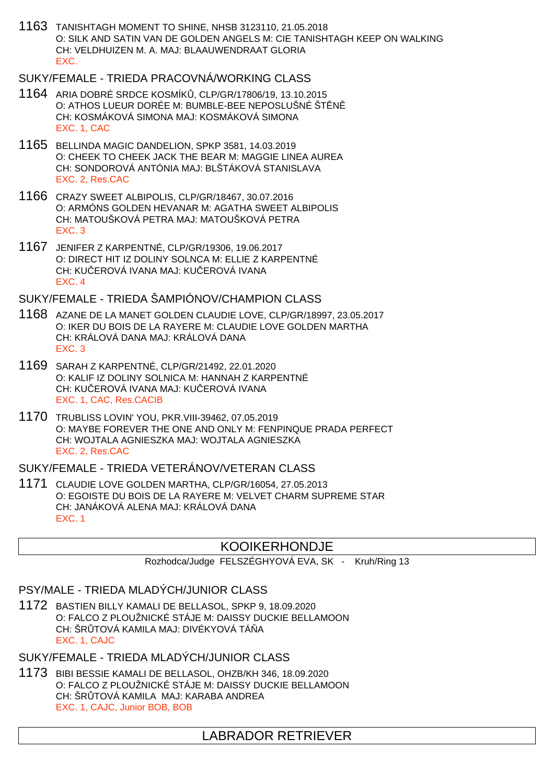1163 TANISHTAGH MOMENT TO SHINE, NHSB 3123110, 21.05.2018 O: SILK AND SATIN VAN DE GOLDEN ANGELS M: CIE TANISHTAGH KEEP ON WALKING CH: VELDHUIZEN M. A. MAJ: BLAAUWENDRAAT GLORIA EXC.

## SUKY/FEMALE - TRIEDA PRACOVNÁ/WORKING CLASS

- 1164 ARIA DOBRÉ SRDCE KOSMÍKŮ, CLP/GR/17806/19, 13.10.2015 O: ATHOS LUEUR DORÉE M: BUMBLE-BEE NEPOSLUŠNÉ ŠTÅN CH: KOSMÁKOVÁ SIMONA MAJ: KOSMÁKOVÁ SIMONA EXC. 1, CAC
- 1165 BELLINDA MAGIC DANDELION, SPKP 3581, 14.03.2019 O: CHEEK TO CHEEK JACK THE BEAR M: MAGGIE LINEA AUREA CH: SONDOROVÁ ANTÓNIA MAJ: BLŠTÁKOVÁ STANISLAVA EXC. 2, Res.CAC
- 1166 CRAZY SWEET ALBIPOLIS, CLP/GR/18467, 30.07.2016 O: ARMÓNS GOLDEN HEVANAR M: AGATHA SWEET ALBIPOLIS CH: MATOUŠKOVÁ PETRA MAJ: MATOUŠKOVÁ PETRA EXC. 3
- 1167 JENIFER Z KARPENTNÉ, CLP/GR/19306, 19.06.2017 O: DIRECT HIT IZ DOLINY SOLNCA M: ELLIE Z KARPENTNÉ CH: KU EROVÁ IVANA MAJ: KU EROVÁ IVANA EXC. 4

SUKY/FEMALE - TRIEDA ŠAMPIÓNOV/CHAMPION CLASS

- 1168 AZANE DE LA MANET GOLDEN CLAUDIE LOVE, CLP/GR/18997, 23.05.2017 O: IKER DU BOIS DE LA RAYERE M: CLAUDIE LOVE GOLDEN MARTHA CH: KRÁLOVÁ DANA MAJ: KRÁLOVÁ DANA EXC. 3
- 1169 SARAH Z KARPENTNÉ, CLP/GR/21492, 22.01.2020 O: KALIF IZ DOLINY SOLNICA M: HANNAH Z KARPENTNÉ CH: KU EROVÁ IVANA MAJ: KU EROVÁ IVANA EXC. 1, CAC, Res.CACIB
- 1170 TRUBLISS LOVIN' YOU, PKR.VIII-39462, 07.05.2019 O: MAYBE FOREVER THE ONE AND ONLY M: FENPINQUE PRADA PERFECT CH: WOJTALA AGNIESZKA MAJ: WOJTALA AGNIESZKA EXC. 2, Res.CAC

## SUKY/FEMALE - TRIEDA VETERÁNOV/VETERAN CLASS

1171 CLAUDIE LOVE GOLDEN MARTHA, CLP/GR/16054, 27.05.2013 O: EGOISTE DU BOIS DE LA RAYERE M: VELVET CHARM SUPREME STAR CH: JANÁKOVÁ ALENA MAJ: KRÁLOVÁ DANA EXC. 1

# KOOIKERHONDJE

Rozhodca/Judge FELSZÉGHYOVÁ EVA, SK - Kruh/Ring 13

# PSY/MALE - TRIEDA MLADÝCH/JUNIOR CLASS

1172 BASTIEN BILLY KAMALI DE BELLASOL, SPKP 9, 18.09.2020 O: FALCO Z PLOUŽNICKÉ STÁJE M: DAISSY DUCKIE BELLAMOON CH: ŠR TOVÁ KAMILA MAJ: DIVÉKYOVÁ TÁ A EXC. 1, CAJC

# SUKY/FEMALE - TRIEDA MLADÝCH/JUNIOR CLASS

1173 BIBI BESSIE KAMALI DE BELLASOL, OHZB/KH 346, 18.09.2020 O: FALCO Z PLOUŽNICKÉ STÁJE M: DAISSY DUCKIE BELLAMOON CH: ŠR TOVÁ KAMILA MAJ: KARABA ANDREA EXC. 1, CAJC, Junior BOB, BOB

# LABRADOR RETRIEVER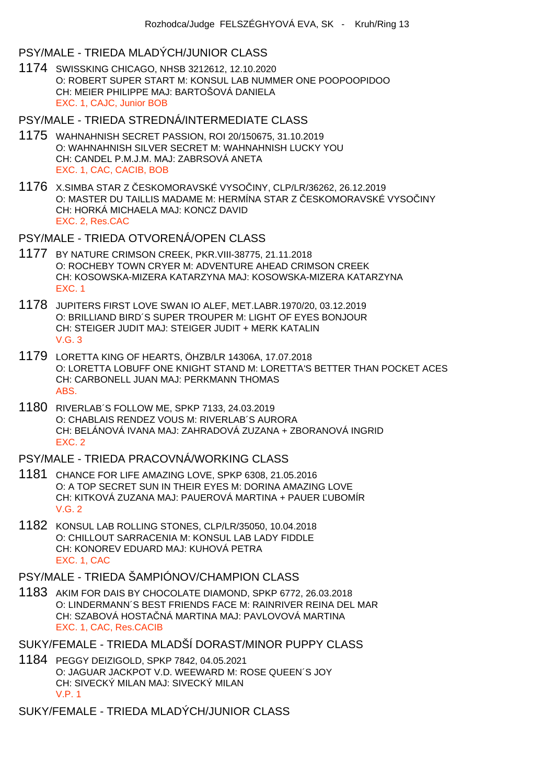#### PSY/MALE - TRIEDA MLADÝCH/JUNIOR CLASS

1174 SWISSKING CHICAGO, NHSB 3212612, 12.10.2020 O: ROBERT SUPER START M: KONSUL LAB NUMMER ONE POOPOOPIDOO CH: MEIER PHILIPPE MAJ: BARTOŠOVÁ DANIELA EXC. 1, CAJC, Junior BOB

#### PSY/MALE - TRIEDA STREDNÁ/INTERMEDIATE CLASS

- 1175 WAHNAHNISH SECRET PASSION, ROI 20/150675, 31.10.2019 O: WAHNAHNISH SILVER SECRET M: WAHNAHNISH LUCKY YOU CH: CANDEL P.M.J.M. MAJ: ZABRSOVÁ ANETA EXC. 1, CAC, CACIB, BOB
- 1176 X.SIMBA STAR Z ČESKOMORAVSKÉ VYSOČINY, CLP/LR/36262, 26.12.2019 O: MASTER DU TAILLIS MADAME M: HERMÍNA STAR Z ESKOMORAVSKÉ VYSO INY CH: HORKÁ MICHAELA MAJ: KONCZ DAVID EXC. 2, Res.CAC

### PSY/MALE - TRIEDA OTVORENÁ/OPEN CLASS

- 1177 BY NATURE CRIMSON CREEK, PKR.VIII-38775, 21.11.2018 O: ROCHEBY TOWN CRYER M: ADVENTURE AHEAD CRIMSON CREEK CH: KOSOWSKA-MIZERA KATARZYNA MAJ: KOSOWSKA-MIZERA KATARZYNA EXC. 1
- 1178 JUPITERS FIRST LOVE SWAN IO ALEF, MET.LABR.1970/20, 03.12.2019 O: BRILLIAND BIRD´S SUPER TROUPER M: LIGHT OF EYES BONJOUR CH: STEIGER JUDIT MAJ: STEIGER JUDIT + MERK KATALIN V.G. 3
- 1179 LORETTA KING OF HEARTS, ÖHZB/LR 14306A, 17.07.2018 O: LORETTA LOBUFF ONE KNIGHT STAND M: LORETTA'S BETTER THAN POCKET ACES CH: CARBONELL JUAN MAJ: PERKMANN THOMAS ABS.
- 1180 RIVERLAB´S FOLLOW ME, SPKP 7133, 24.03.2019 O: CHABLAIS RENDEZ VOUS M: RIVERLAB´S AURORA CH: BELÁNOVÁ IVANA MAJ: ZAHRADOVÁ ZUZANA + ZBORANOVÁ INGRID EXC. 2

### PSY/MALE - TRIEDA PRACOVNÁ/WORKING CLASS

- 1181 CHANCE FOR LIFE AMAZING LOVE, SPKP 6308, 21.05.2016 O: A TOP SECRET SUN IN THEIR EYES M: DORINA AMAZING LOVE CH: KITKOVÁ ZUZANA MAJ: PAUEROVÁ MARTINA + PAUER ĽUBOMÍR V.G. 2
- 1182 KONSUL LAB ROLLING STONES, CLP/LR/35050, 10.04.2018 O: CHILLOUT SARRACENIA M: KONSUL LAB LADY FIDDLE CH: KONOREV EDUARD MAJ: KUHOVÁ PETRA EXC. 1, CAC

### PSY/MALE - TRIEDA ŠAMPIÓNOV/CHAMPION CLASS

1183 AKIM FOR DAIS BY CHOCOLATE DIAMOND, SPKP 6772, 26.03.2018 O: LINDERMANN´S BEST FRIENDS FACE M: RAINRIVER REINA DEL MAR CH: SZABOVÁ HOSTA NÁ MARTINA MAJ: PAVLOVOVÁ MARTINA EXC. 1, CAC, Res.CACIB

SUKY/FEMALE - TRIEDA MLADŠÍ DORAST/MINOR PUPPY CLASS

1184 PEGGY DEIZIGOLD, SPKP 7842, 04.05.2021 O: JAGUAR JACKPOT V.D. WEEWARD M: ROSE QUEEN´S JOY CH: SIVECKÝ MILAN MAJ: SIVECKÝ MILAN V.P. 1

SUKY/FEMALE - TRIEDA MLADÝCH/JUNIOR CLASS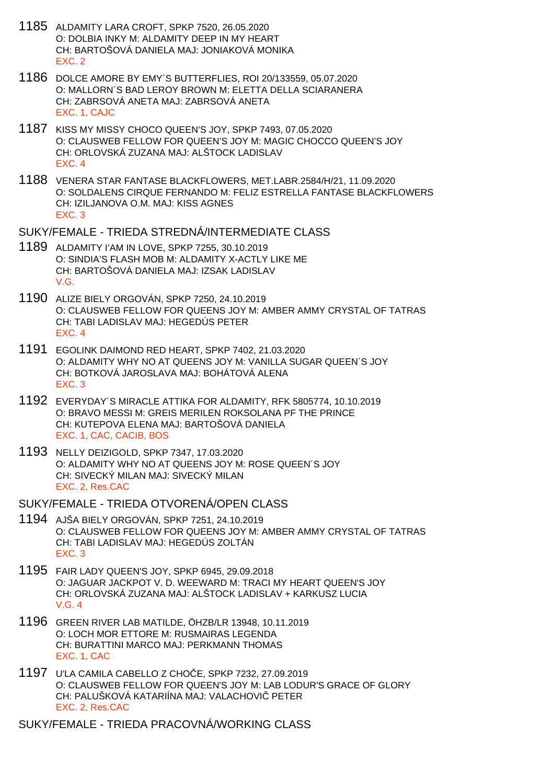- 1185 ALDAMITY LARA CROFT, SPKP 7520, 26.05.2020 O: DOLBIA INKY M: ALDAMITY DEEP IN MY HEART CH: BARTOŠOVÁ DANIELA MAJ: JONIAKOVÁ MONIKA EXC. 2
- 1186 DOLCE AMORE BY EMY´S BUTTERFLIES, ROI 20/133559, 05.07.2020 O: MALLORN´S BAD LEROY BROWN M: ELETTA DELLA SCIARANERA CH: ZABRSOVÁ ANETA MAJ: ZABRSOVÁ ANETA EXC. 1, CAJC
- 1187 KISS MY MISSY CHOCO QUEEN'S JOY, SPKP 7493, 07.05.2020 O: CLAUSWEB FELLOW FOR QUEEN'S JOY M: MAGIC CHOCCO QUEEN'S JOY CH: ORLOVSKÁ ZUZANA MAJ: ALŠTOCK LADISLAV EXC. 4
- 1188 VENERA STAR FANTASE BLACKFLOWERS, MET.LABR.2584/H/21, 11.09.2020 O: SOLDALENS CIRQUE FERNANDO M: FELIZ ESTRELLA FANTASE BLACKFLOWERS CH: IZILJANOVA O.M. MAJ: KISS AGNES EXC. 3

#### SUKY/FEMALE - TRIEDA STREDNÁ/INTERMEDIATE CLASS

- 1189 ALDAMITY I'AM IN LOVE, SPKP 7255, 30.10.2019 O: SINDIA'S FLASH MOB M: ALDAMITY X-ACTLY LIKE ME CH: BARTOŠOVÁ DANIELA MAJ: IZSAK LADISLAV V.G.
- 1190 ALIZE BIELY ORGOVÁN, SPKP 7250, 24.10.2019 O: CLAUSWEB FELLOW FOR QUEENS JOY M: AMBER AMMY CRYSTAL OF TATRAS CH: TABI LADISLAV MAJ: HEGEDÚS PETER EXC. 4
- 1191 EGOLINK DAIMOND RED HEART, SPKP 7402, 21.03.2020 O: ALDAMITY WHY NO AT QUEENS JOY M: VANILLA SUGAR QUEEN´S JOY CH: BOTKOVÁ JAROSLAVA MAJ: BOHÁTOVÁ ALENA EXC. 3
- 1192 EVERYDAY´S MIRACLE ATTIKA FOR ALDAMITY, RFK 5805774, 10.10.2019 O: BRAVO MESSI M: GREIS MERILEN ROKSOLANA PF THE PRINCE CH: KUTEPOVA ELENA MAJ: BARTOŠOVÁ DANIELA EXC. 1, CAC, CACIB, BOS
- 1193 NELLY DEIZIGOLD, SPKP 7347, 17.03.2020 O: ALDAMITY WHY NO AT QUEENS JOY M: ROSE QUEEN´S JOY CH: SIVECKÝ MILAN MAJ: SIVECKÝ MILAN EXC. 2, Res.CAC

SUKY/FEMALE - TRIEDA OTVORENÁ/OPEN CLASS

- 1194 AJŠA BIELY ORGOVÁN, SPKP 7251, 24.10.2019 O: CLAUSWEB FELLOW FOR QUEENS JOY M: AMBER AMMY CRYSTAL OF TATRAS CH: TABI LADISLAV MAJ: HEGEDÚS ZOLTÁN EXC. 3
- 1195 FAIR LADY QUEEN'S JOY, SPKP 6945, 29.09.2018 O: JAGUAR JACKPOT V. D. WEEWARD M: TRACI MY HEART QUEEN'S JOY CH: ORLOVSKÁ ZUZANA MAJ: ALŠTOCK LADISLAV + KARKUSZ LUCIA V.G. 4
- 1196 GREEN RIVER LAB MATILDE, ÖHZB/LR 13948, 10.11.2019 O: LOCH MOR ETTORE M: RUSMAIRAS LEGENDA CH: BURATTINI MARCO MAJ: PERKMANN THOMAS EXC. 1, CAC
- 1197 U'LA CAMILA CABELLO Z CHOČE, SPKP 7232, 27.09.2019 O: CLAUSWEB FELLOW FOR QUEEN'S JOY M: LAB LODUR'S GRACE OF GLORY CH: PALUŠKOVÁ KATARIÍNA MAJ: VALACHOVIČ PETER EXC. 2, Res.CAC

SUKY/FEMALE - TRIEDA PRACOVNÁ/WORKING CLASS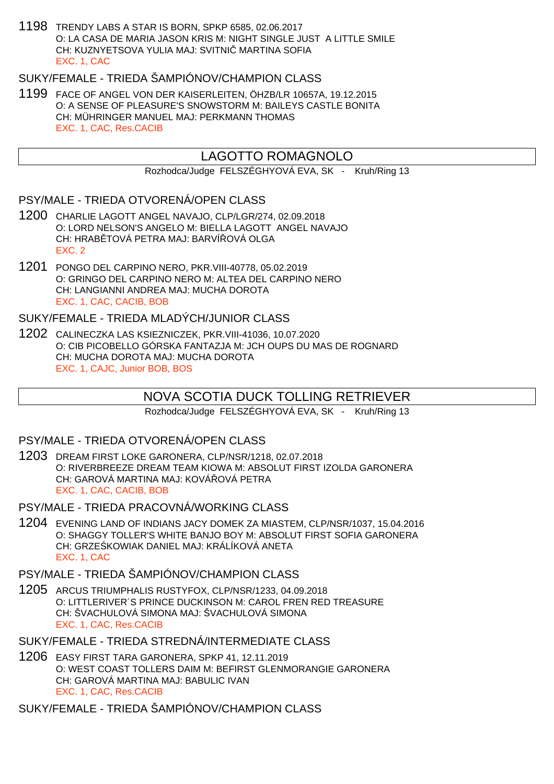1198 TRENDY LABS A STAR IS BORN, SPKP 6585, 02.06.2017 O: LA CASA DE MARIA JASON KRIS M: NIGHT SINGLE JUST A LITTLE SMILE CH: KUZNYETSOVA YULIA MAJ: SVITNI MARTINA SOFIA EXC. 1, CAC

# SUKY/FEMALE - TRIEDA ŠAMPIÓNOV/CHAMPION CLASS

1199 FACE OF ANGEL VON DER KAISERLEITEN, ÖHZB/LR 10657A, 19.12.2015 O: A SENSE OF PLEASURE'S SNOWSTORM M: BAILEYS CASTLE BONITA CH: MÜHRINGER MANUEL MAJ: PERKMANN THOMAS EXC. 1, CAC, Res.CACIB

## LAGOTTO ROMAGNOLO

Rozhodca/Judge FELSZÉGHYOVÁ EVA, SK - Kruh/Ring 13

### PSY/MALE - TRIEDA OTVORENÁ/OPEN CLASS

- 1200 CHARLIE LAGOTT ANGEL NAVAJO, CLP/LGR/274, 02.09.2018 O: LORD NELSON'S ANGELO M: BIELLA LAGOTT ANGEL NAVAJO CH: HRAB TOVÁ PETRA MAJ: BARVÍ OVÁ OLGA EXC. 2
- 1201 PONGO DEL CARPINO NERO, PKR.VIII-40778, 05.02.2019 O: GRINGO DEL CARPINO NERO M: ALTEA DEL CARPINO NERO CH: LANGIANNI ANDREA MAJ: MUCHA DOROTA EXC. 1, CAC, CACIB, BOB

### SUKY/FEMALE - TRIEDA MLADÝCH/JUNIOR CLASS

1202 CALINECZKA LAS KSIEZNICZEK, PKR.VIII-41036, 10.07.2020 O: CIB PICOBELLO GÓRSKA FANTAZJA M: JCH OUPS DU MAS DE ROGNARD CH: MUCHA DOROTA MAJ: MUCHA DOROTA EXC. 1, CAJC, Junior BOB, BOS

## NOVA SCOTIA DUCK TOLLING RETRIEVER

Rozhodca/Judge FELSZÉGHYOVÁ EVA, SK - Kruh/Ring 13

### PSY/MALE - TRIEDA OTVORENÁ/OPEN CLASS

- 1203 DREAM FIRST LOKE GARONERA, CLP/NSR/1218, 02.07.2018 O: RIVERBREEZE DREAM TEAM KIOWA M: ABSOLUT FIRST IZOLDA GARONERA CH: GAROVÁ MARTINA MAJ: KOVÁ DVÁ PETRA EXC. 1, CAC, CACIB, BOB
- PSY/MALE TRIEDA PRACOVNÁ/WORKING CLASS
- 1204 EVENING LAND OF INDIANS JACY DOMEK ZA MIASTEM, CLP/NSR/1037, 15.04.2016 O: SHAGGY TOLLER'S WHITE BANJO BOY M: ABSOLUT FIRST SOFIA GARONERA CH: GRZE KOWIAK DANIEL MAJ: KRÁLÍKOVÁ ANETA EXC. 1, CAC

### PSY/MALE - TRIEDA ŠAMPIÓNOV/CHAMPION CLASS

- 1205 ARCUS TRIUMPHALIS RUSTYFOX, CLP/NSR/1233, 04.09.2018 O: LITTLERIVER´S PRINCE DUCKINSON M: CAROL FREN RED TREASURE CH: ŠVACHULOVÁ SIMONA MAJ: ŠVACHULOVÁ SIMONA EXC. 1, CAC, Res.CACIB
- SUKY/FEMALE TRIEDA STREDNÁ/INTERMEDIATE CLASS
- 1206 EASY FIRST TARA GARONERA, SPKP 41, 12.11.2019 O: WEST COAST TOLLERS DAIM M: BEFIRST GLENMORANGIE GARONERA CH: GAROVÁ MARTINA MAJ: BABULIC IVAN EXC. 1, CAC, Res.CACIB
- SUKY/FEMALE TRIEDA ŠAMPIÓNOV/CHAMPION CLASS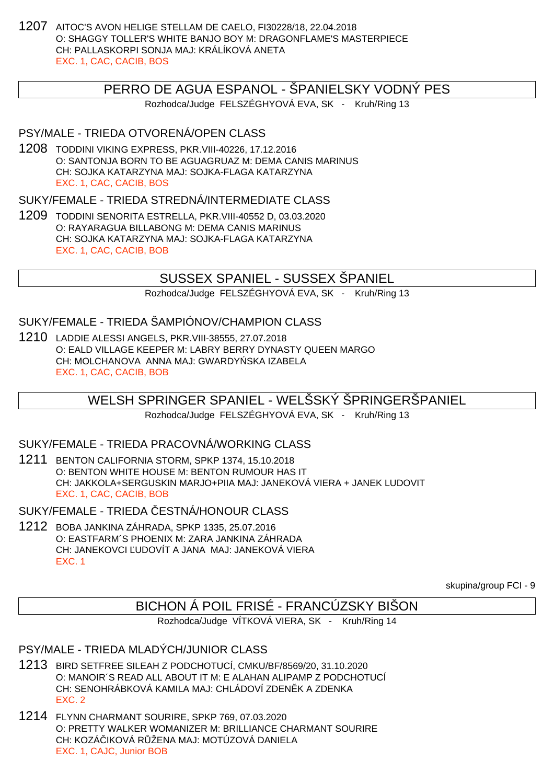1207 AITOC'S AVON HELIGE STELLAM DE CAELO, FI30228/18, 22.04.2018 O: SHAGGY TOLLER'S WHITE BANJO BOY M: DRAGONFLAME'S MASTERPIECE CH: PALLASKORPI SONJA MAJ: KRÁLÍKOVÁ ANETA EXC. 1, CAC, CACIB, BOS

## PERRO DE AGUA ESPANOL - ŠPANIELSKY VODNÝ PES

Rozhodca/Judge FELSZÉGHYOVÁ EVA, SK - Kruh/Ring 13

### PSY/MALE - TRIEDA OTVORENÁ/OPEN CLASS

1208 TODDINI VIKING EXPRESS, PKR.VIII-40226, 17.12.2016 O: SANTONJA BORN TO BE AGUAGRUAZ M: DEMA CANIS MARINUS CH: SOJKA KATARZYNA MAJ: SOJKA-FLAGA KATARZYNA EXC. 1, CAC, CACIB, BOS

SUKY/FEMALE - TRIEDA STREDNÁ/INTERMEDIATE CLASS

1209 TODDINI SENORITA ESTRELLA, PKR.VIII-40552 D, 03.03.2020 O: RAYARAGUA BILLABONG M: DEMA CANIS MARINUS CH: SOJKA KATARZYNA MAJ: SOJKA-FLAGA KATARZYNA EXC. 1, CAC, CACIB, BOB

## SUSSEX SPANIEL - SUSSEX ŠPANIEL

Rozhodca/Judge FELSZÉGHYOVÁ EVA, SK - Kruh/Ring 13

SUKY/FEMALE - TRIEDA ŠAMPIÓNOV/CHAMPION CLASS

1210 LADDIE ALESSI ANGELS, PKR.VIII-38555, 27.07.2018 O: EALD VILLAGE KEEPER M: LABRY BERRY DYNASTY QUEEN MARGO CH: MOLCHANOVA ANNA MAJ: GWARDY SKA IZABELA EXC. 1, CAC, CACIB, BOB

## WELSH SPRINGER SPANIEL - WELŠSKÝ ŠPRINGERŠPANIEL

Rozhodca/Judge FELSZÉGHYOVÁ EVA, SK - Kruh/Ring 13

### SUKY/FEMALE - TRIEDA PRACOVNÁ/WORKING CLASS

1211 BENTON CALIFORNIA STORM, SPKP 1374, 15.10.2018 O: BENTON WHITE HOUSE M: BENTON RUMOUR HAS IT CH: JAKKOLA+SERGUSKIN MARJO+PIIA MAJ: JANEKOVÁ VIERA + JANEK LUDOVIT EXC. 1, CAC, CACIB, BOB

SUKY/FEMALE - TRIEDA ESTNÁ/HONOUR CLASS

1212 BOBA JANKINA ZÁHRADA, SPKP 1335, 25.07.2016 O: EASTFARM´S PHOENIX M: ZARA JANKINA ZÁHRADA CH: JANEKOVCI ĽUDOVÍT A JANA MAJ: JANEKOVÁ VIERA EXC. 1

skupina/group FCI - 9

## BICHON Á POIL FRISÉ - FRANCÚZSKY BIŠON

Rozhodca/Judge VÍTKOVÁ VIERA, SK - Kruh/Ring 14

## PSY/MALE - TRIEDA MLADÝCH/JUNIOR CLASS

- 1213 BIRD SETFREE SILEAH Z PODCHOTUCÍ, CMKU/BF/8569/20, 31.10.2020 O: MANOIR´S READ ALL ABOUT IT M: E ALAHAN ALIPAMP Z PODCHOTUCÍ CH: SENOHRÁBKOVÁ KAMILA MAJ: CHLÁDOVÍ ZDEN, K A ZDENKA EXC. 2
- 1214 FLYNN CHARMANT SOURIRE, SPKP 769, 07.03.2020 O: PRETTY WALKER WOMANIZER M: BRILLIANCE CHARMANT SOURIRE CH: KOZÁ IKOVÁ R ŽENA MAJ: MOTÚZOVÁ DANIELA EXC. 1, CAJC, Junior BOB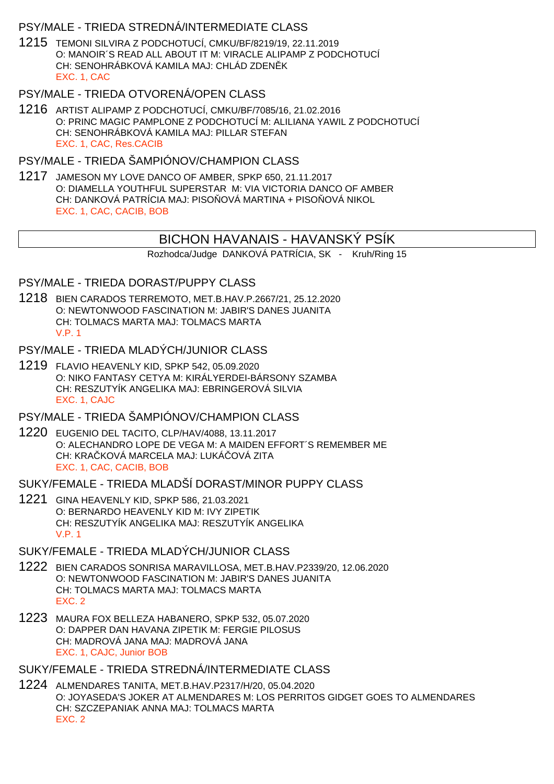### PSY/MALE - TRIEDA STREDNÁ/INTERMEDIATE CLASS

1215 TEMONI SILVIRA Z PODCHOTUCÍ, CMKU/BF/8219/19, 22.11.2019 O: MANOIR´S READ ALL ABOUT IT M: VIRACLE ALIPAMP Z PODCHOTUCÍ CH: SENOHRÁBKOVÁ KAMILA MAJ: CHLÁD ZDEN K EXC. 1, CAC

### PSY/MALE - TRIEDA OTVORENÁ/OPEN CLASS

1216 ARTIST ALIPAMP Z PODCHOTUCÍ, CMKU/BF/7085/16, 21.02.2016 O: PRINC MAGIC PAMPLONE Z PODCHOTUCÍ M: ALILIANA YAWIL Z PODCHOTUCÍ CH: SENOHRÁBKOVÁ KAMILA MAJ: PILLAR STEFAN EXC. 1, CAC, Res.CACIB

## PSY/MALE - TRIEDA ŠAMPIÓNOV/CHAMPION CLASS

1217 JAMESON MY LOVE DANCO OF AMBER, SPKP 650, 21.11.2017 O: DIAMELLA YOUTHFUL SUPERSTAR M: VIA VICTORIA DANCO OF AMBER CH: DANKOVÁ PATRÍCIA MAJ: PISO OVÁ MARTINA + PISO OVÁ NIKOL EXC. 1, CAC, CACIB, BOB

## BICHON HAVANAIS - HAVANSKÝ PSÍK

Rozhodca/Judge DANKOVÁ PATRÍCIA, SK - Kruh/Ring 15

### PSY/MALE - TRIEDA DORAST/PUPPY CLASS

1218 BIEN CARADOS TERREMOTO, MET.B.HAV.P.2667/21, 25.12.2020 O: NEWTONWOOD FASCINATION M: JABIR'S DANES JUANITA CH: TOLMACS MARTA MAJ: TOLMACS MARTA V.P. 1

### PSY/MALE - TRIEDA MLADÝCH/JUNIOR CLASS

1219 FLAVIO HEAVENLY KID, SPKP 542, 05.09.2020 O: NIKO FANTASY CETYA M: KIRÁLYERDEI-BÁRSONY SZAMBA CH: RESZUTYÍK ANGELIKA MAJ: EBRINGEROVÁ SILVIA EXC. 1, CAJC

## PSY/MALE - TRIEDA ŠAMPIÓNOV/CHAMPION CLASS

1220 EUGENIO DEL TACITO, CLP/HAV/4088, 13.11.2017 O: ALECHANDRO LOPE DE VEGA M: A MAIDEN EFFORT´S REMEMBER ME CH: KRA KOVÁ MARCELA MAJ: LUKÁ OVÁ ZITA EXC. 1, CAC, CACIB, BOB

### SUKY/FEMALE - TRIEDA MLADŠÍ DORAST/MINOR PUPPY CLASS

1221 GINA HEAVENLY KID, SPKP 586, 21.03.2021 O: BERNARDO HEAVENLY KID M: IVY ZIPETIK CH: RESZUTYÍK ANGELIKA MAJ: RESZUTYÍK ANGELIKA V.P. 1

# SUKY/FEMALE - TRIEDA MLADÝCH/JUNIOR CLASS

- 1222 BIEN CARADOS SONRISA MARAVILLOSA, MET.B.HAV.P2339/20, 12.06.2020 O: NEWTONWOOD FASCINATION M: JABIR'S DANES JUANITA CH: TOLMACS MARTA MAJ: TOLMACS MARTA EXC. 2
- 1223 MAURA FOX BELLEZA HABANERO, SPKP 532, 05.07.2020 O: DAPPER DAN HAVANA ZIPETIK M: FERGIE PILOSUS CH: MADROVÁ JANA MAJ: MADROVÁ JANA EXC. 1, CAJC, Junior BOB

## SUKY/FEMALE - TRIEDA STREDNÁ/INTERMEDIATE CLASS

1224 ALMENDARES TANITA, MET.B.HAV.P2317/H/20, 05.04.2020 O: JOYASEDA'S JOKER AT ALMENDARES M: LOS PERRITOS GIDGET GOES TO ALMENDARES CH: SZCZEPANIAK ANNA MAJ: TOLMACS MARTA EXC. 2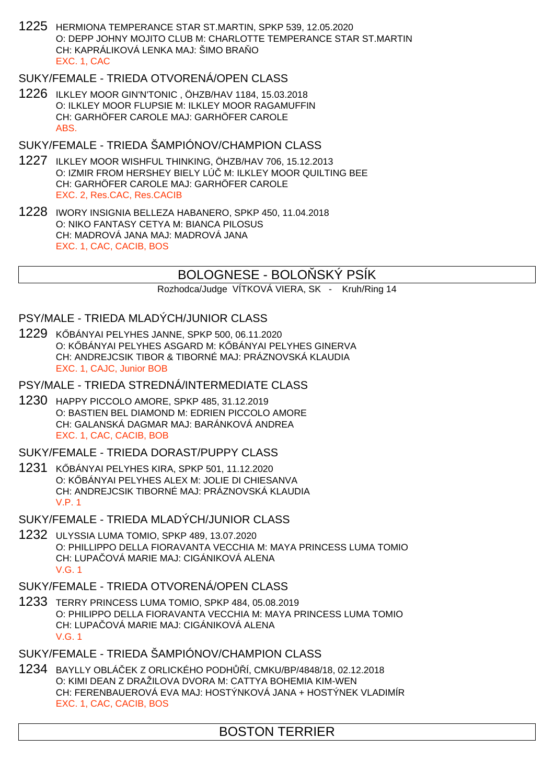1225 HERMIONA TEMPERANCE STAR ST.MARTIN, SPKP 539, 12.05.2020 O: DEPP JOHNY MOJITO CLUB M: CHARLOTTE TEMPERANCE STAR ST.MARTIN CH: KAPRÁLIKOVÁ LENKA MAJ: ŠIMO BRA<sub>D</sub>O EXC. 1, CAC

# SUKY/FEMALE - TRIEDA OTVORENÁ/OPEN CLASS

1226 ILKLEY MOOR GIN'N'TONIC , ÖHZB/HAV 1184, 15.03.2018 O: ILKLEY MOOR FLUPSIE M: ILKLEY MOOR RAGAMUFFIN CH: GARHÖFER CAROLE MAJ: GARHÖFER CAROLE ABS.

### SUKY/FEMALE - TRIEDA ŠAMPIÓNOV/CHAMPION CLASS

- 1227 ILKLEY MOOR WISHFUL THINKING, ÖHZB/HAV 706, 15.12.2013 O: IZMIR FROM HERSHEY BIELY LÚČ M: ILKLEY MOOR QUILTING BEE CH: GARHÖFER CAROLE MAJ: GARHÖFER CAROLE EXC. 2, Res.CAC, Res.CACIB
- 1228 IWORY INSIGNIA BELLEZA HABANERO, SPKP 450, 11.04.2018 O: NIKO FANTASY CETYA M: BIANCA PILOSUS CH: MADROVÁ JANA MAJ: MADROVÁ JANA EXC. 1, CAC, CACIB, BOS

# BOLOGNESE - BOLO SKY PSIK

Rozhodca/Judge VÍTKOVÁ VIERA, SK - Kruh/Ring 14

### PSY/MALE - TRIEDA MLADÝCH/JUNIOR CLASS

1229 KŐBÁNYAI PELYHES JANNE, SPKP 500, 06.11.2020 O: KÕBÁNYAI PELYHES ASGARD M: KŐBÁNYAI PELYHES GINERVA CH: ANDREJCSIK TIBOR & TIBORNÉ MAJ: PRÁZNOVSKÁ KLAUDIA EXC. 1, CAJC, Junior BOB

### PSY/MALE - TRIEDA STREDNÁ/INTERMEDIATE CLASS

- 1230 HAPPY PICCOLO AMORE, SPKP 485, 31.12.2019 O: BASTIEN BEL DIAMOND M: EDRIEN PICCOLO AMORE CH: GALANSKÁ DAGMAR MAJ: BARÁNKOVÁ ANDREA EXC. 1, CAC, CACIB, BOB
- SUKY/FEMALE TRIEDA DORAST/PUPPY CLASS
- 1231 K BÁNYAI PELYHES KIRA, SPKP 501, 11.12.2020 O: K BÁNYAI PELYHES ALEX M: JOLIE DI CHIESANVA CH: ANDREJCSIK TIBORNÉ MAJ: PRÁZNOVSKÁ KLAUDIA V.P. 1
- SUKY/FEMALE TRIEDA MLADÝCH/JUNIOR CLASS
- 1232 ULYSSIA LUMA TOMIO, SPKP 489, 13.07.2020 O: PHILLIPPO DELLA FIORAVANTA VECCHIA M: MAYA PRINCESS LUMA TOMIO CH: LUPA OVÁ MARIE MAJ: CIGÁNIKOVÁ ALENA V.G. 1
- SUKY/FEMALE TRIEDA OTVORENÁ/OPEN CLASS
- 1233 TERRY PRINCESS LUMA TOMIO, SPKP 484, 05.08.2019 O: PHILIPPO DELLA FIORAVANTA VECCHIA M: MAYA PRINCESS LUMA TOMIO CH: LUPA OVÁ MARIE MAJ: CIGÁNIKOVÁ ALENA V.G. 1

## SUKY/FEMALE - TRIEDA ŠAMPIÓNOV/CHAMPION CLASS

1234 BAYLLY OBLÁ EK Z ORLICKÉHO PODH Í, CMKU/BP/4848/18, 02.12.2018 O: KIMI DEAN Z DRAŽILOVA DVORA M: CATTYA BOHEMIA KIM-WEN CH: FERENBAUEROVÁ EVA MAJ: HOSTÝNKOVÁ JANA + HOSTÝNEK VLADIMÍR EXC. 1, CAC, CACIB, BOS

# BOSTON TERRIER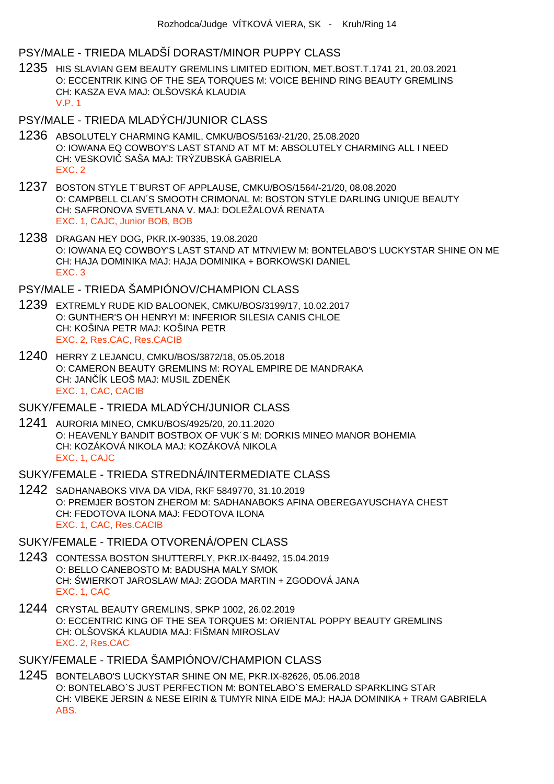### PSY/MALE - TRIEDA MLADŠÍ DORAST/MINOR PUPPY CLASS

1235 HIS SLAVIAN GEM BEAUTY GREMLINS LIMITED EDITION, MET.BOST.T.1741 21, 20.03.2021 O: ECCENTRIK KING OF THE SEA TORQUES M: VOICE BEHIND RING BEAUTY GREMLINS CH: KASZA EVA MAJ: OLŠOVSKÁ KLAUDIA V.P. 1

PSY/MALE - TRIEDA MLADÝCH/JUNIOR CLASS

- 1236 ABSOLUTELY CHARMING KAMIL, CMKU/BOS/5163/-21/20, 25.08.2020 O: IOWANA EQ COWBOY'S LAST STAND AT MT M: ABSOLUTELY CHARMING ALL I NEED CH: VESKOVI SAŠA MAJ: TRÝZUBSKÁ GABRIELA EXC. 2
- 1237 BOSTON STYLE T´BURST OF APPLAUSE, CMKU/BOS/1564/-21/20, 08.08.2020 O: CAMPBELL CLAN´S SMOOTH CRIMONAL M: BOSTON STYLE DARLING UNIQUE BEAUTY CH: SAFRONOVA SVETLANA V. MAJ: DOLEŽALOVÁ RENATA EXC. 1, CAJC, Junior BOB, BOB
- 1238 DRAGAN HEY DOG, PKR.IX-90335, 19.08.2020 O: IOWANA EQ COWBOY'S LAST STAND AT MTNVIEW M: BONTELABO'S LUCKYSTAR SHINE ON ME CH: HAJA DOMINIKA MAJ: HAJA DOMINIKA + BORKOWSKI DANIEL EXC. 3

### PSY/MALE - TRIEDA ŠAMPIÓNOV/CHAMPION CLASS

- 1239 EXTREMLY RUDE KID BALOONEK, CMKU/BOS/3199/17, 10.02.2017 O: GUNTHER'S OH HENRY! M: INFERIOR SILESIA CANIS CHLOE CH: KOŠINA PETR MAJ: KOŠINA PETR EXC. 2, Res.CAC, Res.CACIB
- 1240 HERRY Z LEJANCU, CMKU/BOS/3872/18, 05.05.2018 O: CAMERON BEAUTY GREMLINS M: ROYAL EMPIRE DE MANDRAKA CH: JAN ÍK LEOŠ MAJ: MUSIL ZDEN K EXC. 1, CAC, CACIB

### SUKY/FEMALE - TRIEDA MLADÝCH/JUNIOR CLASS

1241 AURORIA MINEO, CMKU/BOS/4925/20, 20.11.2020 O: HEAVENLY BANDIT BOSTBOX OF VUK´S M: DORKIS MINEO MANOR BOHEMIA CH: KOZÁKOVÁ NIKOLA MAJ: KOZÁKOVÁ NIKOLA EXC. 1, CAJC

### SUKY/FEMALE - TRIEDA STREDNÁ/INTERMEDIATE CLASS

1242 SADHANABOKS VIVA DA VIDA, RKF 5849770, 31.10.2019 O: PREMJER BOSTON ZHEROM M: SADHANABOKS AFINA OBEREGAYUSCHAYA CHEST CH: FEDOTOVA ILONA MAJ: FEDOTOVA ILONA EXC. 1, CAC, Res.CACIB

### SUKY/FEMALE - TRIEDA OTVORENÁ/OPEN CLASS

- 1243 CONTESSA BOSTON SHUTTERFLY, PKR.IX-84492, 15.04.2019 O: BELLO CANEBOSTO M: BADUSHA MALY SMOK CH: WIERKOT JAROSLAW MAJ: ZGODA MARTIN + ZGODOVÁ JANA EXC. 1, CAC
- 1244 CRYSTAL BEAUTY GREMLINS, SPKP 1002, 26.02.2019 O: ECCENTRIC KING OF THE SEA TORQUES M: ORIENTAL POPPY BEAUTY GREMLINS CH: OLŠOVSKÁ KLAUDIA MAJ: FIŠMAN MIROSLAV EXC. 2, Res.CAC

### SUKY/FEMALE - TRIEDA ŠAMPIÓNOV/CHAMPION CLASS

1245 BONTELABO'S LUCKYSTAR SHINE ON ME, PKR.IX-82626, 05.06.2018 O: BONTELABO`S JUST PERFECTION M: BONTELABO`S EMERALD SPARKLING STAR CH: VIBEKE JERSIN & NESE EIRIN & TUMYR NINA EIDE MAJ: HAJA DOMINIKA + TRAM GABRIELA ABS.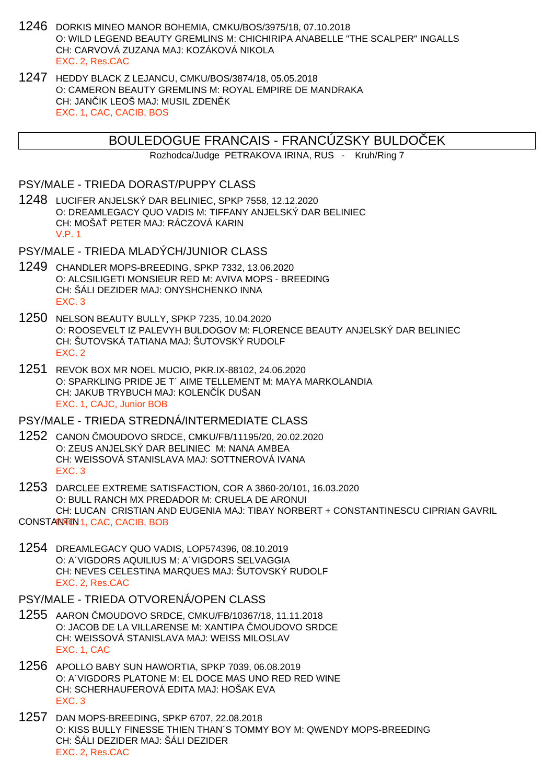- 1246 DORKIS MINEO MANOR BOHEMIA, CMKU/BOS/3975/18, 07.10.2018 O: WILD LEGEND BEAUTY GREMLINS M: CHICHIRIPA ANABELLE "THE SCALPER" INGALLS CH: CARVOVÁ ZUZANA MAJ: KOZÁKOVÁ NIKOLA EXC. 2, Res.CAC
- 1247 HEDDY BLACK Z LEJANCU, CMKU/BOS/3874/18, 05.05.2018 O: CAMERON BEAUTY GREMLINS M: ROYAL EMPIRE DE MANDRAKA CH: JAN IK LEOŠ MAJ: MUSIL ZDENÍK EXC. 1, CAC, CACIB, BOS

## BOULEDOGUE FRANCAIS - FRANCÚZSKY BULDOČEK

Rozhodca/Judge PETRAKOVA IRINA, RUS - Kruh/Ring 7

#### PSY/MALE - TRIEDA DORAST/PUPPY CLASS

1248 LUCIFER ANJELSKÝ DAR BELINIEC, SPKP 7558, 12.12.2020 O: DREAMLEGACY QUO VADIS M: TIFFANY ANJELSKÝ DAR BELINIEC CH: MOŠA PETER MAJ: RÁCZOVÁ KARIN V.P. 1

PSY/MALE - TRIEDA MLADÝCH/JUNIOR CLASS

- 1249 CHANDLER MOPS-BREEDING, SPKP 7332, 13.06.2020 O: ALCSILIGETI MONSIEUR RED M: AVIVA MOPS - BREEDING CH: ŠÁLI DEZIDER MAJ: ONYSHCHENKO INNA EXC. 3
- 1250 NELSON BEAUTY BULLY, SPKP 7235, 10.04.2020 O: ROOSEVELT IZ PALEVYH BULDOGOV M: FLORENCE BEAUTY ANJELSKÝ DAR BELINIEC CH: ŠUTOVSKÁ TATIANA MAJ: ŠUTOVSKÝ RUDOLF EXC. 2
- 1251 REVOK BOX MR NOEL MUCIO, PKR.IX-88102, 24.06.2020 O: SPARKLING PRIDE JE T´ AIME TELLEMENT M: MAYA MARKOLANDIA CH: JAKUB TRYBUCH MAJ: KOLEN ÍK DUŠAN EXC. 1, CAJC, Junior BOB

#### PSY/MALE - TRIEDA STREDNÁ/INTERMEDIATE CLASS

- 1252 CANON MOUDOVO SRDCE, CMKU/FB/11195/20, 20.02.2020 O: ZEUS ANJELSKÝ DAR BELINIEC M: NANA AMBEA CH: WEISSOVÁ STANISLAVA MAJ: SOTTNEROVÁ IVANA EXC. 3
- 1253 DARCLEE EXTREME SATISFACTION, COR A 3860-20/101, 16.03.2020 O: BULL RANCH MX PREDADOR M: CRUELA DE ARONUI CH: LUCAN CRISTIAN AND EUGENIA MAJ: TIBAY NORBERT + CONSTANTINESCU CIPRIAN GAVRIL CONSTARNON 1, CAC, CACIB, BOB
- 1254 DREAMLEGACY QUO VADIS, LOP574396, 08.10.2019 O: A´VIGDORS AQUILIUS M: A´VIGDORS SELVAGGIA CH: NEVES CELESTINA MARQUES MAJ: ŠUTOVSKÝ RUDOLF EXC. 2, Res.CAC

#### PSY/MALE - TRIEDA OTVORENÁ/OPEN CLASS

- 1255 AARON MOUDOVO SRDCE, CMKU/FB/10367/18, 11.11.2018 O: JACOB DE LA VILLARENSE M: XANTIPA MOUDOVO SRDCE CH: WEISSOVÁ STANISLAVA MAJ: WEISS MILOSLAV EXC. 1, CAC
- 1256 APOLLO BABY SUN HAWORTIA, SPKP 7039, 06.08.2019 O: A´VIGDORS PLATONE M: EL DOCE MAS UNO RED RED WINE CH: SCHERHAUFEROVÁ EDITA MAJ: HOŠAK EVA EXC. 3
- 1257 DAN MOPS-BREEDING, SPKP 6707, 22.08.2018 O: KISS BULLY FINESSE THIEN THAN´S TOMMY BOY M: QWENDY MOPS-BREEDING CH: ŠÁLI DEZIDER MAJ: ŠÁLI DEZIDER EXC. 2, Res.CAC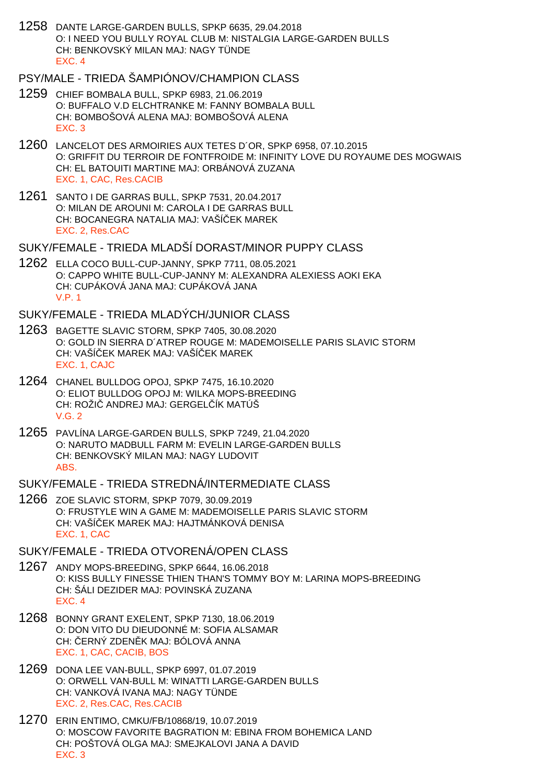1258 DANTE LARGE-GARDEN BULLS, SPKP 6635, 29.04.2018 O: I NEED YOU BULLY ROYAL CLUB M: NISTALGIA LARGE-GARDEN BULLS CH: BENKOVSKÝ MILAN MAJ: NAGY TÜNDE EXC. 4

## PSY/MALE - TRIEDA ŠAMPIÓNOV/CHAMPION CLASS

- 1259 CHIEF BOMBALA BULL, SPKP 6983, 21.06.2019 O: BUFFALO V.D ELCHTRANKE M: FANNY BOMBALA BULL CH: BOMBOŠOVÁ ALENA MAJ: BOMBOŠOVÁ ALENA EXC. 3
- 1260 LANCELOT DES ARMOIRIES AUX TETES D´OR, SPKP 6958, 07.10.2015 O: GRIFFIT DU TERROIR DE FONTFROIDE M: INFINITY LOVE DU ROYAUME DES MOGWAIS CH: EL BATOUITI MARTINE MAJ: ORBÁNOVÁ ZUZANA EXC. 1, CAC, Res.CACIB
- 1261 SANTO I DE GARRAS BULL, SPKP 7531, 20.04.2017 O: MILAN DE AROUNI M: CAROLA I DE GARRAS BULL CH: BOCANEGRA NATALIA MAJ: VAŠÍ EK MAREK EXC. 2, Res.CAC

#### SUKY/FEMALE - TRIEDA MLADŠÍ DORAST/MINOR PUPPY CLASS

1262 ELLA COCO BULL-CUP-JANNY, SPKP 7711, 08.05.2021 O: CAPPO WHITE BULL-CUP-JANNY M: ALEXANDRA ALEXIESS AOKI EKA CH: CUPÁKOVÁ JANA MAJ: CUPÁKOVÁ JANA V.P. 1

SUKY/FEMALE - TRIEDA MLADÝCH/JUNIOR CLASS

- 1263 BAGETTE SLAVIC STORM, SPKP 7405, 30.08.2020 O: GOLD IN SIERRA D´ATREP ROUGE M: MADEMOISELLE PARIS SLAVIC STORM CH: VAŠÍ EK MAREK MAJ: VAŠÍ EK MAREK EXC. 1, CAJC
- 1264 CHANEL BULLDOG OPOJ, SPKP 7475, 16.10.2020 O: ELIOT BULLDOG OPOJ M: WILKA MOPS-BREEDING CH: ROŽI ANDREJ MAJ: GERGEL ÍK MATÚŠ V.G. 2
- 1265 PAVLÍNA LARGE-GARDEN BULLS, SPKP 7249, 21.04.2020 O: NARUTO MADBULL FARM M: EVELIN LARGE-GARDEN BULLS CH: BENKOVSKÝ MILAN MAJ: NAGY LUDOVIT ABS.

SUKY/FEMALE - TRIEDA STREDNÁ/INTERMEDIATE CLASS

1266 ZOE SLAVIC STORM, SPKP 7079, 30.09.2019 O: FRUSTYLE WIN A GAME M: MADEMOISELLE PARIS SLAVIC STORM CH: VAŠÍ–EK MAREK MAJ: HAJTMÁNKOVÁ DENISA EXC. 1, CAC

### SUKY/FEMALE - TRIEDA OTVORENÁ/OPEN CLASS

- 1267 ANDY MOPS-BREEDING, SPKP 6644, 16.06.2018 O: KISS BULLY FINESSE THIEN THAN'S TOMMY BOY M: LARINA MOPS-BREEDING CH: ŠÁLI DEZIDER MAJ: POVINSKÁ ZUZANA EXC. 4
- 1268 BONNY GRANT EXELENT, SPKP 7130, 18.06.2019 O: DON VITO DU DIEUDONNÉ M: SOFIA ALSAMAR CH: ERNÝ ZDEN K MAJ: BÓLOVÁ ANNA EXC. 1, CAC, CACIB, BOS
- 1269 DONA LEE VAN-BULL, SPKP 6997, 01.07.2019 O: ORWELL VAN-BULL M: WINATTI LARGE-GARDEN BULLS CH: VANKOVÁ IVANA MAJ: NAGY TÜNDE EXC. 2, Res.CAC, Res.CACIB
- 1270 ERIN ENTIMO, CMKU/FB/10868/19, 10.07.2019 O: MOSCOW FAVORITE BAGRATION M: EBINA FROM BOHEMICA LAND CH: POŠTOVÁ OLGA MAJ: SMEJKALOVI JANA A DAVID EXC. 3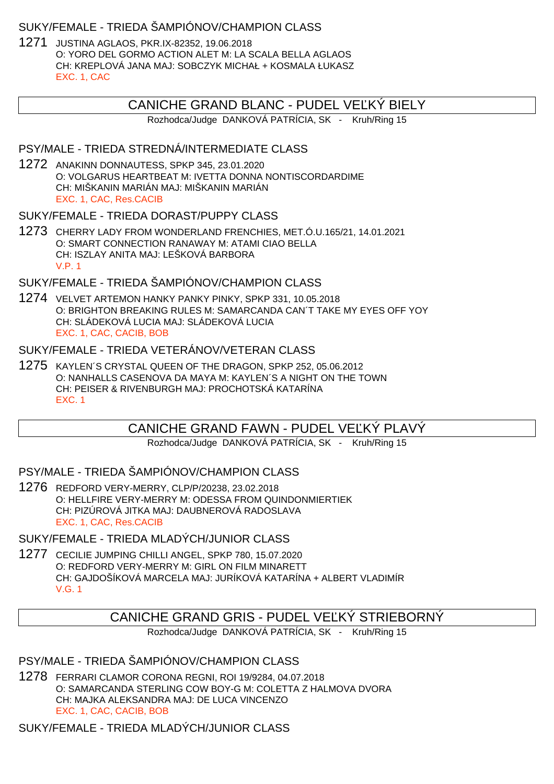#### SUKY/FEMALE - TRIEDA ŠAMPIÓNOV/CHAMPION CLASS

1271 JUSTINA AGLAOS, PKR.IX-82352, 19.06.2018 O: YORO DEL GORMO ACTION ALET M: LA SCALA BELLA AGLAOS CH: KREPLOVÁ JANA MAJ: SOBCZYK MICHAŁ + KOSMALA ŁUKASZ EXC. 1, CAC

## CANICHE GRAND BLANC - PUDEL VE KÝ BIELY

Rozhodca/Judge DANKOVÁ PATRÍCIA, SK - Kruh/Ring 15

### PSY/MALE - TRIEDA STREDNÁ/INTERMEDIATE CLASS

1272 ANAKINN DONNAUTESS, SPKP 345, 23.01.2020 O: VOLGARUS HEARTBEAT M: IVETTA DONNA NONTISCORDARDIME CH: MIŠKANIN MARIÁN MAJ: MIŠKANIN MARIÁN EXC. 1, CAC, Res.CACIB

#### SUKY/FEMALE - TRIEDA DORAST/PUPPY CLASS

1273 CHERRY LADY FROM WONDERLAND FRENCHIES, MET.Ó.U.165/21, 14.01.2021 O: SMART CONNECTION RANAWAY M: ATAMI CIAO BELLA CH: ISZLAY ANITA MAJ: LEŠKOVÁ BARBORA V.P. 1

## SUKY/FEMALE - TRIEDA ŠAMPIÓNOV/CHAMPION CLASS

1274 VELVET ARTEMON HANKY PANKY PINKY, SPKP 331, 10.05.2018 O: BRIGHTON BREAKING RULES M: SAMARCANDA CAN´T TAKE MY EYES OFF YOY CH: SLÁDEKOVÁ LUCIA MAJ: SLÁDEKOVÁ LUCIA EXC. 1, CAC, CACIB, BOB

### SUKY/FEMALE - TRIEDA VETERÁNOV/VETERAN CLASS

1275 KAYLEN´S CRYSTAL QUEEN OF THE DRAGON, SPKP 252, 05.06.2012 O: NANHALLS CASENOVA DA MAYA M: KAYLEN´S A NIGHT ON THE TOWN CH: PEISER & RIVENBURGH MAJ: PROCHOTSKÁ KATARÍNA EXC. 1

# CANICHE GRAND FAWN - PUDEL VE KÝ PLAVÝ

Rozhodca/Judge DANKOVÁ PATRÍCIA, SK - Kruh/Ring 15

### PSY/MALE - TRIEDA ŠAMPIÓNOV/CHAMPION CLASS

1276 REDFORD VERY-MERRY, CLP/P/20238, 23.02.2018 O: HELLFIRE VERY-MERRY M: ODESSA FROM QUINDONMIERTIEK CH: PIZÚROVÁ JITKA MAJ: DAUBNEROVÁ RADOSLAVA EXC. 1, CAC, Res.CACIB

SUKY/FEMALE - TRIEDA MLADÝCH/JUNIOR CLASS

1277 CECILIE JUMPING CHILLI ANGEL, SPKP 780, 15.07.2020 O: REDFORD VERY-MERRY M: GIRL ON FILM MINARETT CH: GAJDOŠÍKOVÁ MARCELA MAJ: JURÍKOVÁ KATARÍNA + ALBERT VLADIMÍR V.G. 1

## CANICHE GRAND GRIS - PUDEL VEĽKÝ STRIEBORNÝ

Rozhodca/Judge DANKOVÁ PATRÍCIA, SK - Kruh/Ring 15

## PSY/MALE - TRIEDA ŠAMPIÓNOV/CHAMPION CLASS

1278 FERRARI CLAMOR CORONA REGNI, ROI 19/9284, 04.07.2018 O: SAMARCANDA STERLING COW BOY-G M: COLETTA Z HALMOVA DVORA CH: MAJKA ALEKSANDRA MAJ: DE LUCA VINCENZO EXC. 1, CAC, CACIB, BOB

SUKY/FEMALE - TRIEDA MLADÝCH/JUNIOR CLASS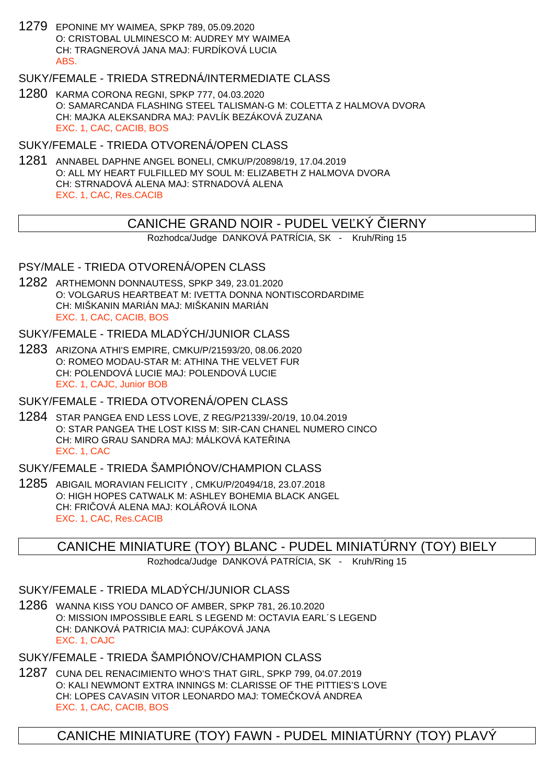1279 EPONINE MY WAIMEA, SPKP 789, 05.09.2020 O: CRISTOBAL ULMINESCO M: AUDREY MY WAIMEA CH: TRAGNEROVÁ JANA MAJ: FURDÍKOVÁ LUCIA ABS.

### SUKY/FEMALE - TRIEDA STREDNÁ/INTERMEDIATE CLASS

1280 KARMA CORONA REGNI, SPKP 777, 04.03.2020 O: SAMARCANDA FLASHING STEEL TALISMAN-G M: COLETTA Z HALMOVA DVORA CH: MAJKA ALEKSANDRA MAJ: PAVLÍK BEZÁKOVÁ ZUZANA EXC. 1, CAC, CACIB, BOS

### SUKY/FEMALE - TRIEDA OTVORENÁ/OPEN CLASS

1281 ANNABEL DAPHNE ANGEL BONELI, CMKU/P/20898/19, 17.04.2019 O: ALL MY HEART FULFILLED MY SOUL M: ELIZABETH Z HALMOVA DVORA CH: STRNADOVÁ ALENA MAJ: STRNADOVÁ ALENA EXC. 1, CAC, Res.CACIB

## CANICHE GRAND NOIR - PUDEL VE KY LERNY

Rozhodca/Judge DANKOVÁ PATRÍCIA, SK - Kruh/Ring 15

### PSY/MALE - TRIEDA OTVORENÁ/OPEN CLASS

1282 ARTHEMONN DONNAUTESS, SPKP 349, 23.01.2020 O: VOLGARUS HEARTBEAT M: IVETTA DONNA NONTISCORDARDIME CH: MIŠKANIN MARIÁN MAJ: MIŠKANIN MARIÁN EXC. 1, CAC, CACIB, BOS

SUKY/FEMALE - TRIEDA MLADÝCH/JUNIOR CLASS

1283 ARIZONA ATHI'S EMPIRE, CMKU/P/21593/20, 08.06.2020 O: ROMEO MODAU-STAR M: ATHINA THE VELVET FUR CH: POLENDOVÁ LUCIE MAJ: POLENDOVÁ LUCIE EXC. 1, CAJC, Junior BOB

#### SUKY/FEMALE - TRIEDA OTVORENÁ/OPEN CLASS

1284 STAR PANGEA END LESS LOVE, Z REG/P21339/-20/19, 10.04.2019 O: STAR PANGEA THE LOST KISS M: SIR-CAN CHANEL NUMERO CINCO CH: MIRO GRAU SANDRA MAJ: MÁLKOVÁ KATELINA EXC. 1, CAC

SUKY/FEMALE - TRIEDA ŠAMPIÓNOV/CHAMPION CLASS

1285 ABIGAIL MORAVIAN FELICITY , CMKU/P/20494/18, 23.07.2018 O: HIGH HOPES CATWALK M: ASHLEY BOHEMIA BLACK ANGEL CH: FRIÇOVÁ ALENA MAJ: KOLÁ LOVÁ ILONA EXC. 1, CAC, Res.CACIB

## CANICHE MINIATURE (TOY) BLANC - PUDEL MINIATÚRNY (TOY) BIELY

Rozhodca/Judge DANKOVÁ PATRÍCIA, SK - Kruh/Ring 15

### SUKY/FEMALE - TRIEDA MLADÝCH/JUNIOR CLASS

1286 WANNA KISS YOU DANCO OF AMBER, SPKP 781, 26.10.2020 O: MISSION IMPOSSIBLE EARL S LEGEND M: OCTAVIA EARL´S LEGEND CH: DANKOVÁ PATRICIA MAJ: CUPÁKOVÁ JANA EXC. 1, CAJC

SUKY/FEMALE - TRIEDA ŠAMPIÓNOV/CHAMPION CLASS

1287 CUNA DEL RENACIMIENTO WHO'S THAT GIRL, SPKP 799, 04.07.2019 O: KALI NEWMONT EXTRA INNINGS M: CLARISSE OF THE PITTIES'S LOVE CH: LOPES CAVASIN VITOR LEONARDO MAJ: TOME KOVÁ ANDREA EXC. 1, CAC, CACIB, BOS

# CANICHE MINIATURE (TOY) FAWN - PUDEL MINIATÚRNY (TOY) PLAVÝ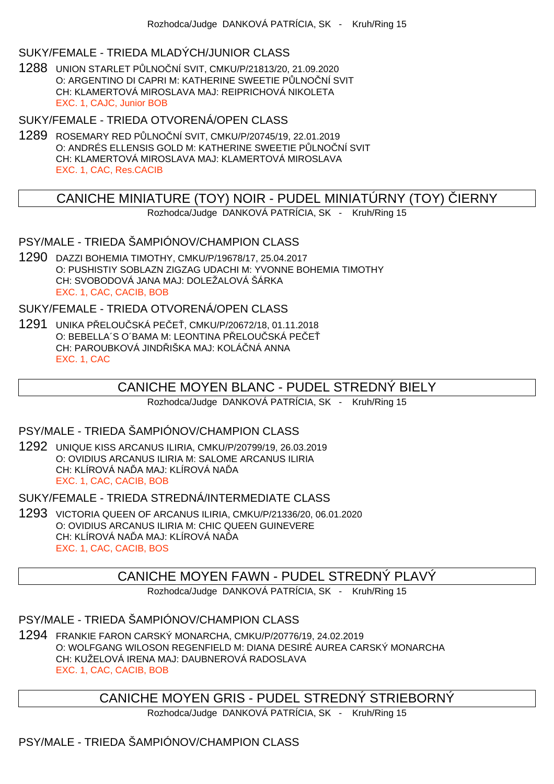### SUKY/FEMALE - TRIEDA MLADÝCH/JUNIOR CLASS

1288 UNION STARLET PLNO NÍ SVIT, CMKU/P/21813/20, 21.09.2020 O: ARGENTINO DI CAPRI M: KATHERINE SWEETIE P LNO NÍ SVIT CH: KLAMERTOVÁ MIROSLAVA MAJ: REIPRICHOVÁ NIKOLETA EXC. 1, CAJC, Junior BOB

SUKY/FEMALE - TRIEDA OTVORENÁ/OPEN CLASS

1289 ROSEMARY RED PŮLNOČNÍ SVIT, CMKU/P/20745/19, 22.01.2019 O: ANDRÉS ELLENSIS GOLD M: KATHERINE SWEETIE P LNO NÍ SVIT CH: KLAMERTOVÁ MIROSLAVA MAJ: KLAMERTOVÁ MIROSLAVA EXC. 1, CAC, Res.CACIB

# CANICHE MINIATURE (TOY) NOIR - PUDEL MINIATÚRNY (TOY) LERNY

Rozhodca/Judge DANKOVÁ PATRÍCIA, SK - Kruh/Ring 15

# PSY/MALE - TRIEDA ŠAMPIÓNOV/CHAMPION CLASS

1290 DAZZI BOHEMIA TIMOTHY, CMKU/P/19678/17, 25.04.2017 O: PUSHISTIY SOBLAZN ZIGZAG UDACHI M: YVONNE BOHEMIA TIMOTHY CH: SVOBODOVÁ JANA MAJ: DOLEŽALOVÁ ŠÁRKA EXC. 1, CAC, CACIB, BOB

SUKY/FEMALE - TRIEDA OTVORENÁ/OPEN CLASS

1291 UNIKA P ELOU SKÁ PE E, CMKU/P/20672/18, 01.11.2018 O: BEBELLA´S O´BAMA M: LEONTINA PŘELOUČSKÁ PEČE CH: PAROUBKOVÁ JIND IŠKA MAJ: KOLÁ NÁ ANNA EXC. 1, CAC

# CANICHE MOYEN BLANC - PUDEL STREDNÝ BIELY

Rozhodca/Judge DANKOVÁ PATRÍCIA, SK - Kruh/Ring 15

PSY/MALE - TRIEDA ŠAMPIÓNOV/CHAMPION CLASS

1292 UNIQUE KISS ARCANUS ILIRIA, CMKU/P/20799/19, 26.03.2019 O: OVIDIUS ARCANUS ILIRIA M: SALOME ARCANUS ILIRIA CH: KLÍROVÁ NA A MAJ: KLÍROVÁ NA A EXC. 1, CAC, CACIB, BOB

SUKY/FEMALE - TRIEDA STREDNÁ/INTERMEDIATE CLASS

1293 VICTORIA QUEEN OF ARCANUS ILIRIA, CMKU/P/21336/20, 06.01.2020 O: OVIDIUS ARCANUS ILIRIA M: CHIC QUEEN GUINEVERE CH: KLÍROVÁ NA A MAJ: KLÍROVÁ NA A EXC. 1, CAC, CACIB, BOS

# CANICHE MOYEN FAWN - PUDEL STREDNÝ PLAVÝ

Rozhodca/Judge DANKOVÁ PATRÍCIA, SK - Kruh/Ring 15

PSY/MALE - TRIEDA ŠAMPIÓNOV/CHAMPION CLASS

1294 FRANKIE FARON CARSKÝ MONARCHA, CMKU/P/20776/19, 24.02.2019 O: WOLFGANG WILOSON REGENFIELD M: DIANA DESIRÉ AUREA CARSKÝ MONARCHA CH: KUŽELOVÁ IRENA MAJ: DAUBNEROVÁ RADOSLAVA EXC. 1, CAC, CACIB, BOB

CANICHE MOYEN GRIS - PUDEL STREDNÝ STRIEBORNÝ

Rozhodca/Judge DANKOVÁ PATRÍCIA, SK - Kruh/Ring 15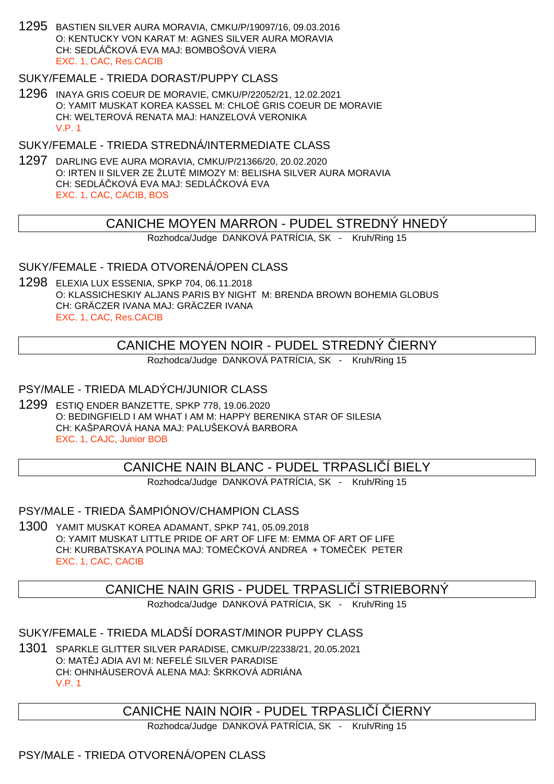1295 BASTIEN SILVER AURA MORAVIA, CMKU/P/19097/16, 09.03.2016 O: KENTUCKY VON KARAT M: AGNES SILVER AURA MORAVIA CH: SEDLÁČKOVÁ EVA MAJ: BOMBOŠOVÁ VIERA EXC. 1, CAC, Res.CACIB

### SUKY/FEMALE - TRIEDA DORAST/PUPPY CLASS

1296 INAYA GRIS COEUR DE MORAVIE, CMKU/P/22052/21, 12.02.2021 O: YAMIT MUSKAT KOREA KASSEL M: CHLOÉ GRIS COEUR DE MORAVIE CH: WELTEROVÁ RENATA MAJ: HANZELOVÁ VERONIKA V.P. 1

SUKY/FEMALE - TRIEDA STREDNÁ/INTERMEDIATE CLASS

1297 DARLING EVE AURA MORAVIA, CMKU/P/21366/20, 20.02.2020 O: IRTEN II SILVER ZE ŽLUTÉ MIMOZY M: BELISHA SILVER AURA MORAVIA CH: SEDLÁ KOVÁ EVA MAJ: SEDLÁ KOVÁ EVA EXC. 1, CAC, CACIB, BOS

## CANICHE MOYEN MARRON - PUDEL STREDNÝ HNEDÝ

Rozhodca/Judge DANKOVÁ PATRÍCIA, SK - Kruh/Ring 15

### SUKY/FEMALE - TRIEDA OTVORENÁ/OPEN CLASS

1298 ELEXIA LUX ESSENIA, SPKP 704, 06.11.2018 O: KLASSICHESKIY ALJANS PARIS BY NIGHT M: BRENDA BROWN BOHEMIA GLOBUS CH: GRÄCZER IVANA MAJ: GRÄCZER IVANA EXC. 1, CAC, Res.CACIB

# CANICHE MOYEN NOIR - PUDEL STREDNY LERNY

Rozhodca/Judge DANKOVÁ PATRÍCIA, SK - Kruh/Ring 15

## PSY/MALE - TRIEDA MLADÝCH/JUNIOR CLASS

1299 ESTIQ ENDER BANZETTE, SPKP 778, 19.06.2020 O: BEDINGFIELD I AM WHAT I AM M: HAPPY BERENIKA STAR OF SILESIA CH: KAŠPAROVÁ HANA MAJ: PALUŠEKOVÁ BARBORA EXC. 1, CAJC, Junior BOB

# CANICHE NAIN BLANC - PUDEL TRPASLI Í BIELY

Rozhodca/Judge DANKOVÁ PATRÍCIA, SK - Kruh/Ring 15

PSY/MALE - TRIEDA ŠAMPIÓNOV/CHAMPION CLASS

1300 YAMIT MUSKAT KOREA ADAMANT, SPKP 741, 05.09.2018 O: YAMIT MUSKAT LITTLE PRIDE OF ART OF LIFE M: EMMA OF ART OF LIFE CH: KURBATSKAYA POLINA MAJ: TOME KOVÁ ANDREA + TOME EK PETER EXC. 1, CAC, CACIB

# CANICHE NAIN GRIS - PUDEL TRPASLI Í STRIEBORNÝ

Rozhodca/Judge DANKOVÁ PATRÍCIA, SK - Kruh/Ring 15

## SUKY/FEMALE - TRIEDA MLADŠÍ DORAST/MINOR PUPPY CLASS

1301 SPARKLE GLITTER SILVER PARADISE, CMKU/P/22338/21, 20.05.2021 O: MAT J ADIA AVI M: NEFELÉ SILVER PARADISE CH: OHNHÄUSEROVÁ ALENA MAJ: ŠKRKOVÁ ADRIÁNA V.P. 1

# CANICHE NAIN NOIR - PUDEL TRPASLI Í JERNY

Rozhodca/Judge DANKOVÁ PATRÍCIA, SK - Kruh/Ring 15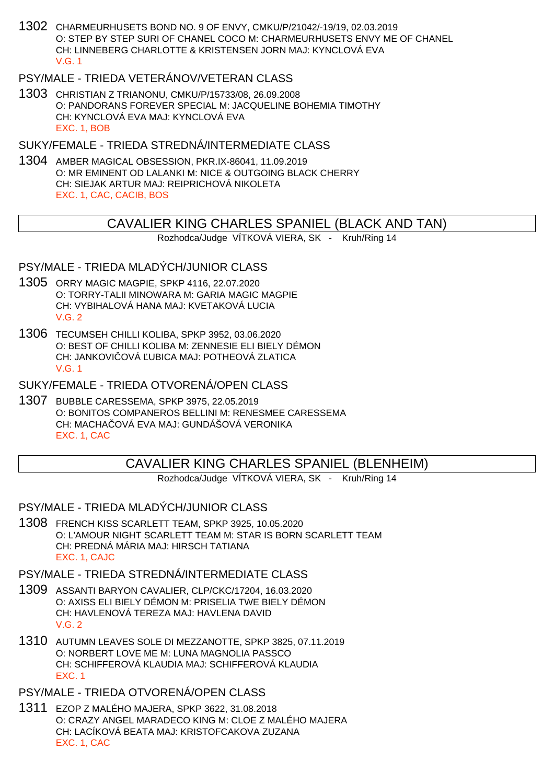1302 CHARMEURHUSETS BOND NO. 9 OF ENVY, CMKU/P/21042/-19/19, 02.03.2019 O: STEP BY STEP SURI OF CHANEL COCO M: CHARMEURHUSETS ENVY ME OF CHANEL CH: LINNEBERG CHARLOTTE & KRISTENSEN JORN MAJ: KYNCLOVÁ EVA V.G. 1

## PSY/MALE - TRIEDA VETERÁNOV/VETERAN CLASS

1303 CHRISTIAN Z TRIANONU, CMKU/P/15733/08, 26.09.2008 O: PANDORANS FOREVER SPECIAL M: JACQUELINE BOHEMIA TIMOTHY CH: KYNCLOVÁ EVA MAJ: KYNCLOVÁ EVA EXC. 1, BOB

SUKY/FEMALE - TRIEDA STREDNÁ/INTERMEDIATE CLASS

1304 AMBER MAGICAL OBSESSION, PKR.IX-86041, 11.09.2019 O: MR EMINENT OD LALANKI M: NICE & OUTGOING BLACK CHERRY CH: SIEJAK ARTUR MAJ: REIPRICHOVÁ NIKOLETA EXC. 1, CAC, CACIB, BOS

## CAVALIER KING CHARLES SPANIEL (BLACK AND TAN)

Rozhodca/Judge VÍTKOVÁ VIERA, SK - Kruh/Ring 14

### PSY/MALE - TRIEDA MLADÝCH/JUNIOR CLASS

- 1305 ORRY MAGIC MAGPIE, SPKP 4116, 22.07.2020 O: TORRY-TALII MINOWARA M: GARIA MAGIC MAGPIE CH: VYBIHALOVÁ HANA MAJ: KVETAKOVÁ LUCIA  $V$  G  $2$
- 1306 TECUMSEH CHILLI KOLIBA, SPKP 3952, 03.06.2020 O: BEST OF CHILLI KOLIBA M: ZENNESIE ELI BIELY DÉMON CH: JANKOVI OVÁ UBICA MAJ: POTHEOVÁ ZLATICA V.G. 1

SUKY/FEMALE - TRIEDA OTVORENÁ/OPEN CLASS

1307 BUBBLE CARESSEMA, SPKP 3975, 22.05.2019 O: BONITOS COMPANEROS BELLINI M: RENESMEE CARESSEMA CH: MACHA OVÁ EVA MAJ: GUNDÁŠOVÁ VERONIKA EXC. 1, CAC

# CAVALIER KING CHARLES SPANIEL (BLENHEIM)

Rozhodca/Judge VÍTKOVÁ VIERA, SK - Kruh/Ring 14

PSY/MALE - TRIEDA MLADÝCH/JUNIOR CLASS

1308 FRENCH KISS SCARLETT TEAM, SPKP 3925, 10.05.2020 O: L'AMOUR NIGHT SCARLETT TEAM M: STAR IS BORN SCARLETT TEAM CH: PREDNÁ MÁRIA MAJ: HIRSCH TATIANA EXC. 1, CAJC

#### PSY/MALE - TRIEDA STREDNÁ/INTERMEDIATE CLASS

- 1309 ASSANTI BARYON CAVALIER, CLP/CKC/17204, 16.03.2020 O: AXISS ELI BIELY DÉMON M: PRISELIA TWE BIELY DÉMON CH: HAVLENOVÁ TEREZA MAJ: HAVLENA DAVID V.G. 2
- 1310 AUTUMN LEAVES SOLE DI MEZZANOTTE, SPKP 3825, 07.11.2019 O: NORBERT LOVE ME M: LUNA MAGNOLIA PASSCO CH: SCHIFFEROVÁ KLAUDIA MAJ: SCHIFFEROVÁ KLAUDIA EXC. 1
- PSY/MALE TRIEDA OTVORENÁ/OPEN CLASS
- 1311 EZOP Z MALÉHO MAJERA, SPKP 3622, 31.08.2018 O: CRAZY ANGEL MARADECO KING M: CLOE Z MALÉHO MAJERA CH: LACÍKOVÁ BEATA MAJ: KRISTOFCAKOVA ZUZANA EXC. 1, CAC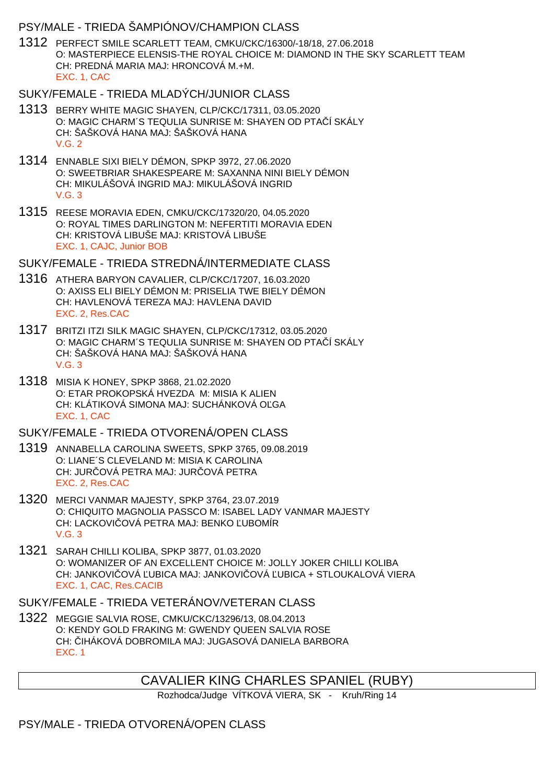## PSY/MALE - TRIEDA ŠAMPIÓNOV/CHAMPION CLASS

- 1312 PERFECT SMILE SCARLETT TEAM, CMKU/CKC/16300/-18/18, 27.06.2018 O: MASTERPIECE ELENSIS-THE ROYAL CHOICE M: DIAMOND IN THE SKY SCARLETT TEAM CH: PREDNÁ MARIA MAJ: HRONCOVÁ M.+M. EXC. 1, CAC
- SUKY/FEMALE TRIEDA MLADÝCH/JUNIOR CLASS
- 1313 BERRY WHITE MAGIC SHAYEN, CLP/CKC/17311, 03.05.2020 O: MAGIC CHARM´S TEQULIA SUNRISE M: SHAYEN OD PTA Í SKÁLY CH: ŠAŠKOVÁ HANA MAJ: ŠAŠKOVÁ HANA V.G. 2
- 1314 ENNABLE SIXI BIELY DÉMON, SPKP 3972, 27.06.2020 O: SWEETBRIAR SHAKESPEARE M: SAXANNA NINI BIELY DÉMON CH: MIKULÁŠOVÁ INGRID MAJ: MIKULÁŠOVÁ INGRID V.G. 3
- 1315 REESE MORAVIA EDEN, CMKU/CKC/17320/20, 04.05.2020 O: ROYAL TIMES DARLINGTON M: NEFERTITI MORAVIA EDEN CH: KRISTOVÁ LIBUŠE MAJ: KRISTOVÁ LIBUŠE EXC. 1, CAJC, Junior BOB

SUKY/FEMALE - TRIEDA STREDNÁ/INTERMEDIATE CLASS

- 1316 ATHERA BARYON CAVALIER, CLP/CKC/17207, 16.03.2020 O: AXISS ELI BIELY DÉMON M: PRISELIA TWE BIELY DÉMON CH: HAVLENOVÁ TEREZA MAJ: HAVLENA DAVID EXC. 2, Res.CAC
- 1317 BRITZI ITZI SILK MAGIC SHAYEN, CLP/CKC/17312, 03.05.2020 O: MAGIC CHARM´S TEQULIA SUNRISE M: SHAYEN OD PTA Í SKÁLY CH: ŠAŠKOVÁ HANA MAJ: ŠAŠKOVÁ HANA V.G. 3
- 1318 MISIA K HONEY, SPKP 3868, 21.02.2020 O: ETAR PROKOPSKÁ HVEZDA M: MISIA K ALIEN CH: KLÁTIKOVÁ SIMONA MAJ: SUCHÁNKOVÁ OĽGA EXC. 1, CAC

SUKY/FEMALE - TRIEDA OTVORENÁ/OPEN CLASS

- 1319 ANNABELLA CAROLINA SWEETS, SPKP 3765, 09.08.2019 O: LIANE´S CLEVELAND M: MISIA K CAROLINA CH: JUR OVÁ PETRA MAJ: JUR OVÁ PETRA EXC. 2, Res.CAC
- 1320 MERCI VANMAR MAJESTY, SPKP 3764, 23.07.2019 O: CHIQUITO MAGNOLIA PASSCO M: ISABEL LADY VANMAR MAJESTY CH: LACKOVI OVÁ PETRA MAJ: BENKO UBOMÍR V.G. 3
- 1321 SARAH CHILLI KOLIBA, SPKP 3877, 01.03.2020 O: WOMANIZER OF AN EXCELLENT CHOICE M: JOLLY JOKER CHILLI KOLIBA CH: JANKOVI OVÁ UBICA MAJ: JANKOVI OVÁ UBICA + STLOUKALOVÁ VIERA EXC. 1, CAC, Res.CACIB

SUKY/FEMALE - TRIEDA VETERÁNOV/VETERAN CLASS

1322 MEGGIE SALVIA ROSE, CMKU/CKC/13296/13, 08.04.2013 O: KENDY GOLD FRAKING M: GWENDY QUEEN SALVIA ROSE CH: ČIHÁKOVÁ DOBROMILA MAJ: JUGASOVÁ DANIELA BARBORA EXC. 1

# CAVALIER KING CHARLES SPANIEL (RUBY)

Rozhodca/Judge VÍTKOVÁ VIERA, SK - Kruh/Ring 14

PSY/MALE - TRIEDA OTVORENÁ/OPEN CLASS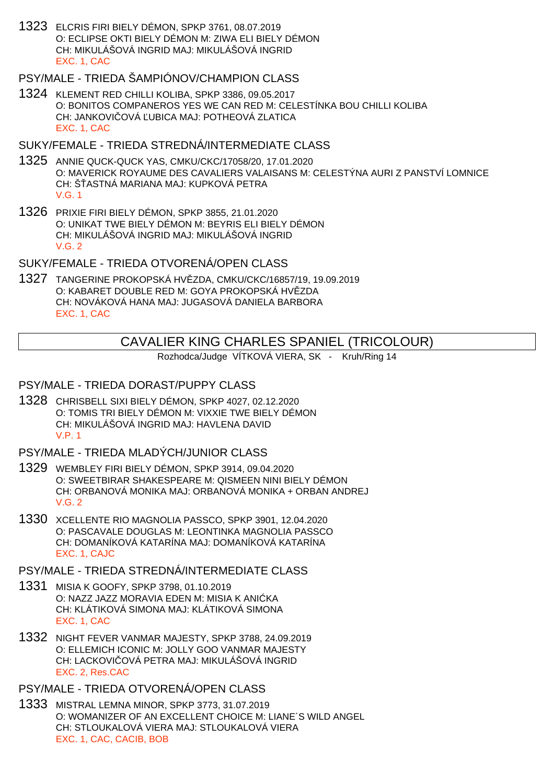1323 ELCRIS FIRI BIELY DÉMON, SPKP 3761, 08.07.2019 O: ECLIPSE OKTI BIELY DÉMON M: ZIWA ELI BIELY DÉMON CH: MIKULÁŠOVÁ INGRID MAJ: MIKULÁŠOVÁ INGRID EXC. 1, CAC

## PSY/MALE - TRIEDA ŠAMPIÓNOV/CHAMPION CLASS

1324 KLEMENT RED CHILLI KOLIBA, SPKP 3386, 09.05.2017 O: BONITOS COMPANEROS YES WE CAN RED M: CELESTÍNKA BOU CHILLI KOLIBA CH: JANKOVI OVÁ UBICA MAJ: POTHEOVÁ ZLATICA EXC. 1, CAC

## SUKY/FEMALE - TRIEDA STREDNÁ/INTERMEDIATE CLASS

- 1325 ANNIE QUCK-QUCK YAS, CMKU/CKC/17058/20, 17.01.2020 O: MAVERICK ROYAUME DES CAVALIERS VALAISANS M: CELESTÝNA AURI Z PANSTVÍ LOMNICE CH: Š ASTNÁ MARIANA MAJ: KUPKOVÁ PETRA V.G. 1
- 1326 PRIXIE FIRI BIELY DÉMON, SPKP 3855, 21.01.2020 O: UNIKAT TWE BIELY DÉMON M: BEYRIS ELI BIELY DÉMON CH: MIKULÁŠOVÁ INGRID MAJ: MIKULÁŠOVÁ INGRID  $V$  G  $2$

SUKY/FEMALE - TRIEDA OTVORENÁ/OPEN CLASS

1327 TANGERINE PROKOPSKÁ HVĚZDA, CMKU/CKC/16857/19, 19.09.2019 O: KABARET DOUBLE RED M: GOYA PROKOPSKÁ HVÍZDA CH: NOVÁKOVÁ HANA MAJ: JUGASOVÁ DANIELA BARBORA EXC. 1, CAC

# CAVALIER KING CHARLES SPANIEL (TRICOLOUR)

Rozhodca/Judge VÍTKOVÁ VIERA, SK - Kruh/Ring 14

### PSY/MALE - TRIEDA DORAST/PUPPY CLASS

1328 CHRISBELL SIXI BIELY DÉMON, SPKP 4027, 02.12.2020 O: TOMIS TRI BIELY DÉMON M: VIXXIE TWE BIELY DÉMON CH: MIKULÁŠOVÁ INGRID MAJ: HAVLENA DAVID V.P. 1

#### PSY/MALE - TRIEDA MLADÝCH/JUNIOR CLASS

- 1329 WEMBLEY FIRI BIELY DÉMON, SPKP 3914, 09.04.2020 O: SWEETBIRAR SHAKESPEARE M: QISMEEN NINI BIELY DÉMON CH: ORBANOVÁ MONIKA MAJ: ORBANOVÁ MONIKA + ORBAN ANDREJ V.G. 2
- 1330 XCELLENTE RIO MAGNOLIA PASSCO, SPKP 3901, 12.04.2020 O: PASCAVALE DOUGLAS M: LEONTINKA MAGNOLIA PASSCO CH: DOMANÍKOVÁ KATARÍNA MAJ: DOMANÍKOVÁ KATARÍNA EXC. 1, CAJC

#### PSY/MALE - TRIEDA STREDNÁ/INTERMEDIATE CLASS

- 1331 MISIA K GOOFY, SPKP 3798, 01.10.2019 O: NAZZ JAZZ MORAVIA EDEN M: MISIA K ANI KA CH: KLÁTIKOVÁ SIMONA MAJ: KLÁTIKOVÁ SIMONA EXC. 1, CAC
- 1332 NIGHT FEVER VANMAR MAJESTY, SPKP 3788, 24.09.2019 O: ELLEMICH ICONIC M: JOLLY GOO VANMAR MAJESTY CH: LACKOVI OVÁ PETRA MAJ: MIKULÁŠOVÁ INGRID EXC. 2, Res.CAC

## PSY/MALE - TRIEDA OTVORENÁ/OPEN CLASS

1333 MISTRAL LEMNA MINOR, SPKP 3773, 31.07.2019 O: WOMANIZER OF AN EXCELLENT CHOICE M: LIANE´S WILD ANGEL CH: STLOUKALOVÁ VIERA MAJ: STLOUKALOVÁ VIERA EXC. 1, CAC, CACIB, BOB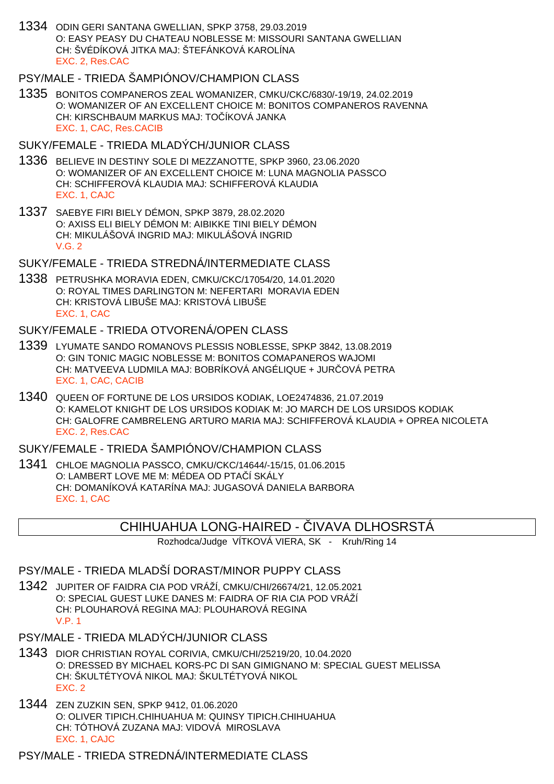1334 ODIN GERI SANTANA GWELLIAN, SPKP 3758, 29.03.2019 O: EASY PEASY DU CHATEAU NOBLESSE M: MISSOURI SANTANA GWELLIAN CH: ŠVÉDÍKOVÁ JITKA MAJ: ŠTEFÁNKOVÁ KAROLÍNA EXC. 2, Res.CAC

## PSY/MALE - TRIEDA ŠAMPIÓNOV/CHAMPION CLASS

1335 BONITOS COMPANEROS ZEAL WOMANIZER, CMKU/CKC/6830/-19/19, 24.02.2019 O: WOMANIZER OF AN EXCELLENT CHOICE M: BONITOS COMPANEROS RAVENNA CH: KIRSCHBAUM MARKUS MAJ: TO ÍKOVÁ JANKA EXC. 1, CAC, Res.CACIB

## SUKY/FEMALE - TRIEDA MLADÝCH/JUNIOR CLASS

- 1336 BELIEVE IN DESTINY SOLE DI MEZZANOTTE, SPKP 3960, 23.06.2020 O: WOMANIZER OF AN EXCELLENT CHOICE M: LUNA MAGNOLIA PASSCO CH: SCHIFFEROVÁ KLAUDIA MAJ: SCHIFFEROVÁ KLAUDIA EXC. 1, CAJC
- 1337 SAEBYE FIRI BIELY DÉMON, SPKP 3879, 28.02.2020 O: AXISS ELI BIELY DÉMON M: AIBIKKE TINI BIELY DÉMON CH: MIKULÁŠOVÁ INGRID MAJ: MIKULÁŠOVÁ INGRID  $V$  G  $2$

## SUKY/FEMALE - TRIEDA STREDNÁ/INTERMEDIATE CLASS

1338 PETRUSHKA MORAVIA EDEN, CMKU/CKC/17054/20, 14.01.2020 O: ROYAL TIMES DARLINGTON M: NEFERTARI MORAVIA EDEN CH: KRISTOVÁ LIBUŠE MAJ: KRISTOVÁ LIBUŠE EXC. 1, CAC

### SUKY/FEMALE - TRIEDA OTVORENÁ/OPEN CLASS

- 1339 LYUMATE SANDO ROMANOVS PLESSIS NOBLESSE, SPKP 3842, 13.08.2019 O: GIN TONIC MAGIC NOBLESSE M: BONITOS COMAPANEROS WAJOMI CH: MATVEEVA LUDMILA MAJ: BOBRÍKOVÁ ANGÉLIQUE + JURČOVÁ PETRA EXC. 1, CAC, CACIB
- 1340 QUEEN OF FORTUNE DE LOS URSIDOS KODIAK, LOE2474836, 21.07.2019 O: KAMELOT KNIGHT DE LOS URSIDOS KODIAK M: JO MARCH DE LOS URSIDOS KODIAK CH: GALOFRE CAMBRELENG ARTURO MARIA MAJ: SCHIFFEROVÁ KLAUDIA + OPREA NICOLETA EXC. 2, Res.CAC

### SUKY/FEMALE - TRIEDA ŠAMPIÓNOV/CHAMPION CLASS

1341 CHLOE MAGNOLIA PASSCO, CMKU/CKC/14644/-15/15, 01.06.2015 O: LAMBERT LOVE ME M: MÉDEA OD PTA Í SKÁLY CH: DOMANÍKOVÁ KATARÍNA MAJ: JUGASOVÁ DANIELA BARBORA EXC. 1, CAC

# CHIHUAHUA LONG-HAIRED - VAAVA DLHOSRSTÁ

Rozhodca/Judge VÍTKOVÁ VIERA, SK - Kruh/Ring 14

### PSY/MALE - TRIEDA MLADŠÍ DORAST/MINOR PUPPY CLASS

- 1342 JUPITER OF FAIDRA CIA POD VRÁŽÍ, CMKU/CHI/26674/21, 12.05.2021 O: SPECIAL GUEST LUKE DANES M: FAIDRA OF RIA CIA POD VRÁŽÍ CH: PLOUHAROVÁ REGINA MAJ: PLOUHAROVÁ REGINA V.P. 1
- PSY/MALE TRIEDA MLADÝCH/JUNIOR CLASS
- 1343 DIOR CHRISTIAN ROYAL CORIVIA, CMKU/CHI/25219/20, 10.04.2020 O: DRESSED BY MICHAEL KORS-PC DI SAN GIMIGNANO M: SPECIAL GUEST MELISSA CH: ŠKULTÉTYOVÁ NIKOL MAJ: ŠKULTÉTYOVÁ NIKOL EXC. 2
- 1344 ZEN ZUZKIN SEN, SPKP 9412, 01.06.2020 O: OLIVER TIPICH.CHIHUAHUA M: QUINSY TIPICH.CHIHUAHUA CH: TÓTHOVÁ ZUZANA MAJ: VIDOVÁ MIROSLAVA EXC. 1, CAJC

# PSY/MALE - TRIEDA STREDNÁ/INTERMEDIATE CLASS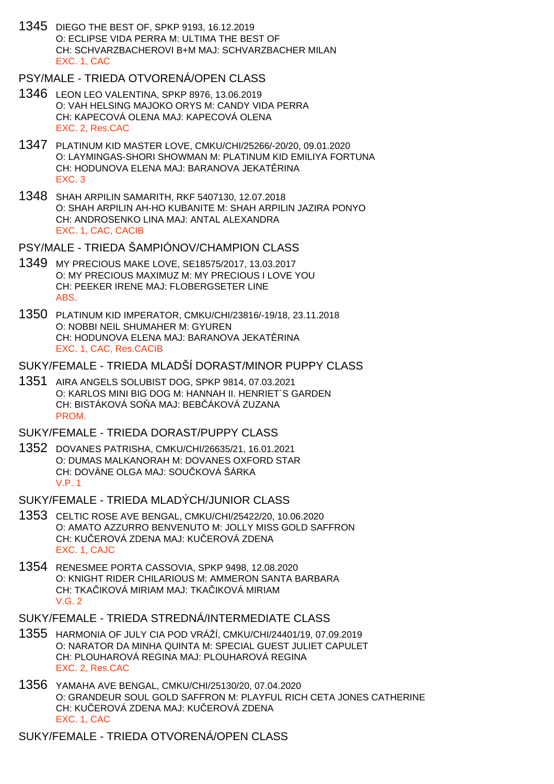1345 DIEGO THE BEST OF, SPKP 9193, 16.12.2019 O: ECLIPSE VIDA PERRA M: ULTIMA THE BEST OF CH: SCHVARZBACHEROVI B+M MAJ: SCHVARZBACHER MILAN EXC. 1, CAC

### PSY/MALE - TRIEDA OTVORENÁ/OPEN CLASS

- 1346 LEON LEO VALENTINA, SPKP 8976, 13.06.2019 O: VAH HELSING MAJOKO ORYS M: CANDY VIDA PERRA CH: KAPECOVÁ OLENA MAJ: KAPECOVÁ OLENA EXC. 2, Res.CAC
- 1347 PLATINUM KID MASTER LOVE, CMKU/CHI/25266/-20/20, 09.01.2020 O: LAYMINGAS-SHORI SHOWMAN M: PLATINUM KID EMILIYA FORTUNA CH: HODUNOVA ELENA MAJ: BARANOVA JEKAT RINA EXC. 3
- 1348 SHAH ARPILIN SAMARITH, RKF 5407130, 12.07.2018 O: SHAH ARPILIN AH-HO KUBANITE M: SHAH ARPILIN JAZIRA PONYO CH: ANDROSENKO LINA MAJ: ANTAL ALEXANDRA EXC. 1, CAC, CACIB
- PSY/MALE TRIEDA ŠAMPIÓNOV/CHAMPION CLASS
- 1349 MY PRECIOUS MAKE LOVE, SE18575/2017, 13.03.2017 O: MY PRECIOUS MAXIMUZ M: MY PRECIOUS I LOVE YOU CH: PEEKER IRENE MAJ: FLOBERGSETER LINE ABS.
- 1350 PLATINUM KID IMPERATOR, CMKU/CHI/23816/-19/18, 23.11.2018 O: NOBBI NEIL SHUMAHER M: GYUREN CH: HODUNOVA ELENA MAJ: BARANOVA JEKAT RINA EXC. 1, CAC, Res.CACIB

## SUKY/FEMALE - TRIEDA MLADŠÍ DORAST/MINOR PUPPY CLASS

- 1351 AIRA ANGELS SOLUBIST DOG, SPKP 9814, 07.03.2021 O: KARLOS MINI BIG DOG M: HANNAH II. HENRIET´S GARDEN CH: BISTÁKOVÁ SO A MAJ: BEB ÁKOVÁ ZUZANA PROM.
- SUKY/FEMALE TRIEDA DORAST/PUPPY CLASS
- 1352 DOVANES PATRISHA, CMKU/CHI/26635/21, 16.01.2021 O: DUMAS MALKANORAH M: DOVANES OXFORD STAR CH: DOVÄNE OLGA MAJ: SOU KOVÁ ŠÁRKA V.P. 1

### SUKY/FEMALE - TRIEDA MLADÝCH/JUNIOR CLASS

- 1353 CELTIC ROSE AVE BENGAL, CMKU/CHI/25422/20, 10.06.2020 O: AMATO AZZURRO BENVENUTO M: JOLLY MISS GOLD SAFFRON CH: KU EROVÁ ZDENA MAJ: KU EROVÁ ZDENA EXC. 1, CAJC
- 1354 RENESMEE PORTA CASSOVIA, SPKP 9498, 12.08.2020 O: KNIGHT RIDER CHILARIOUS M: AMMERON SANTA BARBARA CH: TKA IKOVÁ MIRIAM MAJ: TKA IKOVÁ MIRIAM V.G. 2
- SUKY/FEMALE TRIEDA STREDNÁ/INTERMEDIATE CLASS
- 1355 HARMONIA OF JULY CIA POD VRÁŽÍ, CMKU/CHI/24401/19, 07.09.2019 O: NARATOR DA MINHA QUINTA M: SPECIAL GUEST JULIET CAPULET CH: PLOUHAROVÁ REGINA MAJ: PLOUHAROVÁ REGINA EXC. 2, Res.CAC
- 1356 YAMAHA AVE BENGAL, CMKU/CHI/25130/20, 07.04.2020 O: GRANDEUR SOUL GOLD SAFFRON M: PLAYFUL RICH CETA JONES CATHERINE CH: KU EROVÁ ZDENA MAJ: KU EROVÁ ZDENA EXC. 1, CAC

SUKY/FEMALE - TRIEDA OTVORENÁ/OPEN CLASS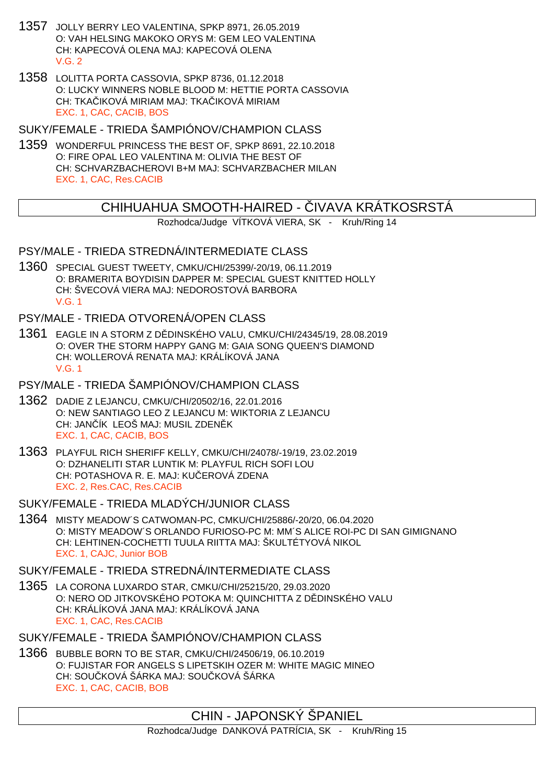- 1357 JOLLY BERRY LEO VALENTINA, SPKP 8971, 26.05.2019 O: VAH HELSING MAKOKO ORYS M: GEM LEO VALENTINA CH: KAPECOVÁ OLENA MAJ: KAPECOVÁ OLENA  $V$  G  $2$
- 1358 LOLITTA PORTA CASSOVIA, SPKP 8736, 01.12.2018 O: LUCKY WINNERS NOBLE BLOOD M: HETTIE PORTA CASSOVIA CH: TKA IKOVÁ MIRIAM MAJ: TKA IKOVÁ MIRIAM EXC. 1, CAC, CACIB, BOS

SUKY/FEMALE - TRIEDA ŠAMPIÓNOV/CHAMPION CLASS

1359 WONDERFUL PRINCESS THE BEST OF, SPKP 8691, 22.10.2018 O: FIRE OPAL LEO VALENTINA M: OLIVIA THE BEST OF CH: SCHVARZBACHEROVI B+M MAJ: SCHVARZBACHER MILAN EXC. 1, CAC, Res.CACIB

# CHIHUAHUA SMOOTH-HAIRED - VAVA KRÁTKOSRSTÁ

Rozhodca/Judge VÍTKOVÁ VIERA, SK - Kruh/Ring 14

### PSY/MALE - TRIEDA STREDNÁ/INTERMEDIATE CLASS

1360 SPECIAL GUEST TWEETY, CMKU/CHI/25399/-20/19, 06.11.2019 O: BRAMERITA BOYDISIN DAPPER M: SPECIAL GUEST KNITTED HOLLY CH: ŠVECOVÁ VIERA MAJ: NEDOROSTOVÁ BARBORA V.G. 1

## PSY/MALE - TRIEDA OTVORENÁ/OPEN CLASS

1361 EAGLE IN A STORM Z D DINSKÉHO VALU, CMKU/CHI/24345/19, 28.08.2019 O: OVER THE STORM HAPPY GANG M: GAIA SONG QUEEN'S DIAMOND CH: WOLLEROVÁ RENATA MAJ: KRÁLÍKOVÁ JANA V.G. 1

# PSY/MALE - TRIEDA ŠAMPIÓNOV/CHAMPION CLASS

- 1362 DADIE Z LEJANCU, CMKU/CHI/20502/16, 22.01.2016 O: NEW SANTIAGO LEO Z LEJANCU M: WIKTORIA Z LEJANCU CH: JAN ÍK LEOŠ MAJ: MUSIL ZDEN K EXC. 1, CAC, CACIB, BOS
- 1363 PLAYFUL RICH SHERIFF KELLY, CMKU/CHI/24078/-19/19, 23.02.2019 O: DZHANELITI STAR LUNTIK M: PLAYFUL RICH SOFI LOU CH: POTASHOVA R. E. MAJ: KU EROVÁ ZDENA EXC. 2, Res.CAC, Res.CACIB

### SUKY/FEMALE - TRIEDA MLADÝCH/JUNIOR CLASS

1364 MISTY MEADOW´S CATWOMAN-PC, CMKU/CHI/25886/-20/20, 06.04.2020 O: MISTY MEADOW´S ORLANDO FURIOSO-PC M: MM´S ALICE ROI-PC DI SAN GIMIGNANO CH: LEHTINEN-COCHETTI TUULA RIITTA MAJ: ŠKULTÉTYOVÁ NIKOL EXC. 1, CAJC, Junior BOB

### SUKY/FEMALE - TRIEDA STREDNÁ/INTERMEDIATE CLASS

- 1365 LA CORONA LUXARDO STAR, CMKU/CHI/25215/20, 29.03.2020 O: NERO OD JITKOVSKÉHO POTOKA M: QUINCHITTA Z DĚDINSKÉHO VALU CH: KRÁLÍKOVÁ JANA MAJ: KRÁLÍKOVÁ JANA EXC. 1, CAC, Res.CACIB
- SUKY/FEMALE TRIEDA ŠAMPIÓNOV/CHAMPION CLASS
- 1366 BUBBLE BORN TO BE STAR, CMKU/CHI/24506/19, 06.10.2019 O: FUJISTAR FOR ANGELS S LIPETSKIH OZER M: WHITE MAGIC MINEO CH: SOU KOVÁ ŠÁRKA MAJ: SOU KOVÁ ŠÁRKA EXC. 1, CAC, CACIB, BOB

## CHIN - JAPONSKÝ ŠPANIEL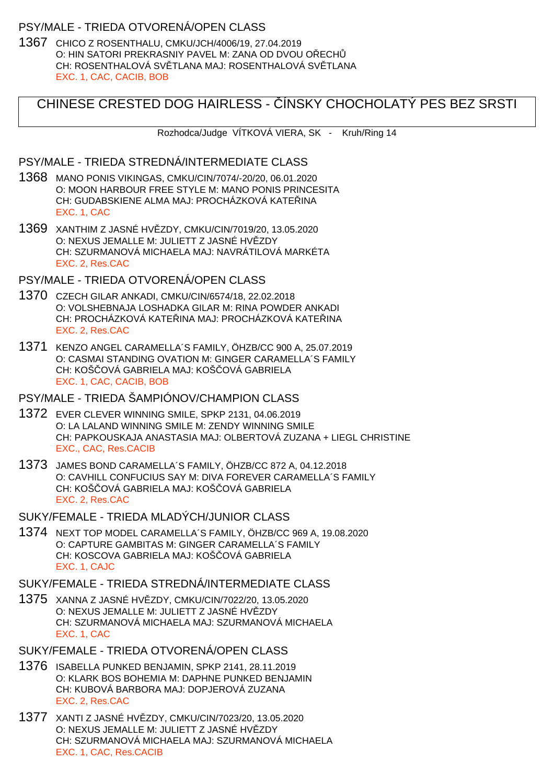### PSY/MALE - TRIEDA OTVORENÁ/OPEN CLASS

1367 CHICO Z ROSENTHALU, CMKU/JCH/4006/19, 27.04.2019 O: HIN SATORI PREKRASNIY PAVEL M: ZANA OD DVOU OŘECH CH: ROSENTHALOVÁ SV TLANA MAJ: ROSENTHALOVÁ SV TLANA EXC. 1, CAC, CACIB, BOB

# CHINESE CRESTED DOG HAIRLESS - ÍNSKY CHOCHOLATÝ PES BEZ SRSTI

Rozhodca/Judge VÍTKOVÁ VIERA, SK - Kruh/Ring 14

#### PSY/MALE - TRIEDA STREDNÁ/INTERMEDIATE CLASS

- 1368 MANO PONIS VIKINGAS, CMKU/CIN/7074/-20/20, 06.01.2020 O: MOON HARBOUR FREE STYLE M: MANO PONIS PRINCESITA CH: GUDABSKIENE ALMA MAJ: PROCHÁZKOVÁ KATELINA EXC. 1, CAC
- 1369 XANTHIM Z JASNÉ HVĚZDY, CMKU/CIN/7019/20, 13.05.2020 O: NEXUS JEMALLE M: JULIETT Z JASNÉ HV ZDY CH: SZURMANOVÁ MICHAELA MAJ: NAVRÁTILOVÁ MARKÉTA EXC. 2, Res.CAC

#### PSY/MALE - TRIEDA OTVORENÁ/OPEN CLASS

- 1370 CZECH GILAR ANKADI, CMKU/CIN/6574/18, 22.02.2018 O: VOLSHEBNAJA LOSHADKA GILAR M: RINA POWDER ANKADI CH: PROCHÁZKOVÁ KATEŘINA MAJ: PROCHÁZKOVÁ KATEŘINA EXC. 2, Res.CAC
- 1371 KENZO ANGEL CARAMELLA´S FAMILY, ÖHZB/CC 900 A, 25.07.2019 O: CASMAI STANDING OVATION M: GINGER CARAMELLA´S FAMILY CH: KOŠ OVÁ GABRIELA MAJ: KOŠ OVÁ GABRIELA EXC. 1, CAC, CACIB, BOB

## PSY/MALE - TRIEDA ŠAMPIÓNOV/CHAMPION CLASS

- 1372 EVER CLEVER WINNING SMILE, SPKP 2131, 04.06.2019 O: LA LALAND WINNING SMILE M: ZENDY WINNING SMILE CH: PAPKOUSKAJA ANASTASIA MAJ: OLBERTOVÁ ZUZANA + LIEGL CHRISTINE EXC., CAC, Res.CACIB
- 1373 JAMES BOND CARAMELLA´S FAMILY, ÖHZB/CC 872 A, 04.12.2018 O: CAVHILL CONFUCIUS SAY M: DIVA FOREVER CARAMELLA´S FAMILY CH: KOŠ OVÁ GABRIELA MAJ: KOŠ OVÁ GABRIELA EXC. 2, Res.CAC

SUKY/FEMALE - TRIEDA MLADÝCH/JUNIOR CLASS

1374 NEXT TOP MODEL CARAMELLA´S FAMILY, ÖHZB/CC 969 A, 19.08.2020 O: CAPTURE GAMBITAS M: GINGER CARAMELLA´S FAMILY CH: KOSCOVA GABRIELA MAJ: KOŠ OVÁ GABRIELA EXC. 1, CAJC

#### SUKY/FEMALE - TRIEDA STREDNÁ/INTERMEDIATE CLASS

- 1375 XANNA Z JASNÉ HVĚZDY, CMKU/CIN/7022/20, 13.05.2020 O: NEXUS JEMALLE M: JULIETT Z JASNÉ HVÍZDY CH: SZURMANOVÁ MICHAELA MAJ: SZURMANOVÁ MICHAELA EXC. 1, CAC
- SUKY/FEMALE TRIEDA OTVORENÁ/OPEN CLASS
- 1376 ISABELLA PUNKED BENJAMIN, SPKP 2141, 28.11.2019 O: KLARK BOS BOHEMIA M: DAPHNE PUNKED BENJAMIN CH: KUBOVÁ BARBORA MAJ: DOPJEROVÁ ZUZANA EXC. 2, Res.CAC
- 1377 XANTI Z JASNÉ HVĚZDY, CMKU/CIN/7023/20, 13.05.2020 O: NEXUS JEMALLE M: JULIETT Z JASNÉ HV ZDY CH: SZURMANOVÁ MICHAELA MAJ: SZURMANOVÁ MICHAELA EXC. 1, CAC, Res.CACIB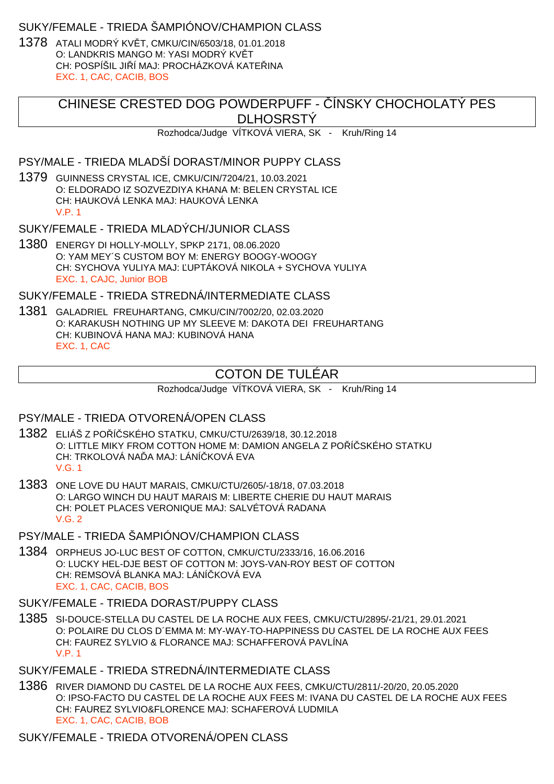### SUKY/FEMALE - TRIEDA ŠAMPIÓNOV/CHAMPION CLASS

1378 ATALI MODRÝ KVĚT, CMKU/CIN/6503/18, 01.01.2018 O: LANDKRIS MANGO M: YASI MODRÝ KVÍT CH: POSPÍŠIL JI Í MAJ: PROCHÁZKOVÁ KATELINA EXC. 1, CAC, CACIB, BOS

# CHINESE CRESTED DOG POWDERPUFF - ÍNSKY CHOCHOLATÝ PES **DLHOSRSTÝ**

Rozhodca/Judge VÍTKOVÁ VIERA, SK - Kruh/Ring 14

### PSY/MALE - TRIEDA MLADŠÍ DORAST/MINOR PUPPY CLASS

1379 GUINNESS CRYSTAL ICE, CMKU/CIN/7204/21, 10.03.2021 O: ELDORADO IZ SOZVEZDIYA KHANA M: BELEN CRYSTAL ICE CH: HAUKOVÁ LENKA MAJ: HAUKOVÁ LENKA V.P. 1

### SUKY/FEMALE - TRIEDA MLADÝCH/JUNIOR CLASS

1380 ENERGY DI HOLLY-MOLLY, SPKP 2171, 08.06.2020 O: YAM MEY´S CUSTOM BOY M: ENERGY BOOGY-WOOGY CH: SYCHOVA YULIYA MAJ: UPTÁKOVÁ NIKOLA + SYCHOVA YULIYA EXC. 1, CAJC, Junior BOB

#### SUKY/FEMALE - TRIEDA STREDNÁ/INTERMEDIATE CLASS

1381 GALADRIEL FREUHARTANG, CMKU/CIN/7002/20, 02.03.2020 O: KARAKUSH NOTHING UP MY SLEEVE M: DAKOTA DEI FREUHARTANG CH: KUBINOVÁ HANA MAJ: KUBINOVÁ HANA EXC. 1, CAC

# COTON DE TULÉAR

Rozhodca/Judge VÍTKOVÁ VIERA, SK - Kruh/Ring 14

### PSY/MALE - TRIEDA OTVORENÁ/OPEN CLASS

- 1382 ELIÁŠ Z POŘÍČSKÉHO STATKU, CMKU/CTU/2639/18, 30.12.2018 O: LITTLE MIKY FROM COTTON HOME M: DAMION ANGELA Z PO Í SKÉHO STATKU CH: TRKOLOVÁ NA A MAJ: LÁNÍ KOVÁ EVA V.G. 1
- 1383 ONE LOVE DU HAUT MARAIS, CMKU/CTU/2605/-18/18, 07.03.2018 O: LARGO WINCH DU HAUT MARAIS M: LIBERTE CHERIE DU HAUT MARAIS CH: POLET PLACES VERONIQUE MAJ: SALVÉTOVÁ RADANA V.G. 2

### PSY/MALE - TRIEDA ŠAMPIÓNOV/CHAMPION CLASS

1384 ORPHEUS JO-LUC BEST OF COTTON, CMKU/CTU/2333/16, 16.06.2016 O: LUCKY HEL-DJE BEST OF COTTON M: JOYS-VAN-ROY BEST OF COTTON CH: REMSOVÁ BLANKA MAJ: LÁNÍ KOVÁ EVA EXC. 1, CAC, CACIB, BOS

#### SUKY/FEMALE - TRIEDA DORAST/PUPPY CLASS

1385 SI-DOUCE-STELLA DU CASTEL DE LA ROCHE AUX FEES, CMKU/CTU/2895/-21/21, 29.01.2021 O: POLAIRE DU CLOS D´EMMA M: MY-WAY-TO-HAPPINESS DU CASTEL DE LA ROCHE AUX FEES CH: FAUREZ SYLVIO & FLORANCE MAJ: SCHAFFEROVÁ PAVLÍNA V.P. 1

### SUKY/FEMALE - TRIEDA STREDNÁ/INTERMEDIATE CLASS

1386 RIVER DIAMOND DU CASTEL DE LA ROCHE AUX FEES, CMKU/CTU/2811/-20/20, 20.05.2020 O: IPSO-FACTO DU CASTEL DE LA ROCHE AUX FEES M: IVANA DU CASTEL DE LA ROCHE AUX FEES CH: FAUREZ SYLVIO&FLORENCE MAJ: SCHAFEROVÁ LUDMILA EXC. 1, CAC, CACIB, BOB

### SUKY/FEMALE - TRIEDA OTVORENÁ/OPEN CLASS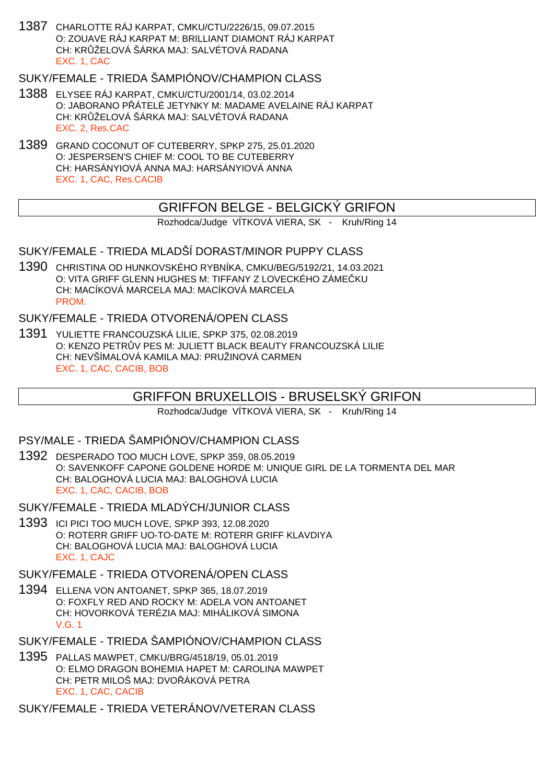1387 CHARLOTTE RÁJ KARPAT, CMKU/CTU/2226/15, 09.07.2015 O: ZOUAVE RÁJ KARPAT M: BRILLIANT DIAMONT RÁJ KARPAT CH: KR. ŽELOVÁ ŠÁRKA MAJ: SALVÉTOVÁ RADANA EXC. 1, CAC

### SUKY/FEMALE - TRIEDA ŠAMPIÓNOV/CHAMPION CLASS

- 1388 ELYSEE RÁJ KARPAT, CMKU/CTU/2001/14, 03.02.2014 O: JABORANO PÁTELÉ JETYNKY M: MADAME AVELAINE RÁJ KARPAT CH: KR ŽELOVÁ ŠÁRKA MAJ: SALVÉTOVÁ RADANA EXC. 2, Res.CAC
- 1389 GRAND COCONUT OF CUTEBERRY, SPKP 275, 25.01.2020 O: JESPERSEN'S CHIEF M: COOL TO BE CUTEBERRY CH: HARSÁNYIOVÁ ANNA MAJ: HARSÁNYIOVÁ ANNA EXC. 1, CAC, Res.CACIB

## GRIFFON BELGE - BELGICKÝ GRIFON

Rozhodca/Judge VÍTKOVÁ VIERA, SK - Kruh/Ring 14

SUKY/FEMALE - TRIEDA MLADŠÍ DORAST/MINOR PUPPY CLASS

1390 CHRISTINA OD HUNKOVSKÉHO RYBNÍKA, CMKU/BEG/5192/21, 14.03.2021 O: VITA GRIFF GLENN HUGHES M: TIFFANY Z LOVECKÉHO ZÁME KU CH: MACÍKOVÁ MARCELA MAJ: MACÍKOVÁ MARCELA PROM.

SUKY/FEMALE - TRIEDA OTVORENÁ/OPEN CLASS

1391 YULIETTE FRANCOUZSKÁ LILIE, SPKP 375, 02.08.2019 O: KENZO PETR V PES M: JULIETT BLACK BEAUTY FRANCOUZSKÁ LILIE CH: NEVŠÍMALOVÁ KAMILA MAJ: PRUŽINOVÁ CARMEN EXC. 1, CAC, CACIB, BOB

## GRIFFON BRUXELLOIS - BRUSELSKÝ GRIFON

Rozhodca/Judge VÍTKOVÁ VIERA, SK - Kruh/Ring 14

### PSY/MALE - TRIEDA ŠAMPIÓNOV/CHAMPION CLASS

1392 DESPERADO TOO MUCH LOVE, SPKP 359, 08.05.2019 O: SAVENKOFF CAPONE GOLDENE HORDE M: UNIQUE GIRL DE LA TORMENTA DEL MAR CH: BALOGHOVÁ LUCIA MAJ: BALOGHOVÁ LUCIA EXC. 1, CAC, CACIB, BOB

- SUKY/FEMALE TRIEDA MLADÝCH/JUNIOR CLASS
- 1393 ICI PICI TOO MUCH LOVE, SPKP 393, 12.08.2020 O: ROTERR GRIFF UO-TO-DATE M: ROTERR GRIFF KLAVDIYA CH: BALOGHOVÁ LUCIA MAJ: BALOGHOVÁ LUCIA EXC. 1, CAJC

SUKY/FEMALE - TRIEDA OTVORENÁ/OPEN CLASS

1394 ELLENA VON ANTOANET, SPKP 365, 18.07.2019 O: FOXFLY RED AND ROCKY M: ADELA VON ANTOANET CH: HOVORKOVÁ TERÉZIA MAJ: MIHÁLIKOVÁ SIMONA V.G. 1

SUKY/FEMALE - TRIEDA ŠAMPIÓNOV/CHAMPION CLASS

1395 PALLAS MAWPET, CMKU/BRG/4518/19, 05.01.2019 O: ELMO DRAGON BOHEMIA HAPET M: CAROLINA MAWPET CH: PETR MILOŠ MAJ: DVO ÁKOVÁ PETRA EXC. 1, CAC, CACIB

SUKY/FEMALE - TRIEDA VETERÁNOV/VETERAN CLASS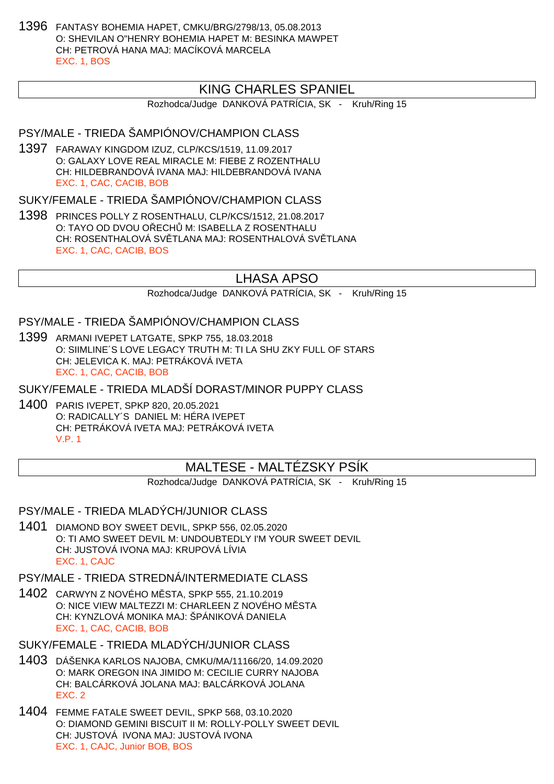1396 FANTASY BOHEMIA HAPET, CMKU/BRG/2798/13, 05.08.2013 O: SHEVILAN O"HENRY BOHEMIA HAPET M: BESINKA MAWPET CH: PETROVÁ HANA MAJ: MACÍKOVÁ MARCELA EXC. 1, BOS

## KING CHARLES SPANIEL

Rozhodca/Judge DANKOVÁ PATRÍCIA, SK - Kruh/Ring 15

## PSY/MALE - TRIEDA ŠAMPIÓNOV/CHAMPION CLASS

1397 FARAWAY KINGDOM IZUZ, CLP/KCS/1519, 11.09.2017 O: GALAXY LOVE REAL MIRACLE M: FIEBE Z ROZENTHALU CH: HILDEBRANDOVÁ IVANA MAJ: HILDEBRANDOVÁ IVANA EXC. 1, CAC, CACIB, BOB

### SUKY/FEMALE - TRIEDA ŠAMPIÓNOV/CHAMPION CLASS

1398 PRINCES POLLY Z ROSENTHALU, CLP/KCS/1512, 21.08.2017 O: TAYO OD DVOU OŘECHŮ M: ISABELLA Z ROSENTHALU CH: ROSENTHALOVÁ SV TLANA MAJ: ROSENTHALOVÁ SV TLANA EXC. 1, CAC, CACIB, BOS

## LHASA APSO

Rozhodca/Judge DANKOVÁ PATRÍCIA, SK - Kruh/Ring 15

## PSY/MALE - TRIEDA ŠAMPIÓNOV/CHAMPION CLASS

1399 ARMANI IVEPET LATGATE, SPKP 755, 18.03.2018 O: SIIMLINE´S LOVE LEGACY TRUTH M: TI LA SHU ZKY FULL OF STARS CH: JELEVICA K. MAJ: PETRÁKOVÁ IVETA EXC. 1, CAC, CACIB, BOB

SUKY/FEMALE - TRIEDA MLADŠÍ DORAST/MINOR PUPPY CLASS

1400 PARIS IVEPET, SPKP 820, 20.05.2021 O: RADICALLY´S DANIEL M: HÉRA IVEPET CH: PETRÁKOVÁ IVETA MAJ: PETRÁKOVÁ IVETA V.P. 1

### MALTESE - MALTÉZSKY PSÍK

Rozhodca/Judge DANKOVÁ PATRÍCIA, SK - Kruh/Ring 15

PSY/MALE - TRIEDA MLADÝCH/JUNIOR CLASS

1401 DIAMOND BOY SWEET DEVIL, SPKP 556, 02.05.2020 O: TI AMO SWEET DEVIL M: UNDOUBTEDLY I'M YOUR SWEET DEVIL CH: JUSTOVÁ IVONA MAJ: KRUPOVÁ LÍVIA EXC. 1, CAJC

PSY/MALE - TRIEDA STREDNÁ/INTERMEDIATE CLASS

1402 CARWYN Z NOVÉHO M STA, SPKP 555, 21.10.2019 O: NICE VIEW MALTEZZI M: CHARLEEN Z NOVÉHO M STA CH: KYNZLOVÁ MONIKA MAJ: ŠPÁNIKOVÁ DANIELA EXC. 1, CAC, CACIB, BOB

SUKY/FEMALE - TRIEDA MLADÝCH/JUNIOR CLASS

- 1403 DÁŠENKA KARLOS NAJOBA, CMKU/MA/11166/20, 14.09.2020 O: MARK OREGON INA JIMIDO M: CECILIE CURRY NAJOBA CH: BALCÁRKOVÁ JOLANA MAJ: BALCÁRKOVÁ JOLANA EXC. 2
- 1404 FEMME FATALE SWEET DEVIL, SPKP 568, 03.10.2020 O: DIAMOND GEMINI BISCUIT II M: ROLLY-POLLY SWEET DEVIL CH: JUSTOVÁ IVONA MAJ: JUSTOVÁ IVONA EXC. 1, CAJC, Junior BOB, BOS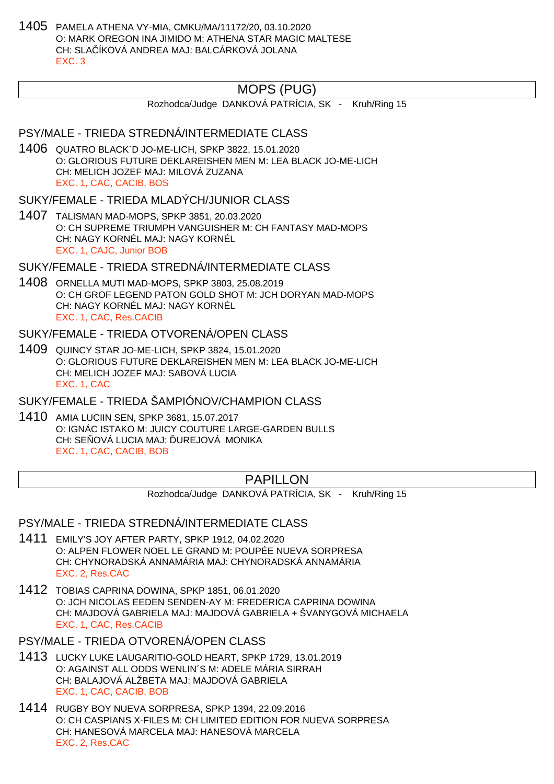1405 PAMELA ATHENA VY-MIA, CMKU/MA/11172/20, 03.10.2020 O: MARK OREGON INA JIMIDO M: ATHENA STAR MAGIC MALTESE CH: SLAČÍKOVÁ ANDREA MAJ: BALCÁRKOVÁ JOLANA EXC. 3

# MOPS (PUG)

Rozhodca/Judge DANKOVÁ PATRÍCIA, SK - Kruh/Ring 15

### PSY/MALE - TRIEDA STREDNÁ/INTERMEDIATE CLASS

- 1406 QUATRO BLACK`D JO-ME-LICH, SPKP 3822, 15.01.2020 O: GLORIOUS FUTURE DEKLAREISHEN MEN M: LEA BLACK JO-ME-LICH CH: MELICH JOZEF MAJ: MILOVÁ ZUZANA EXC. 1, CAC, CACIB, BOS
- SUKY/FEMALE TRIEDA MLADÝCH/JUNIOR CLASS
- 1407 TALISMAN MAD-MOPS, SPKP 3851, 20.03.2020 O: CH SUPREME TRIUMPH VANGUISHER M: CH FANTASY MAD-MOPS CH: NAGY KORNÉL MAJ: NAGY KORNÉL EXC. 1, CAJC, Junior BOB

SUKY/FEMALE - TRIEDA STREDNÁ/INTERMEDIATE CLASS

1408 ORNELLA MUTI MAD-MOPS, SPKP 3803, 25.08.2019 O: CH GROF LEGEND PATON GOLD SHOT M: JCH DORYAN MAD-MOPS CH: NAGY KORNÉL MAJ: NAGY KORNÉL EXC. 1, CAC, Res.CACIB

## SUKY/FEMALE - TRIEDA OTVORENÁ/OPEN CLASS

1409 QUINCY STAR JO-ME-LICH, SPKP 3824, 15.01.2020 O: GLORIOUS FUTURE DEKLAREISHEN MEN M: LEA BLACK JO-ME-LICH CH: MELICH JOZEF MAJ: SABOVÁ LUCIA EXC. 1, CAC

SUKY/FEMALE - TRIEDA ŠAMPIÓNOV/CHAMPION CLASS

1410 AMIA LUCIIN SEN, SPKP 3681, 15.07.2017 O: IGNÁC ISTAKO M: JUICY COUTURE LARGE-GARDEN BULLS CH: SE OVÁ LUCIA MAJ: UREJOVÁ MONIKA EXC. 1, CAC, CACIB, BOB

# PAPILLON

Rozhodca/Judge DANKOVÁ PATRÍCIA, SK - Kruh/Ring 15

PSY/MALE - TRIEDA STREDNÁ/INTERMEDIATE CLASS

- 1411 EMILY'S JOY AFTER PARTY, SPKP 1912, 04.02.2020 O: ALPEN FLOWER NOEL LE GRAND M: POUPÉE NUEVA SORPRESA CH: CHYNORADSKÁ ANNAMÁRIA MAJ: CHYNORADSKÁ ANNAMÁRIA EXC. 2, Res.CAC
- 1412 TOBIAS CAPRINA DOWINA, SPKP 1851, 06.01.2020 O: JCH NICOLAS EEDEN SENDEN-AY M: FREDERICA CAPRINA DOWINA CH: MAJDOVÁ GABRIELA MAJ: MAJDOVÁ GABRIELA + ŠVANYGOVÁ MICHAELA EXC. 1, CAC, Res.CACIB

PSY/MALE - TRIEDA OTVORENÁ/OPEN CLASS

- 1413 LUCKY LUKE LAUGARITIO-GOLD HEART, SPKP 1729, 13.01.2019 O: AGAINST ALL ODDS WENLIN´S M: ADELE MÁRIA SIRRAH CH: BALAJOVÁ ALŽBETA MAJ: MAJDOVÁ GABRIELA EXC. 1, CAC, CACIB, BOB
- 1414 RUGBY BOY NUEVA SORPRESA, SPKP 1394, 22.09.2016 O: CH CASPIANS X-FILES M: CH LIMITED EDITION FOR NUEVA SORPRESA CH: HANESOVÁ MARCELA MAJ: HANESOVÁ MARCELA EXC. 2, Res.CAC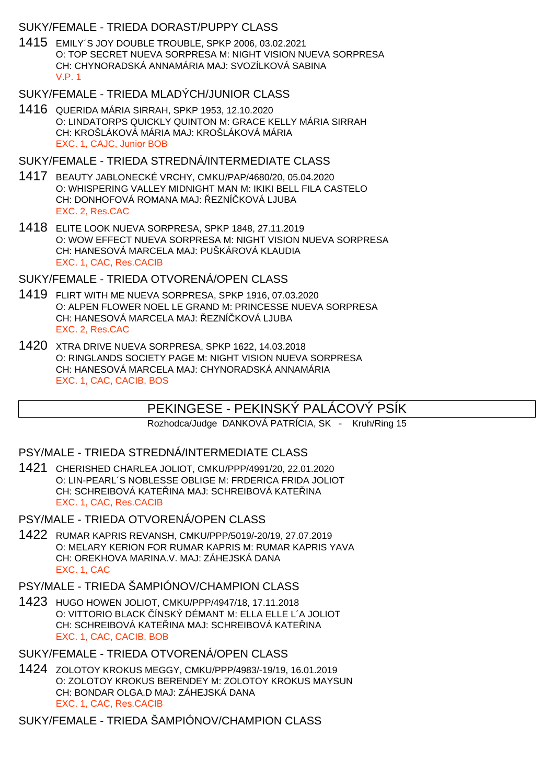### SUKY/FEMALE - TRIEDA DORAST/PUPPY CLASS

1415 EMILY´S JOY DOUBLE TROUBLE, SPKP 2006, 03.02.2021 O: TOP SECRET NUEVA SORPRESA M: NIGHT VISION NUEVA SORPRESA CH: CHYNORADSKÁ ANNAMÁRIA MAJ: SVOZÍLKOVÁ SABINA V.P. 1

### SUKY/FEMALE - TRIEDA MLADÝCH/JUNIOR CLASS

1416 QUERIDA MÁRIA SIRRAH, SPKP 1953, 12.10.2020 O: LINDATORPS QUICKLY QUINTON M: GRACE KELLY MÁRIA SIRRAH CH: KROŠLÁKOVÁ MÁRIA MAJ: KROŠLÁKOVÁ MÁRIA EXC. 1, CAJC, Junior BOB

## SUKY/FEMALE - TRIEDA STREDNÁ/INTERMEDIATE CI ASS

- 1417 BEAUTY JABLONECKÉ VRCHY, CMKU/PAP/4680/20, 05.04.2020 O: WHISPERING VALLEY MIDNIGHT MAN M: IKIKI BELL FILA CASTELO CH: DONHOFOVÁ ROMANA MAJ: EZNÍ KOVÁ LJUBA EXC. 2, Res.CAC
- 1418 ELITE LOOK NUEVA SORPRESA, SPKP 1848, 27.11.2019 O: WOW EFFECT NUEVA SORPRESA M: NIGHT VISION NUEVA SORPRESA CH: HANESOVÁ MARCELA MAJ: PUŠKÁROVÁ KLAUDIA EXC. 1, CAC, Res.CACIB

#### SUKY/FEMALE - TRIEDA OTVORENÁ/OPEN CLASS

- 1419 FLIRT WITH ME NUEVA SORPRESA, SPKP 1916, 07.03.2020 O: ALPEN FLOWER NOEL LE GRAND M: PRINCESSE NUEVA SORPRESA CH: HANESOVÁ MARCELA MAJ: EZNÍ KOVÁ LJUBA EXC. 2, Res.CAC
- 1420 XTRA DRIVE NUEVA SORPRESA, SPKP 1622, 14.03.2018 O: RINGLANDS SOCIETY PAGE M: NIGHT VISION NUEVA SORPRESA CH: HANESOVÁ MARCELA MAJ: CHYNORADSKÁ ANNAMÁRIA EXC. 1, CAC, CACIB, BOS

## PEKINGESE - PEKINSKÝ PALÁCOVÝ PSÍK

Rozhodca/Judge DANKOVÁ PATRÍCIA, SK - Kruh/Ring 15

PSY/MALE - TRIEDA STREDNÁ/INTERMEDIATE CLASS

- 1421 CHERISHED CHARLEA JOLIOT, CMKU/PPP/4991/20, 22.01.2020 O: LIN-PEARL´S NOBLESSE OBLIGE M: FRDERICA FRIDA JOLIOT CH: SCHREIBOVÁ KATE INA MAJ: SCHREIBOVÁ KATE INA EXC. 1, CAC, Res.CACIB
- PSY/MALE TRIEDA OTVORENÁ/OPEN CLASS
- 1422 RUMAR KAPRIS REVANSH, CMKU/PPP/5019/-20/19, 27.07.2019 O: MELARY KERION FOR RUMAR KAPRIS M: RUMAR KAPRIS YAVA CH: OREKHOVA MARINA.V. MAJ: ZÁHEJSKÁ DANA EXC. 1, CAC

### PSY/MALE - TRIEDA ŠAMPIÓNOV/CHAMPION CLASS

- 1423 HUGO HOWEN JOLIOT, CMKU/PPP/4947/18, 17.11.2018 O: VITTORIO BLACK ČÍNSKÝ DÉMANT M: ELLA ELLE L´A JOLIOT CH: SCHREIBOVÁ KATE INA MAJ: SCHREIBOVÁ KATE INA EXC. 1, CAC, CACIB, BOB
- SUKY/FEMALE TRIEDA OTVORENÁ/OPEN CLASS
- 1424 ZOLOTOY KROKUS MEGGY, CMKU/PPP/4983/-19/19, 16.01.2019 O: ZOLOTOY KROKUS BERENDEY M: ZOLOTOY KROKUS MAYSUN CH: BONDAR OLGA.D MAJ: ZÁHEJSKÁ DANA EXC. 1, CAC, Res.CACIB
- SUKY/FEMALE TRIEDA ŠAMPIÓNOV/CHAMPION CLASS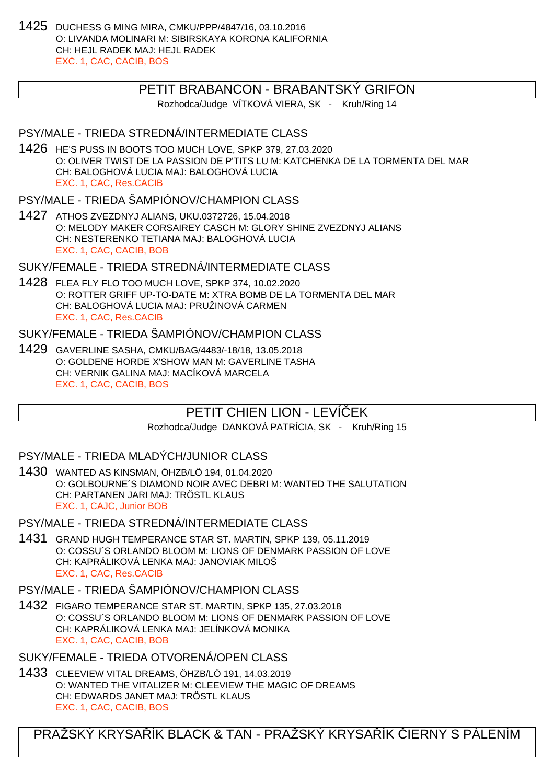1425 DUCHESS G MING MIRA, CMKU/PPP/4847/16, 03.10.2016 O: LIVANDA MOLINARI M: SIBIRSKAYA KORONA KALIFORNIA CH: HEJL RADEK MAJ: HEJL RADEK EXC. 1, CAC, CACIB, BOS

### PETIT BRABANCON - BRABANTSKÝ GRIFON

Rozhodca/Judge VÍTKOVÁ VIERA, SK - Kruh/Ring 14

### PSY/MALE - TRIEDA STREDNÁ/INTERMEDIATE CLASS

1426 HE'S PUSS IN BOOTS TOO MUCH LOVE, SPKP 379, 27.03.2020 O: OLIVER TWIST DE LA PASSION DE P'TITS LU M: KATCHENKA DE LA TORMENTA DEL MAR CH: BALOGHOVÁ LUCIA MAJ: BALOGHOVÁ LUCIA EXC. 1, CAC, Res.CACIB

### PSY/MALE - TRIEDA ŠAMPIÓNOV/CHAMPION CLASS

1427 ATHOS ZVEZDNYJ ALIANS, UKU.0372726, 15.04.2018 O: MELODY MAKER CORSAIREY CASCH M: GLORY SHINE ZVEZDNYJ ALIANS CH: NESTERENKO TETIANA MAJ: BALOGHOVÁ LUCIA EXC. 1, CAC, CACIB, BOB

#### SUKY/FEMALE - TRIEDA STREDNÁ/INTERMEDIATE CLASS

1428 FLEA FLY FLO TOO MUCH LOVE, SPKP 374, 10.02.2020 O: ROTTER GRIFF UP-TO-DATE M: XTRA BOMB DE LA TORMENTA DEL MAR CH: BALOGHOVÁ LUCIA MAJ: PRUŽINOVÁ CARMEN EXC. 1, CAC, Res.CACIB

### SUKY/FEMALE - TRIEDA ŠAMPIÓNOV/CHAMPION CLASS

1429 GAVERLINE SASHA, CMKU/BAG/4483/-18/18, 13.05.2018 O: GOLDENE HORDE X'SHOW MAN M: GAVERLINE TASHA CH: VERNIK GALINA MAJ: MACÍKOVÁ MARCELA EXC. 1, CAC, CACIB, BOS

# PETIT CHIEN LION - LEVÍ EK

Rozhodca/Judge DANKOVÁ PATRÍCIA, SK - Kruh/Ring 15

PSY/MALE - TRIEDA MLADÝCH/JUNIOR CLASS

1430 WANTED AS KINSMAN, ÖHZB/LÖ 194, 01.04.2020 O: GOLBOURNE´S DIAMOND NOIR AVEC DEBRI M: WANTED THE SALUTATION CH: PARTANEN JARI MAJ: TRÖSTL KLAUS EXC. 1, CAJC, Junior BOB

PSY/MALE - TRIEDA STREDNÁ/INTERMEDIATE CLASS

1431 GRAND HUGH TEMPERANCE STAR ST. MARTIN, SPKP 139, 05.11.2019 O: COSSU´S ORLANDO BLOOM M: LIONS OF DENMARK PASSION OF LOVE CH: KAPRÁLIKOVÁ LENKA MAJ: JANOVIAK MILOŠ EXC. 1, CAC, Res.CACIB

PSY/MALE - TRIEDA ŠAMPIÓNOV/CHAMPION CLASS

1432 FIGARO TEMPERANCE STAR ST. MARTIN, SPKP 135, 27.03.2018 O: COSSU´S ORLANDO BLOOM M: LIONS OF DENMARK PASSION OF LOVE CH: KAPRÁLIKOVÁ LENKA MAJ: JELÍNKOVÁ MONIKA EXC. 1, CAC, CACIB, BOB

SUKY/FEMALE - TRIEDA OTVORENÁ/OPEN CLASS

1433 CLEEVIEW VITAL DREAMS, ÖHZB/LÖ 191, 14.03.2019 O: WANTED THE VITALIZER M: CLEEVIEW THE MAGIC OF DREAMS CH: EDWARDS JANET MAJ: TRÖSTL KLAUS EXC. 1, CAC, CACIB, BOS

PRAŽSKÝ KRYSA ÍK BLACK & TAN - PRAŽSKÝ KRYSA ÍK LERNY S PÁLENÍM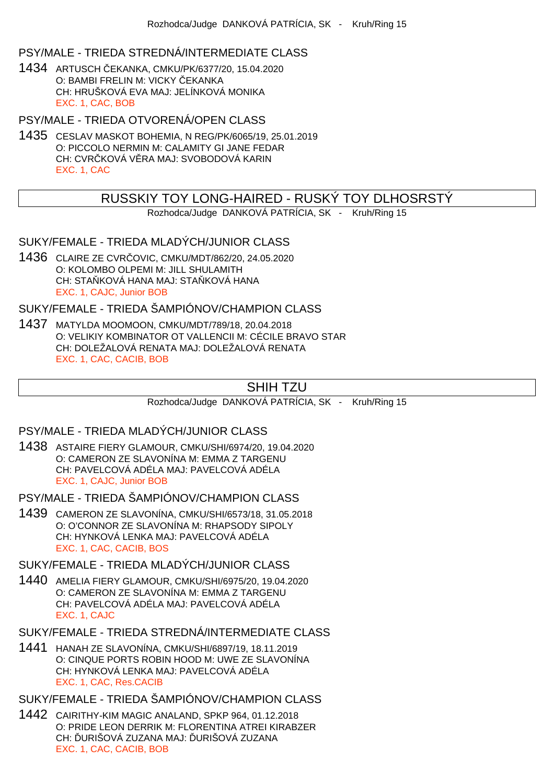### PSY/MALE - TRIEDA STREDNÁ/INTERMEDIATE CLASS

1434 ARTUSCH ČEKANKA, CMKU/PK/6377/20, 15.04.2020 O: BAMBI FRELIN M: VICKY EKANKA CH: HRUŠKOVÁ EVA MAJ: JELÍNKOVÁ MONIKA EXC. 1, CAC, BOB

PSY/MALE - TRIEDA OTVORENÁ/OPEN CLASS

1435 CESLAV MASKOT BOHEMIA, N REG/PK/6065/19, 25.01.2019 O: PICCOLO NERMIN M: CALAMITY GI JANE FEDAR CH: CVR KOVÁ V RA MAJ: SVOBODOVÁ KARIN EXC. 1, CAC

# RUSSKIY TOY LONG-HAIRED - RUSKÝ TOY DLHOSRSTÝ

Rozhodca/Judge DANKOVÁ PATRÍCIA, SK - Kruh/Ring 15

### SUKY/FEMALE - TRIEDA MLADÝCH/JUNIOR CLASS

1436 CLAIRE ZE CVRČOVIC, CMKU/MDT/862/20, 24.05.2020 O: KOLOMBO OLPEMI M: JILL SHULAMITH CH: STA KOVÁ HANA MAJ: STA KOVÁ HANA EXC. 1, CAJC, Junior BOB

SUKY/FEMALE - TRIEDA ŠAMPIÓNOV/CHAMPION CLASS

1437 MATYLDA MOOMOON, CMKU/MDT/789/18, 20.04.2018 O: VELIKIY KOMBINATOR OT VALLENCII M: CÉCILE BRAVO STAR CH: DOLEŽALOVÁ RENATA MAJ: DOLEŽALOVÁ RENATA EXC. 1, CAC, CACIB, BOB

# SHIH TZU

Rozhodca/Judge DANKOVÁ PATRÍCIA, SK - Kruh/Ring 15

### PSY/MALE - TRIEDA MLADÝCH/JUNIOR CLASS

1438 ASTAIRE FIERY GLAMOUR, CMKU/SHI/6974/20, 19.04.2020 O: CAMERON ZE SLAVONÍNA M: EMMA Z TARGENU CH: PAVELCOVÁ ADÉLA MAJ: PAVELCOVÁ ADÉLA EXC. 1, CAJC, Junior BOB

PSY/MALE - TRIEDA ŠAMPIÓNOV/CHAMPION CLASS

1439 CAMERON ZE SLAVONÍNA, CMKU/SHI/6573/18, 31.05.2018 O: O'CONNOR ZE SLAVONÍNA M: RHAPSODY SIPOLY CH: HYNKOVÁ LENKA MAJ: PAVELCOVÁ ADÉLA EXC. 1, CAC, CACIB, BOS

SUKY/FEMALE - TRIEDA MLADÝCH/JUNIOR CLASS

1440 AMELIA FIERY GLAMOUR, CMKU/SHI/6975/20, 19.04.2020 O: CAMERON ZE SLAVONÍNA M: EMMA Z TARGENU CH: PAVELCOVÁ ADÉLA MAJ: PAVELCOVÁ ADÉLA EXC. 1, CAJC

# SUKY/FEMALE - TRIEDA STREDNÁ/INTERMEDIATE CLASS

1441 HANAH ZE SLAVONÍNA, CMKU/SHI/6897/19, 18.11.2019 O: CINQUE PORTS ROBIN HOOD M: UWE ZE SLAVONÍNA CH: HYNKOVÁ LENKA MAJ: PAVELCOVÁ ADÉLA EXC. 1, CAC, Res.CACIB

# SUKY/FEMALE - TRIEDA ŠAMPIÓNOV/CHAMPION CLASS

1442 CAIRITHY-KIM MAGIC ANALAND, SPKP 964, 01.12.2018 O: PRIDE LEON DERRIK M: FLORENTINA ATREI KIRABZER CH: URIŠOVÁ ZUZANA MAJ: URIŠOVÁ ZUZANA EXC. 1, CAC, CACIB, BOB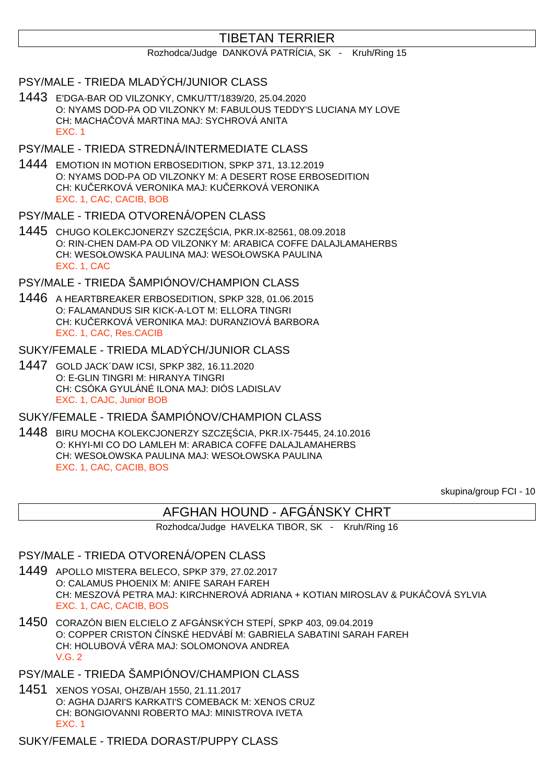# TIBETAN TERRIER

#### Rozhodca/Judge DANKOVÁ PATRÍCIA, SK - Kruh/Ring 15

### PSY/MALE - TRIEDA MLADÝCH/JUNIOR CLASS

1443 E'DGA-BAR OD VILZONKY, CMKU/TT/1839/20, 25.04.2020 O: NYAMS DOD-PA OD VILZONKY M: FABULOUS TEDDY'S LUCIANA MY LOVE CH: MACHA QVÁ MARTINA MAJ: SYCHROVÁ ANITA EXC. 1

### PSY/MALE - TRIEDA STREDNÁ/INTERMEDIATE CLASS

1444 EMOTION IN MOTION ERBOSEDITION, SPKP 371, 13.12.2019 O: NYAMS DOD-PA OD VILZONKY M: A DESERT ROSE ERBOSEDITION CH: KU ERKOVÁ VERONIKA MAJ: KU ERKOVÁ VERONIKA EXC. 1, CAC, CACIB, BOB

### PSY/MALE - TRIEDA OTVORENÁ/OPEN CLASS

1445 CHUGO KOLEKCJONERZY SZCZ CIA, PKR.IX-82561, 08.09.2018 O: RIN-CHEN DAM-PA OD VILZONKY M: ARABICA COFFE DALAJLAMAHERBS CH: WESOŁOWSKA PAULINA MAJ: WESOŁOWSKA PAULINA EXC. 1, CAC

### PSY/MALE - TRIEDA ŠAMPIÓNOV/CHAMPION CLASS

1446 A HEARTBREAKER ERBOSEDITION, SPKP 328, 01.06.2015 O: FALAMANDUS SIR KICK-A-LOT M: ELLORA TINGRI CH: KU ERKOVÁ VERONIKA MAJ: DURANZIOVÁ BARBORA EXC. 1, CAC, Res.CACIB

#### SUKY/FEMALE - TRIEDA MLADÝCH/JUNIOR CLASS

1447 GOLD JACK´DAW ICSI, SPKP 382, 16.11.2020 O: E-GLIN TINGRI M: HIRANYA TINGRI CH: CSÓKA GYULÁNÉ ILONA MAJ: DIÓS LADISLAV EXC. 1, CAJC, Junior BOB

### SUKY/FEMALE - TRIEDA ŠAMPIÓNOV/CHAMPION CLASS

1448 BIRU MOCHA KOLEKCJONERZY SZCZĘŚCIA, PKR.IX-75445, 24.10.2016 O: KHYI-MI CO DO LAMLEH M: ARABICA COFFE DALAJLAMAHERBS CH: WESOŁOWSKA PAULINA MAJ: WESOŁOWSKA PAULINA EXC. 1, CAC, CACIB, BOS

skupina/group FCI - 10

# AFGHAN HOUND - AFGÁNSKY CHRT

Rozhodca/Judge HAVELKA TIBOR, SK - Kruh/Ring 16

#### PSY/MALE - TRIEDA OTVORENÁ/OPEN CLASS

- 1449 APOLLO MISTERA BELECO, SPKP 379, 27.02.2017 O: CALAMUS PHOENIX M: ANIFE SARAH FAREH CH: MESZOVÁ PETRA MAJ: KIRCHNEROVÁ ADRIANA + KOTIAN MIROSLAV & PUKÁ OVÁ SYLVIA EXC. 1, CAC, CACIB, BOS
- 1450 CORAZÓN BIEN ELCIELO Z AFGÁNSKÝCH STEPÍ, SPKP 403, 09.04.2019 O: COPPER CRISTON ČÍNSKÉ HEDVÁBÍ M: GABRIELA SABATINI SARAH FAREH CH: HOLUBOVÁ V RA MAJ: SOLOMONOVA ANDREA  $V$  G  $2$

### PSY/MALE - TRIEDA ŠAMPIÓNOV/CHAMPION CLASS

1451 XENOS YOSAI, OHZB/AH 1550, 21.11.2017 O: AGHA DJARI'S KARKATI'S COMEBACK M: XENOS CRUZ CH: BONGIOVANNI ROBERTO MAJ: MINISTROVA IVETA EXC. 1

SUKY/FEMALE - TRIEDA DORAST/PUPPY CLASS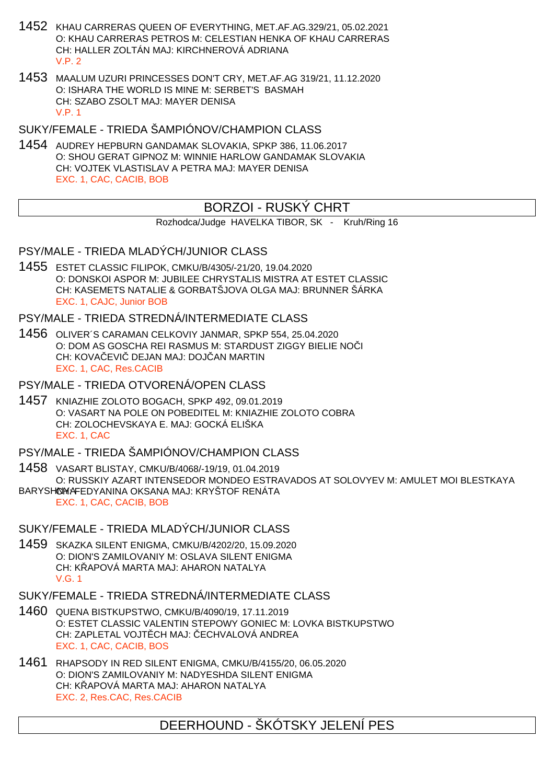- 1452 KHAU CARRERAS QUEEN OF EVERYTHING, MET.AF.AG.329/21, 05.02.2021 O: KHAU CARRERAS PETROS M: CELESTIAN HENKA OF KHAU CARRERAS CH: HALLER ZOLTÁN MAJ: KIRCHNEROVÁ ADRIANA  $V.P. 2$
- 1453 MAALUM UZURI PRINCESSES DON'T CRY, MET.AF.AG 319/21, 11.12.2020 O: ISHARA THE WORLD IS MINE M: SERBET'S BASMAH CH: SZABO ZSOLT MAJ: MAYER DENISA V.P. 1

SUKY/FEMALE - TRIEDA ŠAMPIÓNOV/CHAMPION CLASS

1454 AUDREY HEPBURN GANDAMAK SLOVAKIA, SPKP 386, 11.06.2017 O: SHOU GERAT GIPNOZ M: WINNIE HARLOW GANDAMAK SLOVAKIA CH: VOJTEK VLASTISLAV A PETRA MAJ: MAYER DENISA EXC. 1, CAC, CACIB, BOB

# BORZOI - RUSKÝ CHRT

Rozhodca/Judge HAVELKA TIBOR, SK - Kruh/Ring 16

PSY/MALE - TRIEDA MLADÝCH/JUNIOR CLASS

1455 ESTET CLASSIC FILIPOK, CMKU/B/4305/-21/20, 19.04.2020 O: DONSKOI ASPOR M: JUBILEE CHRYSTALIS MISTRA AT ESTET CLASSIC CH: KASEMETS NATALIE & GORBATŠJOVA OLGA MAJ: BRUNNER ŠÁRKA EXC. 1, CAJC, Junior BOB

PSY/MALE - TRIEDA STREDNÁ/INTERMEDIATE CLASS

1456 OLIVER´S CARAMAN CELKOVIY JANMAR, SPKP 554, 25.04.2020 O: DOM AS GOSCHA REI RASMUS M: STARDUST ZIGGY BIELIE NO I CH: KOVA EVI DEJAN MAJ: DOJ AN MARTIN EXC. 1, CAC, Res.CACIB

PSY/MALE - TRIEDA OTVORENÁ/OPEN CLASS

1457 KNIAZHIE ZOLOTO BOGACH, SPKP 492, 09.01.2019 O: VASART NA POLE ON POBEDITEL M: KNIAZHIE ZOLOTO COBRA CH: ZOLOCHEVSKAYA E. MAJ: GOCKÁ ELIŠKA EXC. 1, CAC

PSY/MALE - TRIEDA ŠAMPIÓNOV/CHAMPION CLASS

1458 VASART BLISTAY, CMKU/B/4068/-19/19, 01.04.2019 O: RUSSKIY AZART INTENSEDOR MONDEO ESTRAVADOS AT SOLOVYEV M: AMULET MOI BLESTKAYA BARYSHOMA FEDYANINA OKSANA MAJ: KRYŠTOF RENÁTA EXC. 1, CAC, CACIB, BOB

SUKY/FEMALE - TRIEDA MLADÝCH/JUNIOR CLASS

1459 SKAZKA SILENT ENIGMA, CMKU/B/4202/20, 15.09.2020 O: DION'S ZAMILOVANIY M: OSLAVA SILENT ENIGMA CH: KAPOVÁ MARTA MAJ: AHARON NATALYA V.G. 1

SUKY/FEMALE - TRIEDA STREDNÁ/INTERMEDIATE CLASS

- 1460 QUENA BISTKUPSTWO, CMKU/B/4090/19, 17.11.2019 O: ESTET CLASSIC VALENTIN STEPOWY GONIEC M: LOVKA BISTKUPSTWO CH: ZAPLETAL VOJT CH MAJ: ECHVALOVÁ ANDREA EXC. 1, CAC, CACIB, BOS
- 1461 RHAPSODY IN RED SILENT ENIGMA, CMKU/B/4155/20, 06.05.2020 O: DION'S ZAMILOVANIY M: NADYESHDA SILENT ENIGMA CH: KAPOVÁ MARTA MAJ: AHARON NATALYA EXC. 2, Res.CAC, Res.CACIB

DEERHOUND - ŠKÓTSKY JELENÍ PES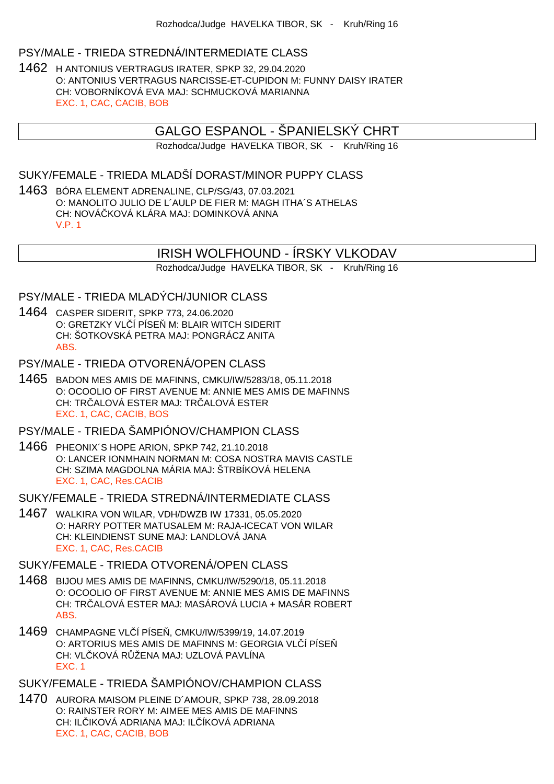#### PSY/MALE - TRIEDA STREDNÁ/INTERMEDIATE CLASS

1462 H ANTONIUS VERTRAGUS IRATER, SPKP 32, 29.04.2020 O: ANTONIUS VERTRAGUS NARCISSE-ET-CUPIDON M: FUNNY DAISY IRATER CH: VOBORNÍKOVÁ EVA MAJ: SCHMUCKOVÁ MARIANNA EXC. 1, CAC, CACIB, BOB

## GALGO ESPANOL - ŠPANIELSKÝ CHRT

Rozhodca/Judge HAVELKA TIBOR, SK - Kruh/Ring 16

### SUKY/FEMALE - TRIEDA MLADŠÍ DORAST/MINOR PUPPY CLASS

1463 BÓRA ELEMENT ADRENALINE, CLP/SG/43, 07.03.2021 O: MANOLITO JULIO DE L´AULP DE FIER M: MAGH ITHA´S ATHELAS CH: NOVÁ KOVÁ KLÁRA MAJ: DOMINKOVÁ ANNA V.P. 1

## IRISH WOLFHOUND - ÍRSKY VLKODAV

Rozhodca/Judge HAVELKA TIBOR, SK - Kruh/Ring 16

#### PSY/MALE - TRIEDA MLADÝCH/JUNIOR CLASS

1464 CASPER SIDERIT, SPKP 773, 24.06.2020 O: GRETZKY VLÍ PÍSE M: BLAIR WITCH SIDERIT CH: ŠOTKOVSKÁ PETRA MAJ: PONGRÁCZ ANITA ABS.

#### PSY/MALE - TRIEDA OTVORENÁ/OPEN CLASS

1465 BADON MES AMIS DE MAFINNS, CMKU/IW/5283/18, 05.11.2018 O: OCOOLIO OF FIRST AVENUE M: ANNIE MES AMIS DE MAFINNS CH: TRICALOVÁ ESTER MAJ: TRICALOVÁ ESTER EXC. 1, CAC, CACIB, BOS

#### PSY/MALE - TRIEDA ŠAMPIÓNOV/CHAMPION CLASS

1466 PHEONIX´S HOPE ARION, SPKP 742, 21.10.2018 O: LANCER IONMHAIN NORMAN M: COSA NOSTRA MAVIS CASTLE CH: SZIMA MAGDOLNA MÁRIA MAJ: ŠTRBÍKOVÁ HELENA EXC. 1, CAC, Res.CACIB

### SUKY/FEMALE - TRIEDA STREDNÁ/INTERMEDIATE CLASS

1467 WALKIRA VON WILAR, VDH/DWZB IW 17331, 05.05.2020 O: HARRY POTTER MATUSALEM M: RAJA-ICECAT VON WILAR CH: KLEINDIENST SUNE MAJ: LANDLOVÁ JANA EXC. 1, CAC, Res.CACIB

#### SUKY/FEMALE - TRIEDA OTVORENÁ/OPEN CLASS

- 1468 BIJOU MES AMIS DE MAFINNS, CMKU/IW/5290/18, 05.11.2018 O: OCOOLIO OF FIRST AVENUE M: ANNIE MES AMIS DE MAFINNS CH: TRI ALOVÁ ESTER MAJ: MASÁROVÁ LUCIA + MASÁR ROBERT ABS.
- 1469 CHAMPAGNE VLÍ PÍSE, CMKU/IW/5399/19, 14.07.2019 O: ARTORIUS MES AMIS DE MAFINNS M: GEORGIA VLÍPÍSE CH: VLLKOVÁ RUŽENA MAJ: UZLOVÁ PAVLÍNA EXC. 1

### SUKY/FEMALE - TRIEDA ŠAMPIÓNOV/CHAMPION CLASS

1470 AURORA MAISOM PLEINE D´AMOUR, SPKP 738, 28.09.2018 O: RAINSTER RORY M: AIMEE MES AMIS DE MAFINNS CH: IL IKOVÁ ADRIANA MAJ: IL ÍKOVÁ ADRIANA EXC. 1, CAC, CACIB, BOB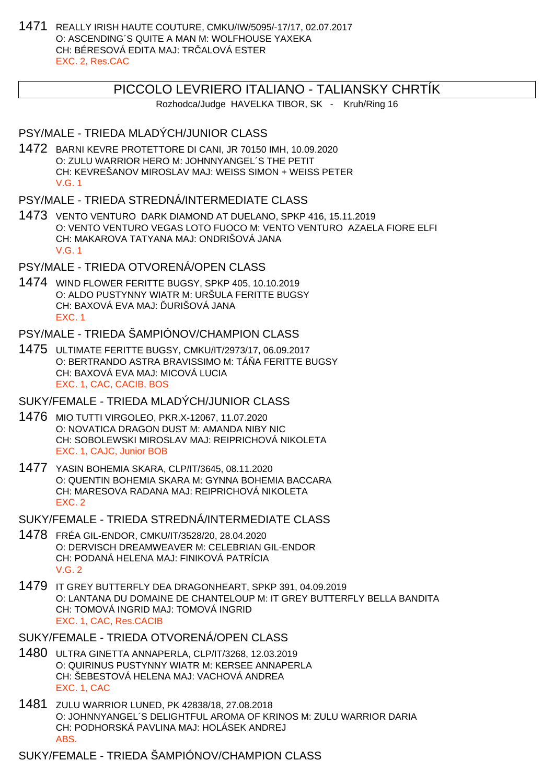1471 REALLY IRISH HAUTE COUTURE, CMKU/IW/5095/-17/17, 02.07.2017 O: ASCENDING´S QUITE A MAN M: WOLFHOUSE YAXEKA CH: BÉRESOVÁ EDITA MAJ: TR. ALOVÁ ESTER EXC. 2, Res.CAC

### PICCOLO LEVRIERO ITALIANO - TALIANSKY CHRTÍK

Rozhodca/Judge HAVELKA TIBOR, SK - Kruh/Ring 16

### PSY/MALE - TRIEDA MLADÝCH/JUNIOR CLASS

1472 BARNI KEVRE PROTETTORE DI CANI, JR 70150 IMH, 10.09.2020 O: ZULU WARRIOR HERO M: JOHNNYANGEL´S THE PETIT CH: KEVREŠANOV MIROSLAV MAJ: WEISS SIMON + WEISS PETER V.G. 1

#### PSY/MALE - TRIEDA STREDNÁ/INTERMEDIATE CLASS

- 1473 VENTO VENTURO DARK DIAMOND AT DUELANO, SPKP 416, 15.11.2019 O: VENTO VENTURO VEGAS LOTO FUOCO M: VENTO VENTURO AZAELA FIORE ELFI CH: MAKAROVA TATYANA MAJ: ONDRIŠOVÁ JANA V.G. 1
- PSY/MALE TRIEDA OTVORENÁ/OPEN CLASS
- 1474 WIND FLOWER FERITTE BUGSY, SPKP 405, 10.10.2019 O: ALDO PUSTYNNY WIATR M: URŠULA FERITTE BUGSY CH: BAXOVÁ EVA MAJ: URIŠOVÁ JANA EXC. 1

#### PSY/MALE - TRIEDA ŠAMPIÓNOV/CHAMPION CLASS

1475 ULTIMATE FERITTE BUGSY, CMKU/IT/2973/17, 06.09.2017 O: BERTRANDO ASTRA BRAVISSIMO M: TÁ A FERITTE BUGSY CH: BAXOVÁ EVA MAJ: MICOVÁ LUCIA EXC. 1, CAC, CACIB, BOS

## SUKY/FEMALE - TRIEDA MLADÝCH/JUNIOR CLASS

- 1476 MIO TUTTI VIRGOLEO, PKR.X-12067, 11.07.2020 O: NOVATICA DRAGON DUST M: AMANDA NIBY NIC CH: SOBOLEWSKI MIROSLAV MAJ: REIPRICHOVÁ NIKOLETA EXC. 1, CAJC, Junior BOB
- 1477 YASIN BOHEMIA SKARA, CLP/IT/3645, 08.11.2020 O: QUENTIN BOHEMIA SKARA M: GYNNA BOHEMIA BACCARA CH: MARESOVA RADANA MAJ: REIPRICHOVÁ NIKOLETA EXC. 2

SUKY/FEMALE - TRIEDA STREDNÁ/INTERMEDIATE CLASS

- 1478 FRÉA GIL-ENDOR, CMKU/IT/3528/20, 28.04.2020 O: DERVISCH DREAMWEAVER M: CELEBRIAN GIL-ENDOR CH: PODANÁ HELENA MAJ: FINIKOVÁ PATRÍCIA V.G. 2
- 1479 IT GREY BUTTERFLY DEA DRAGONHEART, SPKP 391, 04.09.2019 O: LANTANA DU DOMAINE DE CHANTELOUP M: IT GREY BUTTERFLY BELLA BANDITA CH: TOMOVÁ INGRID MAJ: TOMOVÁ INGRID EXC. 1, CAC, Res.CACIB
- SUKY/FEMALE TRIEDA OTVORENÁ/OPEN CLASS
- 1480 ULTRA GINETTA ANNAPERLA, CLP/IT/3268, 12.03.2019 O: QUIRINUS PUSTYNNY WIATR M: KERSEE ANNAPERLA CH: ŠEBESTOVÁ HELENA MAJ: VACHOVÁ ANDREA EXC. 1, CAC
- 1481 ZULU WARRIOR LUNED, PK 42838/18, 27.08.2018 O: JOHNNYANGEL´S DELIGHTFUL AROMA OF KRINOS M: ZULU WARRIOR DARIA CH: PODHORSKÁ PAVLINA MAJ: HOLÁSEK ANDREJ ABS.

#### SUKY/FEMALE - TRIEDA ŠAMPIÓNOV/CHAMPION CLASS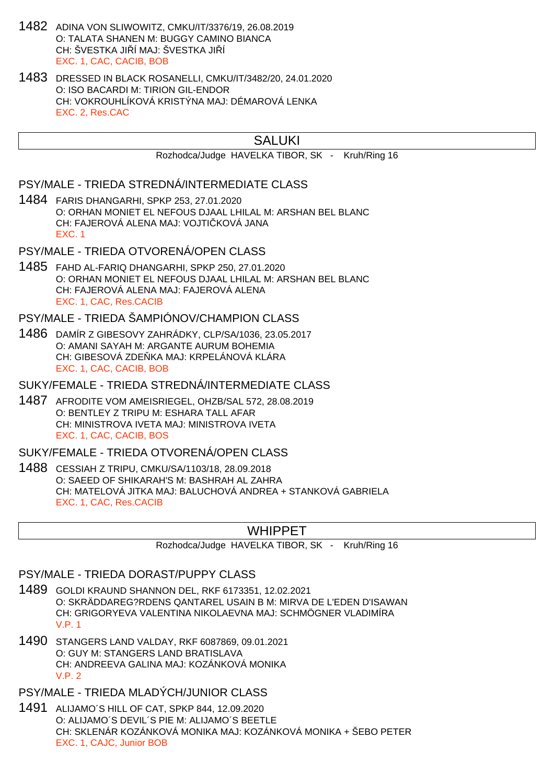- 1482 ADINA VON SLIWOWITZ, CMKU/IT/3376/19, 26.08.2019 O: TALATA SHANEN M: BUGGY CAMINO BIANCA CH: ŠVESTKA JILÍ MAJ: ŠVESTKA JILÍ EXC. 1, CAC, CACIB, BOB
- 1483 DRESSED IN BLACK ROSANELLI, CMKU/IT/3482/20, 24.01.2020 O: ISO BACARDI M: TIRION GIL-ENDOR CH: VOKROUHLÍKOVÁ KRISTÝNA MAJ: DÉMAROVÁ LENKA EXC. 2, Res.CAC

## SALUKI

Rozhodca/Judge HAVELKA TIBOR, SK - Kruh/Ring 16

#### PSY/MALE - TRIEDA STREDNÁ/INTERMEDIATE CLASS

- 1484 FARIS DHANGARHI, SPKP 253, 27.01.2020 O: ORHAN MONIET EL NEFOUS DJAAL LHILAL M: ARSHAN BEL BLANC CH: FAJEROVÁ ALENA MAJ: VOJTI KOVÁ JANA EXC. 1
- PSY/MALE TRIEDA OTVORENÁ/OPEN CLASS
- 1485 FAHD AL-FARIQ DHANGARHI, SPKP 250, 27.01.2020 O: ORHAN MONIET EL NEFOUS DJAAL LHILAL M: ARSHAN BEL BLANC CH: FAJEROVÁ ALENA MAJ: FAJEROVÁ ALENA EXC. 1, CAC, Res.CACIB

PSY/MALE - TRIEDA ŠAMPIÓNOV/CHAMPION CLASS

1486 DAMÍR Z GIBESOVY ZAHRÁDKY, CLP/SA/1036, 23.05.2017 O: AMANI SAYAH M: ARGANTE AURUM BOHEMIA CH: GIBESOVÁ ZDE KA MAJ: KRPELÁNOVÁ KLÁRA EXC. 1, CAC, CACIB, BOB

SUKY/FEMALE - TRIEDA STREDNÁ/INTERMEDIATE CLASS

1487 AFRODITE VOM AMEISRIEGEL, OHZB/SAL 572, 28.08.2019 O: BENTLEY Z TRIPU M: ESHARA TALL AFAR CH: MINISTROVA IVETA MAJ: MINISTROVA IVETA EXC. 1, CAC, CACIB, BOS

SUKY/FEMALE - TRIEDA OTVORENÁ/OPEN CLASS

1488 CESSIAH Z TRIPU, CMKU/SA/1103/18, 28.09.2018 O: SAEED OF SHIKARAH'S M: BASHRAH AL ZAHRA CH: MATELOVÁ JITKA MAJ: BALUCHOVÁ ANDREA + STANKOVÁ GABRIELA EXC. 1, CAC, Res.CACIB

## WHIPPET

Rozhodca/Judge HAVELKA TIBOR, SK - Kruh/Ring 16

#### PSY/MALE - TRIEDA DORAST/PUPPY CLASS

- 1489 GOLDI KRAUND SHANNON DEL, RKF 6173351, 12.02.2021 O: SKRÄDDAREG?RDENS QANTAREL USAIN B M: MIRVA DE L'EDEN D'ISAWAN CH: GRIGORYEVA VALENTINA NIKOLAEVNA MAJ: SCHMÖGNER VLADIMÍRA V.P. 1
- 1490 STANGERS LAND VALDAY, RKF 6087869, 09.01.2021 O: GUY M: STANGERS LAND BRATISLAVA CH: ANDREEVA GALINA MAJ: KOZÁNKOVÁ MONIKA V.P. 2

PSY/MALE - TRIEDA MLADÝCH/JUNIOR CLASS

1491 ALIJAMO´S HILL OF CAT, SPKP 844, 12.09.2020 O: ALIJAMO´S DEVIL´S PIE M: ALIJAMO´S BEETLE CH: SKLENÁR KOZÁNKOVÁ MONIKA MAJ: KOZÁNKOVÁ MONIKA + ŠEBO PETER EXC. 1, CAJC, Junior BOB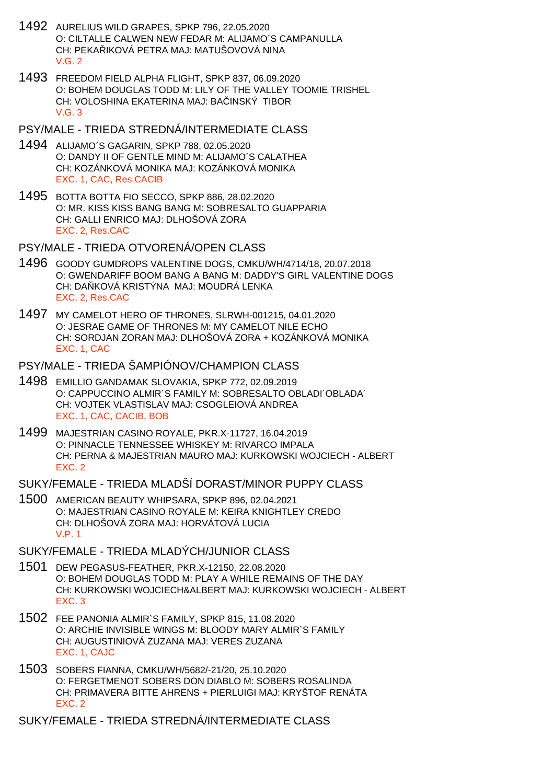- 1492 AURELIUS WILD GRAPES, SPKP 796, 22.05.2020 O: CILTALLE CALWEN NEW FEDAR M: ALIJAMO´S CAMPANULLA CH: PEKA IKOVÁ PETRA MAJ: MATUŠOVOVÁ NINA  $V$  G  $2$
- 1493 FREEDOM FIELD ALPHA FLIGHT, SPKP 837, 06.09.2020 O: BOHEM DOUGLAS TODD M: LILY OF THE VALLEY TOOMIE TRISHEL CH: VOLOSHINA EKATERINA MAJ: BA INSKÝ TIBOR V.G. 3
- PSY/MALE TRIEDA STREDNÁ/INTERMEDIATE CLASS
- 1494 ALIJAMO´S GAGARIN, SPKP 788, 02.05.2020 O: DANDY II OF GENTLE MIND M: ALIJAMO´S CALATHEA CH: KOZÁNKOVÁ MONIKA MAJ: KOZÁNKOVÁ MONIKA EXC. 1, CAC, Res.CACIB
- 1495 BOTTA BOTTA FIO SECCO, SPKP 886, 28.02.2020 O: MR. KISS KISS BANG BANG M: SOBRESALTO GUAPPARIA CH: GALLI ENRICO MAJ: DLHOŠOVÁ ZORA EXC. 2, Res.CAC
- PSY/MALE TRIEDA OTVORENÁ/OPEN CLASS
- 1496 GOODY GUMDROPS VALENTINE DOGS, CMKU/WH/4714/18, 20.07.2018 O: GWENDARIFF BOOM BANG A BANG M: DADDY'S GIRL VALENTINE DOGS CH: DA KOVÁ KRISTÝNA MAJ: MOUDRÁ LENKA EXC. 2, Res.CAC
- 1497 MY CAMELOT HERO OF THRONES, SLRWH-001215, 04.01.2020 O: JESRAE GAME OF THRONES M: MY CAMELOT NILE ECHO CH: SORDJAN ZORAN MAJ: DLHOŠOVÁ ZORA + KOZÁNKOVÁ MONIKA EXC. 1, CAC

#### PSY/MALE - TRIEDA ŠAMPIÓNOV/CHAMPION CLASS

- 1498 EMILLIO GANDAMAK SLOVAKIA, SPKP 772, 02.09.2019 O: CAPPUCCINO ALMIR´S FAMILY M: SOBRESALTO OBLADI´OBLADA´ CH: VOJTEK VLASTISLAV MAJ: CSOGLEIOVÁ ANDREA EXC. 1, CAC, CACIB, BOB
- 1499 MAJESTRIAN CASINO ROYALE, PKR.X-11727, 16.04.2019 O: PINNACLE TENNESSEE WHISKEY M: RIVARCO IMPALA CH: PERNA & MAJESTRIAN MAURO MAJ: KURKOWSKI WOJCIECH - ALBERT EXC. 2

SUKY/FEMALE - TRIEDA MLADŠÍ DORAST/MINOR PUPPY CLASS

- 1500 AMERICAN BEAUTY WHIPSARA, SPKP 896, 02.04.2021 O: MAJESTRIAN CASINO ROYALE M: KEIRA KNIGHTLEY CREDO CH: DLHOŠOVÁ ZORA MAJ: HORVÁTOVÁ LUCIA V.P. 1
- SUKY/FEMALE TRIEDA MLADÝCH/JUNIOR CLASS
- 1501 DEW PEGASUS-FEATHER, PKR.X-12150, 22.08.2020 O: BOHEM DOUGLAS TODD M: PLAY A WHILE REMAINS OF THE DAY CH: KURKOWSKI WOJCIECH&ALBERT MAJ: KURKOWSKI WOJCIECH - ALBERT EXC. 3
- 1502 FEE PANONIA ALMIR`S FAMILY, SPKP 815, 11.08.2020 O: ARCHIE INVISIBLE WINGS M: BLOODY MARY ALMIR`S FAMILY CH: AUGUSTINIOVÁ ZUZANA MAJ: VERES ZUZANA EXC. 1, CAJC
- 1503 SOBERS FIANNA, CMKU/WH/5682/-21/20, 25.10.2020 O: FERGETMENOT SOBERS DON DIABLO M: SOBERS ROSALINDA CH: PRIMAVERA BITTE AHRENS + PIERLUIGI MAJ: KRYŠTOF RENÁTA EXC. 2

SUKY/FEMALE - TRIEDA STREDNÁ/INTERMEDIATE CLASS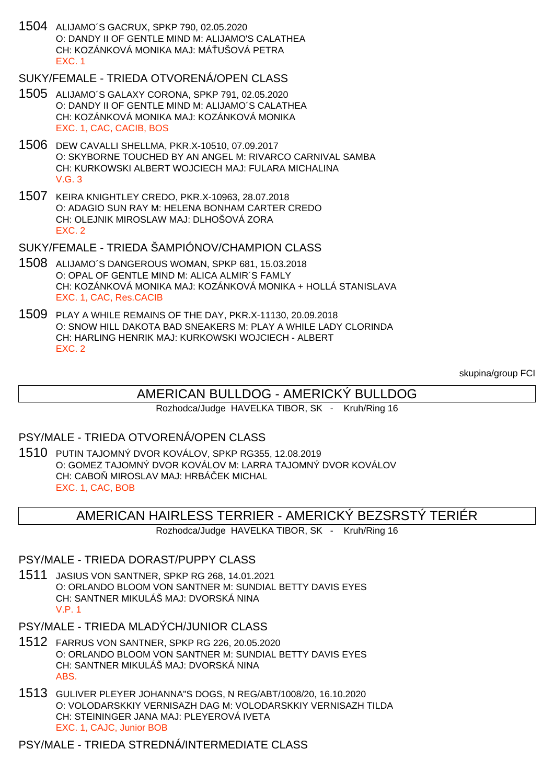1504 ALIJAMO´S GACRUX, SPKP 790, 02.05.2020 O: DANDY II OF GENTLE MIND M: ALIJAMO'S CALATHEA CH: KOZÁNKOVÁ MONIKA MAJ: MÁŤUŠOVÁ PETRA EXC. 1

## SUKY/FEMALE - TRIEDA OTVORENÁ/OPEN CLASS

- 1505 ALIJAMO´S GALAXY CORONA, SPKP 791, 02.05.2020 O: DANDY II OF GENTLE MIND M: ALIJAMO´S CALATHEA CH: KOZÁNKOVÁ MONIKA MAJ: KOZÁNKOVÁ MONIKA EXC. 1, CAC, CACIB, BOS
- 1506 DEW CAVALLI SHELLMA, PKR.X-10510, 07.09.2017 O: SKYBORNE TOUCHED BY AN ANGEL M: RIVARCO CARNIVAL SAMBA CH: KURKOWSKI ALBERT WOJCIECH MAJ: FULARA MICHALINA V.G. 3
- 1507 KEIRA KNIGHTLEY CREDO, PKR.X-10963, 28.07.2018 O: ADAGIO SUN RAY M: HELENA BONHAM CARTER CREDO CH: OLEJNIK MIROSLAW MAJ: DLHOŠOVÁ ZORA EXC. 2

SUKY/FEMALE - TRIEDA ŠAMPIÓNOV/CHAMPION CLASS

- 1508 ALIJAMO´S DANGEROUS WOMAN, SPKP 681, 15.03.2018 O: OPAL OF GENTLE MIND M: ALICA ALMIR´S FAMLY CH: KOZÁNKOVÁ MONIKA MAJ: KOZÁNKOVÁ MONIKA + HOLLÁ STANISLAVA EXC. 1, CAC, Res.CACIB
- 1509 PLAY A WHILE REMAINS OF THE DAY, PKR.X-11130, 20.09.2018 O: SNOW HILL DAKOTA BAD SNEAKERS M: PLAY A WHILE LADY CLORINDA CH: HARLING HENRIK MAJ: KURKOWSKI WOJCIECH - ALBERT EXC. 2

skupina/group FCI

# AMERICAN BULLDOG - AMERICKÝ BULLDOG

Rozhodca/Judge HAVELKA TIBOR, SK - Kruh/Ring 16

### PSY/MALE - TRIEDA OTVORENÁ/OPEN CLASS

1510 PUTIN TAJOMNÝ DVOR KOVÁLOV, SPKP RG355, 12.08.2019 O: GOMEZ TAJOMNÝ DVOR KOVÁLOV M: LARRA TAJOMNÝ DVOR KOVÁLOV CH: CABO MIROSLAV MAJ: HRBÁ EK MICHAL EXC. 1, CAC, BOB

## AMERICAN HAIRLESS TERRIER - AMERICKÝ BEZSRSTÝ TERIÉR

Rozhodca/Judge HAVELKA TIBOR, SK - Kruh/Ring 16

## PSY/MALE - TRIEDA DORAST/PUPPY CLASS

- 1511 JASIUS VON SANTNER, SPKP RG 268, 14.01.2021 O: ORLANDO BLOOM VON SANTNER M: SUNDIAL BETTY DAVIS EYES CH: SANTNER MIKULÁŠ MAJ: DVORSKÁ NINA V.P. 1
- PSY/MALE TRIEDA MLADÝCH/JUNIOR CLASS
- 1512 FARRUS VON SANTNER, SPKP RG 226, 20.05.2020 O: ORLANDO BLOOM VON SANTNER M: SUNDIAL BETTY DAVIS EYES CH: SANTNER MIKULÁŠ MAJ: DVORSKÁ NINA ABS.
- 1513 GULIVER PLEYER JOHANNA"S DOGS, N REG/ABT/1008/20, 16.10.2020 O: VOLODARSKKIY VERNISAZH DAG M: VOLODARSKKIY VERNISAZH TILDA CH: STEININGER JANA MAJ: PLEYEROVÁ IVETA EXC. 1, CAJC, Junior BOB

PSY/MALE - TRIEDA STREDNÁ/INTERMEDIATE CLASS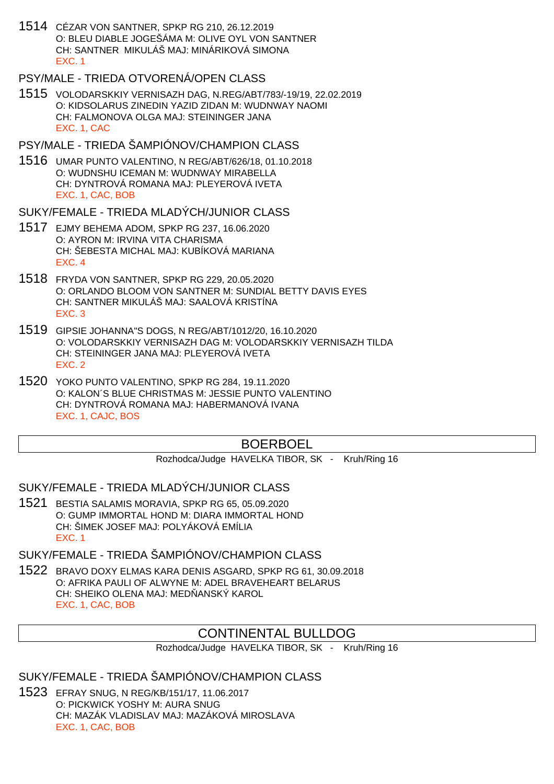1514 CÉZAR VON SANTNER, SPKP RG 210, 26.12.2019 O: BLEU DIABLE JOGEŠÁMA M: OLIVE OYL VON SANTNER CH: SANTNER MIKULÁŠ MAJ: MINÁRIKOVÁ SIMONA EXC. 1

## PSY/MALE - TRIEDA OTVORENÁ/OPEN CLASS

1515 VOLODARSKKIY VERNISAZH DAG, N.REG/ABT/783/-19/19, 22.02.2019 O: KIDSOLARUS ZINEDIN YAZID ZIDAN M: WUDNWAY NAOMI CH: FALMONOVA OLGA MAJ: STEININGER JANA EXC. 1, CAC

## PSY/MALE - TRIEDA ŠAMPIÓNOV/CHAMPION CLASS

1516 UMAR PUNTO VALENTINO, N REG/ABT/626/18, 01.10.2018 O: WUDNSHU ICEMAN M: WUDNWAY MIRABELLA CH: DYNTROVÁ ROMANA MAJ: PLEYEROVÁ IVETA EXC. 1, CAC, BOB

## SUKY/FEMALE - TRIEDA MLADÝCH/JUNIOR CLASS

- 1517 EJMY BEHEMA ADOM, SPKP RG 237, 16.06.2020 O: AYRON M: IRVINA VITA CHARISMA CH: ŠEBESTA MICHAL MAJ: KUBÍKOVÁ MARIANA EXC. 4
- 1518 FRYDA VON SANTNER, SPKP RG 229, 20.05.2020 O: ORLANDO BLOOM VON SANTNER M: SUNDIAL BETTY DAVIS EYES CH: SANTNER MIKULÁŠ MAJ: SAALOVÁ KRISTÍNA EXC. 3
- 1519 GIPSIE JOHANNA"S DOGS, N REG/ABT/1012/20, 16.10.2020 O: VOLODARSKKIY VERNISAZH DAG M: VOLODARSKKIY VERNISAZH TILDA CH: STEININGER JANA MAJ: PLEYEROVÁ IVETA EXC. 2
- 1520 YOKO PUNTO VALENTINO, SPKP RG 284, 19.11.2020 O: KALON´S BLUE CHRISTMAS M: JESSIE PUNTO VALENTINO CH: DYNTROVÁ ROMANA MAJ: HABERMANOVÁ IVANA EXC. 1, CAJC, BOS

# BOERBOEL

Rozhodca/Judge HAVELKA TIBOR, SK - Kruh/Ring 16

## SUKY/FEMALE - TRIEDA MLADÝCH/JUNIOR CLASS

1521 BESTIA SALAMIS MORAVIA, SPKP RG 65, 05.09.2020 O: GUMP IMMORTAL HOND M: DIARA IMMORTAL HOND CH: ŠIMEK JOSEF MAJ: POLYÁKOVÁ EMÍLIA EXC. 1

## SUKY/FEMALE - TRIEDA ŠAMPIÓNOV/CHAMPION CLASS

1522 BRAVO DOXY ELMAS KARA DENIS ASGARD, SPKP RG 61, 30.09.2018 O: AFRIKA PAULI OF ALWYNE M: ADEL BRAVEHEART BELARUS CH: SHEIKO OLENA MAJ: MED ANSKÝ KAROL EXC. 1, CAC, BOB

# CONTINENTAL BULLDOG

Rozhodca/Judge HAVELKA TIBOR, SK - Kruh/Ring 16

# SUKY/FEMALE - TRIEDA ŠAMPIÓNOV/CHAMPION CLASS

1523 EFRAY SNUG, N REG/KB/151/17, 11.06.2017 O: PICKWICK YOSHY M: AURA SNUG CH: MAZÁK VLADISLAV MAJ: MAZÁKOVÁ MIROSLAVA EXC. 1, CAC, BOB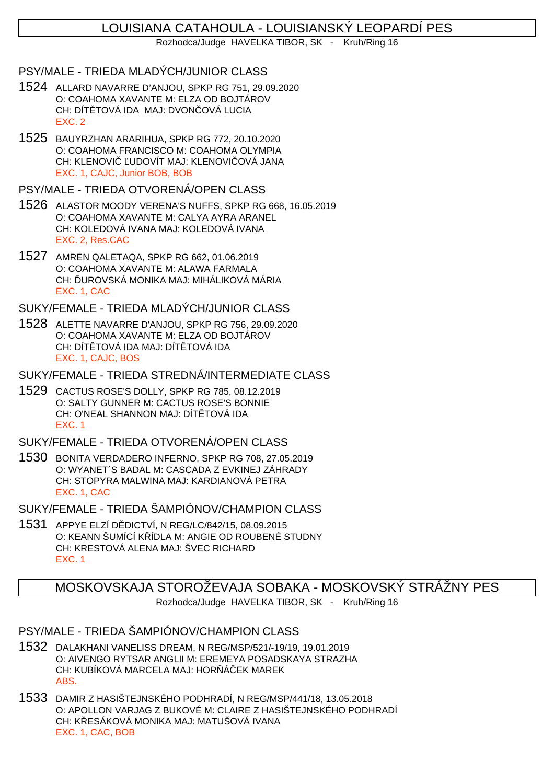# LOUISIANA CATAHOULA - LOUISIANSKÝ LEOPARDÍ PES

Rozhodca/Judge HAVELKA TIBOR, SK - Kruh/Ring 16

### PSY/MALE - TRIEDA MLADÝCH/JUNIOR CLASS

- 1524 ALLARD NAVARRE D'ANJOU, SPKP RG 751, 29.09.2020 O: COAHOMA XAVANTE M: ELZA OD BOJTÁROV CH: DÍT TOVÁ IDA MAJ: DVON OVÁ LUCIA EXC. 2
- 1525 BAUYRZHAN ARARIHUA, SPKP RG 772, 20.10.2020 O: COAHOMA FRANCISCO M: COAHOMA OLYMPIA CH: KLENOVI UDOVÍT MAJ: KLENOVI OVÁ JANA EXC. 1, CAJC, Junior BOB, BOB

## PSY/MALE - TRIEDA OTVORENÁ/OPEN CLASS

- 1526 ALASTOR MOODY VERENA'S NUFFS, SPKP RG 668, 16.05.2019 O: COAHOMA XAVANTE M: CALYA AYRA ARANEL CH: KOLEDOVÁ IVANA MAJ: KOLEDOVÁ IVANA EXC. 2, Res.CAC
- 1527 AMREN QALETAQA, SPKP RG 662, 01.06.2019 O: COAHOMA XAVANTE M: ALAWA FARMALA CH: UROVSKÁ MONIKA MAJ: MIHÁLIKOVÁ MÁRIA EXC. 1, CAC

SUKY/FEMALE - TRIEDA MLADÝCH/JUNIOR CLASS

- 1528 ALETTE NAVARRE D'ANJOU, SPKP RG 756, 29.09.2020 O: COAHOMA XAVANTE M: ELZA OD BOJTÁROV CH: DÍT TOVÁ IDA MAJ: DÍT TOVÁ IDA EXC. 1, CAJC, BOS
- SUKY/FEMALE TRIEDA STREDNÁ/INTERMEDIATE CLASS
- 1529 CACTUS ROSE'S DOLLY, SPKP RG 785, 08.12.2019 O: SALTY GUNNER M: CACTUS ROSE'S BONNIE CH: O'NEAL SHANNON MAJ: DÍT TOVÁ IDA EXC. 1

#### SUKY/FEMALE - TRIEDA OTVORENÁ/OPEN CLASS

- 1530 BONITA VERDADERO INFERNO, SPKP RG 708, 27.05.2019 O: WYANET´S BADAL M: CASCADA Z EVKINEJ ZÁHRADY CH: STOPYRA MALWINA MAJ: KARDIANOVÁ PETRA EXC. 1, CAC
- SUKY/FEMALE TRIEDA ŠAMPIÓNOV/CHAMPION CLASS
- 1531 APPYE ELZÍ DĚDICTVÍ, N REG/LC/842/15, 08.09.2015 O: KEANN ŠUMÍCÍ K ÍDLA M: ANGIE OD ROUBENÉ STUDNY CH: KRESTOVÁ ALENA MAJ: ŠVEC RICHARD EXC. 1

# MOSKOVSKAJA STOROŽEVAJA SOBAKA - MOSKOVSKÝ STRÁŽNY PES

Rozhodca/Judge HAVELKA TIBOR, SK - Kruh/Ring 16

## PSY/MALE - TRIEDA ŠAMPIÓNOV/CHAMPION CLASS

- 1532 DALAKHANI VANELISS DREAM, N REG/MSP/521/-19/19, 19.01.2019 O: AIVENGO RYTSAR ANGLII M: EREMEYA POSADSKAYA STRAZHA CH: KUBÍKOVÁ MARCELA MAJ: HOR Á EK MAREK ABS.
- 1533 DAMIR Z HASIŠTEJNSKÉHO PODHRADÍ, N REG/MSP/441/18, 13.05.2018 O: APOLLON VARJAG Z BUKOVÉ M: CLAIRE Z HASIŠTEJNSKÉHO PODHRADÍ CH: KESÁKOVÁ MONIKA MAJ: MATUŠOVÁ IVANA EXC. 1, CAC, BOB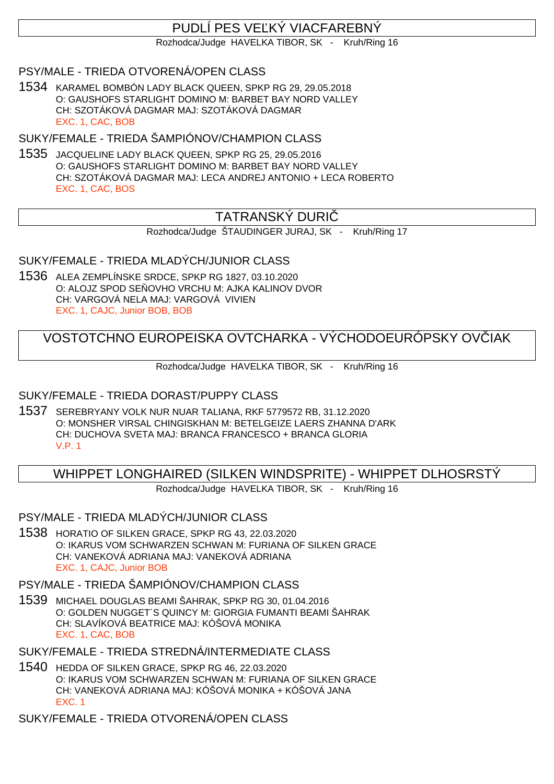# PUDLÍ PES VE KÝ VIACFAREBNÝ

Rozhodca/Judge HAVELKA TIBOR, SK - Kruh/Ring 16

PSY/MALE - TRIEDA OTVORENÁ/OPEN CLASS

1534 KARAMEL BOMBÓN LADY BLACK QUEEN, SPKP RG 29, 29.05.2018 O: GAUSHOFS STARLIGHT DOMINO M: BARBET BAY NORD VALLEY CH: SZOTÁKOVÁ DAGMAR MAJ: SZOTÁKOVÁ DAGMAR EXC. 1, CAC, BOB

SUKY/FEMALE - TRIEDA ŠAMPIÓNOV/CHAMPION CLASS

1535 JACQUELINE LADY BLACK QUEEN, SPKP RG 25, 29.05.2016 O: GAUSHOFS STARLIGHT DOMINO M: BARBET BAY NORD VALLEY CH: SZOTÁKOVÁ DAGMAR MAJ: LECA ANDREJ ANTONIO + LECA ROBERTO EXC. 1, CAC, BOS

# TATRANSKÝ DURIČ

Rozhodca/Judge ŠTAUDINGER JURAJ, SK - Kruh/Ring 17

SUKY/FEMALE - TRIEDA MLADÝCH/JUNIOR CLASS

1536 ALEA ZEMPLÍNSKE SRDCE, SPKP RG 1827, 03.10.2020 O: ALOJZ SPOD SE OVHO VRCHU M: AJKA KALINOV DVOR CH: VARGOVÁ NELA MAJ: VARGOVÁ VIVIEN EXC. 1, CAJC, Junior BOB, BOB

VOSTOTCHNO EUROPEISKA OVTCHARKA - VÝCHODOEURÓPSKY OVLIAK

Rozhodca/Judge HAVELKA TIBOR, SK - Kruh/Ring 16

SUKY/FEMALE - TRIEDA DORAST/PUPPY CLASS

1537 SEREBRYANY VOLK NUR NUAR TALIANA, RKF 5779572 RB, 31.12.2020 O: MONSHER VIRSAL CHINGISKHAN M: BETELGEIZE LAERS ZHANNA D'ARK CH: DUCHOVA SVETA MAJ: BRANCA FRANCESCO + BRANCA GLORIA V.P. 1

# WHIPPET LONGHAIRED (SILKEN WINDSPRITE) - WHIPPET DLHOSRSTÝ

Rozhodca/Judge HAVELKA TIBOR, SK - Kruh/Ring 16

PSY/MALE - TRIEDA MLADÝCH/JUNIOR CLASS

- 1538 HORATIO OF SILKEN GRACE, SPKP RG 43, 22.03.2020 O: IKARUS VOM SCHWARZEN SCHWAN M: FURIANA OF SILKEN GRACE CH: VANEKOVÁ ADRIANA MAJ: VANEKOVÁ ADRIANA EXC. 1, CAJC, Junior BOB
- PSY/MALE TRIEDA ŠAMPIÓNOV/CHAMPION CLASS
- 1539 MICHAEL DOUGLAS BEAMI ŠAHRAK, SPKP RG 30, 01.04.2016 O: GOLDEN NUGGET´S QUINCY M: GIORGIA FUMANTI BEAMI ŠAHRAK CH: SLAVÍKOVÁ BEATRICE MAJ: KÓŠOVÁ MONIKA EXC. 1, CAC, BOB
- SUKY/FEMALE TRIEDA STREDNÁ/INTERMEDIATE CLASS
- 1540 HEDDA OF SILKEN GRACE, SPKP RG 46, 22.03.2020 O: IKARUS VOM SCHWARZEN SCHWAN M: FURIANA OF SILKEN GRACE CH: VANEKOVÁ ADRIANA MAJ: KÓŠOVÁ MONIKA + KÓŠOVÁ JANA EXC. 1

SUKY/FEMALE - TRIEDA OTVORENÁ/OPEN CLASS